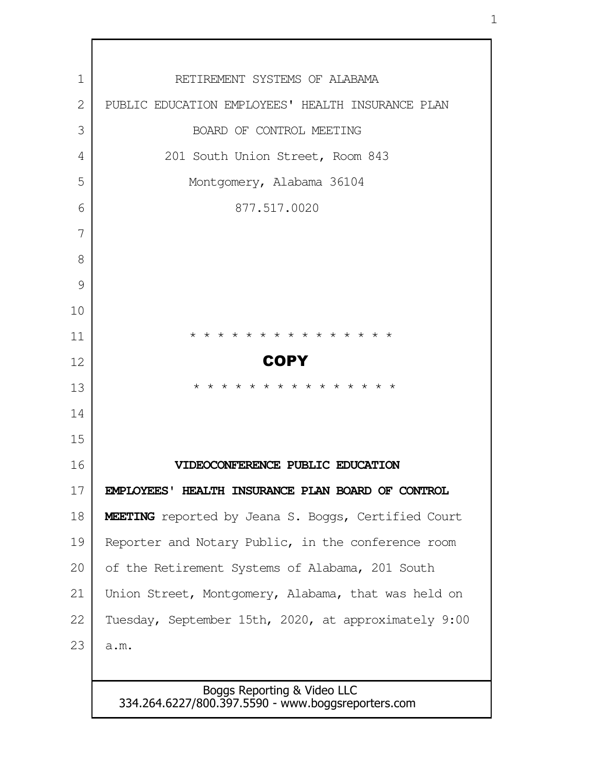| 1            | RETIREMENT SYSTEMS OF ALABAMA                                                                                         |
|--------------|-----------------------------------------------------------------------------------------------------------------------|
| $\mathbf{2}$ | PUBLIC EDUCATION EMPLOYEES' HEALTH INSURANCE PLAN                                                                     |
| 3            | BOARD OF CONTROL MEETING                                                                                              |
| 4            | 201 South Union Street, Room 843                                                                                      |
| 5            | Montgomery, Alabama 36104                                                                                             |
| 6            | 877.517.0020                                                                                                          |
| 7            |                                                                                                                       |
| 8            |                                                                                                                       |
| 9            |                                                                                                                       |
| 10           |                                                                                                                       |
| 11           | $\star$<br>$\star$<br>$\star$<br>$\star$<br>$\star$<br>$\star$<br>$\star$<br>$\star$<br>$\star$<br>$\star$<br>$\star$ |
| 12           | <b>COPY</b>                                                                                                           |
| 13           | * * * * * * * * * * * * *                                                                                             |
| 14           |                                                                                                                       |
| 15           |                                                                                                                       |
| 16           | VIDEOCONFERENCE PUBLIC EDUCATION                                                                                      |
| 17           | EMPLOYEES' HEALTH INSURANCE PLAN BOARD OF CONTROL                                                                     |
| 18           | <b>MEETING</b> reported by Jeana S. Boggs, Certified Court                                                            |
| 19           | Reporter and Notary Public, in the conference room                                                                    |
| 20           | of the Retirement Systems of Alabama, 201 South                                                                       |
| 21           | Union Street, Montgomery, Alabama, that was held on                                                                   |
| 22           | Tuesday, September 15th, 2020, at approximately 9:00                                                                  |
| 23           | a.m.                                                                                                                  |
|              |                                                                                                                       |
|              | Boggs Reporting & Video LLC<br>334.264.6227/800.397.5590 - www.boggsreporters.com                                     |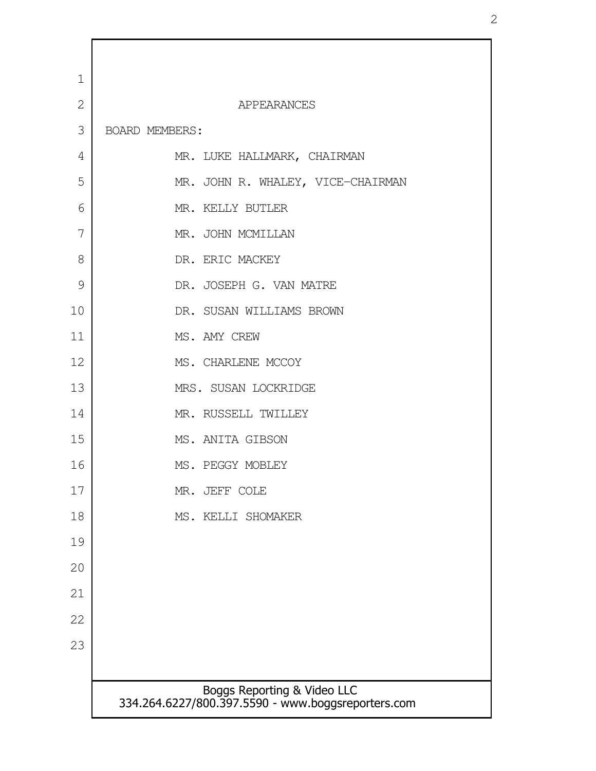| $\mathbf 1$    |                                                                                   |
|----------------|-----------------------------------------------------------------------------------|
| $\overline{2}$ | APPEARANCES                                                                       |
| 3              | BOARD MEMBERS:                                                                    |
| 4              | MR. LUKE HALLMARK, CHAIRMAN                                                       |
| 5              | MR. JOHN R. WHALEY, VICE-CHAIRMAN                                                 |
| 6              | MR. KELLY BUTLER                                                                  |
| 7              | MR. JOHN MCMILLAN                                                                 |
| 8              | DR. ERIC MACKEY                                                                   |
| 9              | DR. JOSEPH G. VAN MATRE                                                           |
| 10             | DR. SUSAN WILLIAMS BROWN                                                          |
| 11             | MS. AMY CREW                                                                      |
| 12             | MS. CHARLENE MCCOY                                                                |
| 13             | MRS. SUSAN LOCKRIDGE                                                              |
| 14             | MR. RUSSELL TWILLEY                                                               |
| 15             | MS. ANITA GIBSON                                                                  |
| 16             | MS. PEGGY MOBLEY                                                                  |
| 17             | MR. JEFF COLE                                                                     |
| 18             | MS. KELLI SHOMAKER                                                                |
| 19             |                                                                                   |
| 20             |                                                                                   |
| 21             |                                                                                   |
| 22             |                                                                                   |
| 23             |                                                                                   |
|                |                                                                                   |
|                | Boggs Reporting & Video LLC<br>334.264.6227/800.397.5590 - www.boggsreporters.com |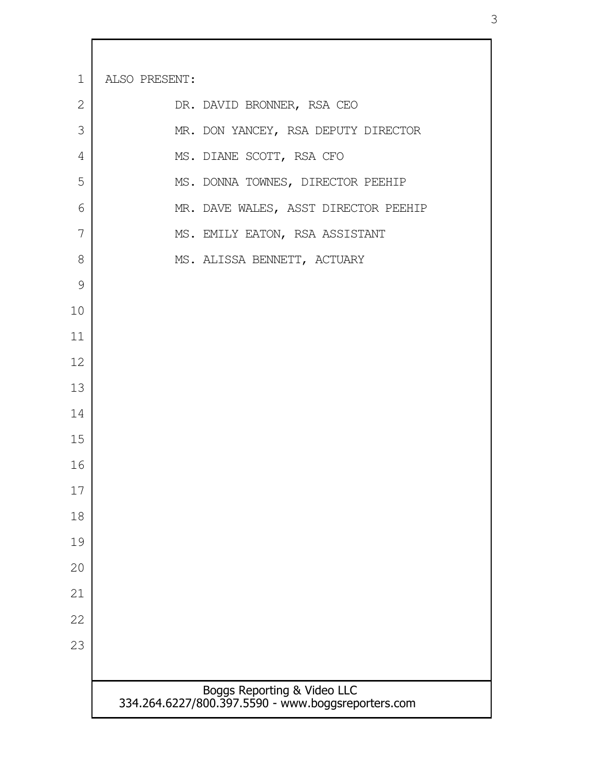| $\mathbf 1$  | ALSO PRESENT:                                                                     |  |
|--------------|-----------------------------------------------------------------------------------|--|
| $\mathbf{2}$ | DR. DAVID BRONNER, RSA CEO                                                        |  |
| 3            | MR. DON YANCEY, RSA DEPUTY DIRECTOR                                               |  |
| 4            | MS. DIANE SCOTT, RSA CFO                                                          |  |
| 5            | MS. DONNA TOWNES, DIRECTOR PEEHIP                                                 |  |
| 6            | MR. DAVE WALES, ASST DIRECTOR PEEHIP                                              |  |
| 7            | MS. EMILY EATON, RSA ASSISTANT                                                    |  |
| 8            | MS. ALISSA BENNETT, ACTUARY                                                       |  |
| 9            |                                                                                   |  |
| 10           |                                                                                   |  |
| 11           |                                                                                   |  |
| 12           |                                                                                   |  |
| 13           |                                                                                   |  |
| 14           |                                                                                   |  |
| 15           |                                                                                   |  |
| 16           |                                                                                   |  |
| 17           |                                                                                   |  |
| 18           |                                                                                   |  |
| 19           |                                                                                   |  |
| 20           |                                                                                   |  |
| 21           |                                                                                   |  |
| 22           |                                                                                   |  |
| 23           |                                                                                   |  |
|              |                                                                                   |  |
|              | Boggs Reporting & Video LLC<br>334.264.6227/800.397.5590 - www.boggsreporters.com |  |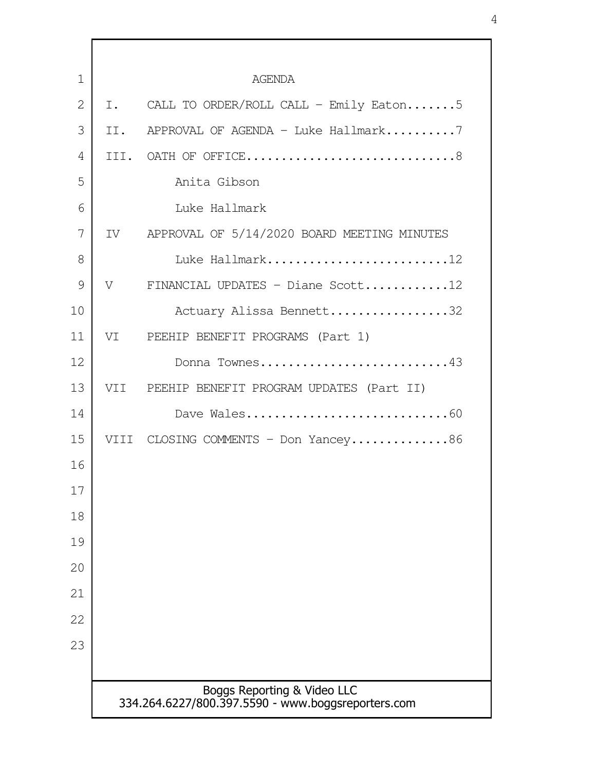| 1              |     | <b>AGENDA</b>                                                                     |
|----------------|-----|-----------------------------------------------------------------------------------|
| $\overline{2}$ | I.  | CALL TO ORDER/ROLL CALL - Emily Eaton5                                            |
| 3              | II. | APPROVAL OF AGENDA - Luke Hallmark7                                               |
| 4              |     | III. OATH OF OFFICE8                                                              |
| 5              |     | Anita Gibson                                                                      |
| 6              |     | Luke Hallmark                                                                     |
| 7              |     | IV APPROVAL OF 5/14/2020 BOARD MEETING MINUTES                                    |
| 8              |     | Luke Hallmark12                                                                   |
| 9              | V   | FINANCIAL UPDATES - Diane Scott12                                                 |
| 10             |     | Actuary Alissa Bennett32                                                          |
| 11             |     | VI PEEHIP BENEFIT PROGRAMS (Part 1)                                               |
| 12             |     | Donna Townes43                                                                    |
| 13             |     | VII PEEHIP BENEFIT PROGRAM UPDATES (Part II)                                      |
| 14             |     | Dave Wales60                                                                      |
| 15             |     | VIII CLOSING COMMENTS - Don Yancey86                                              |
| 16             |     |                                                                                   |
| 17             |     |                                                                                   |
| 18             |     |                                                                                   |
| 19             |     |                                                                                   |
| 20             |     |                                                                                   |
| 21             |     |                                                                                   |
| 22             |     |                                                                                   |
| 23             |     |                                                                                   |
|                |     |                                                                                   |
|                |     | Boggs Reporting & Video LLC<br>334.264.6227/800.397.5590 - www.boggsreporters.com |
|                |     |                                                                                   |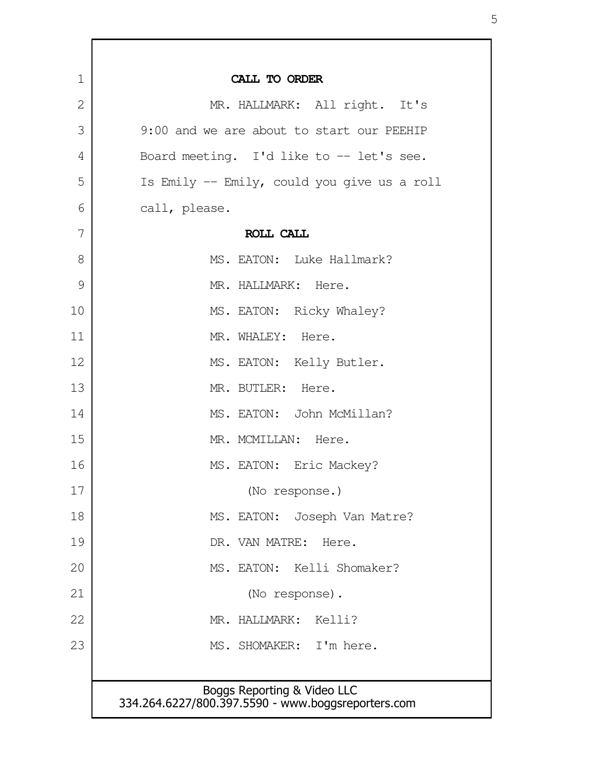| 1             | CALL TO ORDER                                                                     |
|---------------|-----------------------------------------------------------------------------------|
| $\mathbf{2}$  | MR. HALLMARK: All right. It's                                                     |
| 3             | 9:00 and we are about to start our PEEHIP                                         |
| 4             | Board meeting. I'd like to $-$ let's see.                                         |
| 5             | Is Emily -- Emily, could you give us a roll                                       |
| 6             | call, please.                                                                     |
| 7             | ROLL CALL                                                                         |
| 8             | MS. EATON: Luke Hallmark?                                                         |
| $\mathcal{G}$ | MR. HALLMARK: Here.                                                               |
| 10            | MS. EATON: Ricky Whaley?                                                          |
| 11            | MR. WHALEY: Here.                                                                 |
| 12            | MS. EATON: Kelly Butler.                                                          |
| 13            | MR. BUTLER: Here.                                                                 |
| 14            | MS. EATON: John McMillan?                                                         |
| 15            | MR. MCMILLAN: Here.                                                               |
| 16            | MS. EATON: Eric Mackey?                                                           |
| 17            | (No response.)                                                                    |
| 18            | MS. EATON: Joseph Van Matre?                                                      |
| 19            | DR. VAN MATRE:<br>Here.                                                           |
| 20            | MS. EATON: Kelli Shomaker?                                                        |
| 21            | (No response).                                                                    |
| 22            | MR. HALLMARK: Kelli?                                                              |
| 23            | MS. SHOMAKER: I'm here.                                                           |
|               |                                                                                   |
|               | Boggs Reporting & Video LLC<br>334.264.6227/800.397.5590 - www.boggsreporters.com |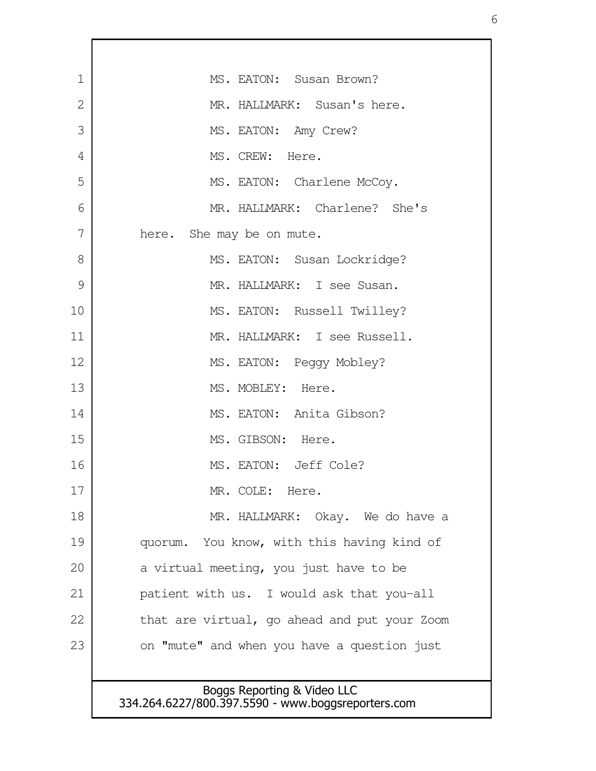| 1  | MS. EATON: Susan Brown?                            |
|----|----------------------------------------------------|
| 2  | MR. HALLMARK: Susan's here.                        |
| 3  | MS. EATON: Amy Crew?                               |
| 4  | MS. CREW: Here.                                    |
| 5  | MS. EATON: Charlene McCoy.                         |
| 6  | MR. HALLMARK: Charlene? She's                      |
| 7  | here. She may be on mute.                          |
| 8  | MS. EATON: Susan Lockridge?                        |
| 9  | MR. HALLMARK: I see Susan.                         |
| 10 | MS. EATON: Russell Twilley?                        |
| 11 | MR. HALLMARK: I see Russell.                       |
| 12 | MS. EATON: Peggy Mobley?                           |
| 13 | MS. MOBLEY: Here.                                  |
| 14 | MS. EATON: Anita Gibson?                           |
| 15 | MS. GIBSON: Here.                                  |
| 16 | MS. EATON: Jeff Cole?                              |
| 17 | MR. COLE: Here.                                    |
| 18 | MR. HALLMARK: Okay. We do have a                   |
| 19 | quorum. You know, with this having kind of         |
| 20 | a virtual meeting, you just have to be             |
| 21 | patient with us. I would ask that you-all          |
| 22 | that are virtual, go ahead and put your Zoom       |
| 23 | on "mute" and when you have a question just        |
|    |                                                    |
|    | Boggs Reporting & Video LLC                        |
|    | 334.264.6227/800.397.5590 - www.boggsreporters.com |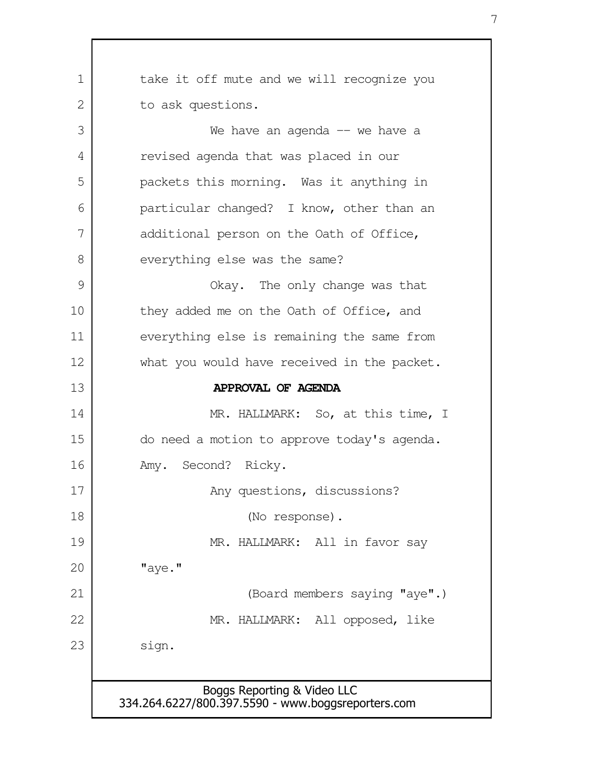| 1             | take it off mute and we will recognize you         |
|---------------|----------------------------------------------------|
| 2             | to ask questions.                                  |
| 3             | We have an agenda $--$ we have a                   |
| 4             | revised agenda that was placed in our              |
| 5             | packets this morning. Was it anything in           |
| 6             | particular changed? I know, other than an          |
| 7             | additional person on the Oath of Office,           |
| 8             | everything else was the same?                      |
| $\mathcal{G}$ | Okay. The only change was that                     |
| 10            | they added me on the Oath of Office, and           |
| 11            | everything else is remaining the same from         |
| 12            | what you would have received in the packet.        |
| 13            | APPROVAL OF AGENDA                                 |
| 14            | MR. HALLMARK: So, at this time, I                  |
| 15            | do need a motion to approve today's agenda.        |
| 16            | Amy. Second? Ricky.                                |
| 17            | Any questions, discussions?                        |
| 18            | (No response).                                     |
| 19            | MR. HALLMARK: All in favor say                     |
| 20            | "aye."                                             |
| 21            | (Board members saying "aye".)                      |
| 22            | MR. HALLMARK: All opposed, like                    |
| 23            | sign.                                              |
|               |                                                    |
|               | Boggs Reporting & Video LLC                        |
|               | 334.264.6227/800.397.5590 - www.boggsreporters.com |

 $\mathsf{l}$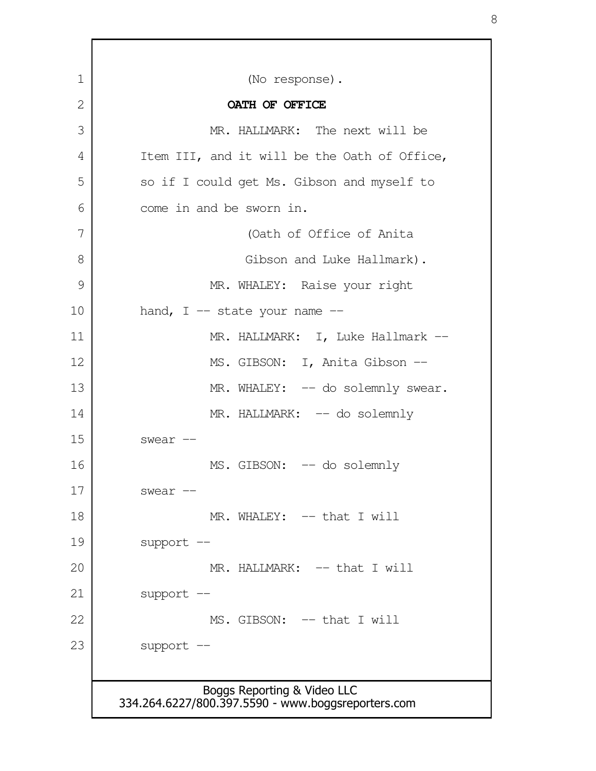| OATH OF OFFICE<br>MR. HALLMARK: The next will be<br>Item III, and it will be the Oath of Office,<br>so if I could get Ms. Gibson and myself to<br>come in and be sworn in.<br>(Oath of Office of Anita<br>Gibson and Luke Hallmark).<br>MR. WHALEY: Raise your right<br>hand, $I$ -- state your name --<br>MR. HALLMARK: I, Luke Hallmark --<br>MS. GIBSON: I, Anita Gibson -- |
|--------------------------------------------------------------------------------------------------------------------------------------------------------------------------------------------------------------------------------------------------------------------------------------------------------------------------------------------------------------------------------|
|                                                                                                                                                                                                                                                                                                                                                                                |
|                                                                                                                                                                                                                                                                                                                                                                                |
|                                                                                                                                                                                                                                                                                                                                                                                |
|                                                                                                                                                                                                                                                                                                                                                                                |
|                                                                                                                                                                                                                                                                                                                                                                                |
|                                                                                                                                                                                                                                                                                                                                                                                |
|                                                                                                                                                                                                                                                                                                                                                                                |
|                                                                                                                                                                                                                                                                                                                                                                                |
|                                                                                                                                                                                                                                                                                                                                                                                |
|                                                                                                                                                                                                                                                                                                                                                                                |
|                                                                                                                                                                                                                                                                                                                                                                                |
| MR. WHALEY: -- do solemnly swear.                                                                                                                                                                                                                                                                                                                                              |
| MR. HALLMARK: -- do solemnly                                                                                                                                                                                                                                                                                                                                                   |
| swear --                                                                                                                                                                                                                                                                                                                                                                       |
| MS. GIBSON: -- do solemnly                                                                                                                                                                                                                                                                                                                                                     |
| swear --                                                                                                                                                                                                                                                                                                                                                                       |
| MR. WHALEY: -- that I will                                                                                                                                                                                                                                                                                                                                                     |
| support --                                                                                                                                                                                                                                                                                                                                                                     |
| MR. HALLMARK: -- that I will                                                                                                                                                                                                                                                                                                                                                   |
| support --                                                                                                                                                                                                                                                                                                                                                                     |
| MS. GIBSON: -- that I will                                                                                                                                                                                                                                                                                                                                                     |
| support --                                                                                                                                                                                                                                                                                                                                                                     |
|                                                                                                                                                                                                                                                                                                                                                                                |

Г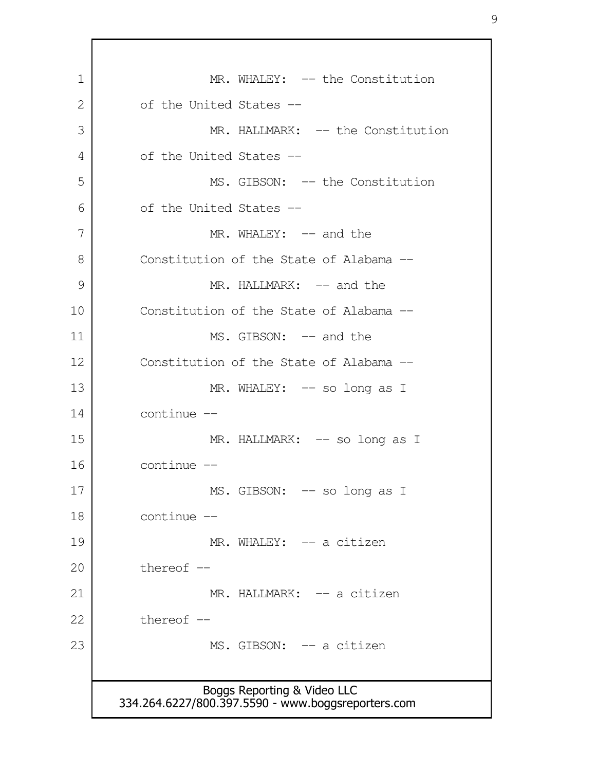Boggs Reporting & Video LLC 334.264.6227/800.397.5590 - www.boggsreporters.com MR. WHALEY: -- the Constitution of the United States -- MR. HALLMARK: -- the Constitution of the United States -- MS. GIBSON: -- the Constitution of the United States --  $MR. WHALEY: -- and the$ Constitution of the State of Alabama -- MR. HALLMARK: -- and the Constitution of the State of Alabama -- MS. GIBSON: -- and the Constitution of the State of Alabama -- MR. WHALEY: -- so long as I continue -- MR. HALLMARK: -- so long as I continue -- MS. GIBSON: -- so long as I continue -- MR. WHALEY: -- a citizen thereof -- MR. HALLMARK: -- a citizen thereof  $-$ MS. GIBSON: -- a citizen 1 2 3 4 5 6 7 8 9 10 11 12 13 14 15 16 17 18 19 20 21 22 23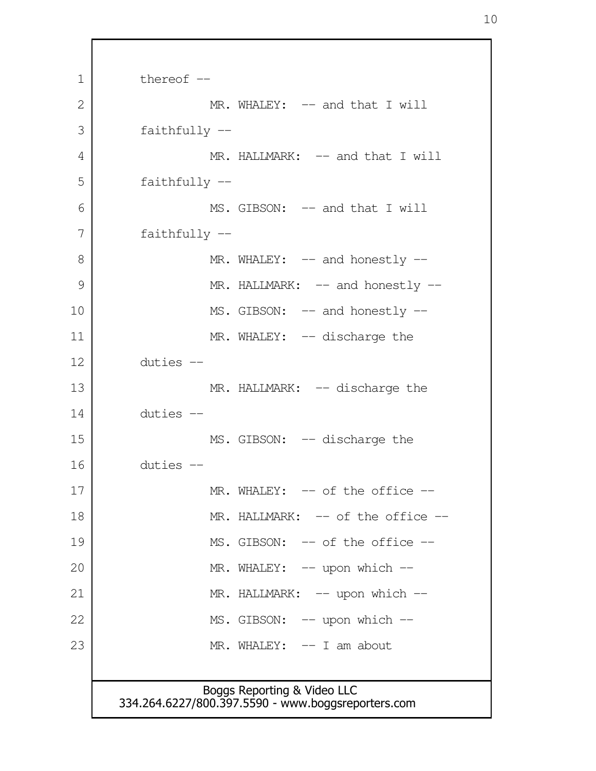Boggs Reporting & Video LLC 334.264.6227/800.397.5590 - www.boggsreporters.com thereof  $-$ MR. WHALEY: -- and that I will faithfully -- MR. HALLMARK: -- and that I will faithfully -- MS. GIBSON: -- and that I will faithfully -- MR. WHALEY: -- and honestly --MR. HALLMARK: -- and honestly --MS. GIBSON: -- and honestly --MR. WHALEY: -- discharge the duties -- MR. HALLMARK: -- discharge the duties -- MS. GIBSON: -- discharge the duties -- MR. WHALEY: -- of the office --MR. HALLMARK: -- of the office --MS. GIBSON: -- of the office --MR. WHALEY: -- upon which --MR. HALLMARK: -- upon which --MS. GIBSON: -- upon which --MR. WHALEY: -- I am about 1 2 3 4 5 6 7 8 9 10 11 12 13 14 15 16 17 18 19 20 21 22 23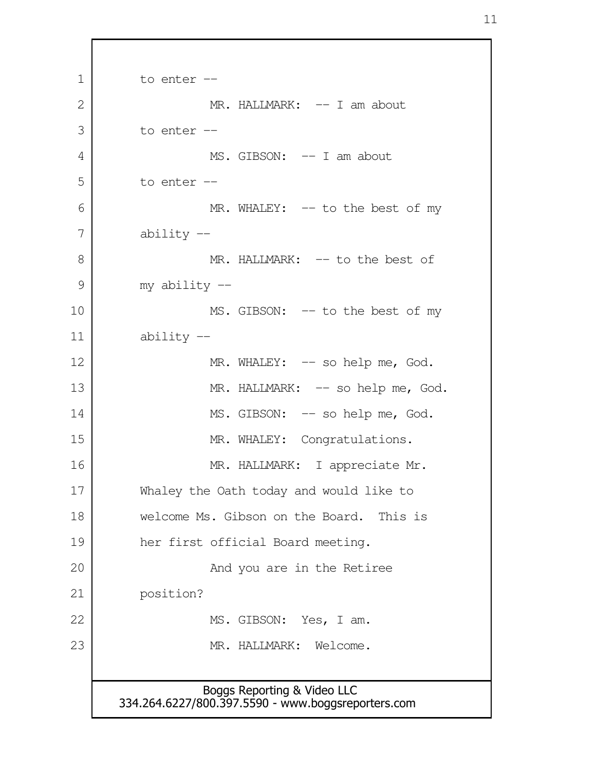Boggs Reporting & Video LLC 334.264.6227/800.397.5590 - www.boggsreporters.com to enter -- MR. HALLMARK: -- I am about to enter -- MS. GIBSON: -- I am about to enter -- MR. WHALEY: -- to the best of my ability -- MR. HALLMARK: -- to the best of my ability -- MS. GIBSON: -- to the best of my ability -- MR. WHALEY: -- so help me, God. MR. HALLMARK: -- so help me, God. MS. GIBSON: -- so help me, God. MR. WHALEY: Congratulations. MR. HALLMARK: I appreciate Mr. Whaley the Oath today and would like to welcome Ms. Gibson on the Board. This is her first official Board meeting. And you are in the Retiree position? MS. GIBSON: Yes, I am. MR. HALLMARK: Welcome. 1 2 3 4 5 6 7 8 9 10 11 12 13 14 15 16 17 18 19 20 21 22 23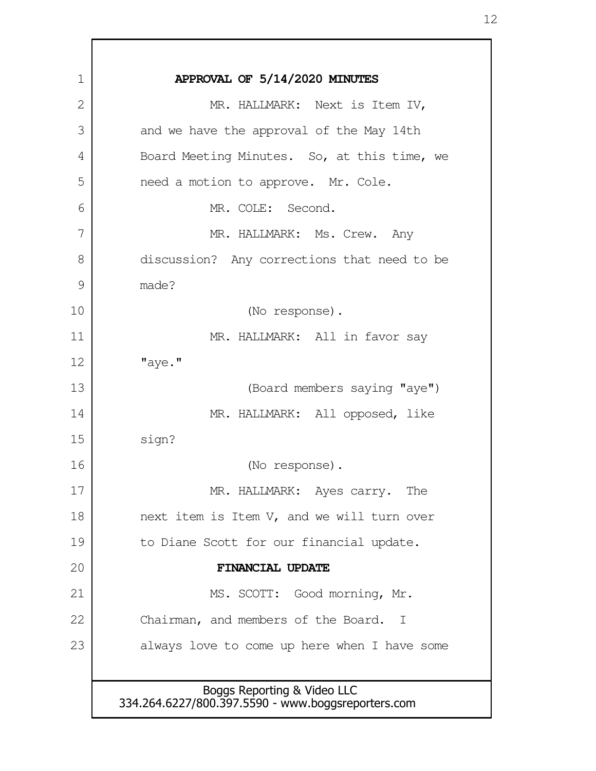| 1  | APPROVAL OF 5/14/2020 MINUTES                                                     |
|----|-----------------------------------------------------------------------------------|
| 2  | MR. HALLMARK: Next is Item IV,                                                    |
| 3  | and we have the approval of the May 14th                                          |
| 4  | Board Meeting Minutes. So, at this time, we                                       |
| 5  | need a motion to approve. Mr. Cole.                                               |
| 6  | MR. COLE: Second.                                                                 |
| 7  | MR. HALLMARK: Ms. Crew. Any                                                       |
| 8  | discussion? Any corrections that need to be                                       |
| 9  | made?                                                                             |
| 10 | (No response).                                                                    |
| 11 | MR. HALLMARK: All in favor say                                                    |
| 12 | "aye."                                                                            |
| 13 | (Board members saying "aye")                                                      |
| 14 | MR. HALLMARK: All opposed, like                                                   |
| 15 | sign?                                                                             |
| 16 | (No response).                                                                    |
| 17 | MR. HALLMARK: Ayes carry. The                                                     |
| 18 | next item is Item V, and we will turn over                                        |
| 19 | to Diane Scott for our financial update.                                          |
| 20 | FINANCIAL UPDATE                                                                  |
| 21 | MS. SCOTT: Good morning, Mr.                                                      |
| 22 | Chairman, and members of the Board. I                                             |
| 23 | always love to come up here when I have some                                      |
|    |                                                                                   |
|    | Boggs Reporting & Video LLC<br>334.264.6227/800.397.5590 - www.boggsreporters.com |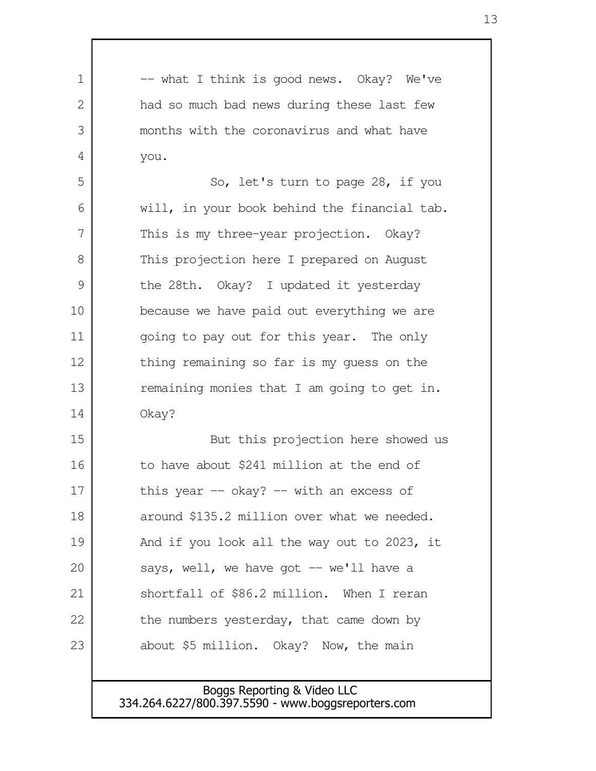| 1  | -- what I think is good news. Okay? We've    |
|----|----------------------------------------------|
| 2  | had so much bad news during these last few   |
| 3  | months with the coronavirus and what have    |
| 4  | you.                                         |
| 5  | So, let's turn to page 28, if you            |
| 6  | will, in your book behind the financial tab. |
| 7  | This is my three-year projection. Okay?      |
| 8  | This projection here I prepared on August    |
| 9  | the 28th. Okay? I updated it yesterday       |
| 10 | because we have paid out everything we are   |
| 11 | going to pay out for this year. The only     |
| 12 | thing remaining so far is my guess on the    |
| 13 | remaining monies that I am going to get in.  |
| 14 | Okay?                                        |
| 15 | But this projection here showed us           |
| 16 | to have about \$241 million at the end of    |
| 17 | this year $-$ okay? $-$ with an excess of    |
| 18 | around \$135.2 million over what we needed.  |
| 19 | And if you look all the way out to 2023, it  |
| 20 | says, well, we have got $-$ we'll have a     |
| 21 | shortfall of \$86.2 million. When I reran    |
| 22 | the numbers yesterday, that came down by     |
| 23 | about \$5 million. Okay? Now, the main       |
|    |                                              |
|    | Boggs Reporting & Video LLC                  |

Г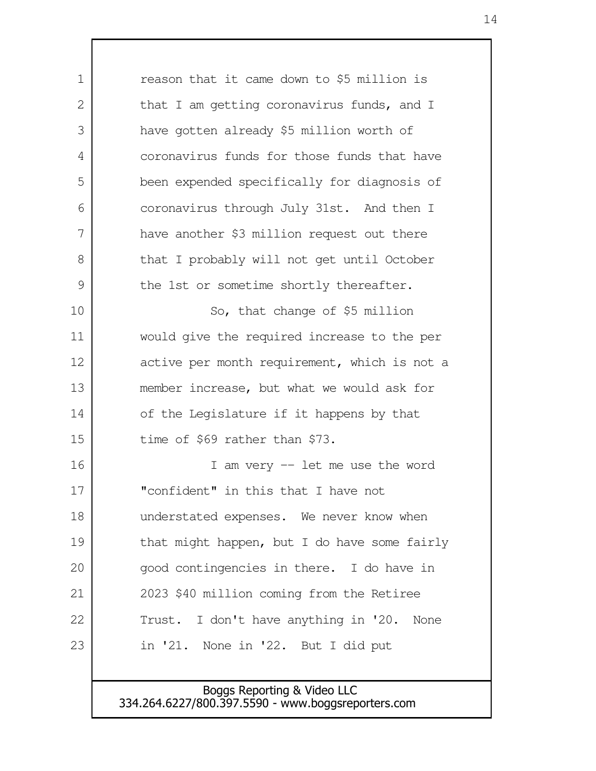| 1             | reason that it came down to \$5 million is   |
|---------------|----------------------------------------------|
| 2             | that I am getting coronavirus funds, and I   |
| 3             | have gotten already \$5 million worth of     |
| 4             | coronavirus funds for those funds that have  |
| 5             | been expended specifically for diagnosis of  |
| 6             | coronavirus through July 31st. And then I    |
| 7             | have another \$3 million request out there   |
| 8             | that I probably will not get until October   |
| $\mathcal{G}$ | the 1st or sometime shortly thereafter.      |
| 10            | So, that change of \$5 million               |
| 11            | would give the required increase to the per  |
| 12            | active per month requirement, which is not a |
| 13            | member increase, but what we would ask for   |
| 14            | of the Legislature if it happens by that     |
| 15            | time of \$69 rather than \$73.               |
| 16            | I am very $-$ let me use the word            |
| 17            | "confident" in this that I have not          |
| 18            | understated expenses. We never know when     |
| 19            | that might happen, but I do have some fairly |
| 20            | good contingencies in there. I do have in    |
| 21            | 2023 \$40 million coming from the Retiree    |
| 22            | Trust. I don't have anything in '20. None    |
| 23            | in '21. None in '22. But I did put           |
|               |                                              |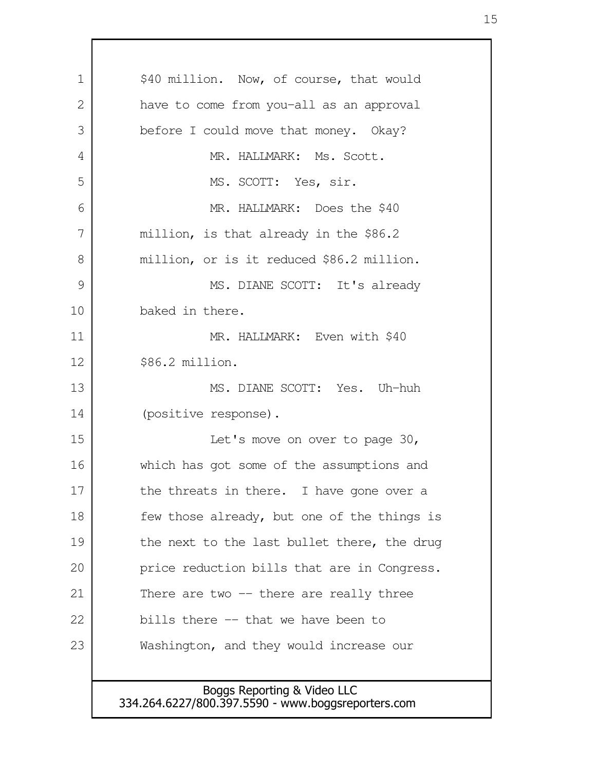Boggs Reporting & Video LLC 334.264.6227/800.397.5590 - www.boggsreporters.com \$40 million. Now, of course, that would have to come from you-all as an approval before I could move that money. Okay? MR. HALLMARK: Ms. Scott. MS. SCOTT: Yes, sir. MR. HALLMARK: Does the \$40 million, is that already in the \$86.2 million, or is it reduced \$86.2 million. MS. DIANE SCOTT: It's already baked in there. MR. HALLMARK: Even with \$40 \$86.2 million. MS. DIANE SCOTT: Yes. Uh-huh (positive response). Let's move on over to page 30, which has got some of the assumptions and the threats in there. I have gone over a few those already, but one of the things is the next to the last bullet there, the drug price reduction bills that are in Congress. There are two  $-$  there are really three bills there -- that we have been to Washington, and they would increase our 1 2 3 4 5 6 7 8 9 10 11 12 13 14 15 16 17 18 19 20 21 22 23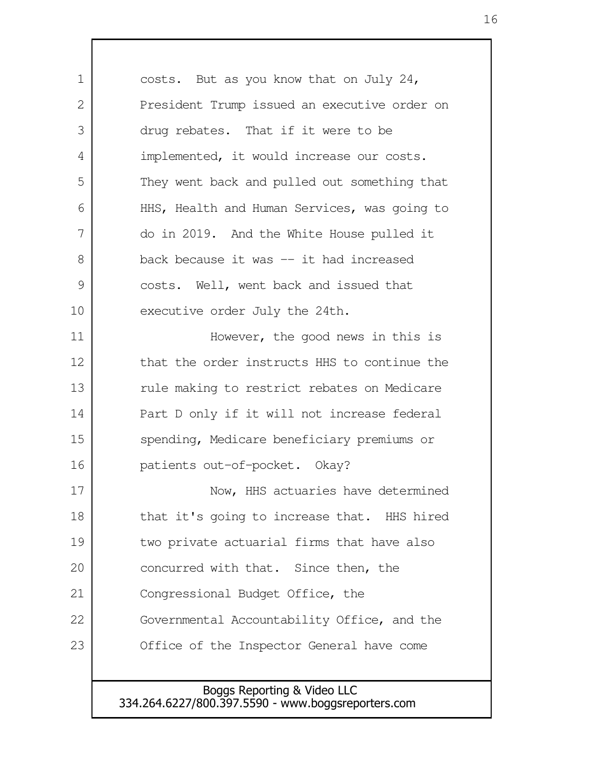Boggs Reporting & Video LLC 334.264.6227/800.397.5590 - www.boggsreporters.com costs. But as you know that on July 24, President Trump issued an executive order on drug rebates. That if it were to be implemented, it would increase our costs. They went back and pulled out something that HHS, Health and Human Services, was going to do in 2019. And the White House pulled it back because it was -- it had increased costs. Well, went back and issued that executive order July the 24th. However, the good news in this is that the order instructs HHS to continue the rule making to restrict rebates on Medicare Part D only if it will not increase federal spending, Medicare beneficiary premiums or patients out-of-pocket. Okay? Now, HHS actuaries have determined that it's going to increase that. HHS hired two private actuarial firms that have also concurred with that. Since then, the Congressional Budget Office, the Governmental Accountability Office, and the Office of the Inspector General have come 1 2 3 4 5 6 7 8 9 10 11 12 13 14 15 16 17 18 19 20 21 22 23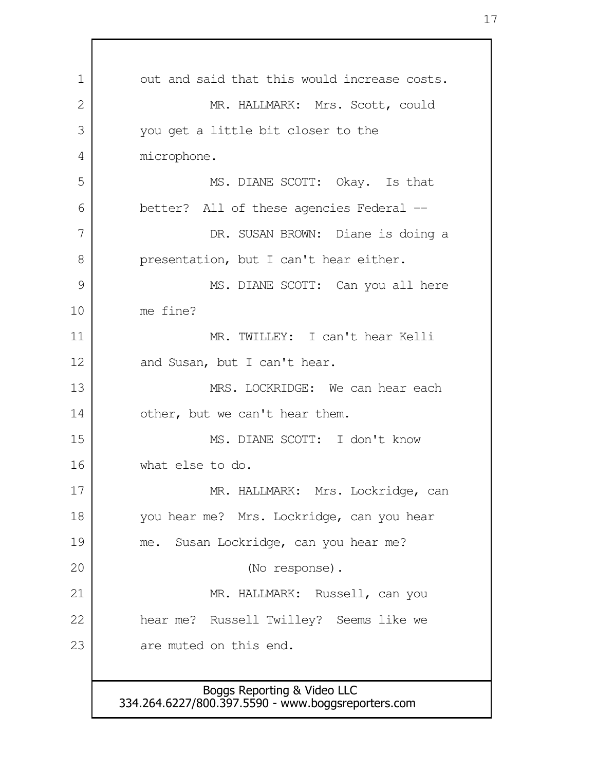out and said that this would increase costs. MR. HALLMARK: Mrs. Scott, could you get a little bit closer to the microphone. MS. DIANE SCOTT: Okay. Is that better? All of these agencies Federal -- DR. SUSAN BROWN: Diane is doing a presentation, but I can't hear either. MS. DIANE SCOTT: Can you all here me fine? MR. TWILLEY: I can't hear Kelli and Susan, but I can't hear. MRS. LOCKRIDGE: We can hear each other, but we can't hear them. MS. DIANE SCOTT: I don't know what else to do. MR. HALLMARK: Mrs. Lockridge, can you hear me? Mrs. Lockridge, can you hear me. Susan Lockridge, can you hear me? (No response). MR. HALLMARK: Russell, can you hear me? Russell Twilley? Seems like we are muted on this end. 1 2 3 4 5 6 7 8 9 10 11 12 13 14 15 16 17 18 19 20 21 22 23

Boggs Reporting & Video LLC 334.264.6227/800.397.5590 - www.boggsreporters.com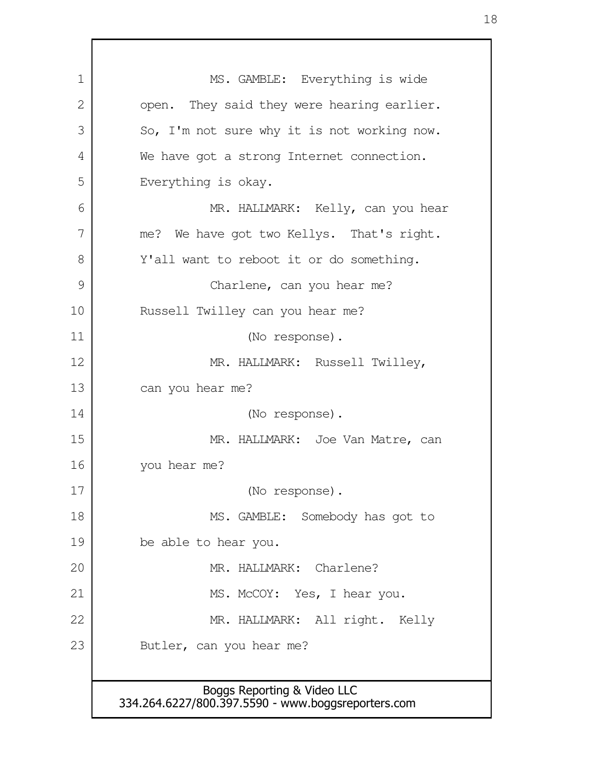Boggs Reporting & Video LLC 334.264.6227/800.397.5590 - www.boggsreporters.com MS. GAMBLE: Everything is wide open. They said they were hearing earlier. So, I'm not sure why it is not working now. We have got a strong Internet connection. Everything is okay. MR. HALLMARK: Kelly, can you hear me? We have got two Kellys. That's right. Y'all want to reboot it or do something. Charlene, can you hear me? Russell Twilley can you hear me? (No response). MR. HALLMARK: Russell Twilley, can you hear me? (No response). MR. HALLMARK: Joe Van Matre, can you hear me? (No response). MS. GAMBLE: Somebody has got to be able to hear you. MR. HALLMARK: Charlene? MS. McCOY: Yes, I hear you. MR. HALLMARK: All right. Kelly Butler, can you hear me? 1 2 3 4 5 6 7 8 9 10 11 12 13 14 15 16 17 18 19 20 21 22 23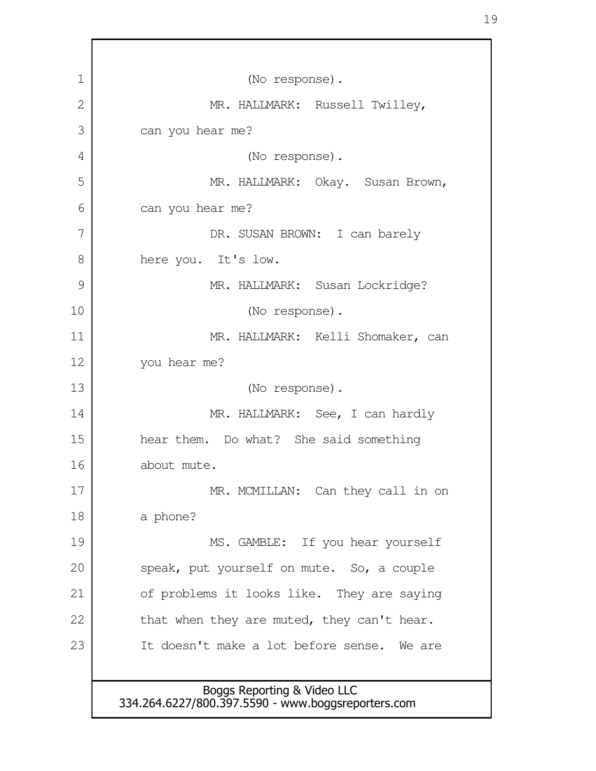| 1  | (No response).                                                                    |
|----|-----------------------------------------------------------------------------------|
| 2  | MR. HALLMARK: Russell Twilley,                                                    |
| 3  | can you hear me?                                                                  |
| 4  | (No response).                                                                    |
| 5  | MR. HALLMARK: Okay. Susan Brown,                                                  |
| 6  | can you hear me?                                                                  |
| 7  | DR. SUSAN BROWN: I can barely                                                     |
| 8  | here you. It's low.                                                               |
| 9  | MR. HALLMARK: Susan Lockridge?                                                    |
| 10 | (No response).                                                                    |
| 11 | MR. HALLMARK: Kelli Shomaker, can                                                 |
| 12 | you hear me?                                                                      |
| 13 | (No response).                                                                    |
| 14 | MR. HALLMARK: See, I can hardly                                                   |
| 15 | hear them. Do what? She said something                                            |
| 16 | about mute.                                                                       |
| 17 | MR. MCMILLAN: Can they call in on                                                 |
| 18 | a phone?                                                                          |
| 19 | MS. GAMBLE: If you hear yourself                                                  |
| 20 | speak, put yourself on mute. So, a couple                                         |
| 21 | of problems it looks like. They are saying                                        |
| 22 | that when they are muted, they can't hear.                                        |
| 23 | It doesn't make a lot before sense. We are                                        |
|    |                                                                                   |
|    | Boggs Reporting & Video LLC<br>334.264.6227/800.397.5590 - www.boggsreporters.com |
|    |                                                                                   |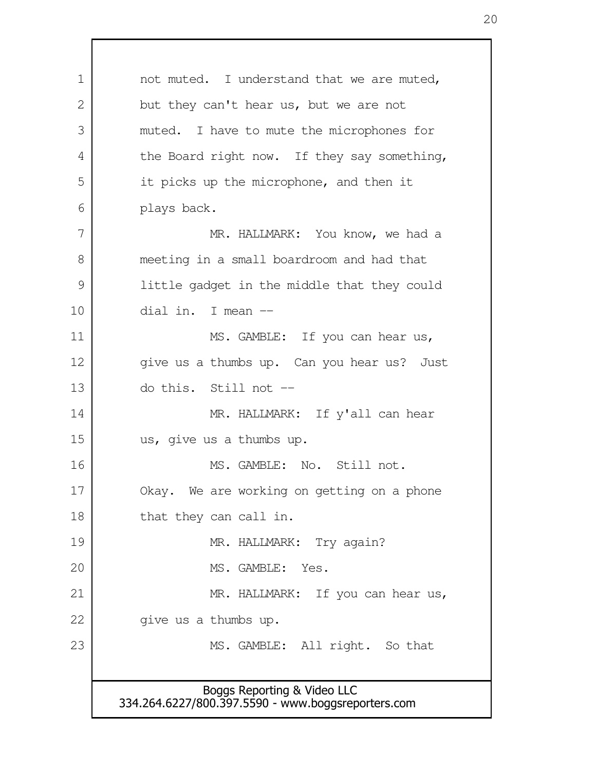Boggs Reporting & Video LLC 334.264.6227/800.397.5590 - www.boggsreporters.com not muted. I understand that we are muted, but they can't hear us, but we are not muted. I have to mute the microphones for the Board right now. If they say something, it picks up the microphone, and then it plays back. MR. HALLMARK: You know, we had a meeting in a small boardroom and had that little gadget in the middle that they could dial in. I mean -- MS. GAMBLE: If you can hear us, give us a thumbs up. Can you hear us? Just do this. Still not -- MR. HALLMARK: If y'all can hear us, give us a thumbs up. MS. GAMBLE: No. Still not. Okay. We are working on getting on a phone that they can call in. MR. HALLMARK: Try again? MS. GAMBLE: Yes. MR. HALLMARK: If you can hear us, give us a thumbs up. MS. GAMBLE: All right. So that 1 2 3 4 5 6 7 8 9 10 11 12 13 14 15 16 17 18 19 20 21 22 23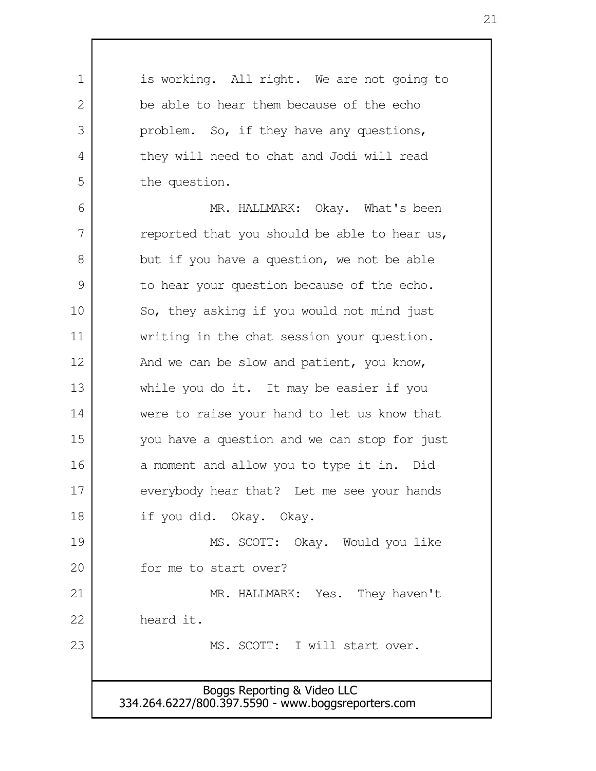Boggs Reporting & Video LLC 334.264.6227/800.397.5590 - www.boggsreporters.com is working. All right. We are not going to be able to hear them because of the echo problem. So, if they have any questions, they will need to chat and Jodi will read the question. MR. HALLMARK: Okay. What's been reported that you should be able to hear us, but if you have a question, we not be able to hear your question because of the echo. So, they asking if you would not mind just writing in the chat session your question. And we can be slow and patient, you know, while you do it. It may be easier if you were to raise your hand to let us know that you have a question and we can stop for just a moment and allow you to type it in. Did everybody hear that? Let me see your hands if you did. Okay. Okay. MS. SCOTT: Okay. Would you like for me to start over? MR. HALLMARK: Yes. They haven't heard it. MS. SCOTT: I will start over. 1  $\mathcal{L}$  3 4 5 6 7 8 9 10 11 12 13 14 15 16 17 18 19 20 21 22 23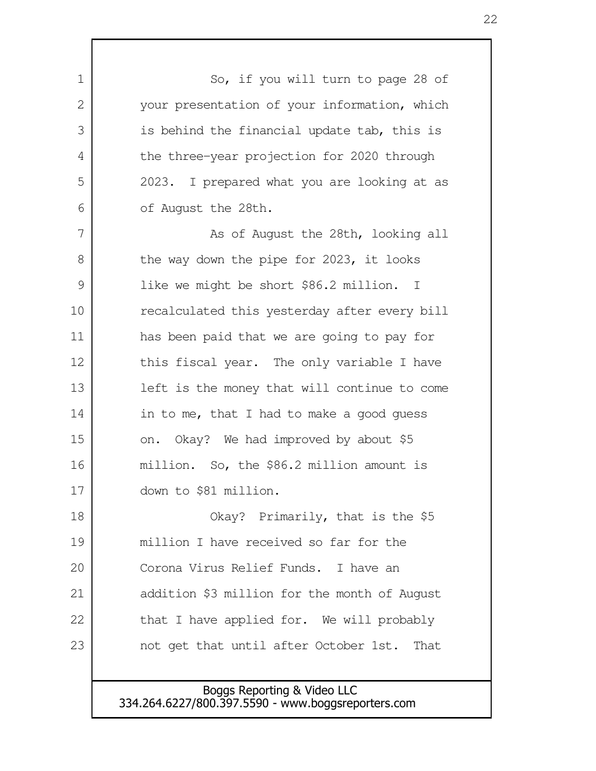So, if you will turn to page 28 of your presentation of your information, which is behind the financial update tab, this is the three-year projection for 2020 through 2023. I prepared what you are looking at as of August the 28th. As of August the 28th, looking all the way down the pipe for 2023, it looks like we might be short \$86.2 million. I recalculated this yesterday after every bill has been paid that we are going to pay for this fiscal year. The only variable I have left is the money that will continue to come in to me, that I had to make a good guess on. Okay? We had improved by about \$5 million. So, the \$86.2 million amount is down to \$81 million. Okay? Primarily, that is the \$5 million I have received so far for the Corona Virus Relief Funds. I have an addition \$3 million for the month of August that I have applied for. We will probably not get that until after October 1st. That 1 2 3 4 5 6 7 8 9 10 11 12 13 14 15 16 17 18 19 20 21 22 23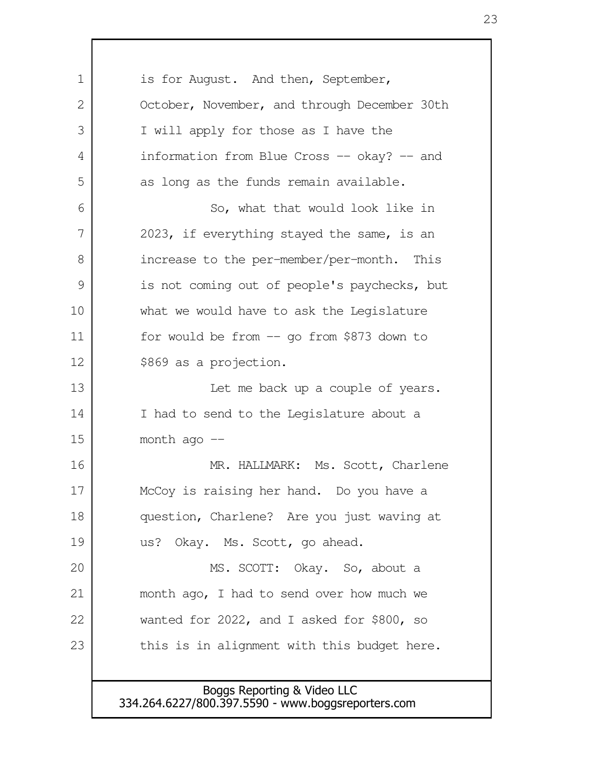is for August. And then, September, October, November, and through December 30th I will apply for those as I have the information from Blue Cross -- okay? -- and as long as the funds remain available. So, what that would look like in 2023, if everything stayed the same, is an increase to the per-member/per-month. This is not coming out of people's paychecks, but what we would have to ask the Legislature for would be from -- go from \$873 down to \$869 as a projection. Let me back up a couple of years. I had to send to the Legislature about a month ago  $-$ MR. HALLMARK: Ms. Scott, Charlene McCoy is raising her hand. Do you have a question, Charlene? Are you just waving at us? Okay. Ms. Scott, go ahead. MS. SCOTT: Okay. So, about a month ago, I had to send over how much we wanted for 2022, and I asked for \$800, so this is in alignment with this budget here. 1 2 3 4 5 6 7 8 9 10 11 12 13 14 15 16 17 18 19 20 21 22 23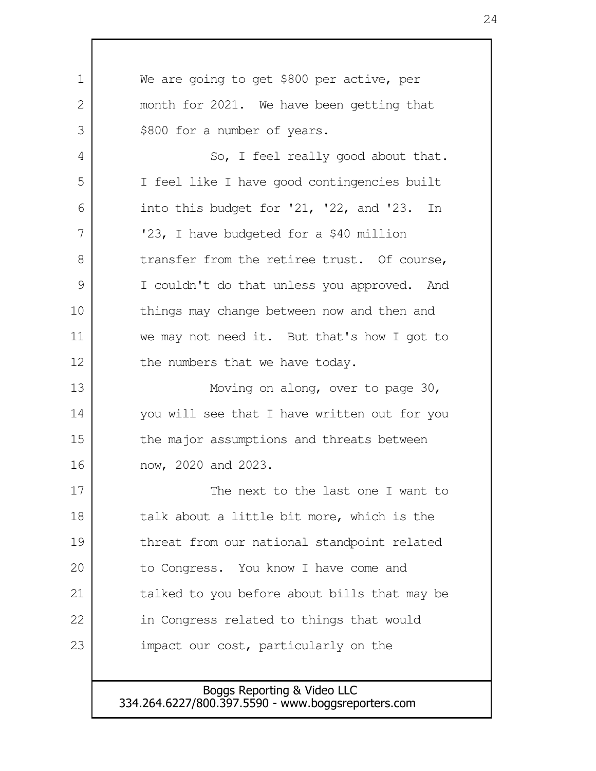We are going to get \$800 per active, per month for 2021. We have been getting that \$800 for a number of years. So, I feel really good about that. I feel like I have good contingencies built into this budget for '21, '22, and '23. In '23, I have budgeted for a \$40 million transfer from the retiree trust. Of course, I couldn't do that unless you approved. And things may change between now and then and we may not need it. But that's how I got to the numbers that we have today. Moving on along, over to page 30, you will see that I have written out for you the major assumptions and threats between now, 2020 and 2023. The next to the last one I want to talk about a little bit more, which is the threat from our national standpoint related to Congress. You know I have come and talked to you before about bills that may be in Congress related to things that would impact our cost, particularly on the 1 2 3 4 5 6 7 8 9 10 11 12 13 14 15 16 17 18 19 20 21 22 23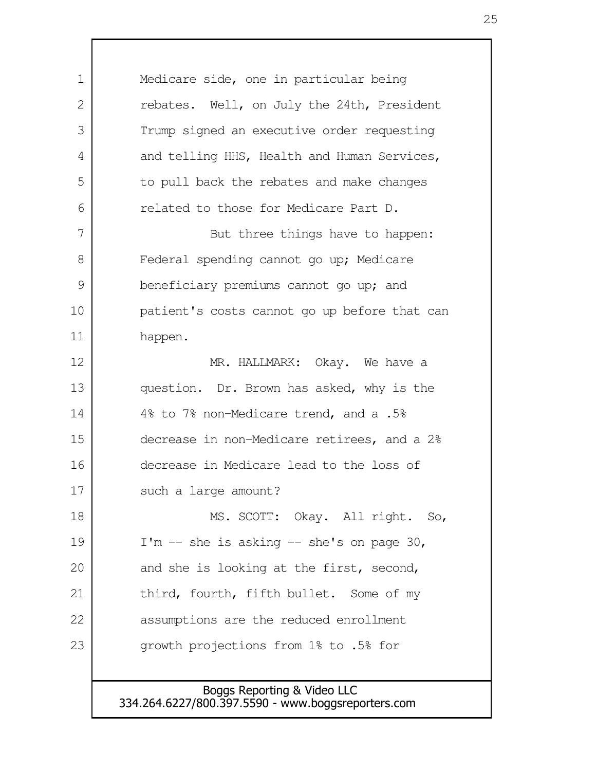Medicare side, one in particular being rebates. Well, on July the 24th, President Trump signed an executive order requesting and telling HHS, Health and Human Services, to pull back the rebates and make changes related to those for Medicare Part D. But three things have to happen: Federal spending cannot go up; Medicare beneficiary premiums cannot go up; and patient's costs cannot go up before that can happen. MR. HALLMARK: Okay. We have a question. Dr. Brown has asked, why is the 4% to 7% non-Medicare trend, and a .5% decrease in non-Medicare retirees, and a 2% decrease in Medicare lead to the loss of such a large amount? MS. SCOTT: Okay. All right. So,  $I'm - she is asking -- she's on page 30,$ and she is looking at the first, second, third, fourth, fifth bullet. Some of my assumptions are the reduced enrollment growth projections from 1% to .5% for 1  $\mathcal{L}$  3 4 5 6 7 8 9 10 11 12 13 14 15 16 17 18 19 20 21 22 23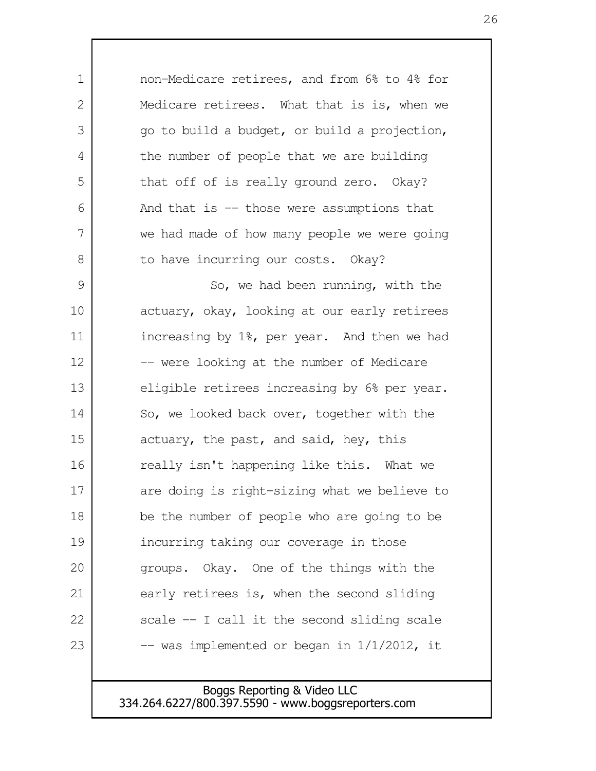non-Medicare retirees, and from 6% to 4% for Medicare retirees. What that is is, when we go to build a budget, or build a projection, the number of people that we are building that off of is really ground zero. Okay? And that is -- those were assumptions that we had made of how many people we were going to have incurring our costs. Okay? So, we had been running, with the actuary, okay, looking at our early retirees increasing by 1%, per year. And then we had -- were looking at the number of Medicare eligible retirees increasing by 6% per year. So, we looked back over, together with the actuary, the past, and said, hey, this really isn't happening like this. What we are doing is right-sizing what we believe to be the number of people who are going to be incurring taking our coverage in those groups. Okay. One of the things with the early retirees is, when the second sliding scale -- I call it the second sliding scale  $-$  was implemented or began in  $1/1/2012$ , it 1 2 3 4 5 6 7 8 9 10 11 12 13 14 15 16 17 18 19 20 21 22 23

> Boggs Reporting & Video LLC 334.264.6227/800.397.5590 - www.boggsreporters.com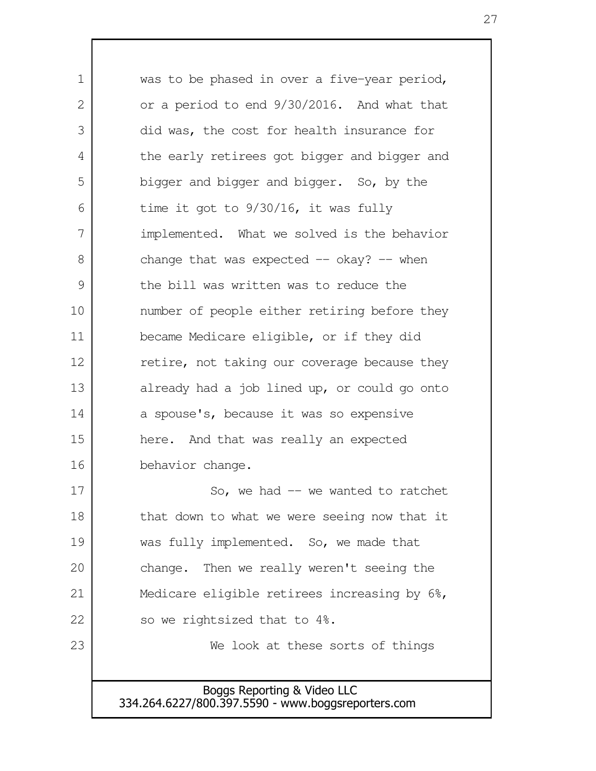| 1  | was to be phased in over a five-year period, |
|----|----------------------------------------------|
| 2  | or a period to end 9/30/2016. And what that  |
| 3  | did was, the cost for health insurance for   |
| 4  | the early retirees got bigger and bigger and |
| 5  | bigger and bigger and bigger. So, by the     |
| 6  | time it got to $9/30/16$ , it was fully      |
| 7  | implemented. What we solved is the behavior  |
| 8  | change that was expected $-$ okay? $-$ when  |
| 9  | the bill was written was to reduce the       |
| 10 | number of people either retiring before they |
| 11 | became Medicare eligible, or if they did     |
| 12 | retire, not taking our coverage because they |
| 13 | already had a job lined up, or could go onto |
| 14 | a spouse's, because it was so expensive      |
| 15 | here. And that was really an expected        |
| 16 | behavior change.                             |
| 17 | So, we had $-$ we wanted to ratchet          |
| 18 | that down to what we were seeing now that it |
| 19 | was fully implemented. So, we made that      |
| 20 | change. Then we really weren't seeing the    |
| 21 | Medicare eligible retirees increasing by 6%, |
| 22 | so we rightsized that to 4%.                 |
| 23 | We look at these sorts of things             |
|    |                                              |
|    | Boggs Reporting & Video LLC                  |

334.264.6227/800.397.5590 - www.boggsreporters.com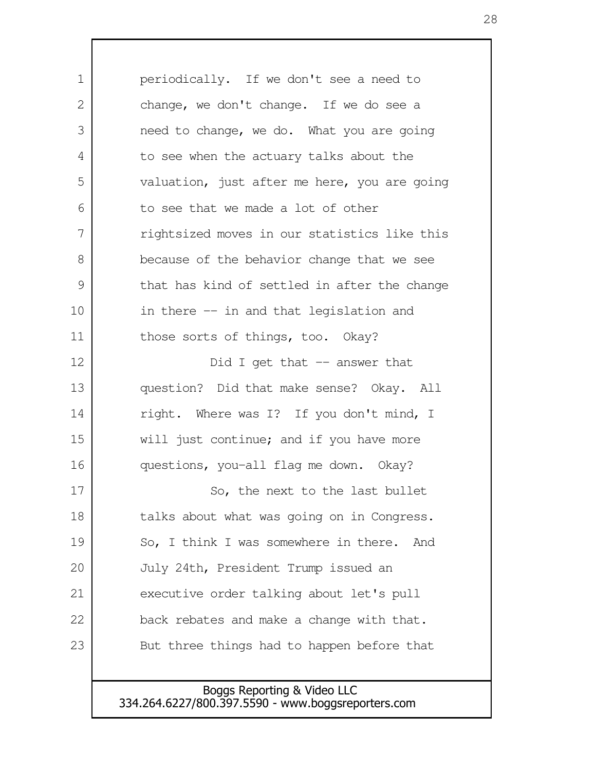periodically. If we don't see a need to change, we don't change. If we do see a need to change, we do. What you are going to see when the actuary talks about the valuation, just after me here, you are going to see that we made a lot of other rightsized moves in our statistics like this because of the behavior change that we see that has kind of settled in after the change in there -- in and that legislation and those sorts of things, too. Okay? Did I get that  $-$  answer that question? Did that make sense? Okay. All right. Where was I? If you don't mind, I will just continue; and if you have more questions, you-all flag me down. Okay? So, the next to the last bullet talks about what was going on in Congress. So, I think I was somewhere in there. And July 24th, President Trump issued an executive order talking about let's pull back rebates and make a change with that. But three things had to happen before that 1 2 3 4 5 6 7 8 9 10 11 12 13 14 15 16 17 18 19 20 21 22 23

> Boggs Reporting & Video LLC 334.264.6227/800.397.5590 - www.boggsreporters.com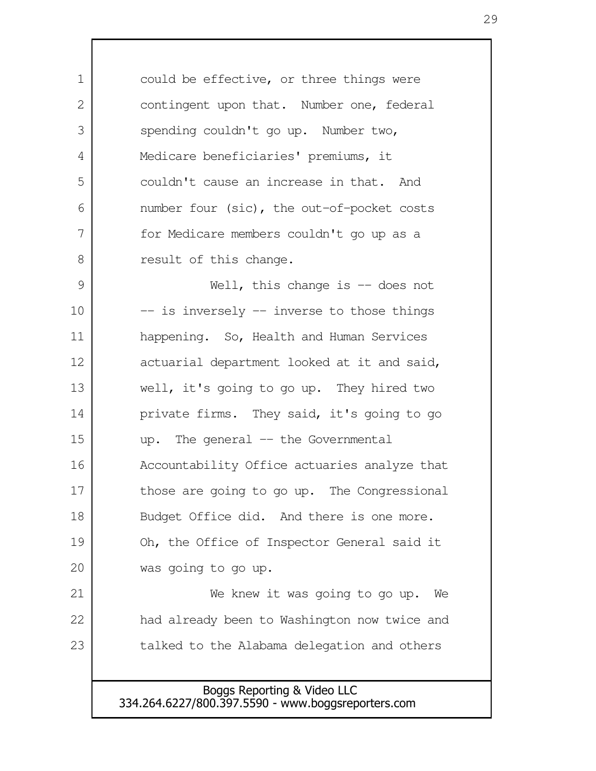could be effective, or three things were contingent upon that. Number one, federal spending couldn't go up. Number two, Medicare beneficiaries' premiums, it couldn't cause an increase in that. And number four (sic), the out-of-pocket costs for Medicare members couldn't go up as a result of this change. 1  $\mathcal{L}$  3 4 5 6 7 8

Well, this change is  $-$  does not -- is inversely -- inverse to those things happening. So, Health and Human Services actuarial department looked at it and said, well, it's going to go up. They hired two private firms. They said, it's going to go up. The general -- the Governmental Accountability Office actuaries analyze that those are going to go up. The Congressional Budget Office did. And there is one more. Oh, the Office of Inspector General said it was going to go up. We knew it was going to go up. We 9 10 11 12 13 14 15 16 17 18 19 20 21

had already been to Washington now twice and talked to the Alabama delegation and others 22 23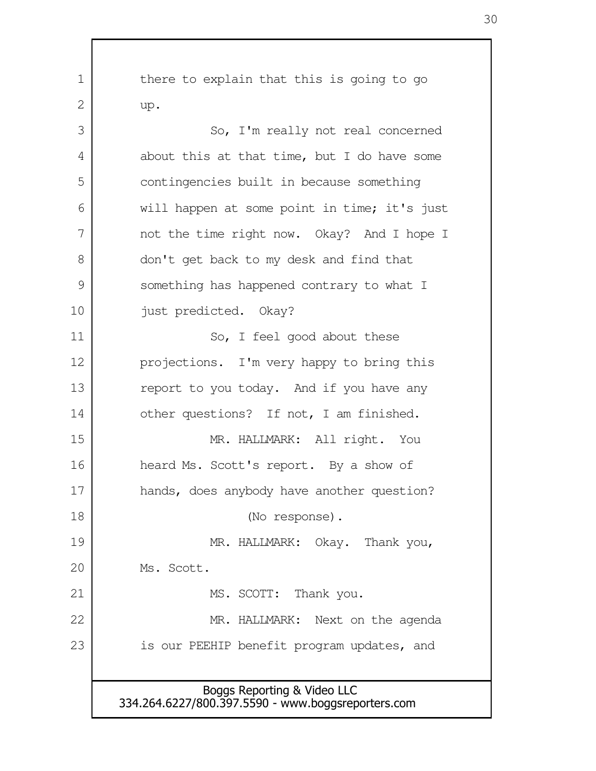Boggs Reporting & Video LLC 334.264.6227/800.397.5590 - www.boggsreporters.com there to explain that this is going to go up. So, I'm really not real concerned about this at that time, but I do have some contingencies built in because something will happen at some point in time; it's just not the time right now. Okay? And I hope I don't get back to my desk and find that something has happened contrary to what I just predicted. Okay? So, I feel good about these projections. I'm very happy to bring this report to you today. And if you have any other questions? If not, I am finished. MR. HALLMARK: All right. You heard Ms. Scott's report. By a show of hands, does anybody have another question? (No response). MR. HALLMARK: Okay. Thank you, Ms. Scott. MS. SCOTT: Thank you. MR. HALLMARK: Next on the agenda is our PEEHIP benefit program updates, and 1 2 3 4 5 6 7 8 9 10 11 12 13 14 15 16 17 18 19 20 21 22 23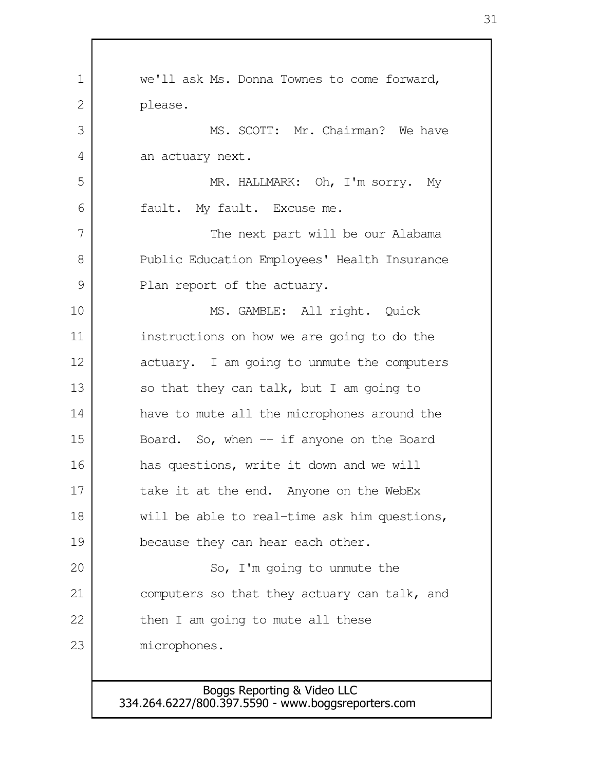| $\mathbf 1$ | we'll ask Ms. Donna Townes to come forward,  |
|-------------|----------------------------------------------|
| 2           | please.                                      |
| 3           | MS. SCOTT: Mr. Chairman? We have             |
| 4           | an actuary next.                             |
| 5           | MR. HALLMARK: Oh, I'm sorry. My              |
| 6           | fault. My fault. Excuse me.                  |
| 7           | The next part will be our Alabama            |
| 8           | Public Education Employees' Health Insurance |
| 9           | Plan report of the actuary.                  |
| 10          | MS. GAMBLE: All right. Quick                 |
| 11          | instructions on how we are going to do the   |
| 12          | actuary. I am going to unmute the computers  |
| 13          | so that they can talk, but I am going to     |
| 14          | have to mute all the microphones around the  |
| 15          | Board. So, when $-$ if anyone on the Board   |
| 16          | has questions, write it down and we will     |
| 17          | take it at the end. Anyone on the WebEx      |
| 18          | will be able to real-time ask him questions, |
| 19          | because they can hear each other.            |
| 20          | So, I'm going to unmute the                  |
| 21          | computers so that they actuary can talk, and |
| 22          | then I am going to mute all these            |
| 23          | microphones.                                 |
|             |                                              |

Г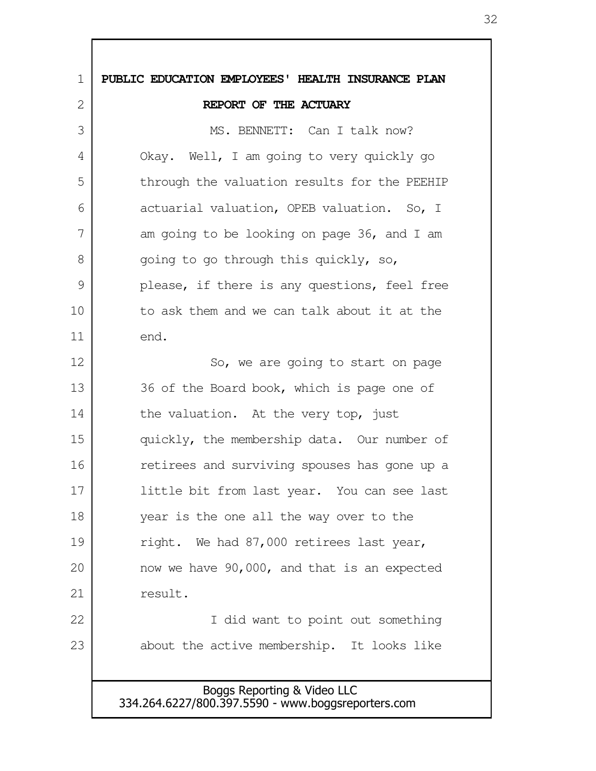Boggs Reporting & Video LLC 334.264.6227/800.397.5590 - www.boggsreporters.com **PUBLIC EDUCATION EMPLOYEES' HEALTH INSURANCE PLAN REPORT OF THE ACTUARY** MS. BENNETT: Can I talk now? Okay. Well, I am going to very quickly go through the valuation results for the PEEHIP actuarial valuation, OPEB valuation. So, I am going to be looking on page 36, and I am going to go through this quickly, so, please, if there is any questions, feel free to ask them and we can talk about it at the end. So, we are going to start on page 36 of the Board book, which is page one of the valuation. At the very top, just quickly, the membership data. Our number of retirees and surviving spouses has gone up a little bit from last year. You can see last year is the one all the way over to the right. We had 87,000 retirees last year, now we have 90,000, and that is an expected result. I did want to point out something about the active membership. It looks like 1  $\mathcal{L}$  3 4 5 6 7 8 9 10 11 12 13 14 15 16 17 18 19 20 21 22 23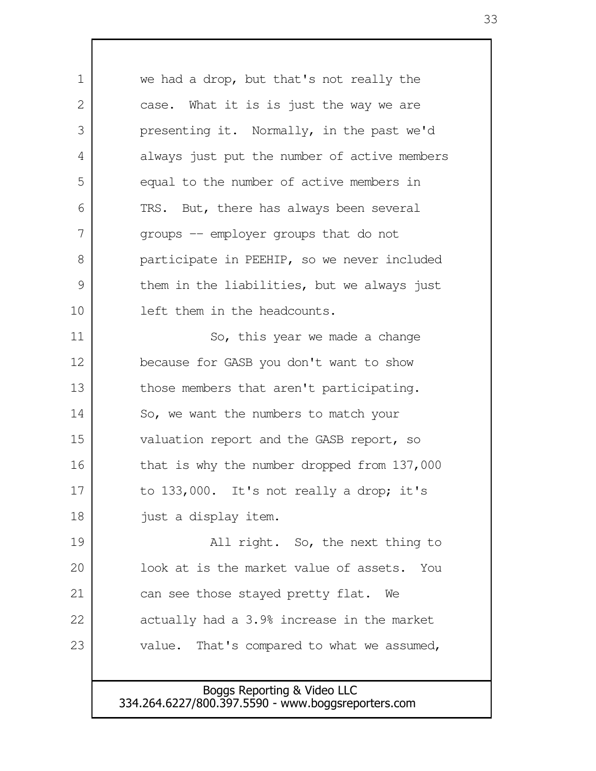| 1             | we had a drop, but that's not really the      |
|---------------|-----------------------------------------------|
| $\mathbf{2}$  | case. What it is is just the way we are       |
| 3             | presenting it. Normally, in the past we'd     |
| 4             | always just put the number of active members  |
| 5             | equal to the number of active members in      |
| 6             | TRS. But, there has always been several       |
| 7             | groups -- employer groups that do not         |
| 8             | participate in PEEHIP, so we never included   |
| $\mathcal{G}$ | them in the liabilities, but we always just   |
| 10            | left them in the headcounts.                  |
| 11            | So, this year we made a change                |
| 12            | because for GASB you don't want to show       |
| 13            | those members that aren't participating.      |
| 14            | So, we want the numbers to match your         |
| 15            | valuation report and the GASB report, so      |
| 16            | that is why the number dropped from 137,000   |
| 17            | to $133,000$ . It's not really a drop; it's   |
| 18            | just a display item.                          |
| 19            | All right. So, the next thing to              |
| 20            | look at is the market value of assets.<br>You |
| 21            | can see those stayed pretty flat. We          |
| 22            | actually had a 3.9% increase in the market    |
| 23            | value. That's compared to what we assumed,    |
|               |                                               |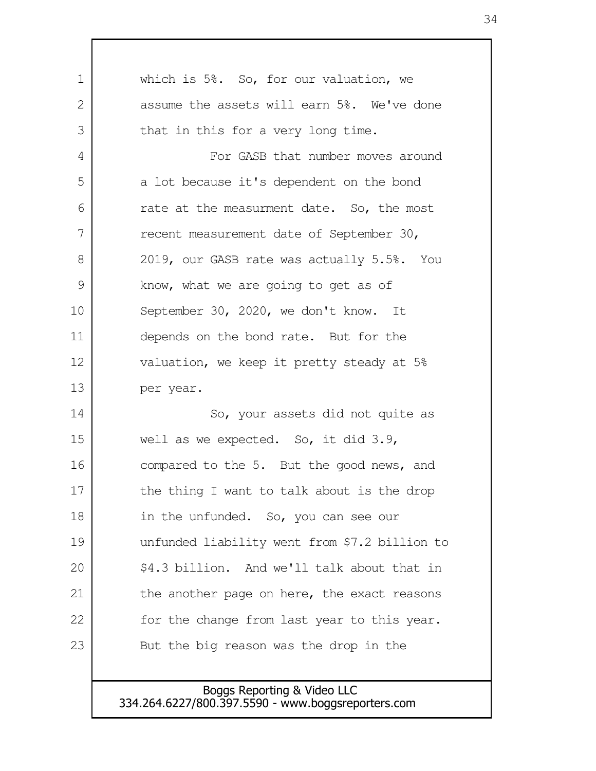| 1             | which is 5%. So, for our valuation, we        |
|---------------|-----------------------------------------------|
| 2             | assume the assets will earn 5%. We've done    |
| 3             | that in this for a very long time.            |
| 4             | For GASB that number moves around             |
| 5             | a lot because it's dependent on the bond      |
| 6             | rate at the measurment date. So, the most     |
| 7             | recent measurement date of September 30,      |
| 8             | 2019, our GASB rate was actually 5.5%. You    |
| $\mathcal{G}$ | know, what we are going to get as of          |
| 10            | September 30, 2020, we don't know. It         |
| 11            | depends on the bond rate. But for the         |
| 12            | valuation, we keep it pretty steady at 5%     |
| 13            | per year.                                     |
| 14            | So, your assets did not quite as              |
| 15            | well as we expected. So, it did 3.9,          |
| 16            | compared to the 5. But the good news, and     |
| 17            | the thing I want to talk about is the drop    |
| 18            | in the unfunded. So, you can see our          |
| 19            | unfunded liability went from \$7.2 billion to |
| 20            | \$4.3 billion. And we'll talk about that in   |
| 21            | the another page on here, the exact reasons   |
| 22            | for the change from last year to this year.   |
| 23            | But the big reason was the drop in the        |
|               |                                               |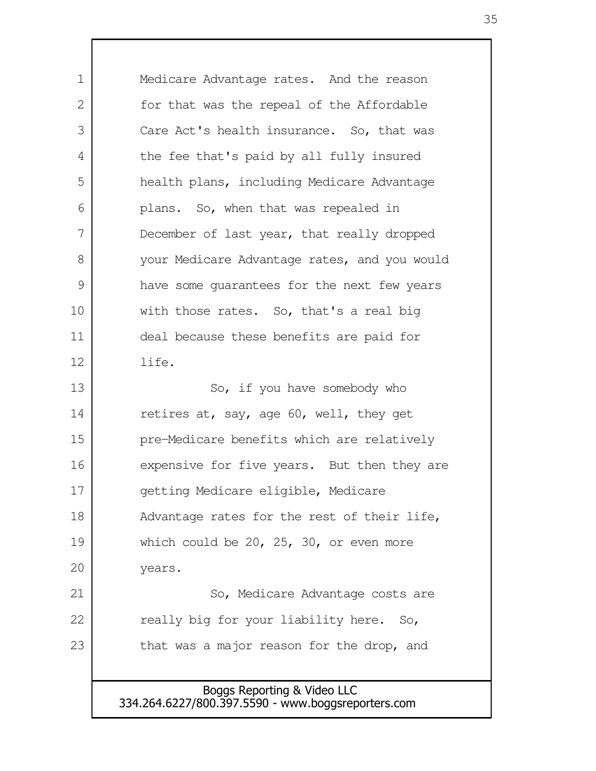Medicare Advantage rates. And the reason for that was the repeal of the Affordable Care Act's health insurance. So, that was the fee that's paid by all fully insured health plans, including Medicare Advantage plans. So, when that was repealed in December of last year, that really dropped your Medicare Advantage rates, and you would have some guarantees for the next few years with those rates. So, that's a real big deal because these benefits are paid for life. So, if you have somebody who retires at, say, age 60, well, they get pre-Medicare benefits which are relatively expensive for five years. But then they are getting Medicare eligible, Medicare Advantage rates for the rest of their life, which could be 20, 25, 30, or even more years. So, Medicare Advantage costs are really big for your liability here. So, that was a major reason for the drop, and 1 2 3 4 5 6 7 8 9 10 11 12 13 14 15 16 17 18 19 20 21 22 23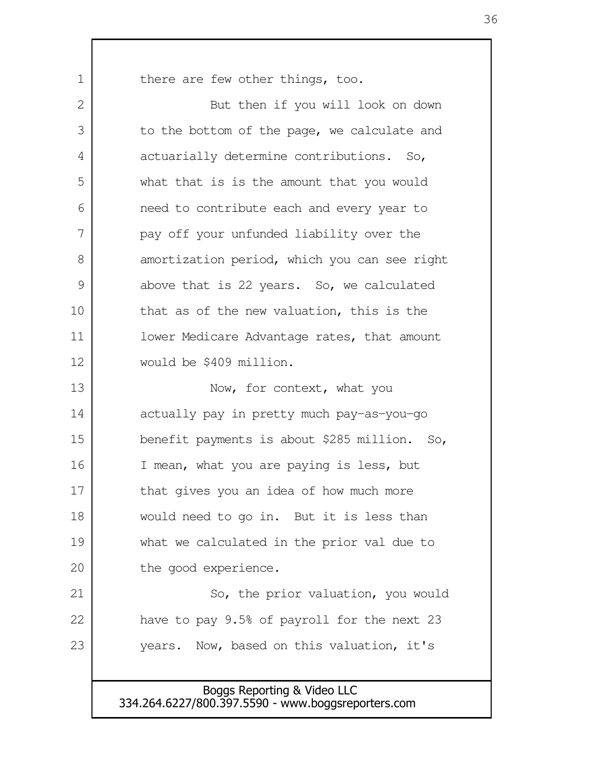there are few other things, too.

1

But then if you will look on down to the bottom of the page, we calculate and actuarially determine contributions. So, what that is is the amount that you would need to contribute each and every year to pay off your unfunded liability over the amortization period, which you can see right above that is 22 years. So, we calculated that as of the new valuation, this is the lower Medicare Advantage rates, that amount would be \$409 million. Now, for context, what you actually pay in pretty much pay-as-you-go benefit payments is about \$285 million. So, I mean, what you are paying is less, but that gives you an idea of how much more would need to go in. But it is less than what we calculated in the prior val due to the good experience. So, the prior valuation, you would have to pay 9.5% of payroll for the next 23 years. Now, based on this valuation, it's 2 3 4 5 6 7 8 9 10 11 12 13 14 15 16 17 18 19 20 21 22 23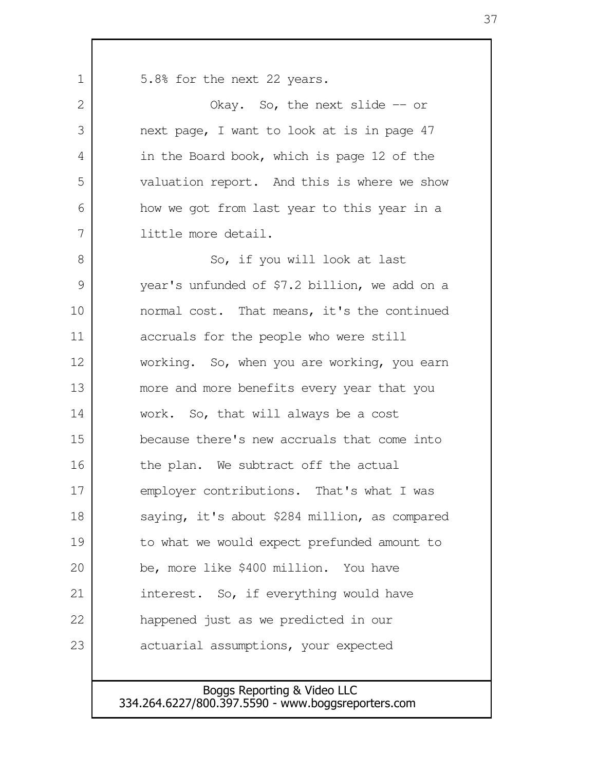5.8% for the next 22 years. Okay. So, the next slide -- or next page, I want to look at is in page 47 in the Board book, which is page 12 of the valuation report. And this is where we show how we got from last year to this year in a little more detail. So, if you will look at last year's unfunded of \$7.2 billion, we add on a normal cost. That means, it's the continued accruals for the people who were still working. So, when you are working, you earn more and more benefits every year that you work. So, that will always be a cost because there's new accruals that come into the plan. We subtract off the actual employer contributions. That's what I was saying, it's about \$284 million, as compared to what we would expect prefunded amount to be, more like \$400 million. You have interest. So, if everything would have happened just as we predicted in our actuarial assumptions, your expected 1  $\mathcal{L}$  3 4 5 6 7 8 9 10 11 12 13 14 15 16 17 18 19 20 21 22 23

> Boggs Reporting & Video LLC 334.264.6227/800.397.5590 - www.boggsreporters.com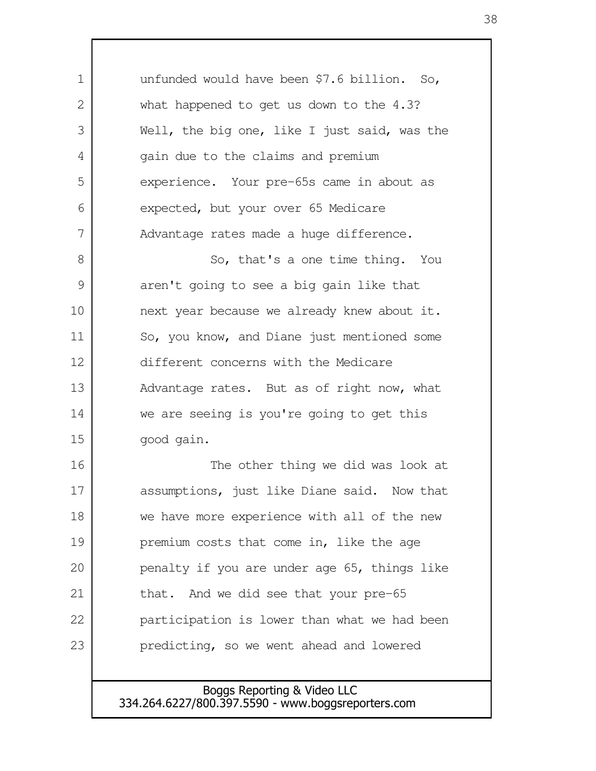unfunded would have been \$7.6 billion. So, what happened to get us down to the 4.3? Well, the big one, like I just said, was the gain due to the claims and premium experience. Your pre-65s came in about as expected, but your over 65 Medicare Advantage rates made a huge difference. So, that's a one time thing. You aren't going to see a big gain like that next year because we already knew about it. So, you know, and Diane just mentioned some different concerns with the Medicare Advantage rates. But as of right now, what we are seeing is you're going to get this good gain. The other thing we did was look at assumptions, just like Diane said. Now that we have more experience with all of the new premium costs that come in, like the age penalty if you are under age 65, things like that. And we did see that your pre-65 participation is lower than what we had been predicting, so we went ahead and lowered 1 2 3 4 5 6 7 8 9 10 11 12 13 14 15 16 17 18 19 20 21 22 23

> Boggs Reporting & Video LLC 334.264.6227/800.397.5590 - www.boggsreporters.com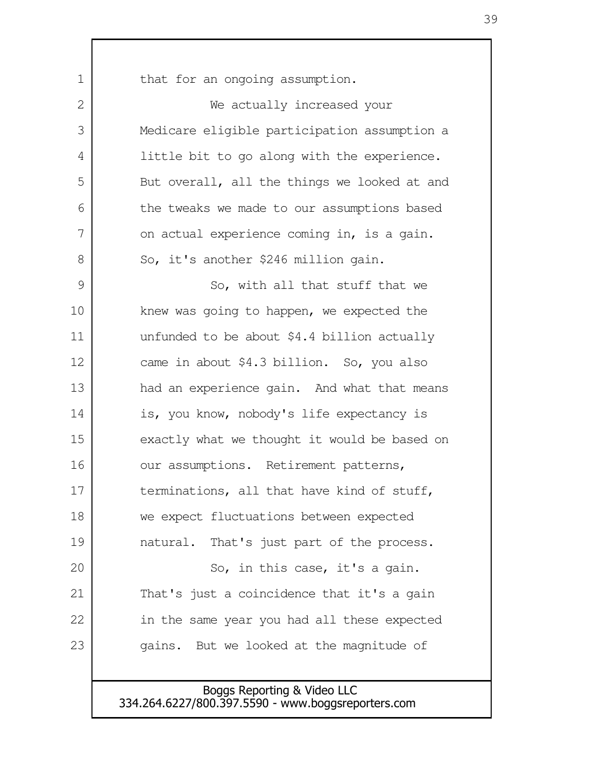that for an ongoing assumption. We actually increased your Medicare eligible participation assumption a little bit to go along with the experience. But overall, all the things we looked at and the tweaks we made to our assumptions based on actual experience coming in, is a gain. So, it's another \$246 million gain. So, with all that stuff that we knew was going to happen, we expected the unfunded to be about \$4.4 billion actually came in about \$4.3 billion. So, you also had an experience gain. And what that means is, you know, nobody's life expectancy is exactly what we thought it would be based on our assumptions. Retirement patterns, terminations, all that have kind of stuff, we expect fluctuations between expected natural. That's just part of the process. So, in this case, it's a gain. That's just a coincidence that it's a gain in the same year you had all these expected gains. But we looked at the magnitude of 1  $\mathcal{D}$  3 4 5 6 7 8 9 10 11 12 13 14 15 16 17 18 19 20 21 22 23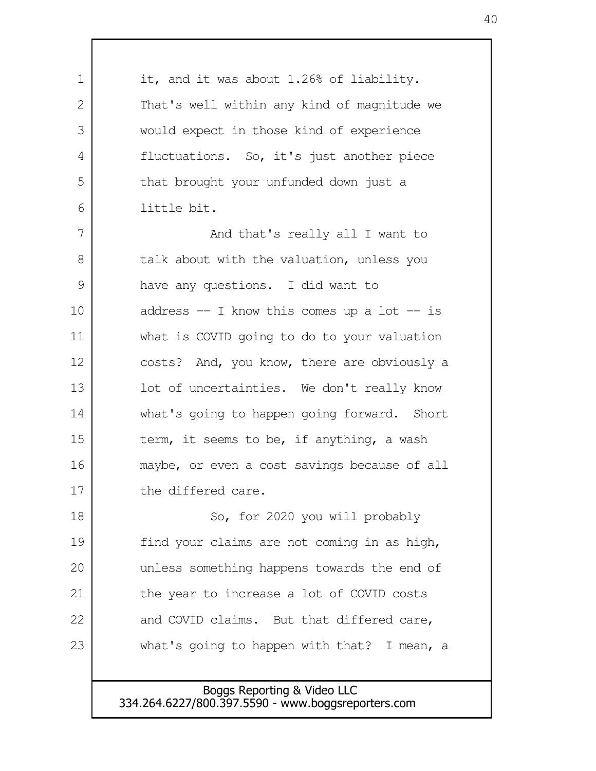it, and it was about 1.26% of liability. That's well within any kind of magnitude we would expect in those kind of experience fluctuations. So, it's just another piece that brought your unfunded down just a little bit. And that's really all I want to talk about with the valuation, unless you have any questions. I did want to address  $-$  I know this comes up a lot  $-$  is what is COVID going to do to your valuation costs? And, you know, there are obviously a lot of uncertainties. We don't really know what's going to happen going forward. Short term, it seems to be, if anything, a wash maybe, or even a cost savings because of all the differed care. So, for 2020 you will probably find your claims are not coming in as high, unless something happens towards the end of the year to increase a lot of COVID costs and COVID claims. But that differed care, what's going to happen with that? I mean, a 1 2 3 4 5 6 7 8 9 10 11 12 13 14 15 16 17 18 19 20 21 22 23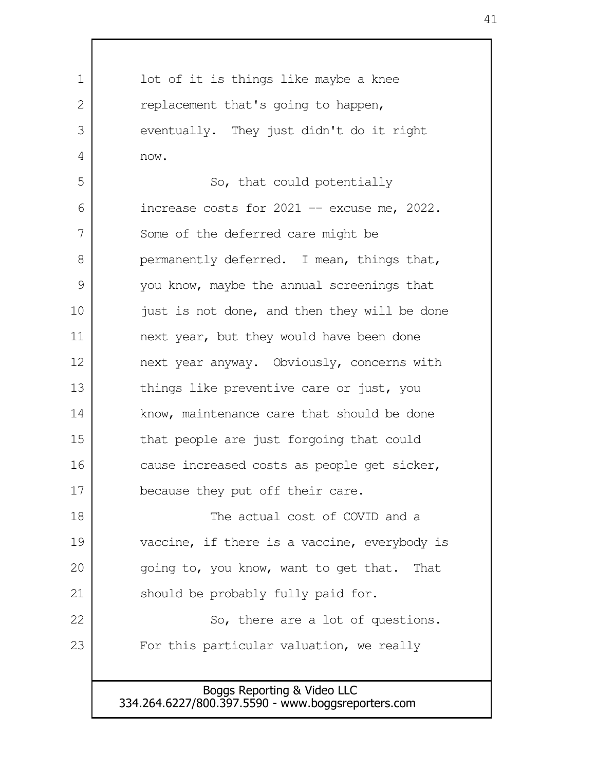Boggs Reporting & Video LLC lot of it is things like maybe a knee replacement that's going to happen, eventually. They just didn't do it right now. So, that could potentially increase costs for  $2021 -$  excuse me,  $2022$ . Some of the deferred care might be permanently deferred. I mean, things that, you know, maybe the annual screenings that just is not done, and then they will be done next year, but they would have been done next year anyway. Obviously, concerns with things like preventive care or just, you know, maintenance care that should be done that people are just forgoing that could cause increased costs as people get sicker, because they put off their care. The actual cost of COVID and a vaccine, if there is a vaccine, everybody is going to, you know, want to get that. That should be probably fully paid for. So, there are a lot of questions. For this particular valuation, we really 1  $\mathcal{L}$  3 4 5 6 7 8 9 10 11 12 13 14 15 16 17 18 19 20 21 22 23

334.264.6227/800.397.5590 - www.boggsreporters.com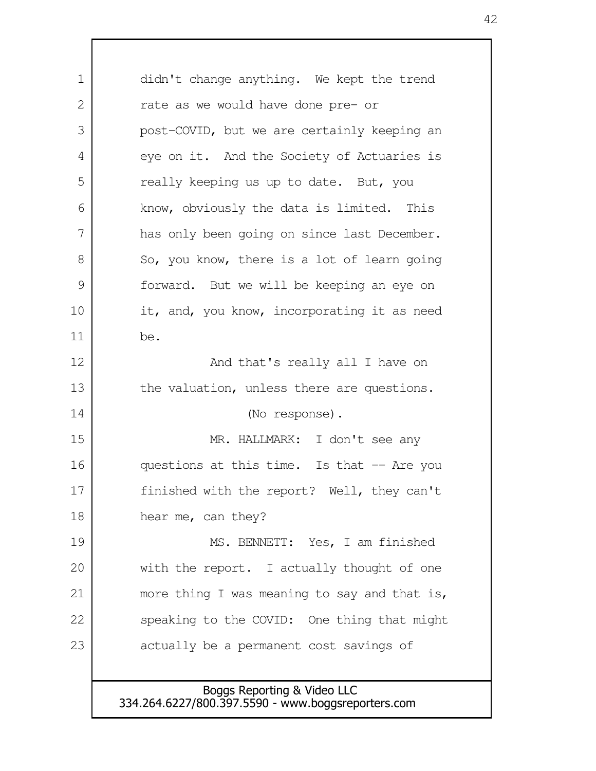Boggs Reporting & Video LLC didn't change anything. We kept the trend rate as we would have done pre- or post-COVID, but we are certainly keeping an eye on it. And the Society of Actuaries is really keeping us up to date. But, you know, obviously the data is limited. This has only been going on since last December. So, you know, there is a lot of learn going forward. But we will be keeping an eye on it, and, you know, incorporating it as need be. And that's really all I have on the valuation, unless there are questions. (No response). MR. HALLMARK: I don't see any questions at this time. Is that -- Are you finished with the report? Well, they can't hear me, can they? MS. BENNETT: Yes, I am finished with the report. I actually thought of one more thing I was meaning to say and that is, speaking to the COVID: One thing that might actually be a permanent cost savings of 1  $\mathcal{L}$  3 4 5 6 7 8 9 10 11 12 13 14 15 16 17 18 19 20 21 22 23

334.264.6227/800.397.5590 - www.boggsreporters.com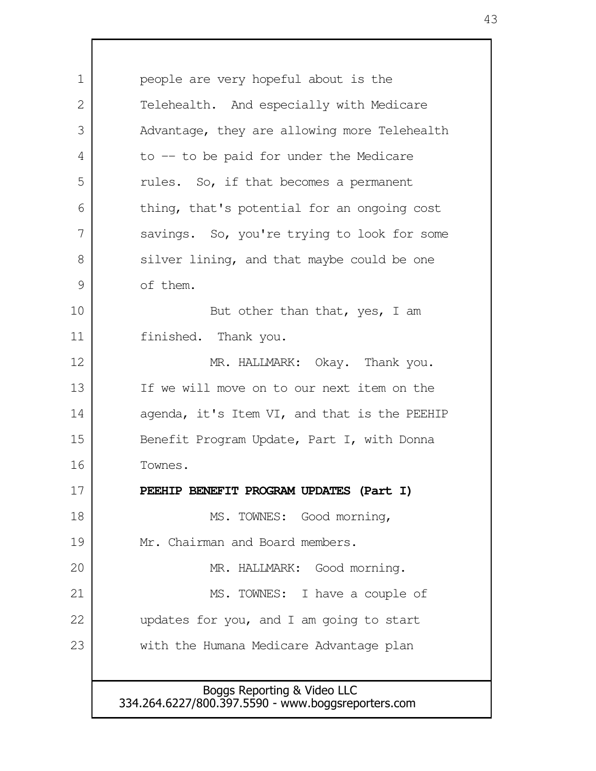Boggs Reporting & Video LLC 334.264.6227/800.397.5590 - www.boggsreporters.com people are very hopeful about is the Telehealth. And especially with Medicare Advantage, they are allowing more Telehealth to -- to be paid for under the Medicare rules. So, if that becomes a permanent thing, that's potential for an ongoing cost savings. So, you're trying to look for some silver lining, and that maybe could be one of them. But other than that, yes, I am finished. Thank you. MR. HALLMARK: Okay. Thank you. If we will move on to our next item on the agenda, it's Item VI, and that is the PEEHIP Benefit Program Update, Part I, with Donna Townes. **PEEHIP BENEFIT PROGRAM UPDATES (Part I)** MS. TOWNES: Good morning, Mr. Chairman and Board members. MR. HALLMARK: Good morning. MS. TOWNES: I have a couple of updates for you, and I am going to start with the Humana Medicare Advantage plan 1  $\mathcal{L}$  3 4 5 6 7 8 9 10 11 12 13 14 15 16 17 18 19 20 21 22 23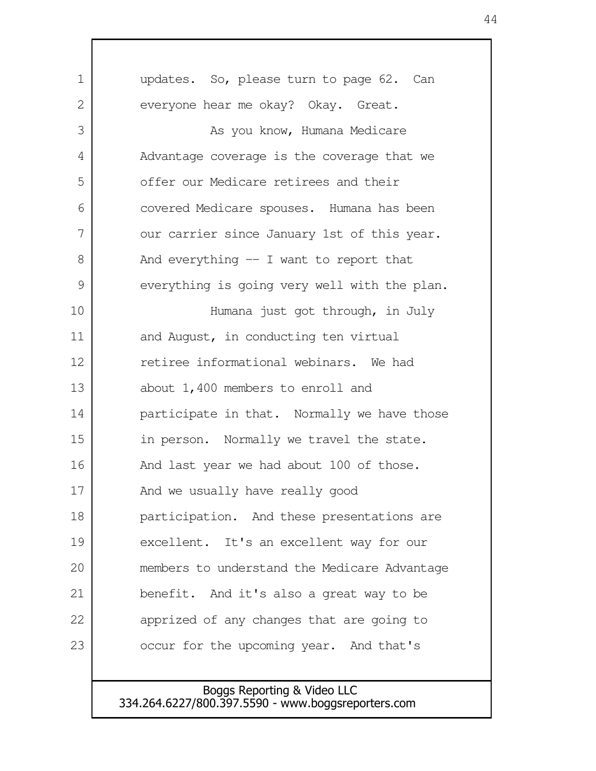| $\mathbf 1$   | updates. So, please turn to page 62. Can     |
|---------------|----------------------------------------------|
| 2             | everyone hear me okay? Okay. Great.          |
| 3             | As you know, Humana Medicare                 |
| 4             | Advantage coverage is the coverage that we   |
| 5             | offer our Medicare retirees and their        |
| 6             | covered Medicare spouses. Humana has been    |
| 7             | our carrier since January 1st of this year.  |
| 8             | And everything $-$ I want to report that     |
| $\mathcal{G}$ | everything is going very well with the plan. |
| 10            | Humana just got through, in July             |
| 11            | and August, in conducting ten virtual        |
| 12            | retiree informational webinars. We had       |
| 13            | about 1,400 members to enroll and            |
| 14            | participate in that. Normally we have those  |
| 15            | in person. Normally we travel the state.     |
| 16            | And last year we had about 100 of those.     |
| 17            | And we usually have really good              |
| 18            | participation. And these presentations are   |
| 19            | excellent. It's an excellent way for our     |
| 20            | members to understand the Medicare Advantage |
| 21            | benefit. And it's also a great way to be     |
| 22            | apprized of any changes that are going to    |
| 23            | occur for the upcoming year. And that's      |
|               |                                              |
|               | Bogge Reporting & Video LLC                  |

 $\mathbf l$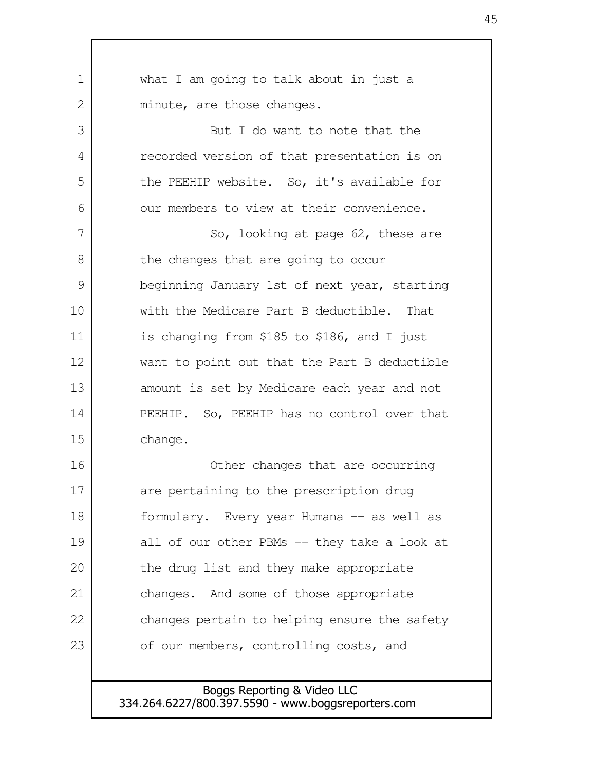| 1  | what I am going to talk about in just a      |
|----|----------------------------------------------|
| 2  | minute, are those changes.                   |
| 3  | But I do want to note that the               |
| 4  | recorded version of that presentation is on  |
| 5  | the PEEHIP website. So, it's available for   |
| 6  | our members to view at their convenience.    |
| 7  | So, looking at page 62, these are            |
| 8  | the changes that are going to occur          |
| 9  | beginning January 1st of next year, starting |
| 10 | with the Medicare Part B deductible. That    |
| 11 | is changing from \$185 to \$186, and I just  |
| 12 | want to point out that the Part B deductible |
| 13 | amount is set by Medicare each year and not  |
| 14 | PEEHIP. So, PEEHIP has no control over that  |
| 15 | change.                                      |
| 16 | Other changes that are occurring             |
| 17 | are pertaining to the prescription drug      |
| 18 | formulary. Every year Humana -- as well as   |
| 19 | all of our other PBMs -- they take a look at |
| 20 | the drug list and they make appropriate      |
| 21 | changes. And some of those appropriate       |
| 22 | changes pertain to helping ensure the safety |
| 23 | of our members, controlling costs, and       |
|    |                                              |

Boggs Reporting & Video LLC 334.264.6227/800.397.5590 - www.boggsreporters.com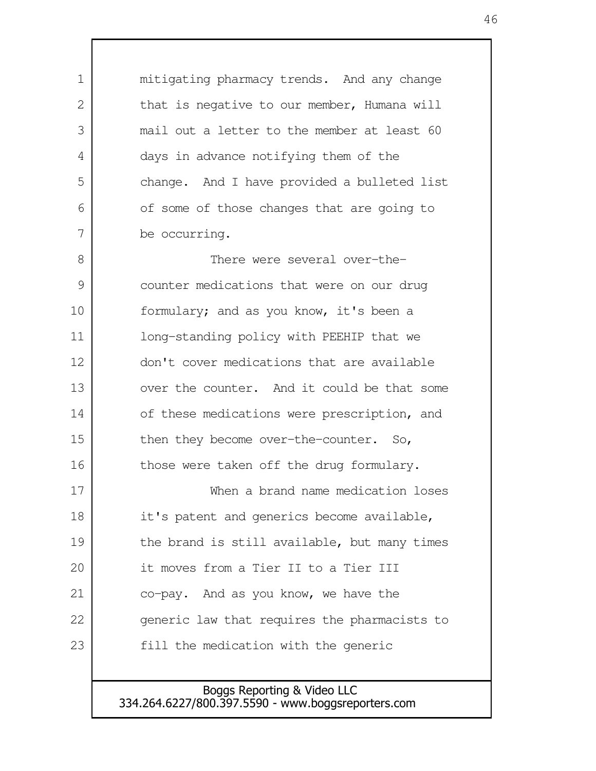mitigating pharmacy trends. And any change that is negative to our member, Humana will mail out a letter to the member at least 60 days in advance notifying them of the change. And I have provided a bulleted list of some of those changes that are going to be occurring. There were several over-thecounter medications that were on our drug formulary; and as you know, it's been a long-standing policy with PEEHIP that we don't cover medications that are available over the counter. And it could be that some of these medications were prescription, and then they become over-the-counter. So, those were taken off the drug formulary. When a brand name medication loses it's patent and generics become available, the brand is still available, but many times it moves from a Tier II to a Tier III co-pay. And as you know, we have the generic law that requires the pharmacists to fill the medication with the generic 1  $\mathcal{L}$  3 4 5 6 7 8 9 10 11 12 13 14 15 16 17 18 19 20 21 22 23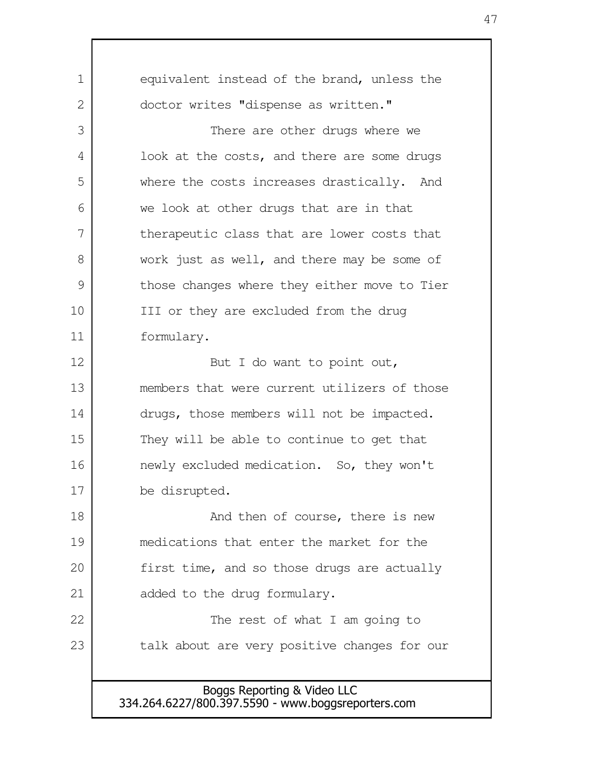equivalent instead of the brand, unless the doctor writes "dispense as written." There are other drugs where we look at the costs, and there are some drugs where the costs increases drastically. And we look at other drugs that are in that therapeutic class that are lower costs that work just as well, and there may be some of those changes where they either move to Tier III or they are excluded from the drug formulary. But I do want to point out, members that were current utilizers of those drugs, those members will not be impacted. They will be able to continue to get that newly excluded medication. So, they won't be disrupted. And then of course, there is new medications that enter the market for the first time, and so those drugs are actually added to the drug formulary. The rest of what I am going to talk about are very positive changes for our 1 2 3 4 5 6 7 8 9 10 11 12 13 14 15 16 17 18 19 20 21 22 23

Boggs Reporting & Video LLC 334.264.6227/800.397.5590 - www.boggsreporters.com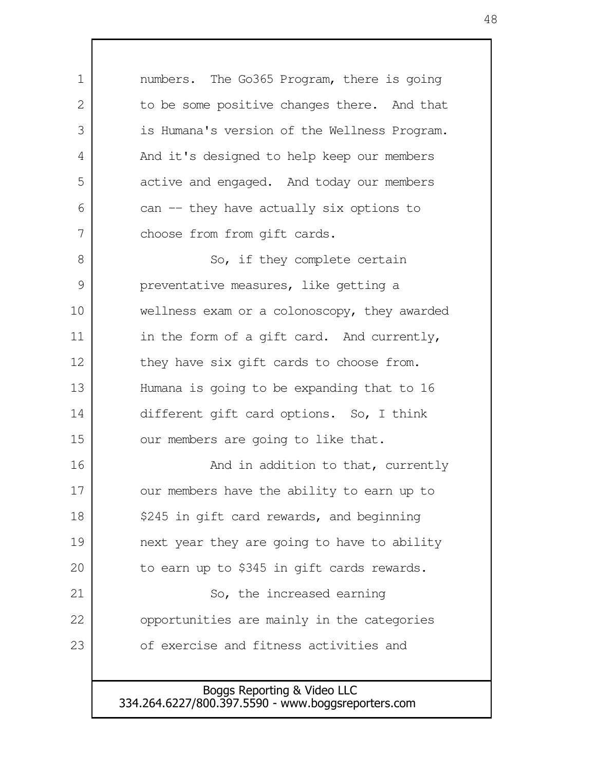numbers. The Go365 Program, there is going to be some positive changes there. And that is Humana's version of the Wellness Program. And it's designed to help keep our members active and engaged. And today our members can -- they have actually six options to choose from from gift cards. So, if they complete certain preventative measures, like getting a wellness exam or a colonoscopy, they awarded in the form of a gift card. And currently, they have six gift cards to choose from. Humana is going to be expanding that to 16 different gift card options. So, I think our members are going to like that. And in addition to that, currently our members have the ability to earn up to \$245 in gift card rewards, and beginning next year they are going to have to ability to earn up to \$345 in gift cards rewards. So, the increased earning opportunities are mainly in the categories of exercise and fitness activities and 1 2 3 4 5 6 7 8 9 10 11 12 13 14 15 16 17 18 19 20 21 22 23

Boggs Reporting & Video LLC 334.264.6227/800.397.5590 - www.boggsreporters.com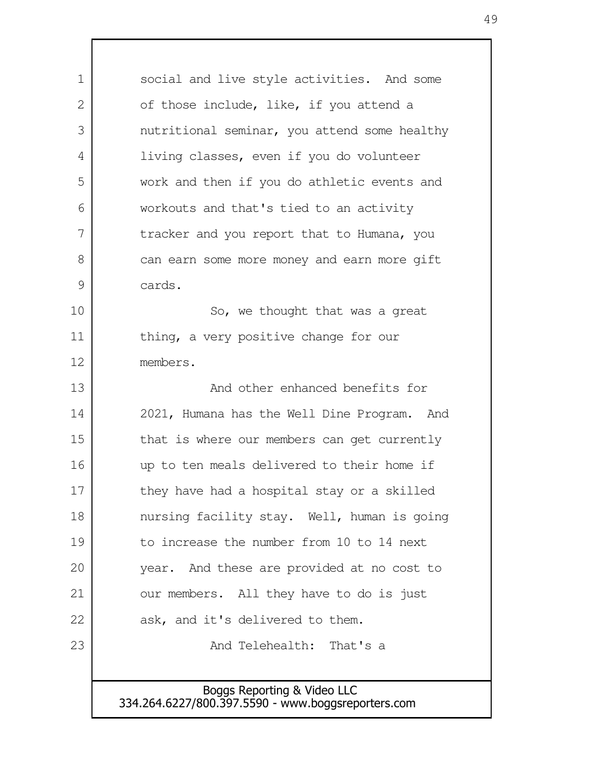Boggs Reporting & Video LLC 334.264.6227/800.397.5590 - www.boggsreporters.com social and live style activities. And some of those include, like, if you attend a nutritional seminar, you attend some healthy living classes, even if you do volunteer work and then if you do athletic events and workouts and that's tied to an activity tracker and you report that to Humana, you can earn some more money and earn more gift cards. So, we thought that was a great thing, a very positive change for our members. And other enhanced benefits for 2021, Humana has the Well Dine Program. And that is where our members can get currently up to ten meals delivered to their home if they have had a hospital stay or a skilled nursing facility stay. Well, human is going to increase the number from 10 to 14 next year. And these are provided at no cost to our members. All they have to do is just ask, and it's delivered to them. And Telehealth: That's a 1 2 3 4 5 6 7 8 9 10 11 12 13 14 15 16 17 18 19 20 21 22 23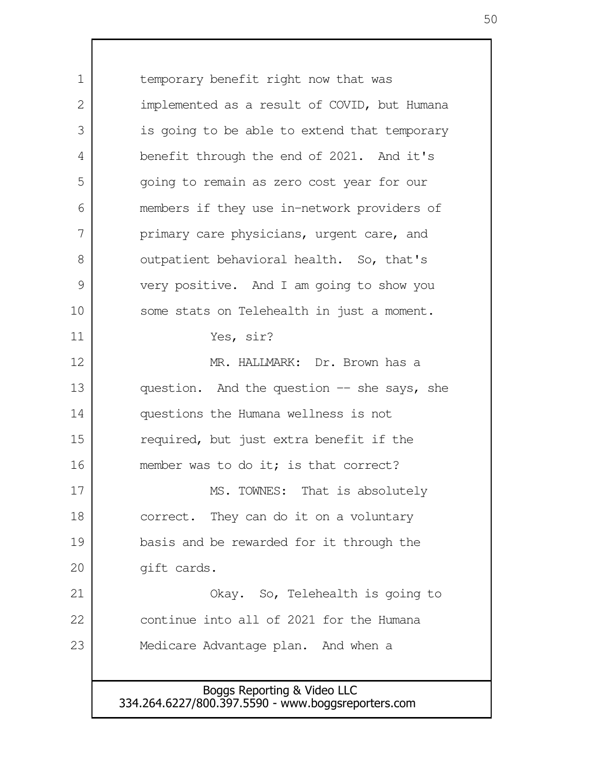Boggs Reporting & Video LLC temporary benefit right now that was implemented as a result of COVID, but Humana is going to be able to extend that temporary benefit through the end of 2021. And it's going to remain as zero cost year for our members if they use in-network providers of primary care physicians, urgent care, and outpatient behavioral health. So, that's very positive. And I am going to show you some stats on Telehealth in just a moment. Yes, sir? MR. HALLMARK: Dr. Brown has a question. And the question -- she says, she questions the Humana wellness is not required, but just extra benefit if the member was to do it; is that correct? MS. TOWNES: That is absolutely correct. They can do it on a voluntary basis and be rewarded for it through the gift cards. Okay. So, Telehealth is going to continue into all of 2021 for the Humana Medicare Advantage plan. And when a 1  $\mathcal{L}$  3 4 5 6 7 8 9 10 11 12 13 14 15 16 17 18 19 20 21 22 23

334.264.6227/800.397.5590 - www.boggsreporters.com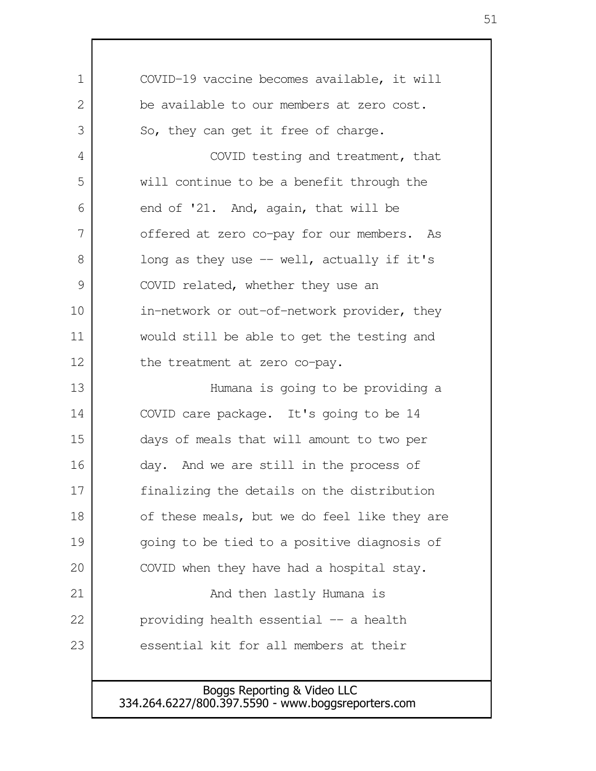| 1  | COVID-19 vaccine becomes available, it will  |
|----|----------------------------------------------|
| 2  | be available to our members at zero cost.    |
| 3  | So, they can get it free of charge.          |
| 4  | COVID testing and treatment, that            |
| 5  | will continue to be a benefit through the    |
| 6  | end of '21. And, again, that will be         |
| 7  | offered at zero co-pay for our members. As   |
| 8  | long as they use -- well, actually if it's   |
| 9  | COVID related, whether they use an           |
| 10 | in-network or out-of-network provider, they  |
| 11 | would still be able to get the testing and   |
| 12 | the treatment at zero co-pay.                |
| 13 | Humana is going to be providing a            |
| 14 | COVID care package. It's going to be 14      |
| 15 | days of meals that will amount to two per    |
| 16 | day. And we are still in the process of      |
| 17 | finalizing the details on the distribution   |
| 18 | of these meals, but we do feel like they are |
| 19 | going to be tied to a positive diagnosis of  |
| 20 | COVID when they have had a hospital stay.    |
| 21 | And then lastly Humana is                    |
| 22 | providing health essential -- a health       |
| 23 | essential kit for all members at their       |
|    |                                              |
|    |                                              |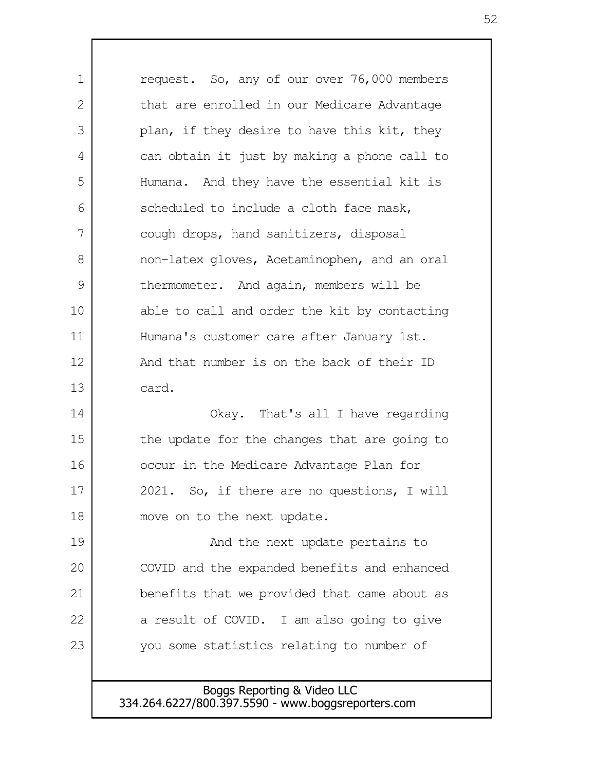request. So, any of our over 76,000 members that are enrolled in our Medicare Advantage plan, if they desire to have this kit, they can obtain it just by making a phone call to Humana. And they have the essential kit is scheduled to include a cloth face mask, cough drops, hand sanitizers, disposal non-latex gloves, Acetaminophen, and an oral thermometer. And again, members will be able to call and order the kit by contacting Humana's customer care after January 1st. And that number is on the back of their ID card. Okay. That's all I have regarding the update for the changes that are going to occur in the Medicare Advantage Plan for 2021. So, if there are no questions, I will move on to the next update. And the next update pertains to COVID and the expanded benefits and enhanced benefits that we provided that came about as a result of COVID. I am also going to give you some statistics relating to number of 1 2 3 4 5 6 7 8 9 10 11 12 13 14 15 16 17 18 19 20 21 22 23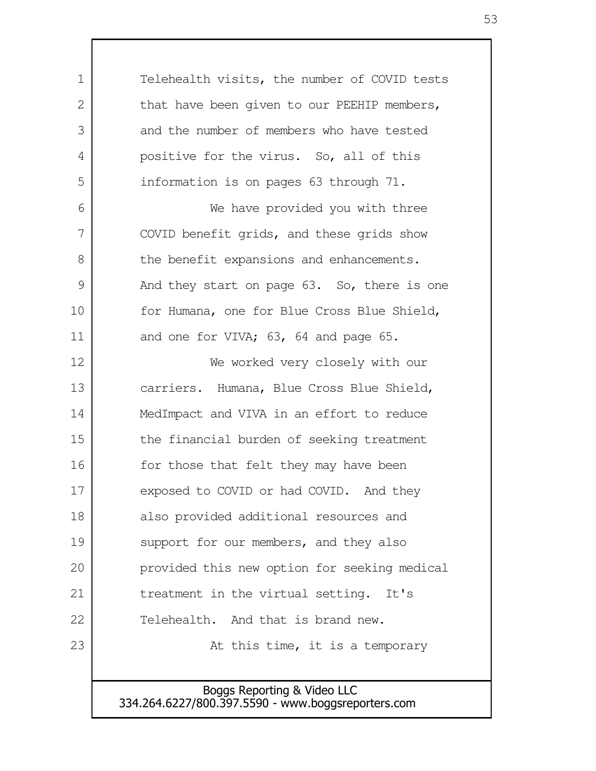Telehealth visits, the number of COVID tests that have been given to our PEEHIP members, and the number of members who have tested positive for the virus. So, all of this information is on pages 63 through 71. We have provided you with three COVID benefit grids, and these grids show the benefit expansions and enhancements. And they start on page 63. So, there is one for Humana, one for Blue Cross Blue Shield, and one for VIVA; 63, 64 and page 65. We worked very closely with our carriers. Humana, Blue Cross Blue Shield, MedImpact and VIVA in an effort to reduce the financial burden of seeking treatment for those that felt they may have been exposed to COVID or had COVID. And they also provided additional resources and support for our members, and they also provided this new option for seeking medical treatment in the virtual setting. It's Telehealth. And that is brand new. At this time, it is a temporary 1 2 3 4 5 6 7 8 9 10 11 12 13 14 15 16 17 18 19 20 21 22 23

> Boggs Reporting & Video LLC 334.264.6227/800.397.5590 - www.boggsreporters.com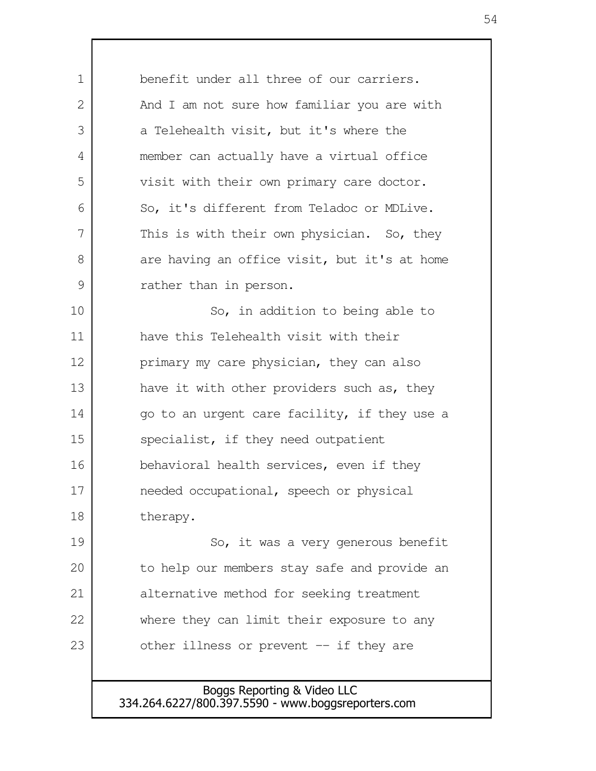benefit under all three of our carriers. And I am not sure how familiar you are with a Telehealth visit, but it's where the member can actually have a virtual office visit with their own primary care doctor. So, it's different from Teladoc or MDLive. This is with their own physician. So, they are having an office visit, but it's at home rather than in person. So, in addition to being able to have this Telehealth visit with their primary my care physician, they can also have it with other providers such as, they go to an urgent care facility, if they use a specialist, if they need outpatient behavioral health services, even if they needed occupational, speech or physical therapy. So, it was a very generous benefit to help our members stay safe and provide an alternative method for seeking treatment where they can limit their exposure to any other illness or prevent -- if they are 1 2 3 4 5 6 7 8 9 10 11 12 13 14 15 16 17 18 19 20 21 22 23

> Boggs Reporting & Video LLC 334.264.6227/800.397.5590 - www.boggsreporters.com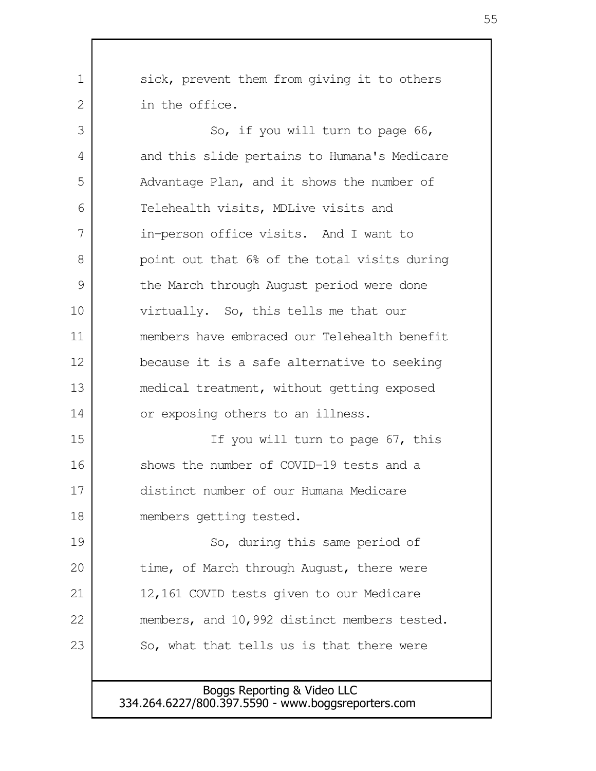| 1  | sick, prevent them from giving it to others  |
|----|----------------------------------------------|
| 2  | in the office.                               |
| 3  | So, if you will turn to page 66,             |
| 4  | and this slide pertains to Humana's Medicare |
| 5  | Advantage Plan, and it shows the number of   |
| 6  | Telehealth visits, MDLive visits and         |
| 7  | in-person office visits. And I want to       |
| 8  | point out that 6% of the total visits during |
| 9  | the March through August period were done    |
| 10 | virtually. So, this tells me that our        |
| 11 | members have embraced our Telehealth benefit |
| 12 | because it is a safe alternative to seeking  |
| 13 | medical treatment, without getting exposed   |
| 14 | or exposing others to an illness.            |
| 15 | If you will turn to page 67, this            |
| 16 | shows the number of COVID-19 tests and a     |
| 17 | distinct number of our Humana Medicare       |
| 18 | members getting tested.                      |
| 19 | So, during this same period of               |
| 20 | time, of March through August, there were    |
| 21 | 12,161 COVID tests given to our Medicare     |
| 22 | members, and 10,992 distinct members tested. |
| 23 | So, what that tells us is that there were    |
|    |                                              |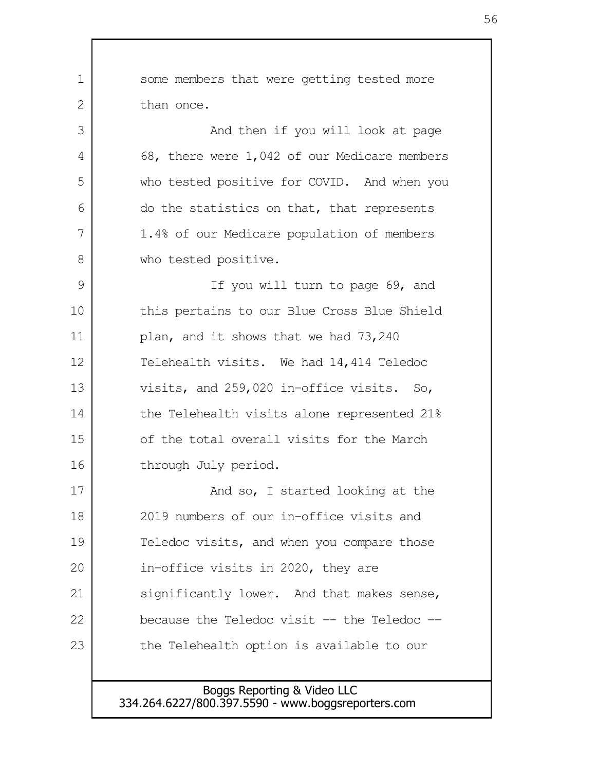some members that were getting tested more than once. And then if you will look at page 68, there were 1,042 of our Medicare members who tested positive for COVID. And when you do the statistics on that, that represents 1.4% of our Medicare population of members who tested positive. If you will turn to page 69, and this pertains to our Blue Cross Blue Shield plan, and it shows that we had 73,240 Telehealth visits. We had 14,414 Teledoc visits, and 259,020 in-office visits. So, the Telehealth visits alone represented 21% of the total overall visits for the March through July period. And so, I started looking at the 2019 numbers of our in-office visits and Teledoc visits, and when you compare those in-office visits in 2020, they are significantly lower. And that makes sense, because the Teledoc visit  $-$  the Teledoc  $$ the Telehealth option is available to our 1  $\mathcal{L}$  3 4 5 6 7 8 9 10 11 12 13 14 15 16 17 18 19 20 21 22 23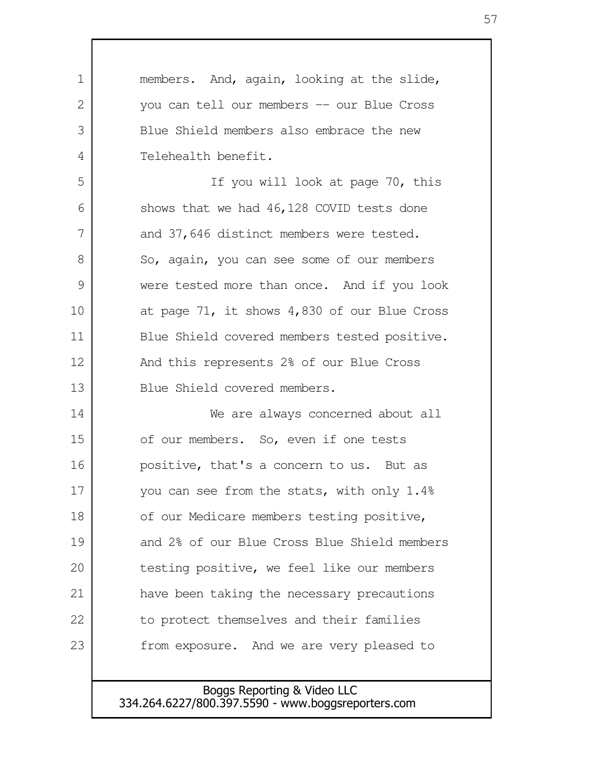| 1  | members. And, again, looking at the slide,   |
|----|----------------------------------------------|
| 2  | you can tell our members -- our Blue Cross   |
| 3  | Blue Shield members also embrace the new     |
| 4  | Telehealth benefit.                          |
| 5  | If you will look at page 70, this            |
| 6  | shows that we had 46,128 COVID tests done    |
| 7  | and 37,646 distinct members were tested.     |
| 8  | So, again, you can see some of our members   |
| 9  | were tested more than once. And if you look  |
| 10 | at page 71, it shows 4,830 of our Blue Cross |
| 11 | Blue Shield covered members tested positive. |
| 12 | And this represents 2% of our Blue Cross     |
| 13 | Blue Shield covered members.                 |
| 14 | We are always concerned about all            |
| 15 | of our members. So, even if one tests        |
| 16 | positive, that's a concern to us. But as     |
| 17 | you can see from the stats, with only 1.4%   |
| 18 | of our Medicare members testing positive,    |
| 19 | and 2% of our Blue Cross Blue Shield members |
| 20 | testing positive, we feel like our members   |
| 21 | have been taking the necessary precautions   |
| 22 | to protect themselves and their families     |
| 23 | from exposure. And we are very pleased to    |
|    |                                              |

Г

Boggs Reporting & Video LLC 334.264.6227/800.397.5590 - www.boggsreporters.com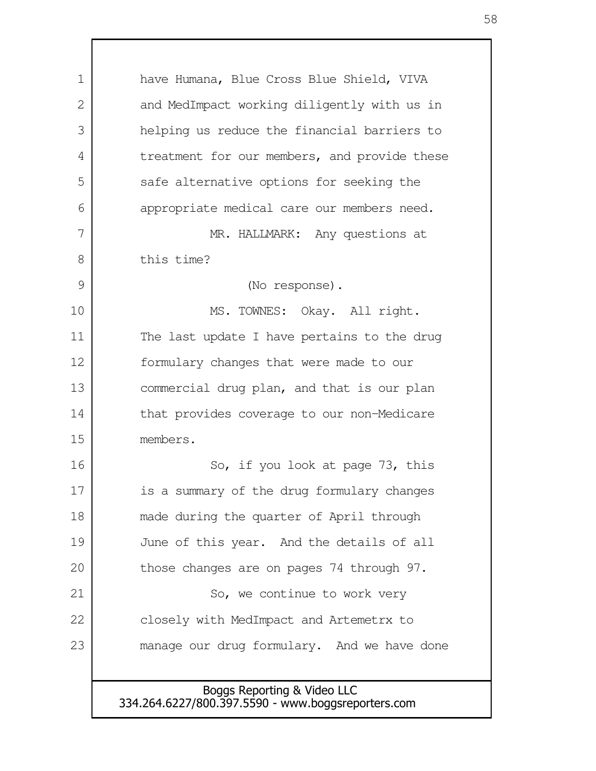Boggs Reporting & Video LLC 334.264.6227/800.397.5590 - www.boggsreporters.com have Humana, Blue Cross Blue Shield, VIVA and MedImpact working diligently with us in helping us reduce the financial barriers to treatment for our members, and provide these safe alternative options for seeking the appropriate medical care our members need. MR. HALLMARK: Any questions at this time? (No response). MS. TOWNES: Okay. All right. The last update I have pertains to the drug formulary changes that were made to our commercial drug plan, and that is our plan that provides coverage to our non-Medicare members. So, if you look at page 73, this is a summary of the drug formulary changes made during the quarter of April through June of this year. And the details of all those changes are on pages 74 through 97. So, we continue to work very closely with MedImpact and Artemetrx to manage our drug formulary. And we have done 1 2 3 4 5 6 7 8 9 10 11 12 13 14 15 16 17 18 19 20 21 22 23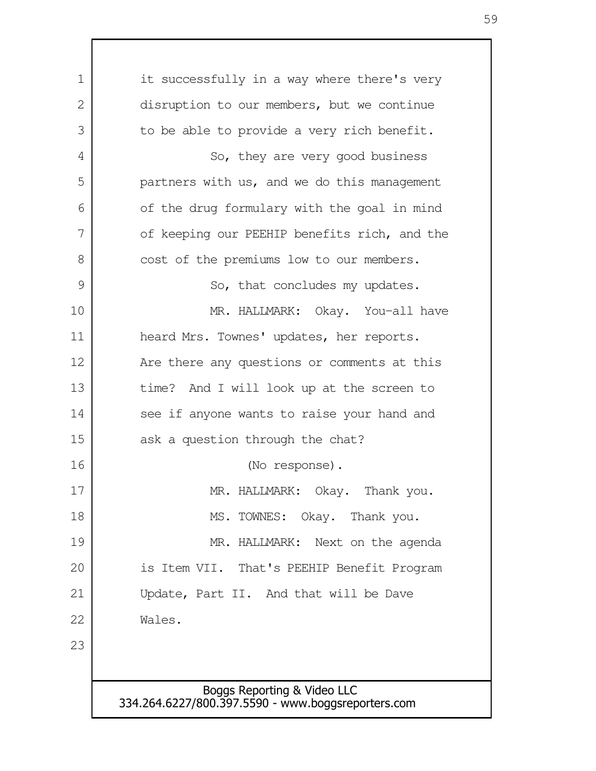Boggs Reporting & Video LLC 334.264.6227/800.397.5590 - www.boggsreporters.com it successfully in a way where there's very disruption to our members, but we continue to be able to provide a very rich benefit. So, they are very good business partners with us, and we do this management of the drug formulary with the goal in mind of keeping our PEEHIP benefits rich, and the cost of the premiums low to our members. So, that concludes my updates. MR. HALLMARK: Okay. You-all have heard Mrs. Townes' updates, her reports. Are there any questions or comments at this time? And I will look up at the screen to see if anyone wants to raise your hand and ask a question through the chat? (No response). MR. HALLMARK: Okay. Thank you. MS. TOWNES: Okay. Thank you. MR. HALLMARK: Next on the agenda is Item VII. That's PEEHIP Benefit Program Update, Part II. And that will be Dave Wales. 1  $\mathcal{D}$  3 4 5 6 7 8 9 10 11 12 13 14 15 16 17 18 19 20 21 22 23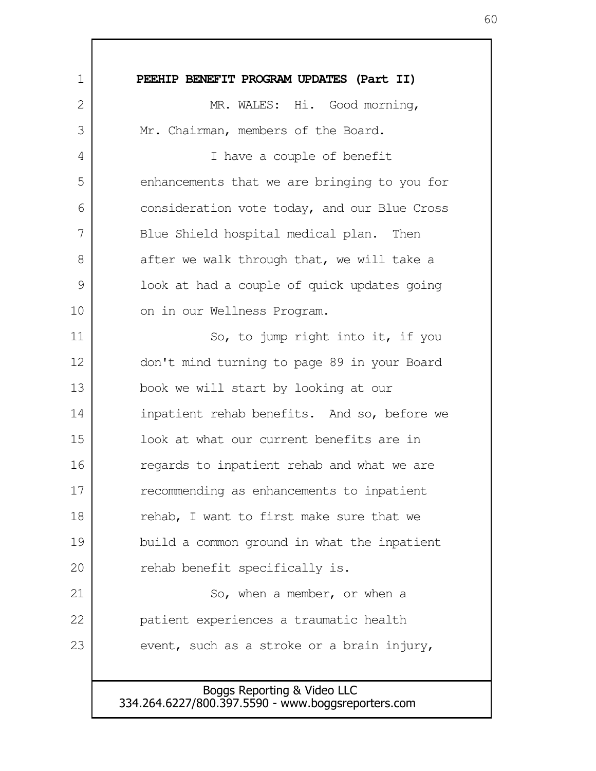**PEEHIP BENEFIT PROGRAM UPDATES (Part II)** MR. WALES: Hi. Good morning, Mr. Chairman, members of the Board. I have a couple of benefit enhancements that we are bringing to you for consideration vote today, and our Blue Cross Blue Shield hospital medical plan. Then after we walk through that, we will take a look at had a couple of quick updates going on in our Wellness Program. So, to jump right into it, if you don't mind turning to page 89 in your Board book we will start by looking at our inpatient rehab benefits. And so, before we look at what our current benefits are in regards to inpatient rehab and what we are recommending as enhancements to inpatient rehab, I want to first make sure that we build a common ground in what the inpatient rehab benefit specifically is. So, when a member, or when a patient experiences a traumatic health event, such as a stroke or a brain injury, 1 2 3 4 5 6 7 8 9 10 11 12 13 14 15 16 17 18 19 20 21 22 23

> Boggs Reporting & Video LLC 334.264.6227/800.397.5590 - www.boggsreporters.com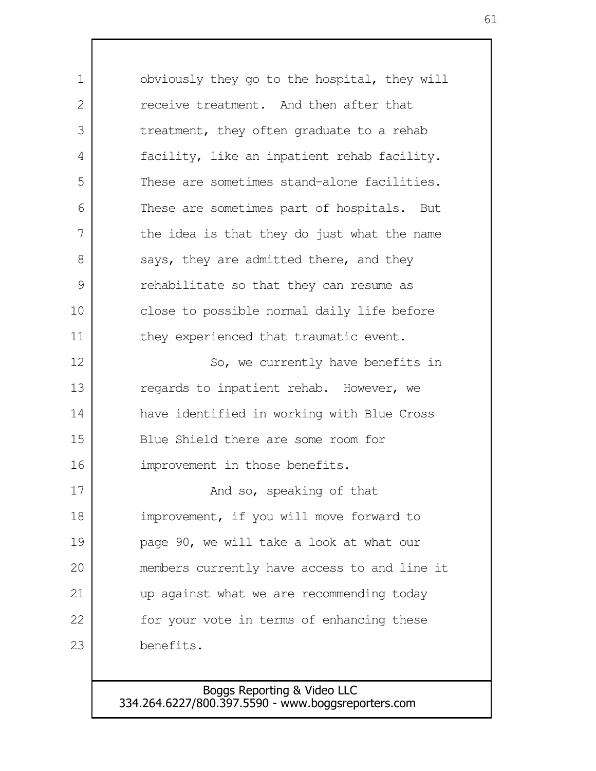obviously they go to the hospital, they will receive treatment. And then after that treatment, they often graduate to a rehab facility, like an inpatient rehab facility. These are sometimes stand-alone facilities. These are sometimes part of hospitals. But the idea is that they do just what the name says, they are admitted there, and they rehabilitate so that they can resume as close to possible normal daily life before they experienced that traumatic event. So, we currently have benefits in regards to inpatient rehab. However, we have identified in working with Blue Cross Blue Shield there are some room for improvement in those benefits. And so, speaking of that improvement, if you will move forward to page 90, we will take a look at what our members currently have access to and line it up against what we are recommending today for your vote in terms of enhancing these benefits. 1  $\mathcal{L}$  3 4 5 6 7 8 9 10 11 12 13 14 15 16 17 18 19 20 21 22 23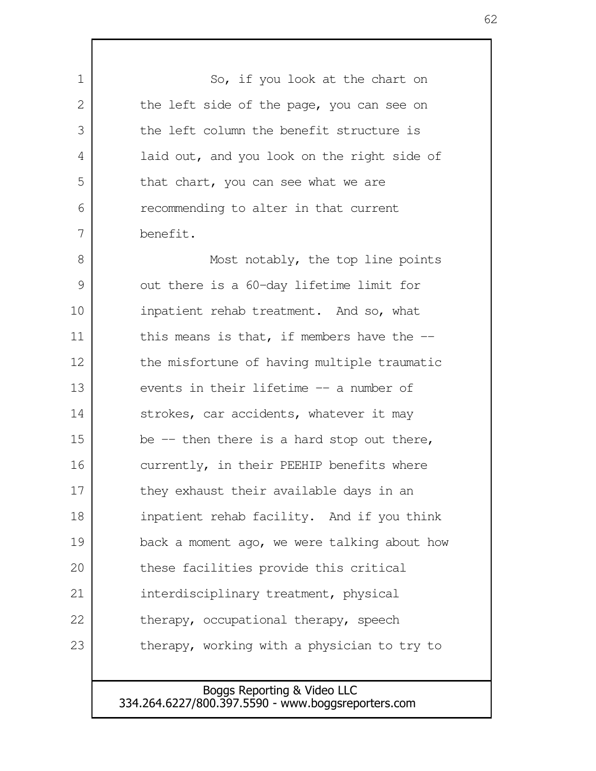So, if you look at the chart on the left side of the page, you can see on the left column the benefit structure is laid out, and you look on the right side of that chart, you can see what we are recommending to alter in that current benefit. Most notably, the top line points out there is a 60-day lifetime limit for inpatient rehab treatment. And so, what this means is that, if members have the  $-$ the misfortune of having multiple traumatic events in their lifetime -- a number of strokes, car accidents, whatever it may be  $-$  then there is a hard stop out there, currently, in their PEEHIP benefits where they exhaust their available days in an inpatient rehab facility. And if you think back a moment ago, we were talking about how these facilities provide this critical interdisciplinary treatment, physical therapy, occupational therapy, speech therapy, working with a physician to try to 1 2 3 4 5 6 7 8 9 10 11 12 13 14 15 16 17 18 19 20 21 22 23

> Boggs Reporting & Video LLC 334.264.6227/800.397.5590 - www.boggsreporters.com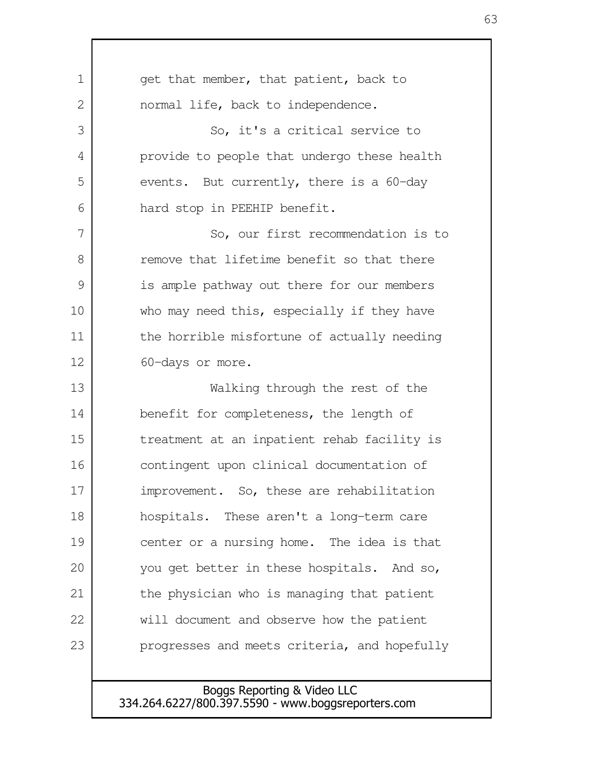| 1    | get that member, that patient, back to       |
|------|----------------------------------------------|
| 2    | normal life, back to independence.           |
| 3    | So, it's a critical service to               |
| 4    | provide to people that undergo these health  |
| 5    | events. But currently, there is a 60-day     |
| 6    | hard stop in PEEHIP benefit.                 |
| 7    | So, our first recommendation is to           |
| 8    | remove that lifetime benefit so that there   |
| 9    | is ample pathway out there for our members   |
| 10   | who may need this, especially if they have   |
| 11   | the horrible misfortune of actually needing  |
| 12   | 60-days or more.                             |
| 13   | Walking through the rest of the              |
| 14   | benefit for completeness, the length of      |
| 15   | treatment at an inpatient rehab facility is  |
| 16   | contingent upon clinical documentation of    |
| $17$ | improvement. So, these are rehabilitation    |
| 18   | hospitals. These aren't a long-term care     |
| 19   | center or a nursing home. The idea is that   |
| 20   | you get better in these hospitals. And so,   |
| 21   | the physician who is managing that patient   |
| 22   | will document and observe how the patient    |
| 23   | progresses and meets criteria, and hopefully |
|      |                                              |

 $\mathsf{l}$ 

Boggs Reporting & Video LLC 334.264.6227/800.397.5590 - www.boggsreporters.com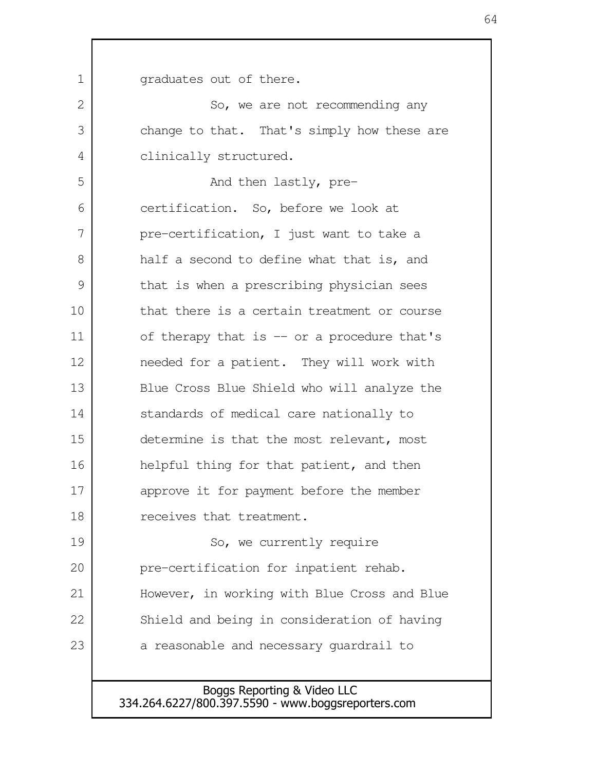graduates out of there. So, we are not recommending any change to that. That's simply how these are clinically structured. And then lastly, precertification. So, before we look at pre-certification, I just want to take a half a second to define what that is, and that is when a prescribing physician sees that there is a certain treatment or course of therapy that is -- or a procedure that's needed for a patient. They will work with Blue Cross Blue Shield who will analyze the standards of medical care nationally to determine is that the most relevant, most helpful thing for that patient, and then approve it for payment before the member receives that treatment. So, we currently require pre-certification for inpatient rehab. However, in working with Blue Cross and Blue Shield and being in consideration of having a reasonable and necessary guardrail to 1  $\mathcal{L}$  3 4 5 6 7 8 9 10 11 12 13 14 15 16 17 18 19 20 21 22 23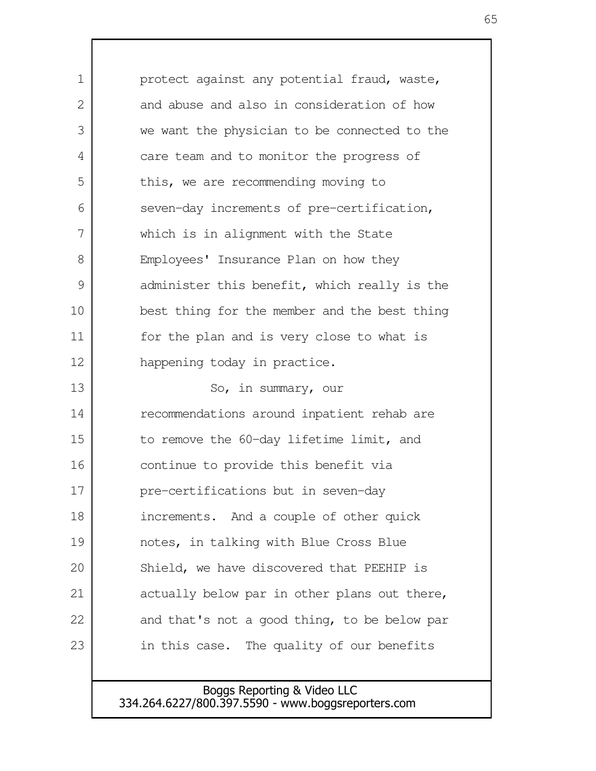protect against any potential fraud, waste, and abuse and also in consideration of how we want the physician to be connected to the care team and to monitor the progress of this, we are recommending moving to seven-day increments of pre-certification, which is in alignment with the State Employees' Insurance Plan on how they administer this benefit, which really is the best thing for the member and the best thing for the plan and is very close to what is happening today in practice. So, in summary, our recommendations around inpatient rehab are to remove the 60-day lifetime limit, and continue to provide this benefit via pre-certifications but in seven-day increments. And a couple of other quick notes, in talking with Blue Cross Blue Shield, we have discovered that PEEHIP is actually below par in other plans out there, and that's not a good thing, to be below par in this case. The quality of our benefits 1  $\mathcal{L}$  3 4 5 6 7 8 9 10 11 12 13 14 15 16 17 18 19 20 21 22 23

> Boggs Reporting & Video LLC 334.264.6227/800.397.5590 - www.boggsreporters.com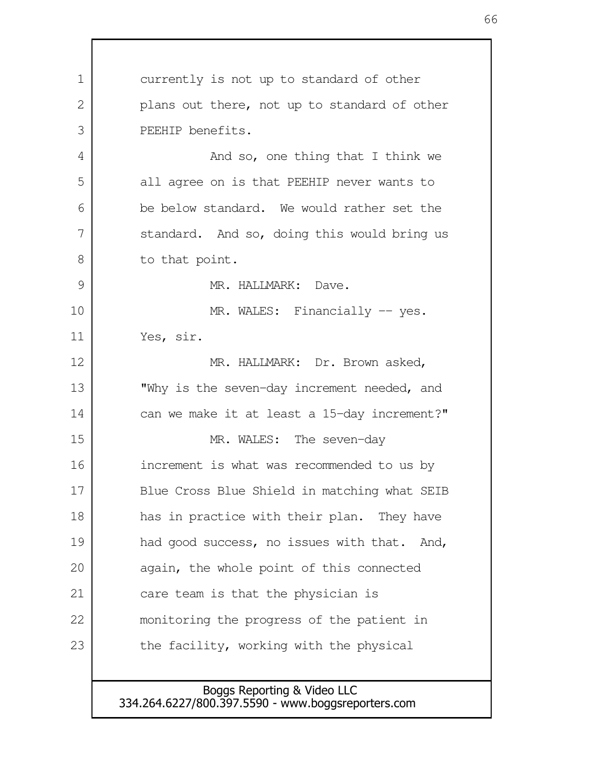currently is not up to standard of other plans out there, not up to standard of other PEEHIP benefits. And so, one thing that I think we all agree on is that PEEHIP never wants to be below standard. We would rather set the standard. And so, doing this would bring us to that point. MR. HALLMARK: Dave. MR. WALES: Financially -- yes. Yes, sir. MR. HALLMARK: Dr. Brown asked, "Why is the seven-day increment needed, and can we make it at least a 15-day increment?" MR. WALES: The seven-day increment is what was recommended to us by Blue Cross Blue Shield in matching what SEIB has in practice with their plan. They have had good success, no issues with that. And, again, the whole point of this connected care team is that the physician is monitoring the progress of the patient in the facility, working with the physical 1  $\mathcal{L}$  3 4 5 6 7 8 9 10 11 12 13 14 15 16 17 18 19 20 21 22 23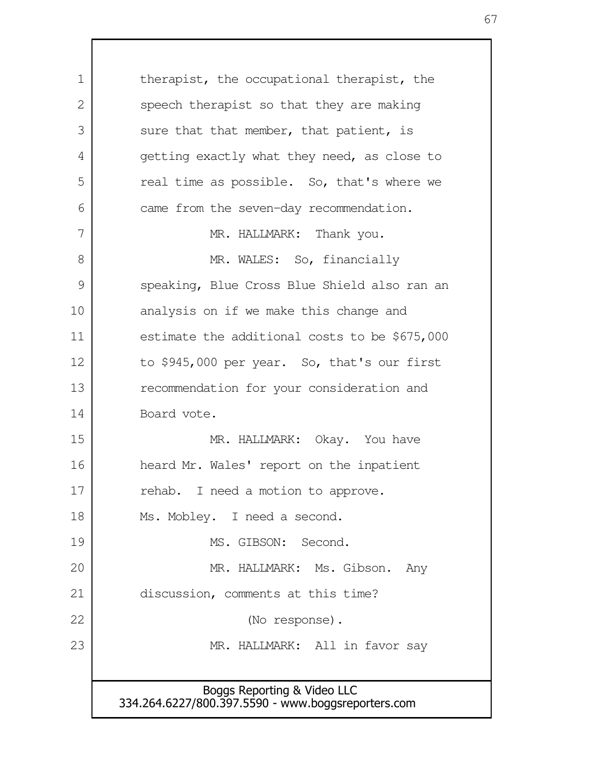Boggs Reporting & Video LLC 334.264.6227/800.397.5590 - www.boggsreporters.com therapist, the occupational therapist, the speech therapist so that they are making sure that that member, that patient, is getting exactly what they need, as close to real time as possible. So, that's where we came from the seven-day recommendation. MR. HALLMARK: Thank you. MR. WALES: So, financially speaking, Blue Cross Blue Shield also ran an analysis on if we make this change and estimate the additional costs to be \$675,000 to \$945,000 per year. So, that's our first recommendation for your consideration and Board vote. MR. HALLMARK: Okay. You have heard Mr. Wales' report on the inpatient rehab. I need a motion to approve. Ms. Mobley. I need a second. MS. GIBSON: Second. MR. HALLMARK: Ms. Gibson. Any discussion, comments at this time? (No response). MR. HALLMARK: All in favor say 1  $\mathcal{L}$  3 4 5 6 7 8 9 10 11 12 13 14 15 16 17 18 19 20 21 22 23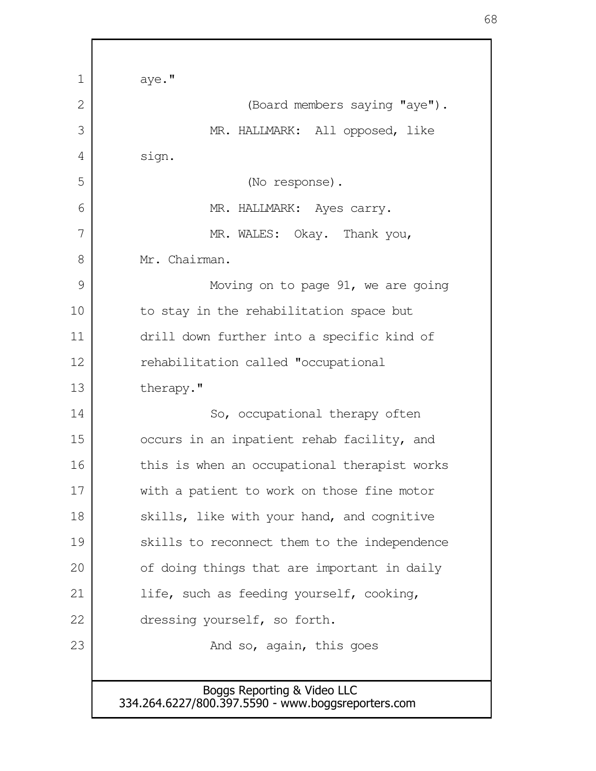| 1  | aye."                                                                             |
|----|-----------------------------------------------------------------------------------|
| 2  | (Board members saying "aye").                                                     |
| 3  | MR. HALLMARK: All opposed, like                                                   |
| 4  | sign.                                                                             |
| 5  | (No response).                                                                    |
| 6  | MR. HALLMARK: Ayes carry.                                                         |
| 7  | MR. WALES: Okay. Thank you,                                                       |
| 8  | Mr. Chairman.                                                                     |
| 9  | Moving on to page 91, we are going                                                |
| 10 | to stay in the rehabilitation space but                                           |
| 11 | drill down further into a specific kind of                                        |
| 12 | rehabilitation called "occupational                                               |
| 13 | therapy."                                                                         |
| 14 | So, occupational therapy often                                                    |
| 15 | occurs in an inpatient rehab facility, and                                        |
| 16 | this is when an occupational therapist works                                      |
| 17 | with a patient to work on those fine motor                                        |
| 18 | skills, like with your hand, and cognitive                                        |
| 19 | skills to reconnect them to the independence                                      |
| 20 | of doing things that are important in daily                                       |
| 21 | life, such as feeding yourself, cooking,                                          |
| 22 | dressing yourself, so forth.                                                      |
| 23 | And so, again, this goes                                                          |
|    |                                                                                   |
|    | Boggs Reporting & Video LLC<br>334.264.6227/800.397.5590 - www.boggsreporters.com |

г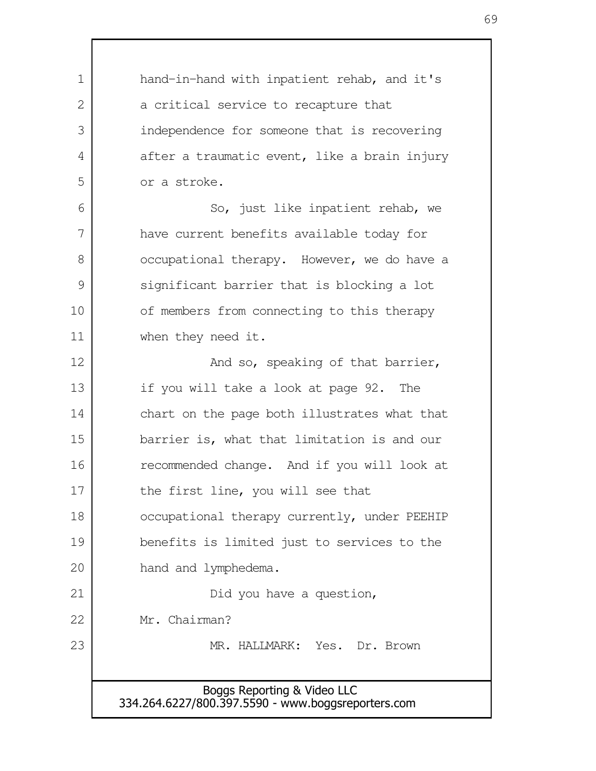Boggs Reporting & Video LLC 334.264.6227/800.397.5590 - www.boggsreporters.com hand-in-hand with inpatient rehab, and it's a critical service to recapture that independence for someone that is recovering after a traumatic event, like a brain injury or a stroke. So, just like inpatient rehab, we have current benefits available today for occupational therapy. However, we do have a significant barrier that is blocking a lot of members from connecting to this therapy when they need it. And so, speaking of that barrier, if you will take a look at page 92. The chart on the page both illustrates what that barrier is, what that limitation is and our recommended change. And if you will look at the first line, you will see that occupational therapy currently, under PEEHIP benefits is limited just to services to the hand and lymphedema. Did you have a question, Mr. Chairman? MR. HALLMARK: Yes. Dr. Brown 1  $\mathcal{L}$  3 4 5 6 7 8 9 10 11 12 13 14 15 16 17 18 19 20 21 22 23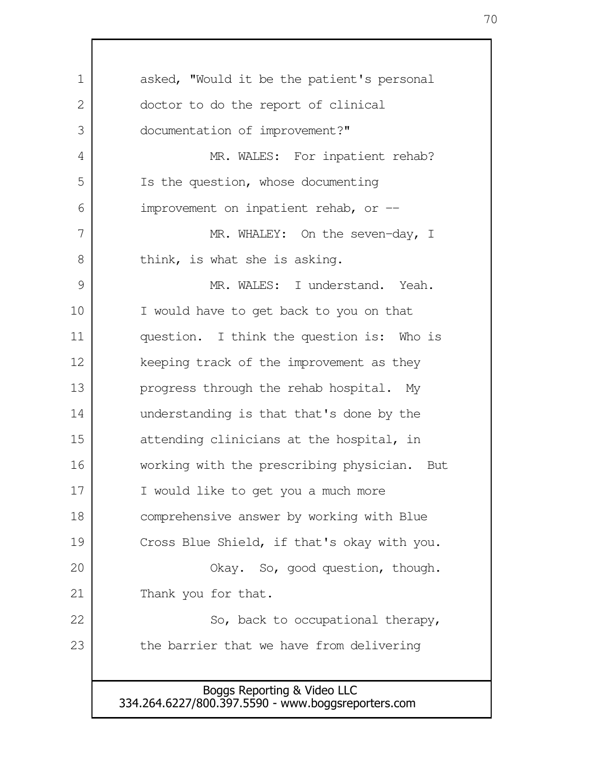| 1  | asked, "Would it be the patient's personal  |
|----|---------------------------------------------|
| 2  | doctor to do the report of clinical         |
| 3  | documentation of improvement?"              |
| 4  | MR. WALES: For inpatient rehab?             |
| 5  | Is the question, whose documenting          |
| 6  | improvement on inpatient rehab, or --       |
| 7  | MR. WHALEY: On the seven-day, I             |
| 8  | think, is what she is asking.               |
| 9  | MR. WALES: I understand. Yeah.              |
| 10 | I would have to get back to you on that     |
| 11 | question. I think the question is: Who is   |
| 12 | keeping track of the improvement as they    |
| 13 | progress through the rehab hospital. My     |
| 14 | understanding is that that's done by the    |
| 15 | attending clinicians at the hospital, in    |
| 16 | working with the prescribing physician. But |
| 17 | I would like to get you a much more         |
| 18 | comprehensive answer by working with Blue   |
| 19 | Cross Blue Shield, if that's okay with you. |
| 20 | Okay. So, good question, though.            |
| 21 | Thank you for that.                         |
| 22 | So, back to occupational therapy,           |
| 23 | the barrier that we have from delivering    |
|    |                                             |
|    | Boggs Reporting & Video LLC                 |

 $\mathsf{I}$ 

334.264.6227/800.397.5590 - www.boggsreporters.com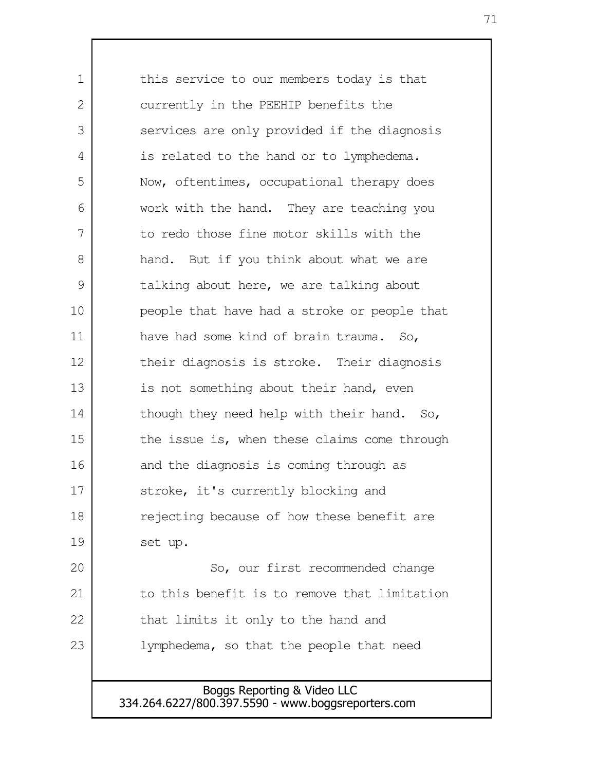this service to our members today is that currently in the PEEHIP benefits the services are only provided if the diagnosis is related to the hand or to lymphedema. Now, oftentimes, occupational therapy does work with the hand. They are teaching you to redo those fine motor skills with the hand. But if you think about what we are talking about here, we are talking about people that have had a stroke or people that have had some kind of brain trauma. So, their diagnosis is stroke. Their diagnosis is not something about their hand, even though they need help with their hand. So, the issue is, when these claims come through and the diagnosis is coming through as stroke, it's currently blocking and rejecting because of how these benefit are set up. So, our first recommended change to this benefit is to remove that limitation that limits it only to the hand and lymphedema, so that the people that need 1 2 3 4 5 6 7 8 9 10 11 12 13 14 15 16 17 18 19 20 21 22 23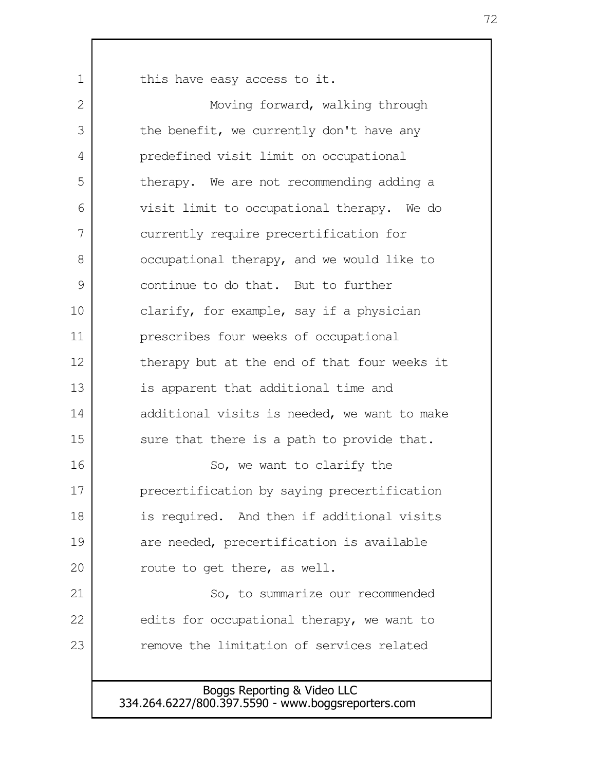this have easy access to it.

1

Moving forward, walking through the benefit, we currently don't have any predefined visit limit on occupational therapy. We are not recommending adding a visit limit to occupational therapy. We do currently require precertification for occupational therapy, and we would like to continue to do that. But to further clarify, for example, say if a physician prescribes four weeks of occupational therapy but at the end of that four weeks it is apparent that additional time and additional visits is needed, we want to make sure that there is a path to provide that. So, we want to clarify the precertification by saying precertification is required. And then if additional visits are needed, precertification is available route to get there, as well. So, to summarize our recommended edits for occupational therapy, we want to remove the limitation of services related  $\mathcal{L}$  3 4 5 6 7 8 9 10 11 12 13 14 15 16 17 18 19 20 21 22 23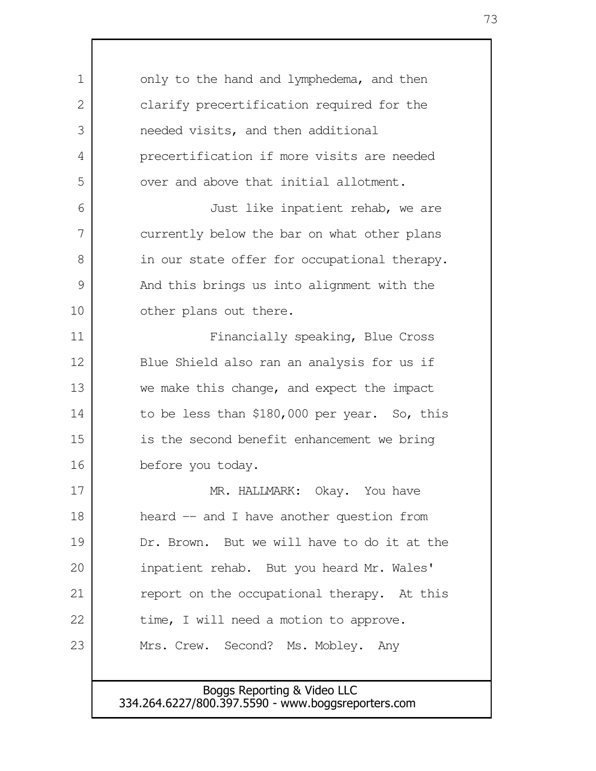Boggs Reporting & Video LLC 334.264.6227/800.397.5590 - www.boggsreporters.com only to the hand and lymphedema, and then clarify precertification required for the needed visits, and then additional precertification if more visits are needed over and above that initial allotment. Just like inpatient rehab, we are currently below the bar on what other plans in our state offer for occupational therapy. And this brings us into alignment with the other plans out there. Financially speaking, Blue Cross Blue Shield also ran an analysis for us if we make this change, and expect the impact to be less than \$180,000 per year. So, this is the second benefit enhancement we bring before you today. MR. HALLMARK: Okay. You have heard -- and I have another question from Dr. Brown. But we will have to do it at the inpatient rehab. But you heard Mr. Wales' report on the occupational therapy. At this time, I will need a motion to approve. Mrs. Crew. Second? Ms. Mobley. Any 1 2 3 4 5 6 7 8 9 10 11 12 13 14 15 16 17 18 19 20 21 22 23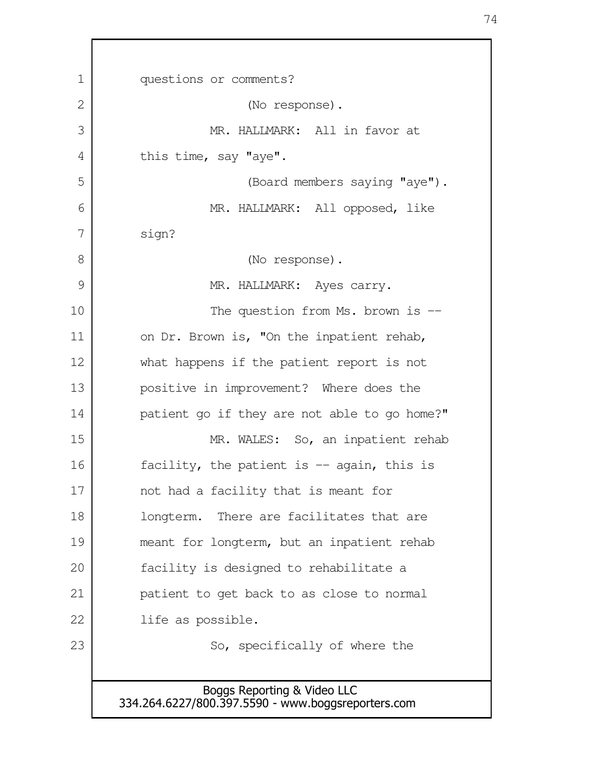| 1  | questions or comments?                                                            |  |  |  |
|----|-----------------------------------------------------------------------------------|--|--|--|
| 2  | (No response).                                                                    |  |  |  |
| 3  | MR. HALLMARK: All in favor at                                                     |  |  |  |
| 4  | this time, say "aye".                                                             |  |  |  |
| 5  | (Board members saying "aye").                                                     |  |  |  |
| 6  | MR. HALLMARK: All opposed, like                                                   |  |  |  |
| 7  | sign?                                                                             |  |  |  |
| 8  | (No response).                                                                    |  |  |  |
| 9  | MR. HALLMARK: Ayes carry.                                                         |  |  |  |
| 10 | The question from Ms. brown is $-$                                                |  |  |  |
| 11 | on Dr. Brown is, "On the inpatient rehab,                                         |  |  |  |
| 12 | what happens if the patient report is not                                         |  |  |  |
| 13 | positive in improvement? Where does the                                           |  |  |  |
| 14 | patient go if they are not able to go home?"                                      |  |  |  |
| 15 | MR. WALES: So, an inpatient rehab                                                 |  |  |  |
| 16 | facility, the patient is $-$ again, this is                                       |  |  |  |
| 17 | not had a facility that is meant for                                              |  |  |  |
| 18 | longterm. There are facilitates that are                                          |  |  |  |
| 19 | meant for longterm, but an inpatient rehab                                        |  |  |  |
| 20 | facility is designed to rehabilitate a                                            |  |  |  |
| 21 | patient to get back to as close to normal                                         |  |  |  |
| 22 | life as possible.                                                                 |  |  |  |
| 23 | So, specifically of where the                                                     |  |  |  |
|    |                                                                                   |  |  |  |
|    | Boggs Reporting & Video LLC<br>334.264.6227/800.397.5590 - www.boggsreporters.com |  |  |  |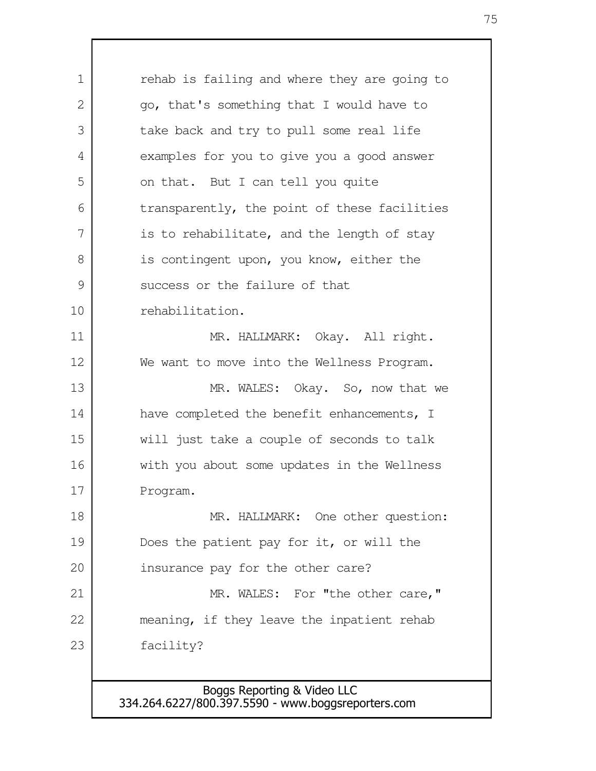rehab is failing and where they are going to go, that's something that I would have to take back and try to pull some real life examples for you to give you a good answer on that. But I can tell you quite transparently, the point of these facilities is to rehabilitate, and the length of stay is contingent upon, you know, either the success or the failure of that rehabilitation. MR. HALLMARK: Okay. All right. We want to move into the Wellness Program. MR. WALES: Okay. So, now that we have completed the benefit enhancements, I will just take a couple of seconds to talk with you about some updates in the Wellness Program. MR. HALLMARK: One other question: Does the patient pay for it, or will the insurance pay for the other care? MR. WALES: For "the other care," meaning, if they leave the inpatient rehab facility? 1  $\mathcal{L}$  3 4 5 6 7 8 9 10 11 12 13 14 15 16 17 18 19 20 21 22 23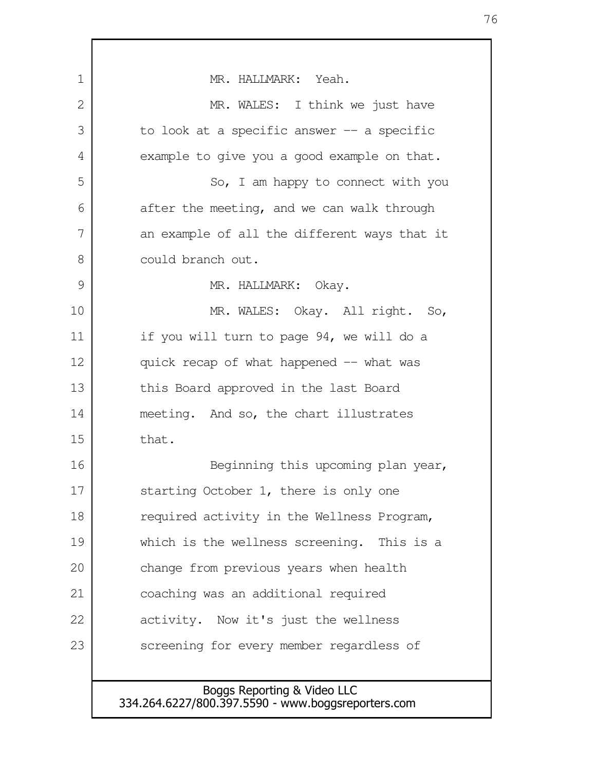Boggs Reporting & Video LLC 334.264.6227/800.397.5590 - www.boggsreporters.com MR. HALLMARK: Yeah. MR. WALES: I think we just have to look at a specific answer  $-$  a specific example to give you a good example on that. So, I am happy to connect with you after the meeting, and we can walk through an example of all the different ways that it could branch out. MR. HALLMARK: Okay. MR. WALES: Okay. All right. So, if you will turn to page 94, we will do a quick recap of what happened -- what was this Board approved in the last Board meeting. And so, the chart illustrates that. Beginning this upcoming plan year, starting October 1, there is only one required activity in the Wellness Program, which is the wellness screening. This is a change from previous years when health coaching was an additional required activity. Now it's just the wellness screening for every member regardless of 1 2 3 4 5 6 7 8 9 10 11 12 13 14 15 16 17 18 19 20 21 22 23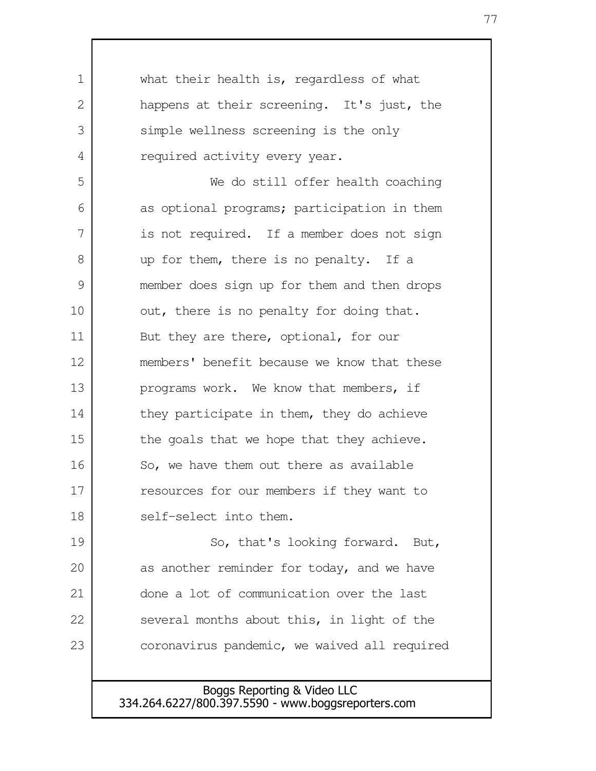what their health is, regardless of what happens at their screening. It's just, the simple wellness screening is the only required activity every year. We do still offer health coaching as optional programs; participation in them is not required. If a member does not sign up for them, there is no penalty. If a member does sign up for them and then drops out, there is no penalty for doing that. But they are there, optional, for our members' benefit because we know that these programs work. We know that members, if they participate in them, they do achieve the goals that we hope that they achieve. So, we have them out there as available resources for our members if they want to self-select into them. So, that's looking forward. But, as another reminder for today, and we have done a lot of communication over the last several months about this, in light of the coronavirus pandemic, we waived all required 1 2 3 4 5 6 7 8 9 10 11 12 13 14 15 16 17 18 19 20 21 22 23

> Boggs Reporting & Video LLC 334.264.6227/800.397.5590 - www.boggsreporters.com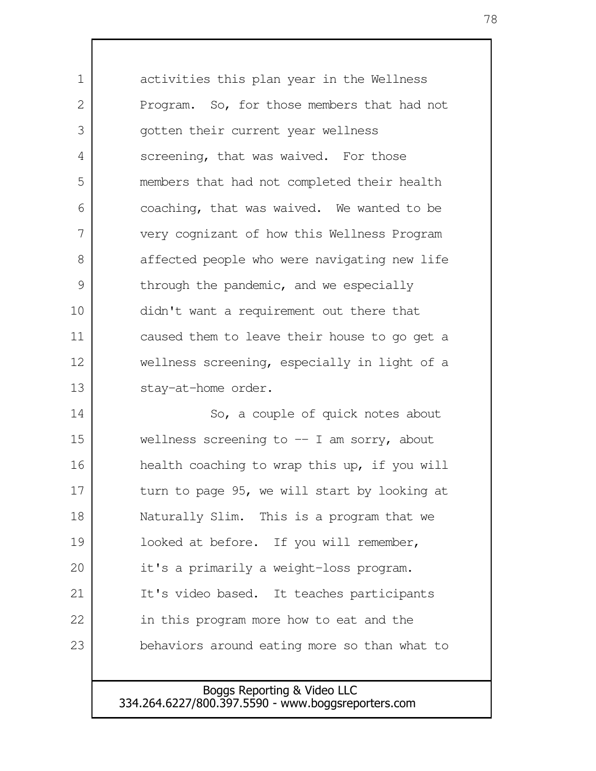activities this plan year in the Wellness Program. So, for those members that had not gotten their current year wellness screening, that was waived. For those members that had not completed their health coaching, that was waived. We wanted to be very cognizant of how this Wellness Program affected people who were navigating new life through the pandemic, and we especially didn't want a requirement out there that caused them to leave their house to go get a wellness screening, especially in light of a stay-at-home order. So, a couple of quick notes about wellness screening to -- I am sorry, about health coaching to wrap this up, if you will turn to page 95, we will start by looking at Naturally Slim. This is a program that we looked at before. If you will remember, it's a primarily a weight-loss program. It's video based. It teaches participants in this program more how to eat and the behaviors around eating more so than what to 1  $\mathcal{L}$  3 4 5 6 7 8 9 10 11 12 13 14 15 16 17 18 19 20 21 22 23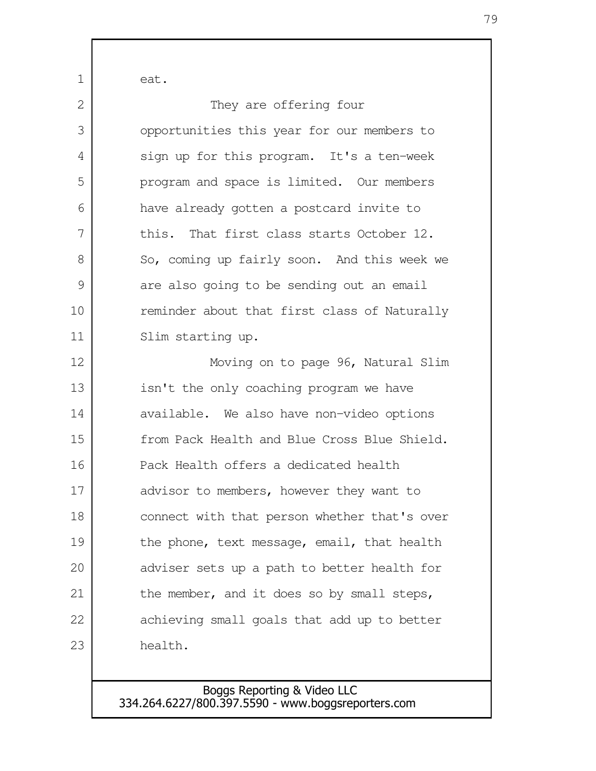| 1  | eat.                                         |
|----|----------------------------------------------|
| 2  | They are offering four                       |
| 3  | opportunities this year for our members to   |
| 4  | sign up for this program. It's a ten-week    |
| 5  | program and space is limited. Our members    |
| 6  | have already gotten a postcard invite to     |
| 7  | this. That first class starts October 12.    |
| 8  | So, coming up fairly soon. And this week we  |
| 9  | are also going to be sending out an email    |
| 10 | reminder about that first class of Naturally |
| 11 | Slim starting up.                            |
| 12 | Moving on to page 96, Natural Slim           |
| 13 | isn't the only coaching program we have      |
| 14 | available. We also have non-video options    |
| 15 | from Pack Health and Blue Cross Blue Shield. |
| 16 | Pack Health offers a dedicated health        |
| 17 | advisor to members, however they want to     |
| 18 | connect with that person whether that's over |
| 19 | the phone, text message, email, that health  |
| 20 | adviser sets up a path to better health for  |
| 21 | the member, and it does so by small steps,   |
| 22 | achieving small goals that add up to better  |
| 23 | health.                                      |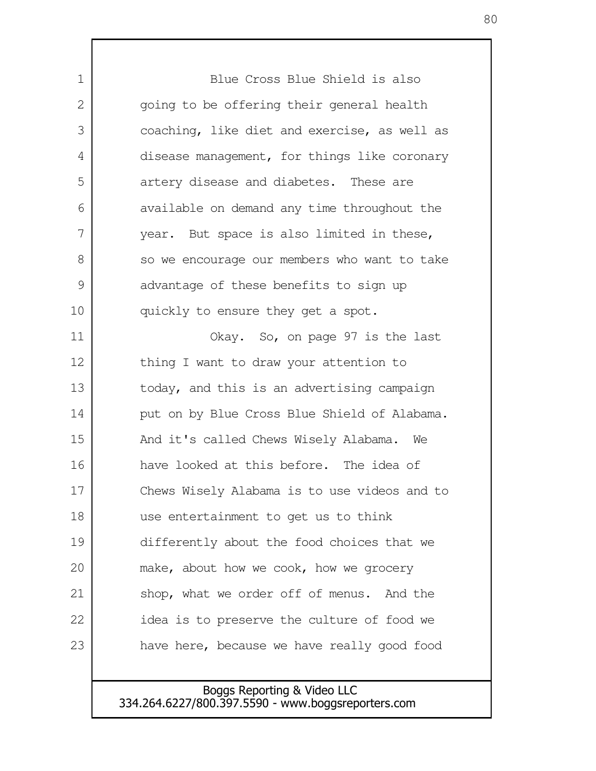Blue Cross Blue Shield is also going to be offering their general health coaching, like diet and exercise, as well as disease management, for things like coronary artery disease and diabetes. These are available on demand any time throughout the year. But space is also limited in these, so we encourage our members who want to take advantage of these benefits to sign up quickly to ensure they get a spot. Okay. So, on page 97 is the last thing I want to draw your attention to today, and this is an advertising campaign put on by Blue Cross Blue Shield of Alabama. And it's called Chews Wisely Alabama. We have looked at this before. The idea of Chews Wisely Alabama is to use videos and to use entertainment to get us to think differently about the food choices that we make, about how we cook, how we grocery shop, what we order off of menus. And the idea is to preserve the culture of food we have here, because we have really good food 1 2 3 4 5 6 7 8 9 10 11 12 13 14 15 16 17 18 19 20 21 22 23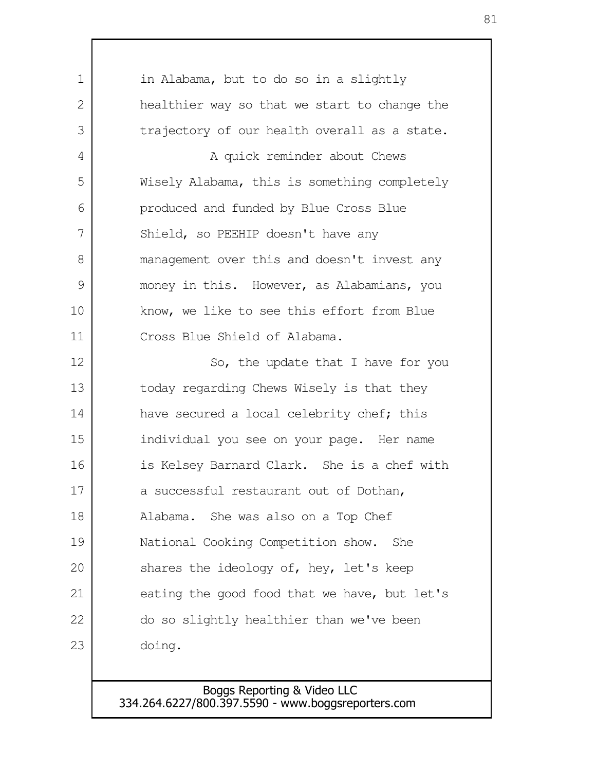| 1  | in Alabama, but to do so in a slightly       |
|----|----------------------------------------------|
| 2  | healthier way so that we start to change the |
| 3  | trajectory of our health overall as a state. |
| 4  | A quick reminder about Chews                 |
| 5  | Wisely Alabama, this is something completely |
| 6  | produced and funded by Blue Cross Blue       |
| 7  | Shield, so PEEHIP doesn't have any           |
| 8  | management over this and doesn't invest any  |
| 9  | money in this. However, as Alabamians, you   |
| 10 | know, we like to see this effort from Blue   |
| 11 | Cross Blue Shield of Alabama.                |
| 12 | So, the update that I have for you           |
| 13 | today regarding Chews Wisely is that they    |
| 14 | have secured a local celebrity chef; this    |
| 15 | individual you see on your page. Her name    |
| 16 | is Kelsey Barnard Clark. She is a chef with  |
| 17 | a successful restaurant out of Dothan,       |
| 18 | Alabama. She was also on a Top Chef          |
| 19 | National Cooking Competition show. She       |
| 20 | shares the ideology of, hey, let's keep      |
| 21 | eating the good food that we have, but let's |
| 22 | do so slightly healthier than we've been     |
| 23 | doing.                                       |
|    |                                              |

Boggs Reporting & Video LLC 334.264.6227/800.397.5590 - www.boggsreporters.com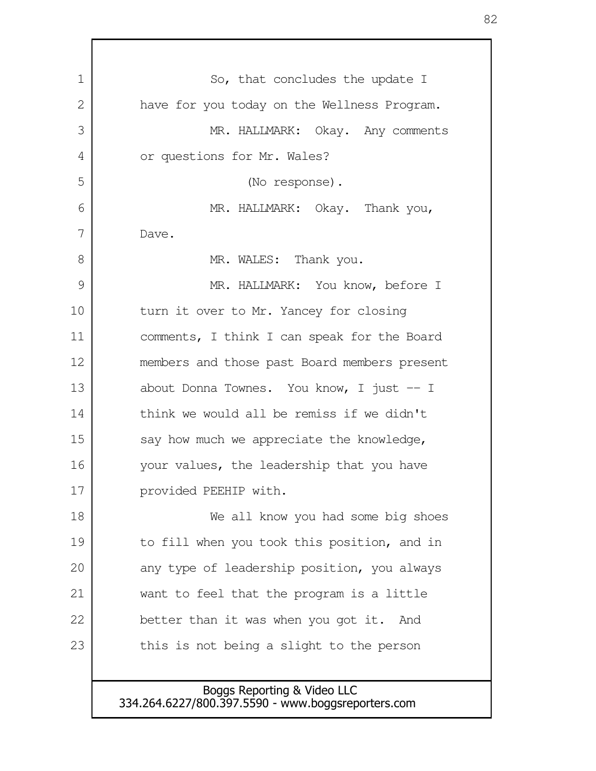| $\mathbf 1$ | So, that concludes the update I              |
|-------------|----------------------------------------------|
| 2           | have for you today on the Wellness Program.  |
| 3           | MR. HALLMARK: Okay. Any comments             |
| 4           | or questions for Mr. Wales?                  |
| 5           | (No response).                               |
| 6           | MR. HALLMARK: Okay. Thank you,               |
| 7           | Dave.                                        |
| 8           | MR. WALES: Thank you.                        |
| 9           | MR. HALLMARK: You know, before I             |
| 10          | turn it over to Mr. Yancey for closing       |
| 11          | comments, I think I can speak for the Board  |
| 12          | members and those past Board members present |
| 13          | about Donna Townes. You know, I just -- I    |
| 14          | think we would all be remiss if we didn't    |
| 15          | say how much we appreciate the knowledge,    |
| 16          | your values, the leadership that you have    |
| 17          | provided PEEHIP with.                        |
| 18          | We all know you had some big shoes           |
| 19          | to fill when you took this position, and in  |
| 20          | any type of leadership position, you always  |
| 21          | want to feel that the program is a little    |
| 22          | better than it was when you got it. And      |
| 23          | this is not being a slight to the person     |
|             |                                              |

Г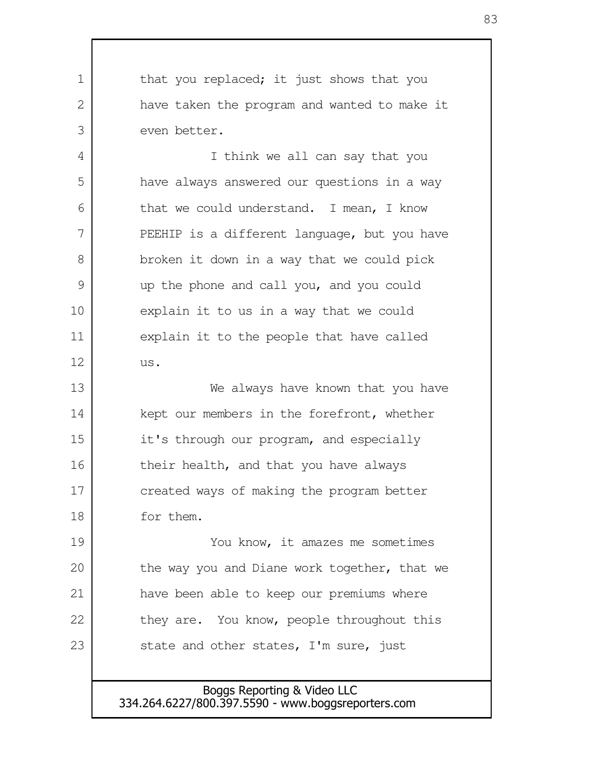that you replaced; it just shows that you have taken the program and wanted to make it even better. I think we all can say that you have always answered our questions in a way that we could understand. I mean, I know PEEHIP is a different language, but you have broken it down in a way that we could pick up the phone and call you, and you could explain it to us in a way that we could explain it to the people that have called us. We always have known that you have kept our members in the forefront, whether it's through our program, and especially their health, and that you have always created ways of making the program better for them. You know, it amazes me sometimes the way you and Diane work together, that we have been able to keep our premiums where they are. You know, people throughout this state and other states, I'm sure, just 1  $\mathcal{L}$  3 4 5 6 7 8 9 10 11 12 13 14 15 16 17 18 19 20 21 22 23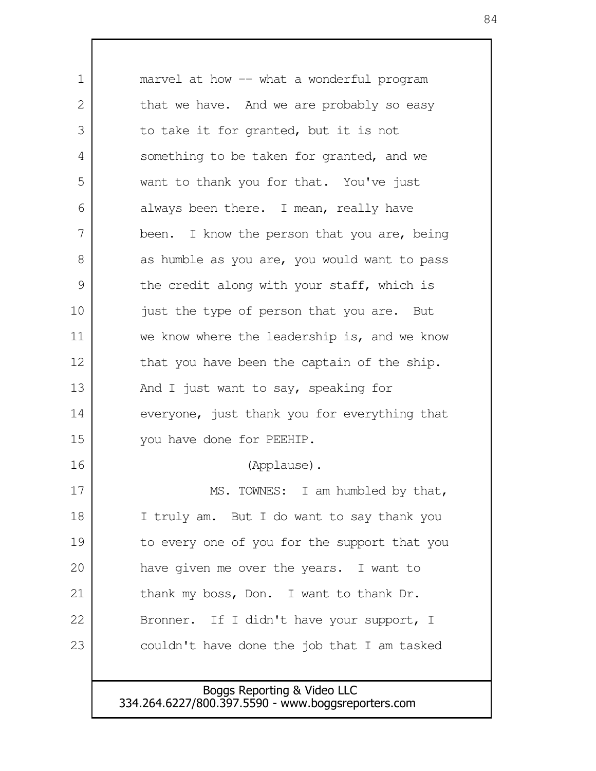marvel at how -- what a wonderful program that we have. And we are probably so easy to take it for granted, but it is not something to be taken for granted, and we want to thank you for that. You've just always been there. I mean, really have been. I know the person that you are, being as humble as you are, you would want to pass the credit along with your staff, which is just the type of person that you are. But we know where the leadership is, and we know that you have been the captain of the ship. And I just want to say, speaking for everyone, just thank you for everything that you have done for PEEHIP. (Applause). MS. TOWNES: I am humbled by that, I truly am. But I do want to say thank you to every one of you for the support that you have given me over the years. I want to thank my boss, Don. I want to thank Dr. Bronner. If I didn't have your support, I couldn't have done the job that I am tasked 1 2 3 4 5 6 7 8 9 10 11 12 13 14 15 16 17 18 19 20 21 22 23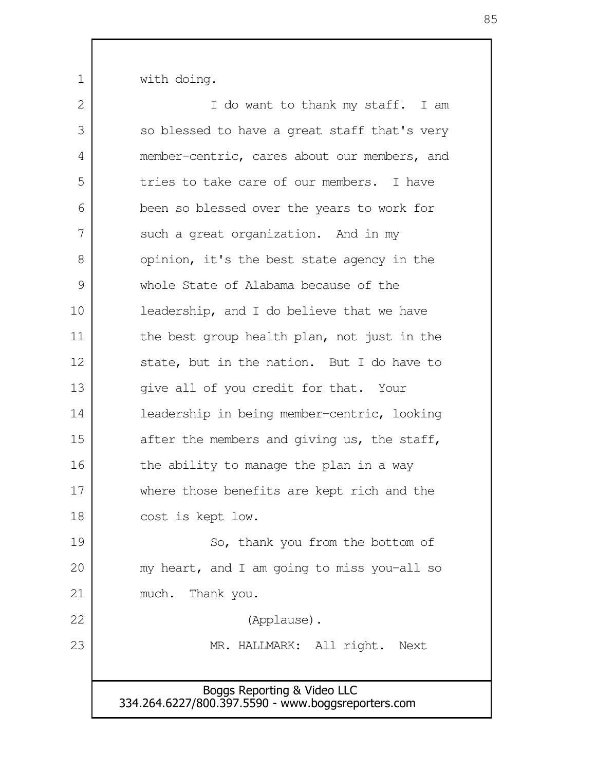with doing.

| 2  | I do want to thank my staff. I am                                                 |  |  |  |
|----|-----------------------------------------------------------------------------------|--|--|--|
| 3  | so blessed to have a great staff that's very                                      |  |  |  |
| 4  | member-centric, cares about our members, and                                      |  |  |  |
| 5  | tries to take care of our members. I have                                         |  |  |  |
| 6  | been so blessed over the years to work for                                        |  |  |  |
| 7  | such a great organization. And in my                                              |  |  |  |
| 8  | opinion, it's the best state agency in the                                        |  |  |  |
| 9  | whole State of Alabama because of the                                             |  |  |  |
| 10 | leadership, and I do believe that we have                                         |  |  |  |
| 11 | the best group health plan, not just in the                                       |  |  |  |
| 12 | state, but in the nation. But I do have to                                        |  |  |  |
| 13 | give all of you credit for that. Your                                             |  |  |  |
| 14 | leadership in being member-centric, looking                                       |  |  |  |
| 15 | after the members and giving us, the staff,                                       |  |  |  |
| 16 | the ability to manage the plan in a way                                           |  |  |  |
| 17 | where those benefits are kept rich and the                                        |  |  |  |
| 18 | cost is kept low.                                                                 |  |  |  |
| 19 | So, thank you from the bottom of                                                  |  |  |  |
| 20 | my heart, and I am going to miss you-all so                                       |  |  |  |
| 21 | Thank you.<br>much.                                                               |  |  |  |
| 22 | (Applause).                                                                       |  |  |  |
| 23 | MR. HALLMARK: All right.<br>Next                                                  |  |  |  |
|    |                                                                                   |  |  |  |
|    | Boggs Reporting & Video LLC<br>334.264.6227/800.397.5590 - www.boggsreporters.com |  |  |  |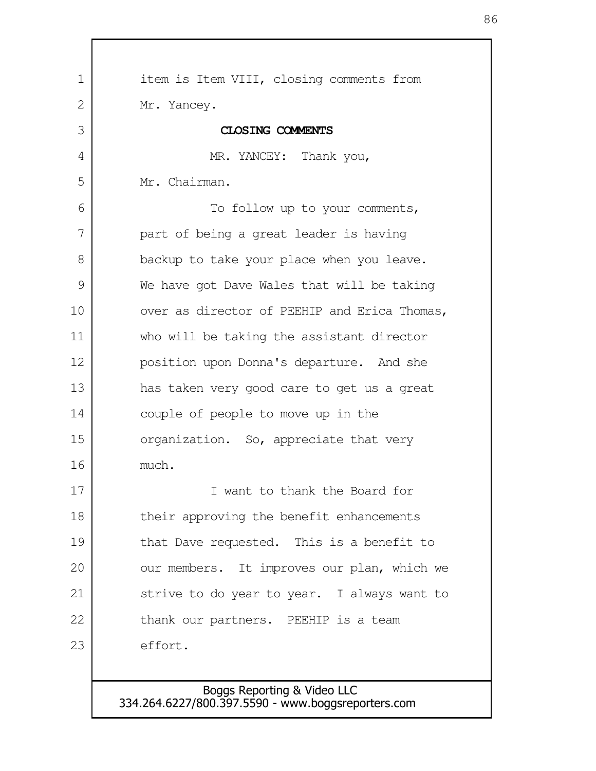| 1  | item is Item VIII, closing comments from     |
|----|----------------------------------------------|
| 2  | Mr. Yancey.                                  |
| 3  | CLOSING COMMENTS                             |
| 4  | MR. YANCEY: Thank you,                       |
| 5  | Mr. Chairman.                                |
| 6  | To follow up to your comments,               |
| 7  | part of being a great leader is having       |
| 8  | backup to take your place when you leave.    |
| 9  | We have got Dave Wales that will be taking   |
| 10 | over as director of PEEHIP and Erica Thomas, |
| 11 | who will be taking the assistant director    |
| 12 | position upon Donna's departure. And she     |
| 13 | has taken very good care to get us a great   |
| 14 | couple of people to move up in the           |
| 15 | organization. So, appreciate that very       |
| 16 | much.                                        |
| 17 | I want to thank the Board for                |
| 18 | their approving the benefit enhancements     |
| 19 | that Dave requested. This is a benefit to    |
| 20 | our members. It improves our plan, which we  |
| 21 | strive to do year to year. I always want to  |
| 22 | thank our partners. PEEHIP is a team         |
| 23 | effort.                                      |
|    |                                              |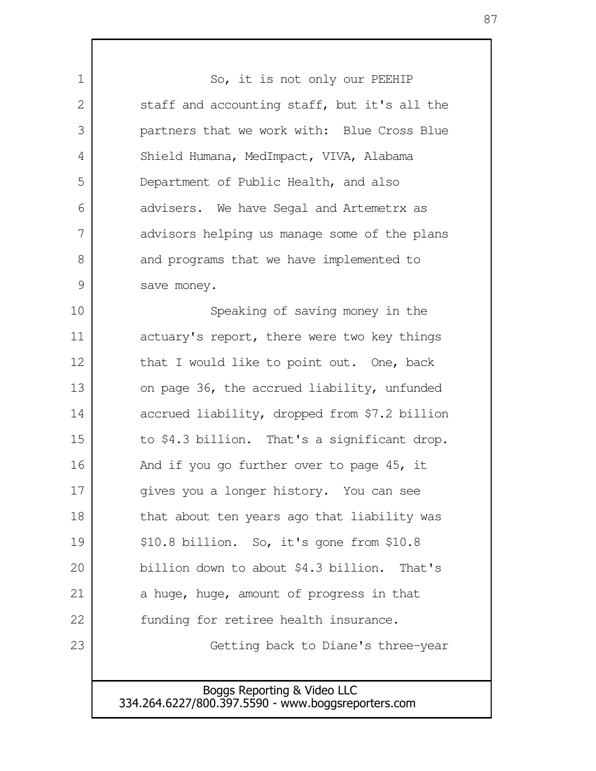So, it is not only our PEEHIP staff and accounting staff, but it's all the partners that we work with: Blue Cross Blue Shield Humana, MedImpact, VIVA, Alabama Department of Public Health, and also advisers. We have Segal and Artemetrx as advisors helping us manage some of the plans and programs that we have implemented to save money.

1

2

3

4

5

6

7

8

9

Speaking of saving money in the actuary's report, there were two key things that I would like to point out. One, back on page 36, the accrued liability, unfunded accrued liability, dropped from \$7.2 billion to \$4.3 billion. That's a significant drop. And if you go further over to page 45, it gives you a longer history. You can see that about ten years ago that liability was \$10.8 billion. So, it's gone from \$10.8 billion down to about \$4.3 billion. That's a huge, huge, amount of progress in that funding for retiree health insurance. Getting back to Diane's three-year 10 11 12 13 14 15 16 17 18 19 20 21 22 23

> Boggs Reporting & Video LLC 334.264.6227/800.397.5590 - www.boggsreporters.com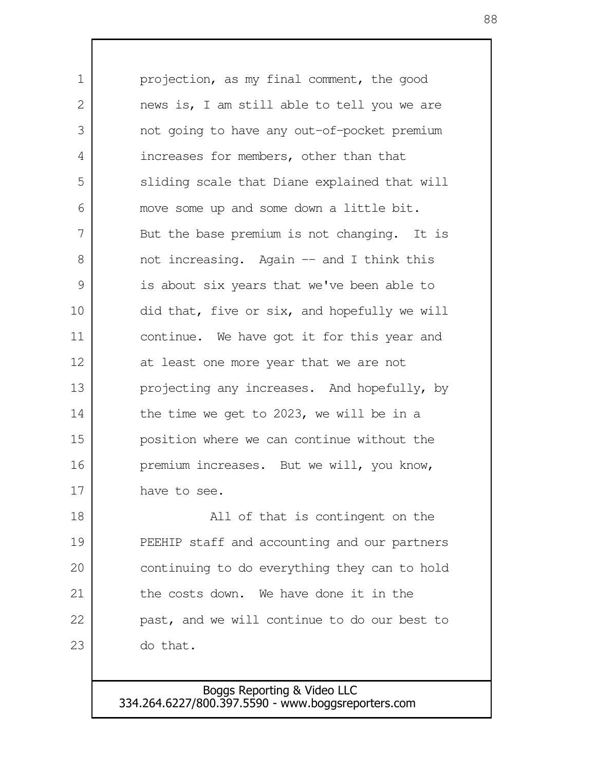projection, as my final comment, the good news is, I am still able to tell you we are not going to have any out-of-pocket premium increases for members, other than that sliding scale that Diane explained that will move some up and some down a little bit. But the base premium is not changing. It is not increasing. Again -- and I think this is about six years that we've been able to did that, five or six, and hopefully we will continue. We have got it for this year and at least one more year that we are not projecting any increases. And hopefully, by the time we get to 2023, we will be in a position where we can continue without the premium increases. But we will, you know, have to see. All of that is contingent on the PEEHIP staff and accounting and our partners continuing to do everything they can to hold the costs down. We have done it in the past, and we will continue to do our best to do that. 1 2 3 4 5 6 7 8 9 10 11 12 13 14 15 16 17 18 19 20 21 22 23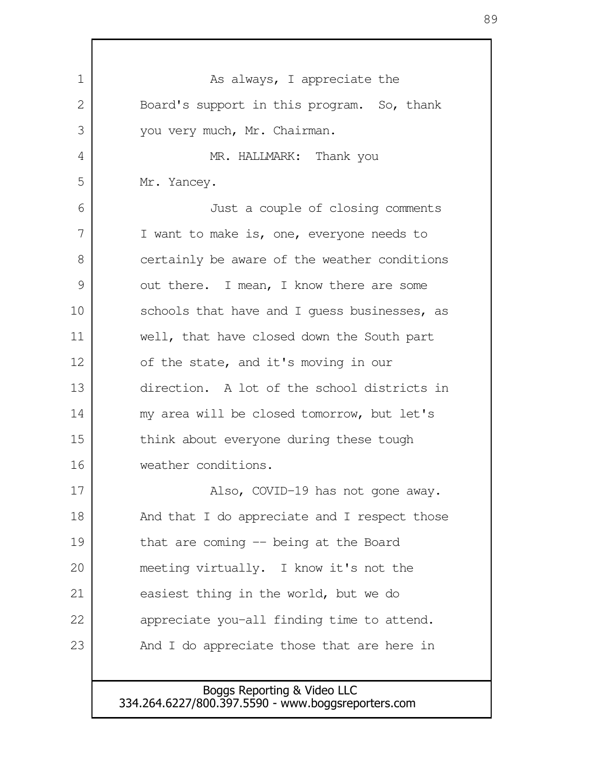As always, I appreciate the Board's support in this program. So, thank you very much, Mr. Chairman. MR. HALLMARK: Thank you Mr. Yancey. Just a couple of closing comments I want to make is, one, everyone needs to certainly be aware of the weather conditions out there. I mean, I know there are some schools that have and I guess businesses, as well, that have closed down the South part of the state, and it's moving in our direction. A lot of the school districts in my area will be closed tomorrow, but let's think about everyone during these tough weather conditions. Also, COVID-19 has not gone away. And that I do appreciate and I respect those that are coming -- being at the Board meeting virtually. I know it's not the easiest thing in the world, but we do appreciate you-all finding time to attend. And I do appreciate those that are here in 1  $\mathcal{L}$  3 4 5 6 7 8 9 10 11 12 13 14 15 16 17 18 19 20 21 22 23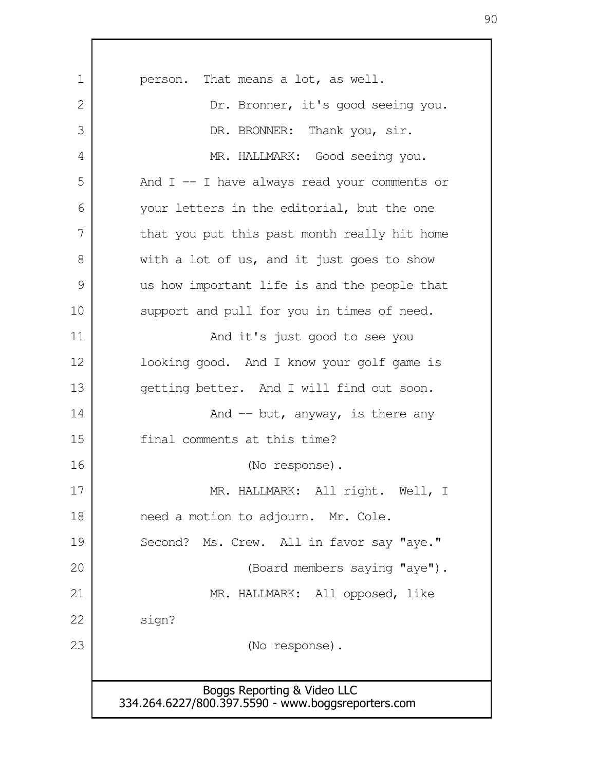| 1  | person. That means a lot, as well.                                                |  |  |  |
|----|-----------------------------------------------------------------------------------|--|--|--|
| 2  | Dr. Bronner, it's good seeing you.                                                |  |  |  |
| 3  | DR. BRONNER: Thank you, sir.                                                      |  |  |  |
| 4  | MR. HALLMARK: Good seeing you.                                                    |  |  |  |
| 5  | And $I$ -- I have always read your comments or                                    |  |  |  |
| 6  | your letters in the editorial, but the one                                        |  |  |  |
| 7  | that you put this past month really hit home                                      |  |  |  |
| 8  | with a lot of us, and it just goes to show                                        |  |  |  |
| 9  | us how important life is and the people that                                      |  |  |  |
| 10 | support and pull for you in times of need.                                        |  |  |  |
| 11 | And it's just good to see you                                                     |  |  |  |
| 12 | looking good. And I know your golf game is                                        |  |  |  |
| 13 | getting better. And I will find out soon.                                         |  |  |  |
| 14 | And $-$ but, anyway, is there any                                                 |  |  |  |
| 15 | final comments at this time?                                                      |  |  |  |
| 16 | (No response).                                                                    |  |  |  |
| 17 | MR. HALLMARK: All right. Well, I                                                  |  |  |  |
| 18 | need a motion to adjourn. Mr. Cole.                                               |  |  |  |
| 19 | Second? Ms. Crew. All in favor say "aye."                                         |  |  |  |
| 20 | (Board members saying "aye").                                                     |  |  |  |
| 21 | MR. HALLMARK: All opposed, like                                                   |  |  |  |
| 22 | sign?                                                                             |  |  |  |
| 23 | (No response).                                                                    |  |  |  |
|    |                                                                                   |  |  |  |
|    | Boggs Reporting & Video LLC<br>334.264.6227/800.397.5590 - www.boggsreporters.com |  |  |  |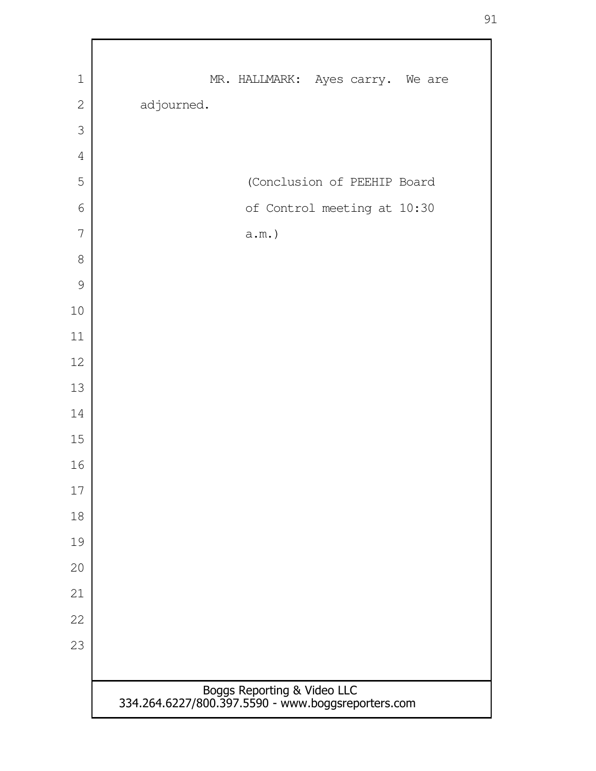| $\mathbf 1$    | MR. HALLMARK: Ayes carry. We are                                                  |  |  |  |
|----------------|-----------------------------------------------------------------------------------|--|--|--|
| $\overline{2}$ | adjourned.                                                                        |  |  |  |
| 3              |                                                                                   |  |  |  |
| $\overline{4}$ |                                                                                   |  |  |  |
| 5              | (Conclusion of PEEHIP Board                                                       |  |  |  |
| 6              | of Control meeting at 10:30                                                       |  |  |  |
| 7              | $a.m.$ )                                                                          |  |  |  |
| $8\,$          |                                                                                   |  |  |  |
| 9              |                                                                                   |  |  |  |
| $10\,$         |                                                                                   |  |  |  |
| 11             |                                                                                   |  |  |  |
| 12             |                                                                                   |  |  |  |
| 13             |                                                                                   |  |  |  |
| 14             |                                                                                   |  |  |  |
| 15             |                                                                                   |  |  |  |
| 16             |                                                                                   |  |  |  |
| 17             |                                                                                   |  |  |  |
| 18             |                                                                                   |  |  |  |
| 19             |                                                                                   |  |  |  |
| 20             |                                                                                   |  |  |  |
| 21             |                                                                                   |  |  |  |
| 22             |                                                                                   |  |  |  |
| 23             |                                                                                   |  |  |  |
|                |                                                                                   |  |  |  |
|                | Boggs Reporting & Video LLC<br>334.264.6227/800.397.5590 - www.boggsreporters.com |  |  |  |
|                |                                                                                   |  |  |  |

 $\Gamma$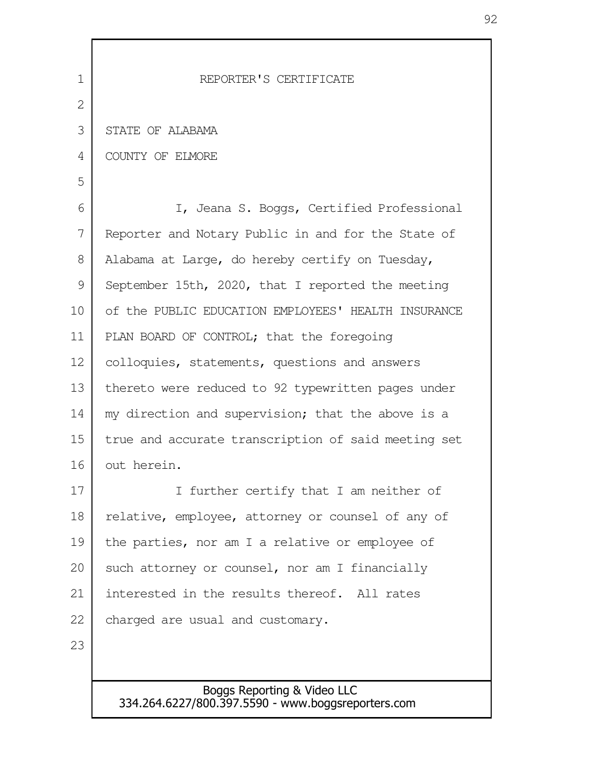| $\mathbf 1$ | REPORTER'S CERTIFICATE                              |
|-------------|-----------------------------------------------------|
| 2           |                                                     |
| 3           | STATE OF ALABAMA                                    |
| 4           | COUNTY OF ELMORE                                    |
| 5           |                                                     |
| 6           | I, Jeana S. Boggs, Certified Professional           |
| 7           | Reporter and Notary Public in and for the State of  |
| 8           | Alabama at Large, do hereby certify on Tuesday,     |
| 9           | September 15th, 2020, that I reported the meeting   |
| 10          | of the PUBLIC EDUCATION EMPLOYEES' HEALTH INSURANCE |
| 11          | PLAN BOARD OF CONTROL; that the foregoing           |
| 12          | colloquies, statements, questions and answers       |
| 13          | thereto were reduced to 92 typewritten pages under  |
| 14          | my direction and supervision; that the above is a   |
| 15          | true and accurate transcription of said meeting set |
| 16          | out herein.                                         |
| 17          | I further certify that I am neither of              |
| 18          | relative, employee, attorney or counsel of any of   |
| 19          | the parties, nor am I a relative or employee of     |
| 20          | such attorney or counsel, nor am I financially      |
| 21          | interested in the results thereof. All rates        |
| 22          | charged are usual and customary.                    |
| 23          |                                                     |
|             |                                                     |
|             | Boggs Reporting & Video LLC                         |

334.264.6227/800.397.5590 - www.boggsreporters.com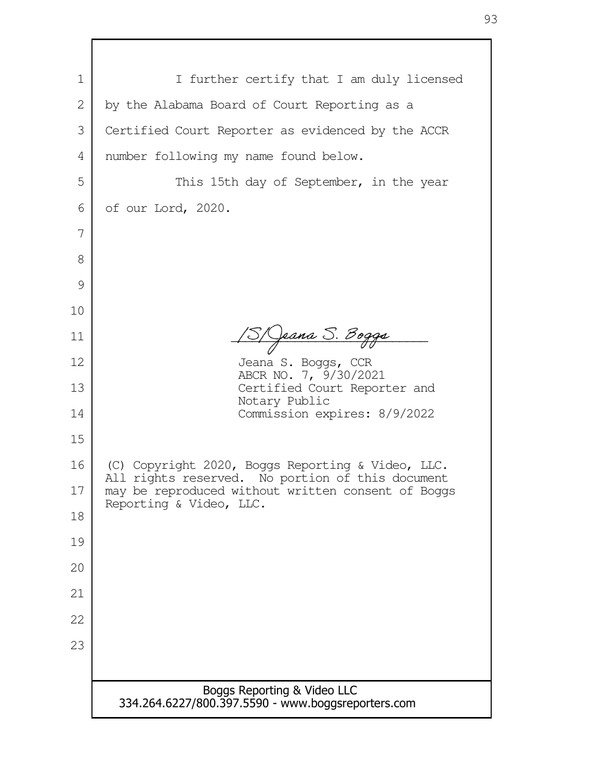| $\mathbf 1$ | I further certify that I am duly licensed                                                             |  |  |  |
|-------------|-------------------------------------------------------------------------------------------------------|--|--|--|
| 2           | by the Alabama Board of Court Reporting as a                                                          |  |  |  |
| 3           | Certified Court Reporter as evidenced by the ACCR                                                     |  |  |  |
| 4           | number following my name found below.                                                                 |  |  |  |
| 5           | This 15th day of September, in the year                                                               |  |  |  |
| 6           | of our Lord, 2020.                                                                                    |  |  |  |
| 7           |                                                                                                       |  |  |  |
| 8           |                                                                                                       |  |  |  |
| 9           |                                                                                                       |  |  |  |
| 10          |                                                                                                       |  |  |  |
| 11          | <u> Jeana S. Bogga</u>                                                                                |  |  |  |
| 12          | Jeana S. Boggs, CCR<br>ABCR NO. 7, 9/30/2021                                                          |  |  |  |
| 13          | Certified Court Reporter and<br>Notary Public<br>Commission expires: 8/9/2022                         |  |  |  |
| 14          |                                                                                                       |  |  |  |
| 15          |                                                                                                       |  |  |  |
| 16          | (C) Copyright 2020, Boggs Reporting & Video, LLC.<br>All rights reserved. No portion of this document |  |  |  |
| 17          | may be reproduced without written consent of Boggs<br>Reporting & Video, LLC.                         |  |  |  |
| 18          |                                                                                                       |  |  |  |
| 19          |                                                                                                       |  |  |  |
| 20          |                                                                                                       |  |  |  |
| 21          |                                                                                                       |  |  |  |
| 22          |                                                                                                       |  |  |  |
| 23          |                                                                                                       |  |  |  |
|             |                                                                                                       |  |  |  |
|             | Boggs Reporting & Video LLC<br>334.264.6227/800.397.5590 - www.boggsreporters.com                     |  |  |  |
|             |                                                                                                       |  |  |  |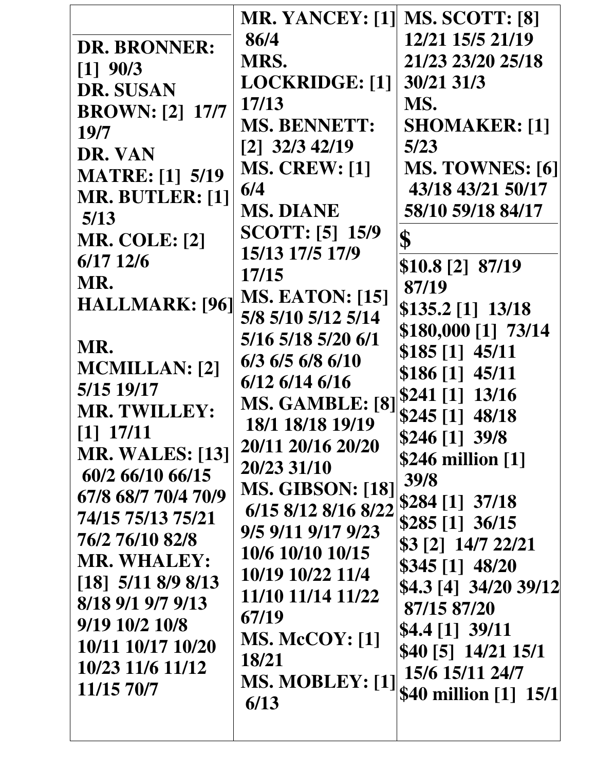| <b>DR. BRONNER:</b><br>$[1]$ 90/3<br><b>DR. SUSAN</b><br><b>BROWN: [2] 17/7</b><br>19/7<br>DR. VAN<br><b>MATRE:</b> [1] 5/19<br>MR. BUTLER: [1]<br>5/13<br><b>MR. COLE: [2]</b><br>$6/17$ 12/6<br>MR.<br>HALLMARK: [96]<br>MR.<br><b>MCMILLAN:</b> [2]<br>5/15 19/17<br><b>MR. TWILLEY:</b><br>$[1]$ 17/11<br><b>MR. WALES: [13]</b><br>60/2 66/10 66/15<br>67/8 68/7 70/4 70/9<br>74/15 75/13 75/21<br>76/2 76/10 82/8<br><b>MR. WHALEY:</b><br>$\begin{bmatrix} 18 \\ 5 \end{bmatrix}$ 5/11 8/9 8/13<br>8/18 9/1 9/7 9/13<br>9/19 10/2 10/8<br>10/11 10/17 10/20<br>10/23 11/6 11/12 | <b>MR. YANCEY: [1]</b><br>86/4<br>MRS.<br><b>LOCKRIDGE:</b> [1]<br>17/13<br><b>MS. BENNETT:</b><br>$[2]$ 32/3 42/19<br><b>MS. CREW: [1]</b><br>6/4<br><b>MS. DIANE</b><br><b>SCOTT:</b> [5] 15/9<br>15/13 17/5 17/9<br>17/15<br><b>MS. EATON: [15]</b><br>5/8 5/10 5/12 5/14<br>5/16 5/18 5/20 6/1<br>6/3 6/5 6/8 6/10<br>$6/12$ $6/14$ $6/16$<br>MS. GAMBLE: [8]<br>18/1 18/18 19/19<br>20/11 20/16 20/20<br>20/23 31/10<br><b>MS. GIBSON: [18]</b><br>6/15 8/12 8/16 8/22<br>9/5 9/11 9/17 9/23<br>10/6 10/10 10/15<br>10/19 10/22 11/4<br>11/10 11/14 11/22<br>67/19<br><b>MS. McCOY:</b> [1]<br>18/21 | <b>MS. SCOTT: [8]</b><br>12/21 15/5 21/19<br>21/23 23/20 25/18<br>30/21 31/3<br>MS.<br><b>SHOMAKER: [1]</b><br>5/23<br><b>MS. TOWNES: [6]</b><br>43/18 43/21 50/17<br>58/10 59/18 84/17<br>\$<br>\$10.8 [2] 87/19<br>87/19<br>\$135.2 [1] 13/18<br>\$180,000 [1] 73/14<br>$$185$ [1] $45/11$<br>$$186[1]$ 45/11<br>$$241$ [1] $13/16$<br>\$245 [1] 48/18<br>\$246 [1] 39/8<br>\$246 million [1]<br>39/8<br>$$284$ [1] $37/18$<br>$$285$ [1] 36/15<br>\$3 [2] 14/7 22/21<br>$$345[1]$ 48/20<br>\$4.3 [4] 34/20 39/12<br>87/15 87/20<br>$$4.4$ [1] $39/11$<br>\$40 [5] 14/21 15/1<br>15/6 15/11 24/7 |
|----------------------------------------------------------------------------------------------------------------------------------------------------------------------------------------------------------------------------------------------------------------------------------------------------------------------------------------------------------------------------------------------------------------------------------------------------------------------------------------------------------------------------------------------------------------------------------------|-----------------------------------------------------------------------------------------------------------------------------------------------------------------------------------------------------------------------------------------------------------------------------------------------------------------------------------------------------------------------------------------------------------------------------------------------------------------------------------------------------------------------------------------------------------------------------------------------------------|----------------------------------------------------------------------------------------------------------------------------------------------------------------------------------------------------------------------------------------------------------------------------------------------------------------------------------------------------------------------------------------------------------------------------------------------------------------------------------------------------------------------------------------------------------------------------------------------------|
| 11/15 70/7                                                                                                                                                                                                                                                                                                                                                                                                                                                                                                                                                                             | MS. MOBLEY: [1]<br>6/13                                                                                                                                                                                                                                                                                                                                                                                                                                                                                                                                                                                   | \$40 million [1] 15/1                                                                                                                                                                                                                                                                                                                                                                                                                                                                                                                                                                              |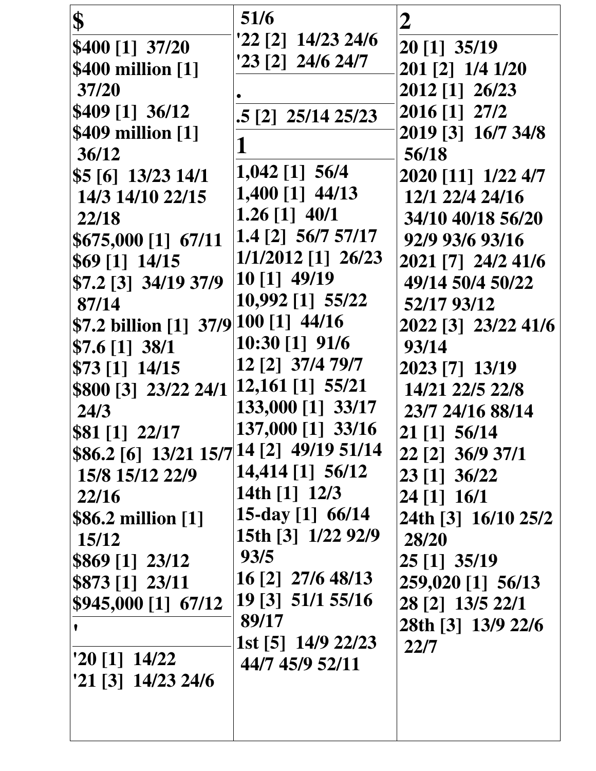| \$                                              | 51/6                              | $\boldsymbol{2}$           |
|-------------------------------------------------|-----------------------------------|----------------------------|
| \$400 [1] 37/20                                 | '22 [2] 14/23 24/6                | 20 [1] 35/19               |
| \$400 million [1]                               | $23$ [2] $24/6$ 24/7              | 201 [2] 1/4 1/20           |
| 37/20                                           |                                   | 2012 [1] 26/23             |
| \$409 [1] 36/12                                 | .5 [2] 25/14 25/23                | 2016 [1] 27/2              |
| \$409 million [1]                               |                                   | 2019 [3] 16/7 34/8         |
| 36/12                                           |                                   | 56/18                      |
| $$5\,[6]$ 13/23 14/1                            | $1,042$ [1] 56/4                  | 2020 [11] 1/22 4/7         |
| 14/3 14/10 22/15                                | 1,400 [1] 44/13                   | 12/1 22/4 24/16            |
| 22/18                                           | $1.26$ [1] $40/1$                 | 34/10 40/18 56/20          |
| \$675,000 [1] 67/11                             | 1.4 [2] 56/7 57/17                | 92/9 93/6 93/16            |
| $$69$ [1] 14/15                                 | 1/1/2012 [1] 26/23                | 2021 [7] 24/2 41/6         |
| \$7.2 [3] 34/19 37/9                            | 10 [1] 49/19                      | 49/14 50/4 50/22           |
| 87/14                                           | 10,992 [1] 55/22                  | 52/17 93/12                |
| \$7.2 billion [1] 37/9                          | $ 100 11 $ 44/16                  | 2022 [3] 23/22 41/6        |
| $$7.6$ [1] 38/1                                 | 10:30 [1] 91/6                    | 93/14                      |
| $$73$ [1] 14/15                                 | 12 [2] 37/4 79/7                  | 2023 [7] 13/19             |
| \$800 [3] 23/22 24/1                            | 12,161 [1] 55/21                  | 14/21 22/5 22/8            |
| 24/3                                            | 133,000 [1] 33/17                 | 23/7 24/16 88/14           |
| \$81 [1] 22/17                                  | 137,000 [1] 33/16                 | 21 [1] 56/14               |
| \$86.2 [6] 13/21 15/7   14 [2] 49/19 51/14      |                                   | 22 [2] 36/9 37/1           |
| 15/8 15/12 22/9                                 | 14,414 [1] 56/12<br>14th [1] 12/3 | 23 [1] 36/22               |
| 22/16                                           | 15-day $[1]$ 66/14                | 24 [1] 16/1                |
| \$86.2 million [1]                              | 15th [3] 1/22 92/9                | 24th [3] 16/10 25/2        |
| <b>15/12</b>                                    | 93/5                              | 28/20                      |
| \$869 [1] 23/12                                 | 16 [2] 27/6 48/13                 | 25 [1] 35/19               |
| \$873 [1] 23/11                                 | 19 [3] 51/1 55/16                 | 259,020 [1] 56/13          |
| \$945,000 [1] 67/12                             | 89/17                             | 28 [2] 13/5 22/1           |
|                                                 | 1st [5] 14/9 22/23                | 28th [3] 13/9 22/6<br>22/7 |
| $20$ [1] $14/22$                                | 44/7 45/9 52/11                   |                            |
| $21 \begin{bmatrix} 3 \end{bmatrix}$ 14/23 24/6 |                                   |                            |
|                                                 |                                   |                            |
|                                                 |                                   |                            |
|                                                 |                                   |                            |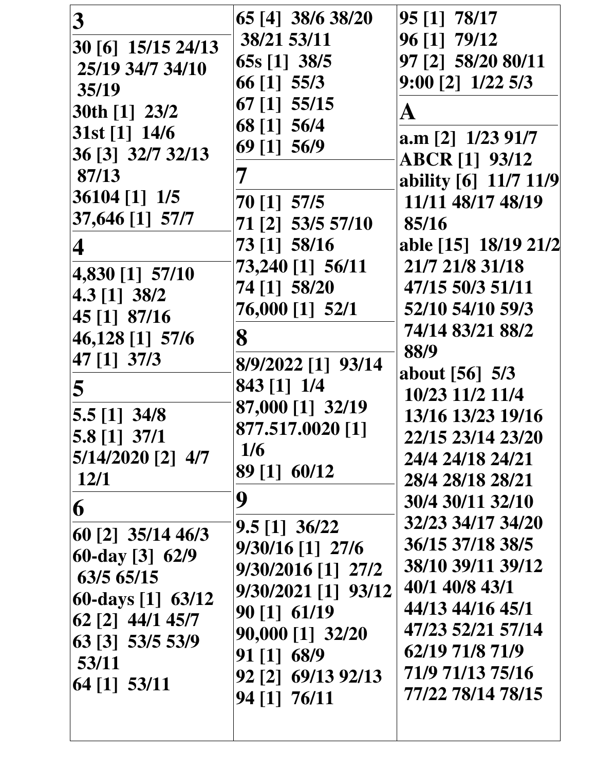| 3                       | 65 [4] 38/6 38/20   | 95 [1] 78/17          |
|-------------------------|---------------------|-----------------------|
| 30 [6] 15/15 24/13      | 38/21 53/11         | 96 [1] 79/12          |
| 25/19 34/7 34/10        | 65s [1] 38/5        | 97 [2] 58/20 80/11    |
| 35/19                   | 66 [1] 55/3         | $9:00$ [2] $1/22$ 5/3 |
| 30th [1] 23/2           | 67 [1] 55/15        | A                     |
| $31st$ [1] $14/6$       | 68 [1] 56/4         | $a.m$ [2] $1/23$ 91/7 |
| 36 [3] 32/7 32/13       | 69 [1] 56/9         |                       |
| 87/13                   |                     | <b>ABCR [1] 93/12</b> |
| 36104 [1] 1/5           |                     | ability [6] 11/7 11/9 |
| 37,646 [1] 57/7         | 70 [1] 57/5         | 11/11 48/17 48/19     |
|                         | 71 [2] 53/5 57/10   | 85/16                 |
| 4                       | 73 [1] 58/16        | able [15] 18/19 21/2  |
| 4,830 [1] 57/10         | 73,240 [1] 56/11    | 21/7 21/8 31/18       |
| 4.3 [1] 38/2            | 74 [1] 58/20        | 47/15 50/3 51/11      |
| 45 [1] 87/16            | 76,000 [1] 52/1     | 52/10 54/10 59/3      |
| 46,128 [1] 57/6         | 8                   | 74/14 83/21 88/2      |
| 47 [1] 37/3             | 8/9/2022 [1] 93/14  | 88/9                  |
|                         | 843 [1] 1/4         | about [56] 5/3        |
| 5                       | 87,000 [1] 32/19    | 10/23 11/2 11/4       |
| $5.5$ [1] 34/8          | 877.517.0020 [1]    | 13/16 13/23 19/16     |
| 5.8 [1] 37/1            | 1/6                 | 22/15 23/14 23/20     |
| $5/14/2020$ [2] $4/7$   |                     | 24/4 24/18 24/21      |
| 12/1                    | 89 [1] 60/12        | 28/4 28/18 28/21      |
| 6                       | 9                   | 30/4 30/11 32/10      |
|                         | $9.5$ [1] $36/22$   | 32/23 34/17 34/20     |
| 60 [2] 35/14 46/3       | 9/30/16 [1] 27/6    | 36/15 37/18 38/5      |
| $60$ -day [3] $62/9$    | 9/30/2016 [1] 27/2  | 38/10 39/11 39/12     |
| 63/5 65/15              | 9/30/2021 [1] 93/12 | 40/1 40/8 43/1        |
| $ 60$ -days $[1]$ 63/12 | 90 [1] 61/19        | 44/13 44/16 45/1      |
| 62 [2] 44/1 45/7        | 90,000 [1] 32/20    | 47/23 52/21 57/14     |
| 63 [3] 53/5 53/9        | 91 [1] 68/9         | 62/19 71/8 71/9       |
| 53/11                   | 92 [2] 69/13 92/13  | 71/9 71/13 75/16      |
| 64 [1] 53/11            | 94 [1] 76/11        | 77/22 78/14 78/15     |
|                         |                     |                       |
|                         |                     |                       |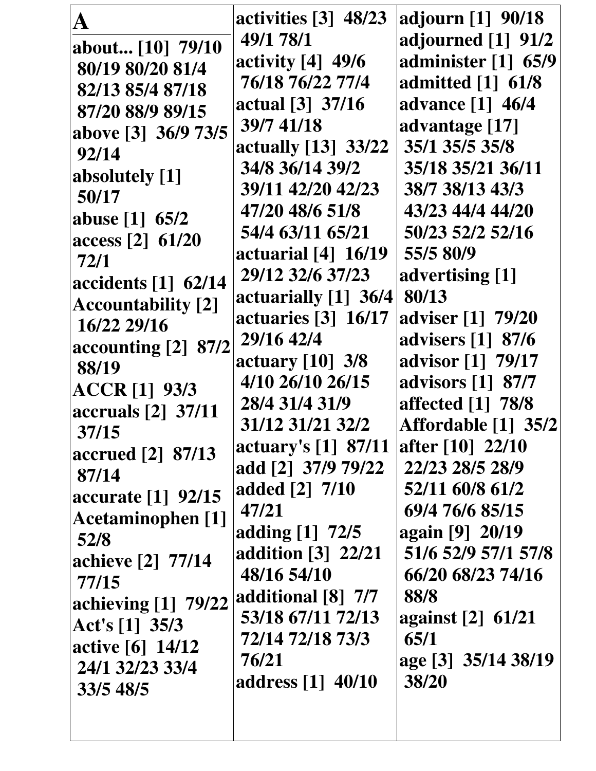|                           | activities $[3]$ 48/23                           | adjourn [1] 90/18   |
|---------------------------|--------------------------------------------------|---------------------|
| A                         | 49/1 78/1                                        | adjourned [1] 91/2  |
| about [10] 79/10          |                                                  |                     |
| 80/19 80/20 81/4          | activity [4] 49/6                                | administer [1] 65/9 |
| 82/13 85/4 87/18          | 76/18 76/22 77/4                                 | admitted [1] 61/8   |
| 87/20 88/9 89/15          | actual [3] 37/16                                 | advance [1] 46/4    |
| above [3] 36/9 73/5       | 39/7 41/18                                       | advantage [17]      |
| 92/14                     | actually [13] 33/22                              | 35/1 35/5 35/8      |
| absolutely [1]            | 34/8 36/14 39/2                                  | 35/18 35/21 36/11   |
| 50/17                     | 39/11 42/20 42/23                                | 38/7 38/13 43/3     |
| abuse [1] 65/2            | 47/20 48/6 51/8                                  | 43/23 44/4 44/20    |
| access [2] 61/20          | 54/4 63/11 65/21                                 | 50/23 52/2 52/16    |
| 72/1                      | actuarial $[4]$ 16/19                            | 55/5 80/9           |
|                           | 29/12 32/6 37/23                                 | advertising [1]     |
| accidents [1] 62/14       | actuarially $[1]$ 36/4                           | 80/13               |
| <b>Accountability</b> [2] | actuaries [3] 16/17                              | adviser [1] 79/20   |
| 16/22 29/16               | 29/16 42/4                                       | advisers [1] 87/6   |
| accounting [2] 87/2       | actuary [10] 3/8                                 | advisor [1] 79/17   |
| 88/19                     | 4/10 26/10 26/15                                 | advisors [1] 87/7   |
| <b>ACCR</b> [1] 93/3      | 28/4 31/4 31/9                                   | affected [1] 78/8   |
| accruals [2] 37/11        |                                                  |                     |
| 37/15                     | 31/12 31/21 32/2                                 | Affordable [1] 35/2 |
| accrued [2] 87/13         | actuary's [1] 87/11                              | after [10] 22/10    |
| 87/14                     | add [2] 37/9 79/22                               | 22/23 28/5 28/9     |
| accurate [1] 92/15        | added [2] 7/10                                   | 52/11 60/8 61/2     |
| Acetaminophen [1]         | 47/21                                            | 69/4 76/6 85/15     |
| 52/8                      | adding [1] 72/5                                  | again [9] 20/19     |
| achieve [2] 77/14         | addition $\begin{bmatrix} 3 \end{bmatrix}$ 22/21 | 51/6 52/9 57/1 57/8 |
| 77/15                     | 48/16 54/10                                      | 66/20 68/23 74/16   |
| achieving [1] 79/22       | additional [8] 7/7                               | 88/8                |
| Act's $[1]$ 35/3          | 53/18 67/11 72/13                                | against [2] 61/21   |
| active [6] 14/12          | 72/14 72/18 73/3                                 | 65/1                |
| 24/1 32/23 33/4           | 76/21                                            | age [3] 35/14 38/19 |
|                           | address [1] 40/10                                | 38/20               |
| 33/5 48/5                 |                                                  |                     |
|                           |                                                  |                     |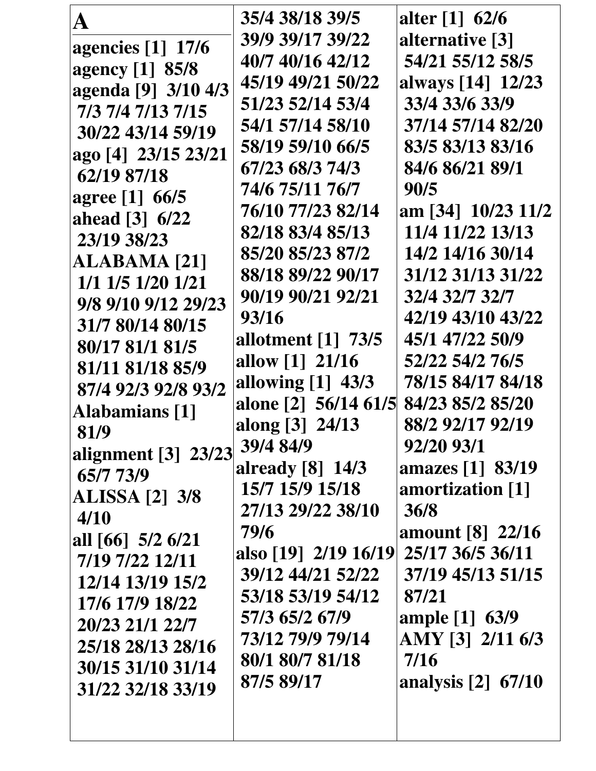| A                         | 35/4 38/18 39/5                  | alter [1] 62/6                   |
|---------------------------|----------------------------------|----------------------------------|
| agencies [1] 17/6         | 39/9 39/17 39/22                 | alternative [3]                  |
| agency [1] 85/8           | 40/7 40/16 42/12                 | 54/21 55/12 58/5                 |
| agenda [9] 3/10 4/3       | 45/19 49/21 50/22                | always [14] 12/23                |
| 7/3 7/4 7/13 7/15         | 51/23 52/14 53/4                 | 33/4 33/6 33/9                   |
| 30/22 43/14 59/19         | 54/1 57/14 58/10                 | 37/14 57/14 82/20                |
|                           | 58/19 59/10 66/5                 | 83/5 83/13 83/16                 |
| ago [4] 23/15 23/21       | 67/23 68/3 74/3                  | 84/6 86/21 89/1                  |
| 62/19 87/18               | 74/6 75/11 76/7                  | 90/5                             |
| agree [1] 66/5            | 76/10 77/23 82/14                | am [34] 10/23 11/2               |
| ahead [3] 6/22            | 82/18 83/4 85/13                 | 11/4 11/22 13/13                 |
| 23/19 38/23               | 85/20 85/23 87/2                 | 14/2 14/16 30/14                 |
| <b>ALABAMA [21]</b>       | 88/18 89/22 90/17                | 31/12 31/13 31/22                |
| $1/1$ $1/5$ $1/20$ $1/21$ | 90/19 90/21 92/21                | 32/4 32/7 32/7                   |
| 9/8 9/10 9/12 29/23       | 93/16                            | 42/19 43/10 43/22                |
| 31/7 80/14 80/15          | allotment $\lceil 1 \rceil$ 73/5 | 45/1 47/22 50/9                  |
| 80/17 81/1 81/5           | allow $[1]$ 21/16                | 52/22 54/2 76/5                  |
| 81/11 81/18 85/9          | allowing [1] 43/3                | 78/15 84/17 84/18                |
| 87/4 92/3 92/8 93/2       | alone [2] 56/14 61/5             | 84/23 85/2 85/20                 |
| Alabamians [1]            | along [3] 24/13                  | 88/2 92/17 92/19                 |
| 81/9                      | 39/4 84/9                        | 92/20 93/1                       |
| alignment [3] 23/23       | already [8] 14/3                 | amazes [1] 83/19                 |
| 65/7 73/9                 | 15/7 15/9 15/18                  |                                  |
| <b>ALISSA</b> [2] 3/8     | 27/13 29/22 38/10                | amortization [1]                 |
| 4/10                      |                                  | 36/8                             |
| all [66] 5/2 6/21         | 79/6                             | amount [8] 22/16                 |
| 7/19 7/22 12/11           | also [19] 2/19 16/19             | 25/17 36/5 36/11                 |
| 12/14 13/19 15/2          | 39/12 44/21 52/22                | 37/19 45/13 51/15                |
| 17/6 17/9 18/22           | 53/18 53/19 54/12                | 87/21                            |
| 20/23 21/1 22/7           | 57/3 65/2 67/9                   | ample [1] 63/9                   |
| 25/18 28/13 28/16         | 73/12 79/9 79/14                 | AMY [3] 2/11 6/3                 |
| 30/15 31/10 31/14         | 80/1 80/7 81/18                  | 7/16                             |
| 31/22 32/18 33/19         | 87/5 89/17                       | analysis $\lceil 2 \rceil$ 67/10 |
|                           |                                  |                                  |
|                           |                                  |                                  |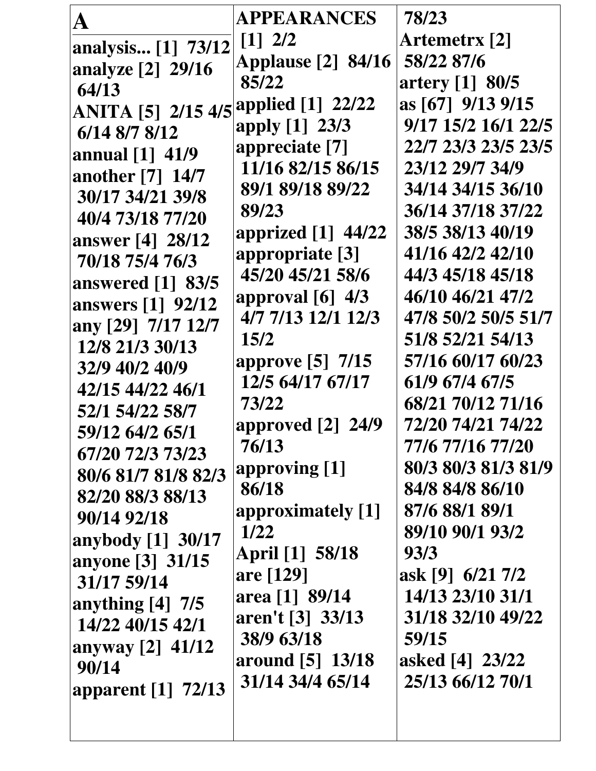| $\mathbf{A}$                        | APPEARANCES                            | 78/23                |
|-------------------------------------|----------------------------------------|----------------------|
| analysis [1] 73/12                  | $\begin{bmatrix} 1 \\ 2 \end{bmatrix}$ | <b>Artemetrx [2]</b> |
| analyze [2] 29/16                   | <b>Applause</b> [2] 84/16              | 58/22 87/6           |
| 64/13                               | 85/22                                  | artery [1] 80/5      |
| <b>ANITA</b> [5] 2/15 4/5           | applied [1] 22/22                      | as [67] 9/13 9/15    |
| 6/14 8/7 8/12                       | apply [1] 23/3                         | 9/17 15/2 16/1 22/5  |
| annual $[1]$ 41/9                   | appreciate [7]                         | 22/7 23/3 23/5 23/5  |
| another [7] 14/7                    | 11/16 82/15 86/15                      | 23/12 29/7 34/9      |
| 30/17 34/21 39/8                    | 89/1 89/18 89/22                       | 34/14 34/15 36/10    |
| 40/4 73/18 77/20                    | 89/23                                  | 36/14 37/18 37/22    |
|                                     | apprized [1] 44/22                     | 38/5 38/13 40/19     |
| answer [4] 28/12<br>70/18 75/4 76/3 | appropriate [3]                        | 41/16 42/2 42/10     |
|                                     | 45/20 45/21 58/6                       | 44/3 45/18 45/18     |
| answered [1] 83/5                   | approval $[6]$ 4/3                     | 46/10 46/21 47/2     |
| answers [1] 92/12                   | 4/7 7/13 12/1 12/3                     | 47/8 50/2 50/5 51/7  |
| any [29] 7/17 12/7                  | 15/2                                   | 51/8 52/21 54/13     |
| 12/8 21/3 30/13                     | approve [5] 7/15                       | 57/16 60/17 60/23    |
| 32/9 40/2 40/9                      | 12/5 64/17 67/17                       | 61/9 67/4 67/5       |
| 42/15 44/22 46/1                    | 73/22                                  | 68/21 70/12 71/16    |
| 52/1 54/22 58/7                     | approved $[2]$ 24/9                    | 72/20 74/21 74/22    |
| 59/12 64/2 65/1                     | 76/13                                  | 77/6 77/16 77/20     |
| 67/20 72/3 73/23                    | approving [1]                          | 80/3 80/3 81/3 81/9  |
| 80/6 81/7 81/8 82/3                 | 86/18                                  | 84/8 84/8 86/10      |
| 82/20 88/3 88/13                    | approximately [1]                      | 87/6 88/1 89/1       |
| 90/14 92/18                         | <b>1/22</b>                            | 89/10 90/1 93/2      |
| anybody [1] 30/17                   | April [1] 58/18                        | 93/3                 |
| anyone [3] 31/15                    | are [129]                              | ask [9] 6/21 7/2     |
| 31/17 59/14                         | area [1] 89/14                         | 14/13 23/10 31/1     |
| anything $[4]$ 7/5                  | aren't [3] 33/13                       | 31/18 32/10 49/22    |
| 14/22 40/15 42/1                    | 38/9 63/18                             | 59/15                |
| anyway [2] 41/12                    | around [5] 13/18                       | asked [4] 23/22      |
| 90/14                               | 31/14 34/4 65/14                       | 25/13 66/12 70/1     |
| apparent [1] 72/13                  |                                        |                      |
|                                     |                                        |                      |
|                                     |                                        |                      |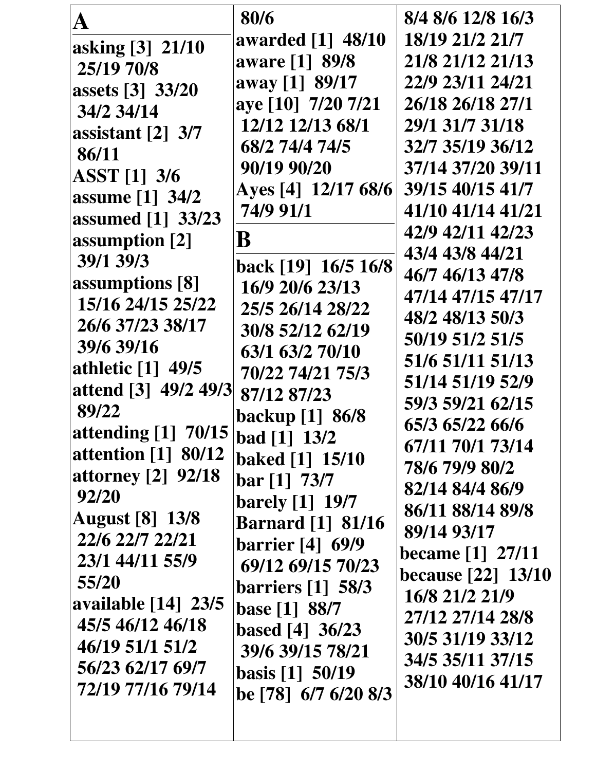| ${\bf A}$                       | 80/6                                | 8/4 8/6 12/8 16/3         |
|---------------------------------|-------------------------------------|---------------------------|
| asking [3] 21/10                | awarded [1] 48/10                   | 18/19 21/2 21/7           |
| 25/19 70/8                      | aware [1] 89/8                      | 21/8 21/12 21/13          |
| assets [3] 33/20                | away [1] 89/17                      | 22/9 23/11 24/21          |
| 34/2 34/14                      | aye [10] 7/20 7/21                  | 26/18 26/18 27/1          |
| assistant $\lceil 2 \rceil$ 3/7 | 12/12 12/13 68/1                    | 29/1 31/7 31/18           |
| 86/11                           | 68/2 74/4 74/5                      | 32/7 35/19 36/12          |
| <b>ASST</b> [1] 3/6             | 90/19 90/20                         | 37/14 37/20 39/11         |
| assume [1] 34/2                 | Ayes [4] 12/17 68/6                 | 39/15 40/15 41/7          |
| assumed [1] 33/23               | 74/9 91/1                           | 41/10 41/14 41/21         |
| assumption [2]                  | B                                   | 42/9 42/11 42/23          |
| 39/1 39/3                       |                                     | 43/4 43/8 44/21           |
| assumptions [8]                 | back [19] 16/5 16/8                 | 46/7 46/13 47/8           |
| 15/16 24/15 25/22               | 16/9 20/6 23/13                     | 47/14 47/15 47/17         |
| 26/6 37/23 38/17                | 25/5 26/14 28/22                    | 48/2 48/13 50/3           |
| 39/6 39/16                      | 30/8 52/12 62/19                    | 50/19 51/2 51/5           |
| athletic [1] 49/5               | 63/1 63/2 70/10<br>70/22 74/21 75/3 | 51/6 51/11 51/13          |
| attend [3] 49/2 49/3            | 87/12 87/23                         | 51/14 51/19 52/9          |
| 89/22                           | backup [1] 86/8                     | 59/3 59/21 62/15          |
| attending [1] 70/15             | $\vert$ bad [1] 13/2                | 65/3 65/22 66/6           |
| <b>attention</b> [1] 80/12      | baked [1] 15/10                     | 67/11 70/1 73/14          |
| <b>attorney</b> [2] 92/18       | $bar [1]$ 73/7                      | 78/6 79/9 80/2            |
| 92/20                           | <b>barely</b> [1] 19/7              | 82/14 84/4 86/9           |
| <b>August</b> [8] 13/8          | <b>Barnard</b> [1] 81/16            | 86/11 88/14 89/8          |
| 22/6 22/7 22/21                 | barrier $[4]$ 69/9                  | 89/14 93/17               |
| 23/1 44/11 55/9                 | 69/12 69/15 70/23                   | <b>became</b> [1] 27/11   |
| 55/20                           | barriers $\lceil 1 \rceil$ 58/3     | <b>because</b> [22] 13/10 |
| available [14] 23/5             | base [1] 88/7                       | 16/8 21/2 21/9            |
| 45/5 46/12 46/18                | based $[4]$ 36/23                   | 27/12 27/14 28/8          |
| 46/19 51/1 51/2                 | 39/6 39/15 78/21                    | 30/5 31/19 33/12          |
| 56/23 62/17 69/7                | basis $[1]$ 50/19                   | 34/5 35/11 37/15          |
| 72/19 77/16 79/14               | be [78] 6/7 6/20 8/3                | 38/10 40/16 41/17         |
|                                 |                                     |                           |
|                                 |                                     |                           |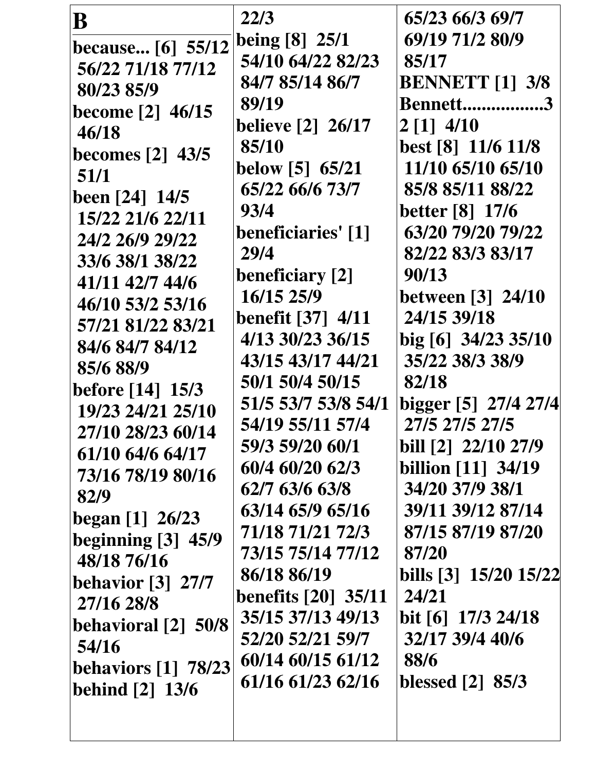| B                                                                                                                                                                                                                                                                                                                             | 22/3                                                                                                                                                                                                                                                                                                            | 65/23 66/3 69/7                                                                                                                                                                                                                                                                                  |
|-------------------------------------------------------------------------------------------------------------------------------------------------------------------------------------------------------------------------------------------------------------------------------------------------------------------------------|-----------------------------------------------------------------------------------------------------------------------------------------------------------------------------------------------------------------------------------------------------------------------------------------------------------------|--------------------------------------------------------------------------------------------------------------------------------------------------------------------------------------------------------------------------------------------------------------------------------------------------|
| because [6] 55/12                                                                                                                                                                                                                                                                                                             | being [8] 25/1                                                                                                                                                                                                                                                                                                  | 69/19 71/2 80/9                                                                                                                                                                                                                                                                                  |
| 56/22 71/18 77/12                                                                                                                                                                                                                                                                                                             | 54/10 64/22 82/23                                                                                                                                                                                                                                                                                               | 85/17                                                                                                                                                                                                                                                                                            |
| 80/23 85/9                                                                                                                                                                                                                                                                                                                    | 84/7 85/14 86/7                                                                                                                                                                                                                                                                                                 | <b>BENNETT</b> [1] 3/8                                                                                                                                                                                                                                                                           |
| become $[2]$ 46/15                                                                                                                                                                                                                                                                                                            | 89/19                                                                                                                                                                                                                                                                                                           | <b>Bennett3</b>                                                                                                                                                                                                                                                                                  |
| 46/18                                                                                                                                                                                                                                                                                                                         | <b>believe [2] 26/17</b>                                                                                                                                                                                                                                                                                        | $2 \begin{bmatrix} 1 \end{bmatrix}$ 4/10                                                                                                                                                                                                                                                         |
| becomes $[2]$ 43/5                                                                                                                                                                                                                                                                                                            | 85/10                                                                                                                                                                                                                                                                                                           | best [8] 11/6 11/8                                                                                                                                                                                                                                                                               |
| 51/1                                                                                                                                                                                                                                                                                                                          | below [5] 65/21                                                                                                                                                                                                                                                                                                 | 11/10 65/10 65/10                                                                                                                                                                                                                                                                                |
| been $[24]$ 14/5                                                                                                                                                                                                                                                                                                              | 65/22 66/6 73/7                                                                                                                                                                                                                                                                                                 | 85/8 85/11 88/22                                                                                                                                                                                                                                                                                 |
| 15/22 21/6 22/11                                                                                                                                                                                                                                                                                                              | 93/4                                                                                                                                                                                                                                                                                                            | <b>better</b> [8] 17/6                                                                                                                                                                                                                                                                           |
| 24/2 26/9 29/22                                                                                                                                                                                                                                                                                                               | <b>beneficiaries' [1]</b>                                                                                                                                                                                                                                                                                       | 63/20 79/20 79/22                                                                                                                                                                                                                                                                                |
| 33/6 38/1 38/22                                                                                                                                                                                                                                                                                                               | 29/4                                                                                                                                                                                                                                                                                                            | 82/22 83/3 83/17                                                                                                                                                                                                                                                                                 |
| 41/11 42/7 44/6                                                                                                                                                                                                                                                                                                               | beneficiary [2]                                                                                                                                                                                                                                                                                                 | 90/13                                                                                                                                                                                                                                                                                            |
| 46/10 53/2 53/16                                                                                                                                                                                                                                                                                                              | 16/15 25/9                                                                                                                                                                                                                                                                                                      | <b>between</b> [3] 24/10                                                                                                                                                                                                                                                                         |
| 85/6 88/9<br>before $[14]$ 15/3<br>19/23 24/21 25/10<br>27/10 28/23 60/14<br>61/10 64/6 64/17<br>73/16 78/19 80/16<br>82/9<br>begin [1] 26/23<br>beginning $[3]$ 45/9<br>48/18 76/16<br><b>behavior</b> [3] 27/7<br>27/16 28/8<br>behavioral [2] 50/8<br>54/16<br>behaviors $\lceil 1 \rceil$ 78/23<br><b>behind</b> [2] 13/6 | 50/1 50/4 50/15<br>51/5 53/7 53/8 54/1<br>54/19 55/11 57/4<br>59/3 59/20 60/1<br>60/4 60/20 62/3<br>62/7 63/6 63/8<br>63/14 65/9 65/16<br>71/18 71/21 72/3<br>73/15 75/14 77/12<br>86/18 86/19<br><b>benefits</b> [20] 35/11<br>35/15 37/13 49/13<br>52/20 52/21 59/7<br>60/14 60/15 61/12<br>61/16 61/23 62/16 | 82/18<br>bigger [5] 27/4 27/4<br>27/5 27/5 27/5<br>bill [2] 22/10 27/9<br><b>billion</b> [11] 34/19<br>34/20 37/9 38/1<br>39/11 39/12 87/14<br>87/15 87/19 87/20<br>87/20<br>bills [3] 15/20 15/22<br>24/21<br>bit $[6]$ 17/3 24/18<br>32/17 39/4 40/6<br>88/6<br>blessed $\lceil 2 \rceil$ 85/3 |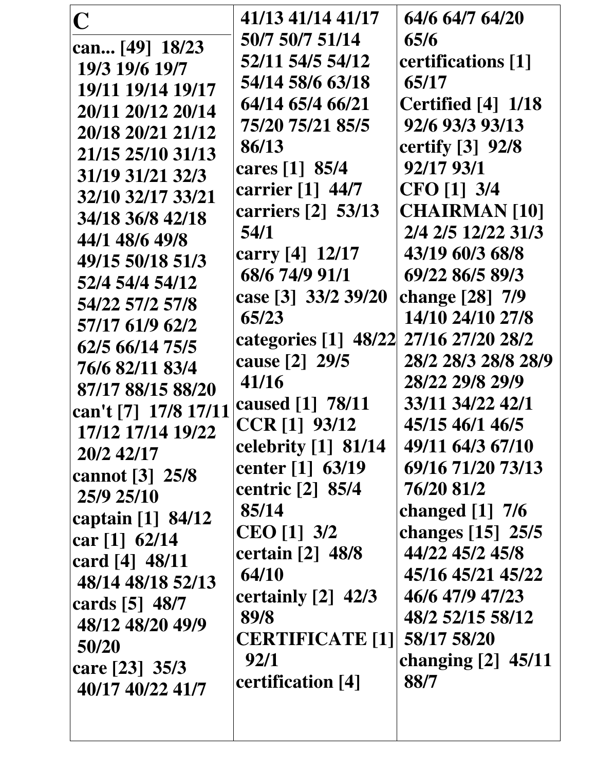| $\mathbf C$          | 41/13 41/14 41/17      | 64/6 64/7 64/20      |
|----------------------|------------------------|----------------------|
| can [49] 18/23       | 50/7 50/7 51/14        | 65/6                 |
| 19/3 19/6 19/7       | 52/11 54/5 54/12       | certifications [1]   |
| 19/11 19/14 19/17    | 54/14 58/6 63/18       | 65/17                |
| 20/11 20/12 20/14    | 64/14 65/4 66/21       | Certified [4] 1/18   |
| 20/18 20/21 21/12    | 75/20 75/21 85/5       | 92/6 93/3 93/13      |
| 21/15 25/10 31/13    | 86/13                  | certify [3] 92/8     |
| 31/19 31/21 32/3     | cares [1] 85/4         | 92/17 93/1           |
| 32/10 32/17 33/21    | carrier [1] 44/7       | CFO [1] 3/4          |
| 34/18 36/8 42/18     | carriers [2] 53/13     | <b>CHAIRMAN [10]</b> |
| 44/1 48/6 49/8       | 54/1                   | 2/4 2/5 12/22 31/3   |
| 49/15 50/18 51/3     | carry [4] 12/17        | 43/19 60/3 68/8      |
| 52/4 54/4 54/12      | 68/6 74/9 91/1         | 69/22 86/5 89/3      |
| 54/22 57/2 57/8      | case [3] 33/2 39/20    | change [28] 7/9      |
| 57/17 61/9 62/2      | 65/23                  | 14/10 24/10 27/8     |
| 62/5 66/14 75/5      | categories [1] 48/22   | 27/16 27/20 28/2     |
| 76/6 82/11 83/4      | cause [2] 29/5         | 28/2 28/3 28/8 28/9  |
| 87/17 88/15 88/20    | 41/16                  | 28/22 29/8 29/9      |
| can't [7] 17/8 17/11 | caused [1] 78/11       | 33/11 34/22 42/1     |
| 17/12 17/14 19/22    | CCR [1] 93/12          | 45/15 46/1 46/5      |
| 20/2 42/17           | celebrity [1] 81/14    | 49/11 64/3 67/10     |
| cannot [3] 25/8      | center [1] 63/19       | 69/16 71/20 73/13    |
| 25/9 25/10           | centric [2] 85/4       | 76/20 81/2           |
| captain [1] 84/12    | 85/14                  | changed $[1]$ 7/6    |
| car $[1]$ 62/14      | <b>CEO</b> [1] 3/2     | changes [15] 25/5    |
| card $[4]$ 48/11     | certain [2] 48/8       | 44/22 45/2 45/8      |
| 48/14 48/18 52/13    | 64/10                  | 45/16 45/21 45/22    |
| cards [5] 48/7       | certainly [2] 42/3     | 46/6 47/9 47/23      |
| 48/12 48/20 49/9     | 89/8                   | 48/2 52/15 58/12     |
| 50/20                | <b>CERTIFICATE [1]</b> | 58/17 58/20          |
| care [23] 35/3       | 92/1                   | changing $[2]$ 45/11 |
| 40/17 40/22 41/7     | certification [4]      | 88/7                 |
|                      |                        |                      |
|                      |                        |                      |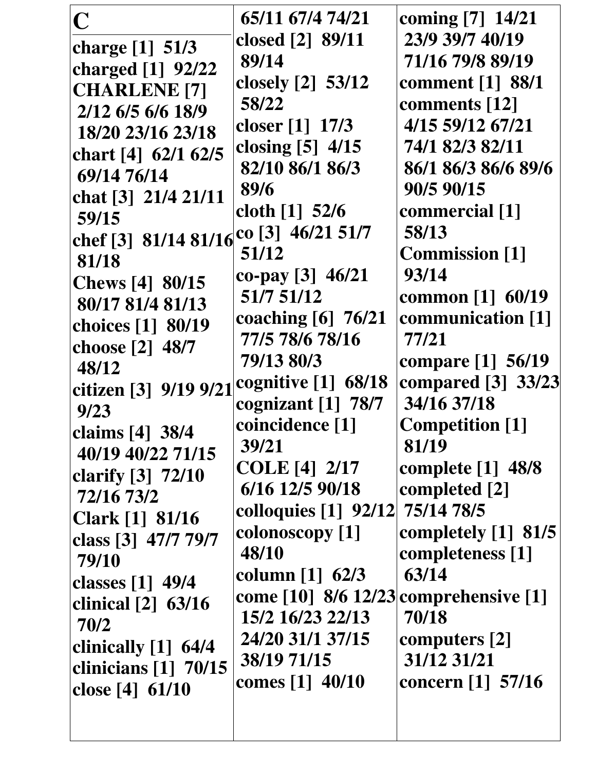| $\mathbf C$            | 65/11 67/4 74/21                      | coming [7] 14/21        |
|------------------------|---------------------------------------|-------------------------|
| charge [1] 51/3        | closed [2] 89/11                      | 23/9 39/7 40/19         |
| charged [1] 92/22      | 89/14                                 | 71/16 79/8 89/19        |
| <b>CHARLENE</b> [7]    | closely $[2]$ 53/12                   | <b>comment</b> [1] 88/1 |
| 2/12 6/5 6/6 18/9      | 58/22                                 | comments [12]           |
| 18/20 23/16 23/18      | closer [1] 17/3                       | 4/15 59/12 67/21        |
|                        | closing $[5]$ 4/15                    | 74/1 82/3 82/11         |
| chart [4] 62/1 62/5    | 82/10 86/1 86/3                       | 86/1 86/3 86/6 89/6     |
| 69/14 76/14            | 89/6                                  | 90/5 90/15              |
| chat [3] 21/4 21/11    | cloth $[1]$ 52/6                      | commercial [1]          |
| 59/15                  | co [3] 46/21 51/7                     | 58/13                   |
| chef [3] 81/14 81/16   | 51/12                                 | <b>Commission</b> [1]   |
| 81/18                  | co-pay $[3]$ 46/21                    | 93/14                   |
| <b>Chews</b> [4] 80/15 | 51/7 51/12                            | common [1] 60/19        |
| 80/17 81/4 81/13       | coaching [6] 76/21                    | communication [1]       |
| choices [1] 80/19      | 77/5 78/6 78/16                       | 77/21                   |
| choose [2] 48/7        | 79/13 80/3                            | compare [1] 56/19       |
| 48/12                  | cognitive $[1]$ 68/18                 | compared [3] 33/23      |
| citizen [3] 9/19 9/21  | cognizant $[1]$ 78/7                  | 34/16 37/18             |
| 9/23                   | coincidence [1]                       | <b>Competition</b> [1]  |
| claims [4] 38/4        | 39/21                                 | 81/19                   |
| 40/19 40/22 71/15      | <b>COLE</b> [4] 2/17                  | complete $[1]$ 48/8     |
| clarify [3] 72/10      | 6/16 12/5 90/18                       | completed [2]           |
| 72/16 73/2             | colloquies [1] 92/12 75/14 78/5       |                         |
| <b>Clark</b> [1] 81/16 |                                       |                         |
| class [3] 47/7 79/7    | colonoscopy [1]                       | completely $[1]$ 81/5   |
| 79/10                  | 48/10                                 | completeness [1]        |
| classes [1] 49/4       | column $[1]$ 62/3                     | 63/14                   |
| clinical $[2]$ 63/16   | come [10] 8/6 12/23 comprehensive [1] |                         |
| 70/2                   | 15/2 16/23 22/13                      | 70/18                   |
| clinically $[1]$ 64/4  | 24/20 31/1 37/15                      | computers $[2]$         |
| clinicians $[1]$ 70/15 | 38/19 71/15                           | 31/12 31/21             |
| close [4] 61/10        | comes [1] 40/10                       | concern [1] 57/16       |
|                        |                                       |                         |
|                        |                                       |                         |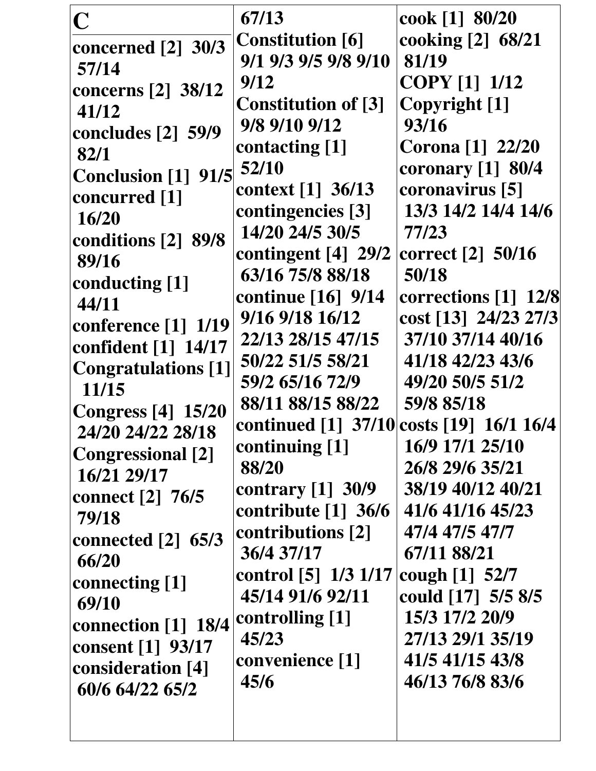| $\overline{\mathbf{C}}$<br>concerned [2] 30/3<br>57/14<br>concerns $[2]$ 38/12<br>41/12<br>concludes [2] 59/9<br>82/1<br><b>Conclusion</b> [1] 91/5<br>concurred [1]<br>16/20<br>conditions [2] 89/8<br>89/16<br>conducting [1]<br>44/11<br>conference [1] 1/19<br>confident [1] 14/17<br><b>Congratulations</b> [1]<br>11/15<br><b>Congress</b> [4] 15/20<br>24/20 24/22 28/18<br><b>Congressional [2]</b><br>16/21 29/17<br>connect [2] 76/5<br>79/18<br>connected $[2]$ 65/3<br>66/20<br>connecting [1]<br>69/10<br>connection [1] 18/4<br>consent [1] 93/17<br>consideration [4]<br>60/6 64/22 65/2 | 67/13<br><b>Constitution</b> [6]<br>9/1 9/3 9/5 9/8 9/10<br>9/12<br><b>Constitution of [3]</b><br>9/8 9/10 9/12<br>contacting [1]<br>52/10<br>context [1] 36/13<br>contingencies [3]<br>14/20 24/5 30/5<br>contingent $[4]$ 29/2<br>63/16 75/8 88/18<br>continue [16] 9/14<br>9/16 9/18 16/12<br>22/13 28/15 47/15<br>50/22 51/5 58/21<br>59/2 65/16 72/9<br>88/11 88/15 88/22<br>continued [1] 37/10 costs [19] 16/1 16/4<br>continuing [1]<br>88/20<br>contrary $[1]$ 30/9<br>contribute $[1]$ 36/6<br>contributions [2]<br>36/4 37/17<br>control [5] 1/3 1/17<br>45/14 91/6 92/11<br>controlling [1]<br>45/23<br>convenience [1]<br>45/6 | cook [1] 80/20<br>cooking [2] 68/21<br>81/19<br><b>COPY</b> [1] 1/12<br>Copyright [1]<br>93/16<br><b>Corona</b> [1] 22/20<br>coronary [1] 80/4<br>coronavirus [5]<br>13/3 14/2 14/4 14/6<br>77/23<br>correct [2] 50/16<br>50/18<br>corrections [1] 12/8<br>cost [13] 24/23 27/3<br>37/10 37/14 40/16<br>41/18 42/23 43/6<br>49/20 50/5 51/2<br>59/8 85/18<br>16/9 17/1 25/10<br>26/8 29/6 35/21<br>38/19 40/12 40/21<br>41/6 41/16 45/23<br>47/4 47/5 47/7<br>67/11 88/21<br>cough $[1]$ 52/7<br>could [17] 5/5 8/5<br>15/3 17/2 20/9<br>27/13 29/1 35/19<br>41/5 41/15 43/8<br>46/13 76/8 83/6 |
|---------------------------------------------------------------------------------------------------------------------------------------------------------------------------------------------------------------------------------------------------------------------------------------------------------------------------------------------------------------------------------------------------------------------------------------------------------------------------------------------------------------------------------------------------------------------------------------------------------|---------------------------------------------------------------------------------------------------------------------------------------------------------------------------------------------------------------------------------------------------------------------------------------------------------------------------------------------------------------------------------------------------------------------------------------------------------------------------------------------------------------------------------------------------------------------------------------------------------------------------------------------|-------------------------------------------------------------------------------------------------------------------------------------------------------------------------------------------------------------------------------------------------------------------------------------------------------------------------------------------------------------------------------------------------------------------------------------------------------------------------------------------------------------------------------------------------------------------------------------------------|
|---------------------------------------------------------------------------------------------------------------------------------------------------------------------------------------------------------------------------------------------------------------------------------------------------------------------------------------------------------------------------------------------------------------------------------------------------------------------------------------------------------------------------------------------------------------------------------------------------------|---------------------------------------------------------------------------------------------------------------------------------------------------------------------------------------------------------------------------------------------------------------------------------------------------------------------------------------------------------------------------------------------------------------------------------------------------------------------------------------------------------------------------------------------------------------------------------------------------------------------------------------------|-------------------------------------------------------------------------------------------------------------------------------------------------------------------------------------------------------------------------------------------------------------------------------------------------------------------------------------------------------------------------------------------------------------------------------------------------------------------------------------------------------------------------------------------------------------------------------------------------|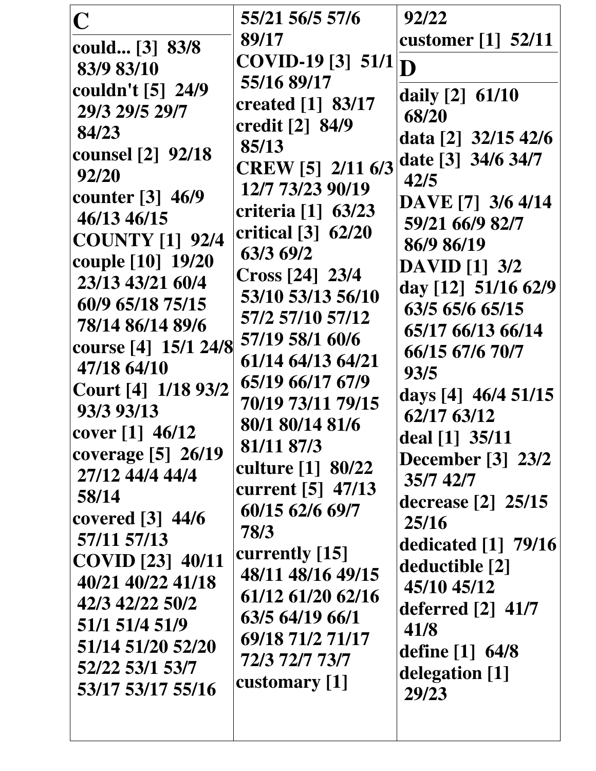| $\overline{\mathbf{C}}$<br>could [3] 83/8<br>83/9 83/10<br>couldn't [5] 24/9<br>29/3 29/5 29/7<br>84/23<br><b>counsel</b> [2] 92/18<br>92/20<br>counter [3] 46/9<br>46/13 46/15<br><b>COUNTY [1] 92/4</b><br>couple [10] 19/20<br>23/13 43/21 60/4<br>60/9 65/18 75/15<br>78/14 86/14 89/6<br>course [4] 15/1 24/8<br>47/18 64/10<br>Court [4] 1/18 93/2<br>93/3 93/13<br>cover $[1]$ 46/12<br>coverage [5] 26/19<br>27/12 44/4 44/4<br>58/14<br>covered $\lceil 3 \rceil$ 44/6<br>57/11 57/13<br><b>COVID</b> [23] 40/11 | 55/21 56/5 57/6<br>89/17<br>COVID-19 [3] 51/1<br>55/16 89/17<br>created [1] 83/17<br>credit [2] 84/9<br>85/13<br><b>CREW</b> [5] 2/11 6/3<br>12/7 73/23 90/19<br>criteria [1] 63/23<br>critical [3] 62/20<br>63/3 69/2<br>Cross [24] 23/4<br>53/10 53/13 56/10<br>57/2 57/10 57/12<br>57/19 58/1 60/6<br>61/14 64/13 64/21<br>65/19 66/17 67/9<br>70/19 73/11 79/15<br>80/1 80/14 81/6<br>81/11 87/3<br>culture [1] 80/22<br>current [5] 47/13<br>60/15 62/6 69/7<br>78/3<br>currently [15]<br>48/11 48/16 49/15 | 92/22<br>customer [1] 52/11<br>D<br>daily $[2]$ 61/10<br>68/20<br>data [2] 32/15 42/6<br>date [3] 34/6 34/7<br>42/5<br>DAVE [7] 3/6 4/14<br>59/21 66/9 82/7<br>86/9 86/19<br><b>DAVID</b> [1] 3/2<br>day [12] 51/16 62/9<br>63/5 65/6 65/15<br>65/17 66/13 66/14<br>66/15 67/6 70/7<br>93/5<br>days [4] 46/4 51/15<br>62/17 63/12<br>deal [1] 35/11<br><b>December</b> [3] 23/2<br>35/7 42/7<br>decrease [2] 25/15<br>25/16<br>dedicated $[1]$ 79/16<br>deductible [2] |
|---------------------------------------------------------------------------------------------------------------------------------------------------------------------------------------------------------------------------------------------------------------------------------------------------------------------------------------------------------------------------------------------------------------------------------------------------------------------------------------------------------------------------|------------------------------------------------------------------------------------------------------------------------------------------------------------------------------------------------------------------------------------------------------------------------------------------------------------------------------------------------------------------------------------------------------------------------------------------------------------------------------------------------------------------|------------------------------------------------------------------------------------------------------------------------------------------------------------------------------------------------------------------------------------------------------------------------------------------------------------------------------------------------------------------------------------------------------------------------------------------------------------------------|
| 40/21 40/22 41/18<br>42/3 42/22 50/2<br>51/1 51/4 51/9<br>51/14 51/20 52/20<br>52/22 53/1 53/7<br>53/17 53/17 55/16                                                                                                                                                                                                                                                                                                                                                                                                       | 61/12 61/20 62/16<br>63/5 64/19 66/1<br>69/18 71/2 71/17<br>72/3 72/7 73/7<br>customary [1]                                                                                                                                                                                                                                                                                                                                                                                                                      | 45/10 45/12<br>deferred $\lceil 2 \rceil$ 41/7<br>41/8<br>define [1] 64/8<br>delegation [1]<br>29/23                                                                                                                                                                                                                                                                                                                                                                   |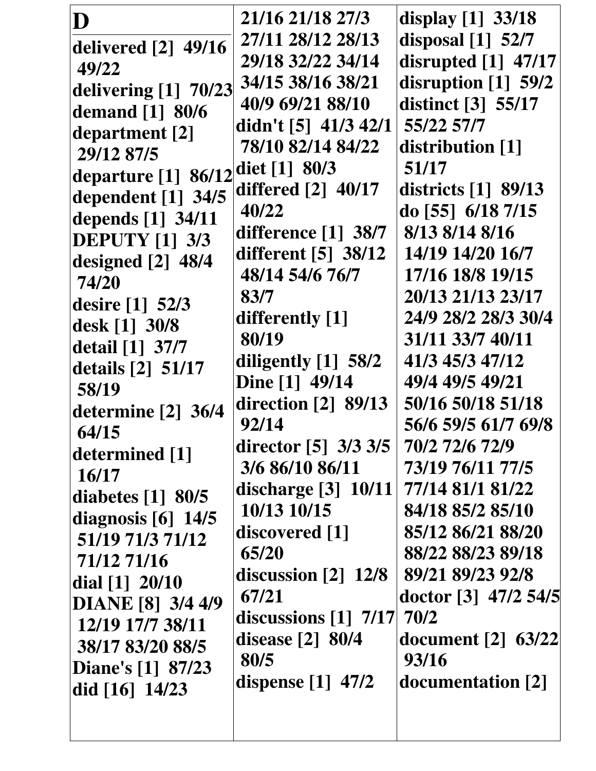| D                               | 21/16 21/18 27/3                  | display [1] 33/18         |
|---------------------------------|-----------------------------------|---------------------------|
| delivered [2] 49/16             | 27/11 28/12 28/13                 | disposal [1] 52/7         |
| 49/22                           | 29/18 32/22 34/14                 | disrupted [1] 47/17       |
| delivering [1] 70/23            | 34/15 38/16 38/21                 | disruption [1] 59/2       |
| demand [1] 80/6                 | 40/9 69/21 88/10                  | distinct [3] 55/17        |
| department [2]                  | didn't $[5]$ 41/3 42/1            | 55/22 57/7                |
| 29/12 87/5                      | 78/10 82/14 84/22                 | distribution [1]          |
| departure $[1]$ 86/12           | diet $[1] 80/3$                   | 51/17                     |
| dependent [1] 34/5              | differed [2] 40/17                | districts [1] 89/13       |
| depends [1] 34/11               | 40/22                             | do [55] $6/18$ 7/15       |
| <b>DEPUTY [1] 3/3</b>           | difference $[1]$ 38/7             | 8/13 8/14 8/16            |
| designed [2] 48/4               | different [5] 38/12               | 14/19 14/20 16/7          |
| 74/20                           | 48/14 54/6 76/7                   | 17/16 18/8 19/15          |
| desire [1] 52/3                 | 83/7                              | 20/13 21/13 23/17         |
| desk [1] 30/8                   | differently [1]                   | 24/9 28/2 28/3 30/4       |
| detail [1] 37/7                 | 80/19                             | 31/11 33/7 40/11          |
| details [2] 51/17               | diligently [1] 58/2               | 41/3 45/3 47/12           |
| 58/19                           | Dine [1] 49/14                    | 49/4 49/5 49/21           |
| determine $[2]$ 36/4            | direction $\lceil 2 \rceil$ 89/13 | 50/16 50/18 51/18         |
| 64/15                           | 92/14                             | 56/6 59/5 61/7 69/8       |
| determined [1]                  | director $[5]$ 3/3 3/5            | 70/2 72/6 72/9            |
| 16/17                           | 3/6 86/10 86/11                   | 73/19 76/11 77/5          |
| diabetes $\lceil 1 \rceil$ 80/5 | discharge $[3]$ 10/11             | 77/14 81/1 81/22          |
| diagnosis $[6]$ 14/5            | 10/13 10/15                       | 84/18 85/2 85/10          |
| 51/19 71/3 71/12                | discovered [1]                    | 85/12 86/21 88/20         |
| 71/12 71/16                     | 65/20                             | 88/22 88/23 89/18         |
| dial $[1]$ 20/10                | discussion $\lceil 2 \rceil$ 12/8 | 89/21 89/23 92/8          |
| DIANE [8] 3/4 4/9               | 67/21                             | doctor [3] 47/2 54/5      |
| 12/19 17/7 38/11                | discussions [1] 7/17              | 70/2                      |
| 38/17 83/20 88/5                | disease $[2]$ 80/4                | <b>document</b> [2] 63/22 |
| Diane's [1] 87/23               | 80/5                              | 93/16                     |
| did $[16]$ 14/23                | dispense $[1]$ 47/2               | documentation [2]         |
|                                 |                                   |                           |
|                                 |                                   |                           |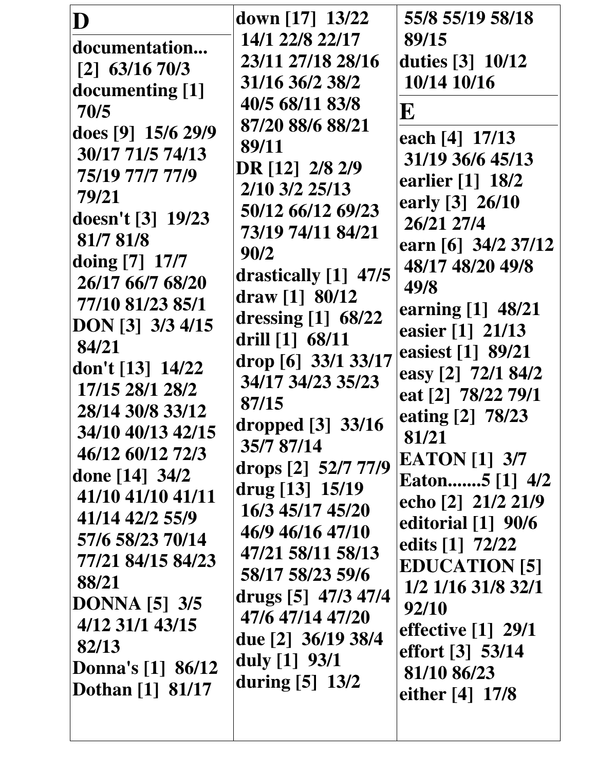| D                                    | down [17] 13/22                         | 55/8 55/19 58/18                        |
|--------------------------------------|-----------------------------------------|-----------------------------------------|
| documentation                        | 14/1 22/8 22/17<br>23/11 27/18 28/16    | 89/15<br>duties [3] 10/12               |
| $[2]$ 63/16 70/3                     | 31/16 36/2 38/2                         | 10/14 10/16                             |
| documenting [1]<br>70/5              | 40/5 68/11 83/8                         | $\bf E$                                 |
| does [9] 15/6 29/9                   | 87/20 88/6 88/21                        | each [4] 17/13                          |
| 30/17 71/5 74/13                     | 89/11                                   | 31/19 36/6 45/13                        |
| 75/19 77/7 77/9                      | DR [12] 2/8 2/9<br>2/10 3/2 25/13       | earlier [1] 18/2                        |
| 79/21                                | 50/12 66/12 69/23                       | early [3] 26/10                         |
| doesn't [3] 19/23<br>81/7 81/8       | 73/19 74/11 84/21                       | 26/21 27/4                              |
| doing [7] 17/7                       | 90/2                                    | earn [6] 34/2 37/12<br>48/17 48/20 49/8 |
| 26/17 66/7 68/20                     | drastically [1] 47/5                    | 49/8                                    |
| 77/10 81/23 85/1                     | draw [1] $80/12$                        | earning [1] 48/21                       |
| DON [3] 3/3 4/15                     | dressing [1] 68/22<br>drill [1] 68/11   | easier [1] 21/13                        |
| 84/21                                | drop [6] 33/1 33/17                     | easiest [1] 89/21                       |
| don't [13] 14/22<br>17/15 28/1 28/2  | 34/17 34/23 35/23                       | easy [2] 72/1 84/2                      |
| 28/14 30/8 33/12                     | 87/15                                   | eat [2] 78/22 79/1<br>eating [2] 78/23  |
| 34/10 40/13 42/15                    | dropped [3] 33/16                       | 81/21                                   |
| 46/12 60/12 72/3                     | 35/7 87/14                              | <b>EATON</b> [1] 3/7                    |
| done [14] 34/2                       | drops [2] 52/7 77/9<br>drug [13] 15/19  | Eaton5 [1] 4/2                          |
| 41/10 41/10 41/11<br>41/14 42/2 55/9 | 16/3 45/17 45/20                        | echo [2] 21/2 21/9                      |
| 57/6 58/23 70/14                     | 46/9 46/16 47/10                        | editorial $[1]$ 90/6                    |
| 77/21 84/15 84/23                    | 47/21 58/11 58/13                       | edits [1] 72/22<br><b>EDUCATION [5]</b> |
| 88/21                                | 58/17 58/23 59/6                        | 1/2 1/16 31/8 32/1                      |
| <b>DONNA</b> [5] 3/5                 | drugs [5] 47/3 47/4<br>47/6 47/14 47/20 | 92/10                                   |
| 4/12 31/1 43/15                      | due [2] 36/19 38/4                      | effective $\lceil 1 \rceil$ 29/1        |
| 82/13<br><b>Donna's</b> [1] 86/12    | duly $[1] 93/1$                         | effort [3] 53/14                        |
| <b>Dothan</b> [1] 81/17              | during $[5]$ 13/2                       | 81/10 86/23<br>either $[4] 17/8$        |
|                                      |                                         |                                         |
|                                      |                                         |                                         |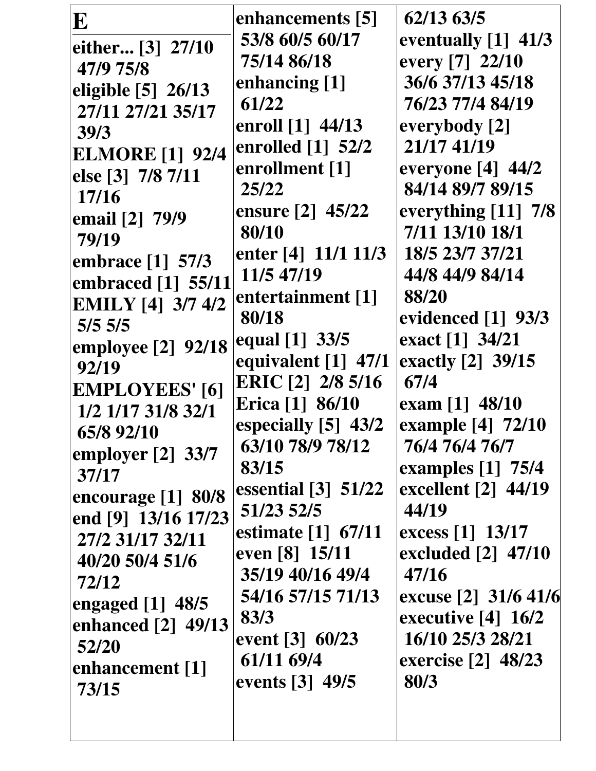|                          | enhancements [5]                                  | 62/13 63/5                        |
|--------------------------|---------------------------------------------------|-----------------------------------|
| E                        | 53/8 60/5 60/17                                   | eventually $[1]$ 41/3             |
| either [3] 27/10         | 75/14 86/18                                       | every [7] 22/10                   |
| 47/9 75/8                |                                                   | 36/6 37/13 45/18                  |
| eligible $[5]$ 26/13     | enhancing [1]                                     |                                   |
| 27/11 27/21 35/17        | 61/22                                             | 76/23 77/4 84/19                  |
| 39/3                     | enroll [1] 44/13                                  | everybody [2]                     |
| <b>ELMORE</b> [1] 92/4   | enrolled $[1]$ 52/2                               | 21/17 41/19                       |
| else [3] 7/8 7/11        | enrollment [1]                                    | everyone $[4]$ 44/2               |
| 17/16                    | 25/22                                             | 84/14 89/7 89/15                  |
| email [2] 79/9           | ensure [2] 45/22                                  | everything [11] 7/8               |
| 79/19                    | 80/10                                             | 7/11 13/10 18/1                   |
| embrace [1] 57/3         | enter [4] 11/1 11/3                               | 18/5 23/7 37/21                   |
| embraced [1] 55/11       | 11/5 47/19                                        | 44/8 44/9 84/14                   |
| <b>EMILY</b> [4] 3/7 4/2 | entertainment [1]                                 | 88/20                             |
| $5/5$ 5/5                | 80/18                                             | evidenced [1] 93/3                |
| employee [2] 92/18       | equal [1] 33/5                                    | exact [1] 34/21                   |
| 92/19                    | equivalent $[1]$ 47/1                             | exactly [2] 39/15                 |
| <b>EMPLOYEES'</b> [6]    | ERIC [2] 2/8 5/16                                 | 67/4                              |
| 1/2 1/17 31/8 32/1       | Erica [1] 86/10                                   | exam [1] 48/10                    |
| 65/8 92/10               | especially [5] 43/2                               | example [4] 72/10                 |
| employer $[2]$ 33/7      | 63/10 78/9 78/12                                  | 76/4 76/4 76/7                    |
| 37/17                    | 83/15                                             | examples [1] 75/4                 |
| encourage $[1]$ 80/8     | essential $\begin{bmatrix} 3 \end{bmatrix}$ 51/22 | excellent $\lceil 2 \rceil$ 44/19 |
| end [9] 13/16 17/23      | 51/23 52/5                                        | 44/19                             |
| 27/2 31/17 32/11         | estimate [1] 67/11                                | excess $[1]$ 13/17                |
| 40/20 50/4 51/6          | even [8] 15/11                                    | excluded [2] 47/10                |
| 72/12                    | 35/19 40/16 49/4                                  | 47/16                             |
| engaged $[1]$ 48/5       | 54/16 57/15 71/13                                 | excuse [2] 31/6 41/6              |
| enhanced [2] 49/13       | 83/3                                              | executive [4] 16/2                |
| 52/20                    | event $[3] 60/23$                                 | 16/10 25/3 28/21                  |
| enhancement [1]          | 61/11 69/4                                        | exercise [2] 48/23                |
| 73/15                    | events [3] 49/5                                   | 80/3                              |
|                          |                                                   |                                   |
|                          |                                                   |                                   |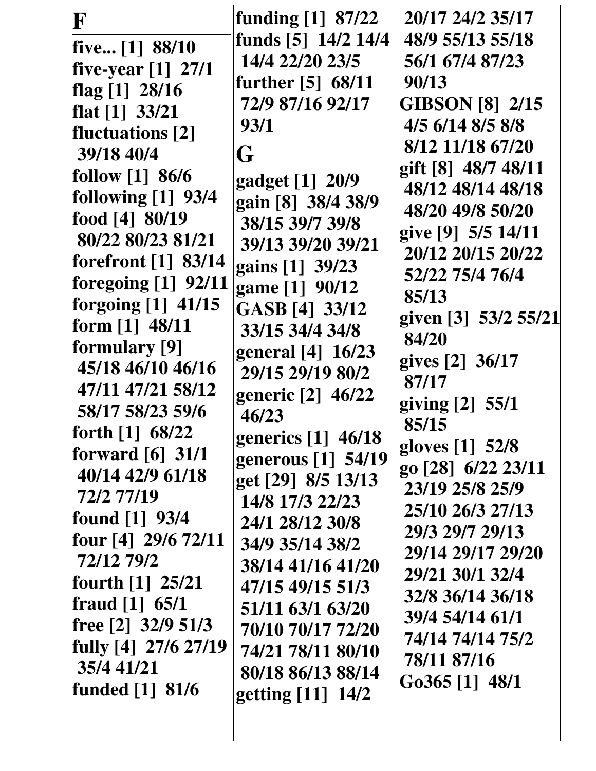| F                                | funding $[1]$ 87/22                   | 20/17 24/2 35/17            |
|----------------------------------|---------------------------------------|-----------------------------|
| five $[1]$ 88/10                 | funds [5] 14/2 14/4                   | 48/9 55/13 55/18            |
| five-year [1] 27/1               | 14/4 22/20 23/5                       | 56/1 67/4 87/23             |
| flag [1] 28/16                   | further [5] 68/11                     | 90/13                       |
| flat $[1]$ 33/21                 | 72/9 87/16 92/17                      | <b>GIBSON [8] 2/15</b>      |
| fluctuations [2]                 | 93/1                                  | 4/5 6/14 8/5 8/8            |
| 39/18 40/4                       | G                                     | 8/12 11/18 67/20            |
| follow $[1]$ 86/6                |                                       | gift [8] 48/7 48/11         |
| following $[1]$ 93/4             | gadget [1] 20/9                       | 48/12 48/14 48/18           |
| food [4] 80/19                   | gain [8] 38/4 38/9                    | 48/20 49/8 50/20            |
| 80/22 80/23 81/21                | 38/15 39/7 39/8                       | give [9] 5/5 14/11          |
| forefront [1] 83/14              | 39/13 39/20 39/21                     | 20/12 20/15 20/22           |
| foregoing $[1]$ 92/11            | gains [1] 39/23                       | 52/22 75/4 76/4             |
| forgoing [1] 41/15               | game [1] 90/12                        | 85/13                       |
| form $[1]$ 48/11                 | GASB [4] 33/12                        | given [3] 53/2 55/21        |
| formulary [9]                    | 33/15 34/4 34/8                       | 84/20                       |
| 45/18 46/10 46/16                | general [4] 16/23                     | gives [2] 36/17             |
| 47/11 47/21 58/12                | 29/15 29/19 80/2                      | 87/17                       |
| 58/17 58/23 59/6                 | generic [2] 46/22                     | giving [2] 55/1             |
| forth [1] 68/22                  | 46/23                                 | 85/15                       |
| forward $\lceil 6 \rceil$ 31/1   | generics [1] 46/18                    | gloves [1] 52/8             |
| 40/14 42/9 61/18                 | generous [1] 54/19                    | go [28] 6/22 23/11          |
| 72/2 77/19                       | get [29] 8/5 13/13                    | 23/19 25/8 25/9             |
| found $[1]$ 93/4                 | 14/8 17/3 22/23                       | 25/10 26/3 27/13            |
| four $[4]$ 29/6 72/11            | 24/1 28/12 30/8                       | 29/3 29/7 29/13             |
| 72/12 79/2                       | 34/9 35/14 38/2                       | 29/14 29/17 29/20           |
| fourth $[1]$ 25/21               | 38/14 41/16 41/20<br>47/15 49/15 51/3 | 29/21 30/1 32/4             |
| fraud [1] 65/1                   |                                       | 32/8 36/14 36/18            |
| free $\lceil 2 \rceil$ 32/9 51/3 | 51/11 63/1 63/20<br>70/10 70/17 72/20 | 39/4 54/14 61/1             |
| fully $[4]$ 27/6 27/19           | 74/21 78/11 80/10                     | 74/14 74/14 75/2            |
| 35/4 41/21                       | 80/18 86/13 88/14                     | 78/11 87/16                 |
| funded $[1]$ 81/6                |                                       | G <sub>0</sub> 365 [1] 48/1 |
|                                  | getting [11] 14/2                     |                             |
|                                  |                                       |                             |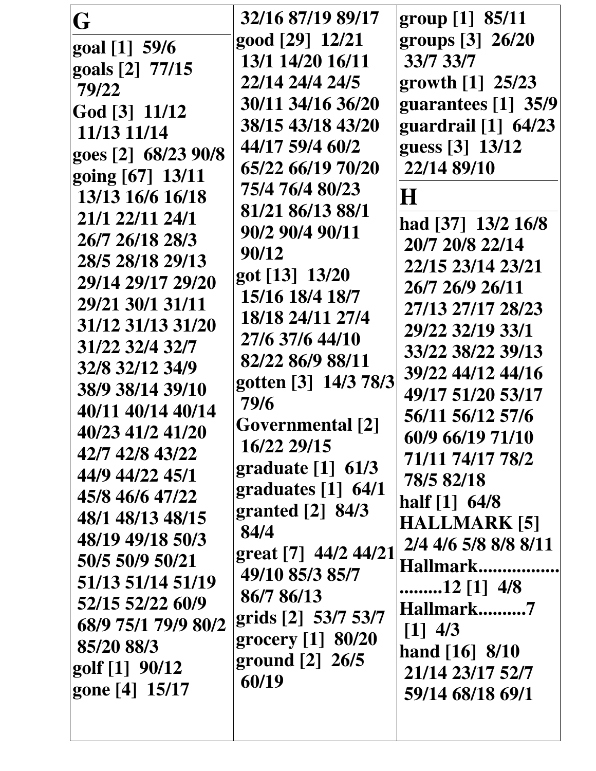|  | half $[1]$ 64/8<br>granted $[2]$ 84/3<br>48/1 48/13 48/15<br><b>HALLMARK [5]</b><br>84/4<br>48/19 49/18 50/3<br>2/4 4/6 5/8 8/8 8/11<br>great [7] 44/2 44/21<br>50/5 50/9 50/21<br>Hallmark<br>49/10 85/3 85/7<br>51/13 51/14 51/19<br>12 [1] $4/8$<br>86/7 86/13<br>52/15 52/22 60/9<br>Hallmark7<br>grids [2] 53/7 53/7<br>68/9 75/1 79/9 80/2<br>$[1]$ 4/3<br>grocery [1] 80/20<br>85/20 88/3<br>hand $[16] 8/10$<br>ground $\lceil 2 \rceil \cdot 26/5$<br>golf [1] 90/12<br>21/14 23/17 52/7<br>60/19<br>gone [4] 15/17<br>59/14 68/18 69/1 |
|--|--------------------------------------------------------------------------------------------------------------------------------------------------------------------------------------------------------------------------------------------------------------------------------------------------------------------------------------------------------------------------------------------------------------------------------------------------------------------------------------------------------------------------------------------------|
|--|--------------------------------------------------------------------------------------------------------------------------------------------------------------------------------------------------------------------------------------------------------------------------------------------------------------------------------------------------------------------------------------------------------------------------------------------------------------------------------------------------------------------------------------------------|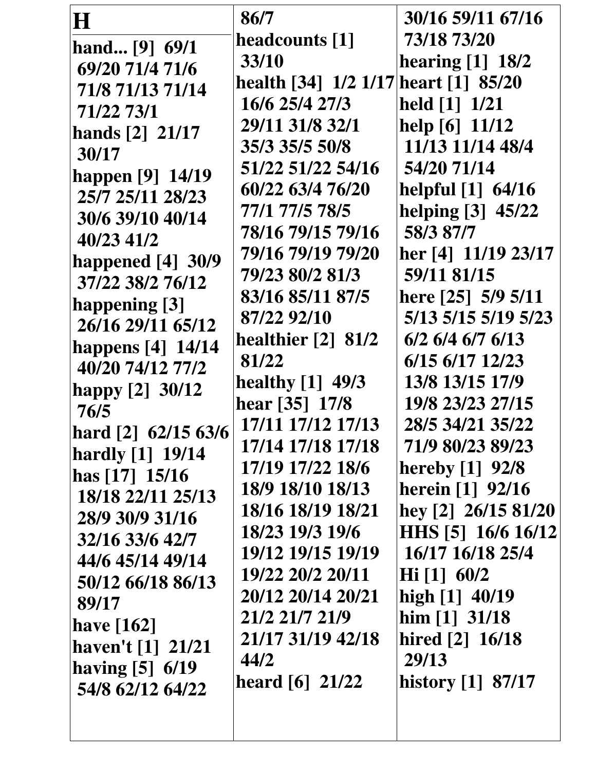| H                   | 86/7                                 | 30/16 59/11 67/16          |
|---------------------|--------------------------------------|----------------------------|
| hand [9] 69/1       | headcounts [1]                       | 73/18 73/20                |
| 69/20 71/4 71/6     | 33/10                                | hearing $[1]$ 18/2         |
| 71/8 71/13 71/14    | health [34] 1/2 1/17 heart [1] 85/20 |                            |
| 71/22 73/1          | 16/6 25/4 27/3                       | held [1] 1/21              |
|                     | 29/11 31/8 32/1                      | help [6] 11/12             |
| hands [2] 21/17     | 35/3 35/5 50/8                       | 11/13 11/14 48/4           |
| 30/17               | 51/22 51/22 54/16                    | 54/20 71/14                |
| happen [9] 14/19    | 60/22 63/4 76/20                     | helpful [1] 64/16          |
| 25/7 25/11 28/23    | 77/1 77/5 78/5                       | helping [3] 45/22          |
| 30/6 39/10 40/14    | 78/16 79/15 79/16                    | 58/3 87/7                  |
| 40/23 41/2          | 79/16 79/19 79/20                    | her [4] 11/19 23/17        |
| happened $[4]$ 30/9 | 79/23 80/2 81/3                      | 59/11 81/15                |
| 37/22 38/2 76/12    | 83/16 85/11 87/5                     | here [25] 5/9 5/11         |
| happening [3]       | 87/22 92/10                          | 5/13 5/15 5/19 5/23        |
| 26/16 29/11 65/12   | healthier [2] 81/2                   | 6/2 6/4 6/7 6/13           |
| happens [4] 14/14   | 81/22                                | 6/15 6/17 12/23            |
| 40/20 74/12 77/2    | <b>healthy</b> [1] 49/3              | 13/8 13/15 17/9            |
| happy [2] 30/12     | hear [35] 17/8                       | 19/8 23/23 27/15           |
| 76/5                | 17/11 17/12 17/13                    | 28/5 34/21 35/22           |
| hard [2] 62/15 63/6 | 17/14 17/18 17/18                    | 71/9 80/23 89/23           |
| hardly [1] 19/14    | 17/19 17/22 18/6                     | <b>hereby</b> [1] 92/8     |
| has $[17] 15/16$    | 18/9 18/10 18/13                     | <b>herein</b> [1] 92/16    |
| 18/18 22/11 25/13   | 18/16 18/19 18/21                    | hey [2] 26/15 81/20        |
| 28/9 30/9 31/16     | 18/23 19/3 19/6                      | HHS [5] 16/6 16/12         |
| 32/16 33/6 42/7     | 19/12 19/15 19/19                    | 16/17 16/18 25/4           |
| 44/6 45/14 49/14    |                                      |                            |
| 50/12 66/18 86/13   | 19/22 20/2 20/11                     | $\text{Hi} \, [1] \, 60/2$ |
| 89/17               | 20/12 20/14 20/21                    | high [1] 40/19             |
| have $[162]$        | 21/2 21/7 21/9                       | him $[1]$ 31/18            |
| haven't $[1]$ 21/21 | 21/17 31/19 42/18                    | hired [2] 16/18            |
| having $[5]$ 6/19   | 44/2                                 | 29/13                      |
| 54/8 62/12 64/22    | heard $[6]$ 21/22                    | history [1] 87/17          |
|                     |                                      |                            |
|                     |                                      |                            |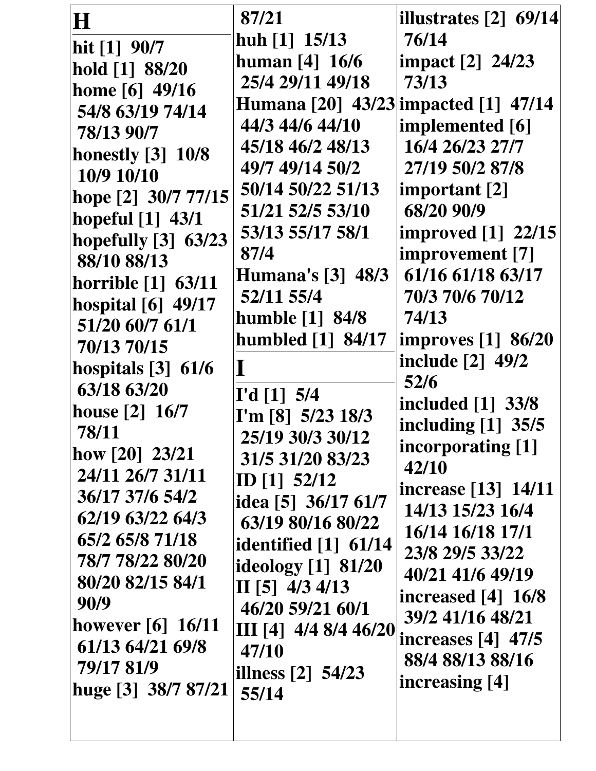| $\bf H$                   | 87/21                                | illustrates [2] 69/14     |
|---------------------------|--------------------------------------|---------------------------|
| hit $[1]$ 90/7            | huh $[1]$ 15/13                      | 76/14                     |
| hold [1] 88/20            | human $[4] 16/6$                     | impact [2] 24/23          |
| home [6] 49/16            | 25/4 29/11 49/18                     | 73/13                     |
| 54/8 63/19 74/14          | Humana [20] 43/23 impacted [1] 47/14 |                           |
| 78/13 90/7                | 44/3 44/6 44/10                      | implemented [6]           |
| <b>honestly</b> [3] 10/8  | 45/18 46/2 48/13                     | 16/4 26/23 27/7           |
| 10/9 10/10                | 49/7 49/14 50/2                      | 27/19 50/2 87/8           |
| hope [2] 30/7 77/15       | 50/14 50/22 51/13                    | important [2]             |
| hopeful [1] 43/1          | 51/21 52/5 53/10                     | 68/20 90/9                |
| hopefully [3] 63/23       | 53/13 55/17 58/1                     | <b>improved</b> [1] 22/15 |
| 88/10 88/13               | 87/4                                 | improvement [7]           |
| <b>horrible</b> [1] 63/11 | <b>Humana's [3] 48/3</b>             | 61/16 61/18 63/17         |
| hospital [6] 49/17        | 52/11 55/4                           | 70/3 70/6 70/12           |
| 51/20 60/7 61/1           | humble $[1]$ 84/8                    | 74/13                     |
| 70/13 70/15               | humbled $[1]$ 84/17                  | <b>improves</b> [1] 86/20 |
| hospitals $[3]$ 61/6      | $\bf{I}$                             | include [2] 49/2          |
| 63/18 63/20               |                                      | 52/6                      |
| house [2] 16/7            | I'd [1] 5/4<br>I'm [8] $5/23$ 18/3   | included [1] 33/8         |
| 78/11                     | 25/19 30/3 30/12                     | including [1] 35/5        |
| how $[20]$ 23/21          | 31/5 31/20 83/23                     | incorporating [1]         |
| 24/11 26/7 31/11          | ID $[1]$ 52/12                       | 42/10                     |
| 36/17 37/6 54/2           | idea [5] 36/17 61/7                  | increase [13] 14/11       |
| 62/19 63/22 64/3          | 63/19 80/16 80/22                    | 14/13 15/23 16/4          |
| 65/2 65/8 71/18           | <b>identified</b> [1] 61/14          | 16/14 16/18 17/1          |
| 78/7 78/22 80/20          | ideology $[1]$ 81/20                 | 23/8 29/5 33/22           |
| 80/20 82/15 84/1          | II $[5]$ 4/3 4/13                    | 40/21 41/6 49/19          |
| 90/9                      | 46/20 59/21 60/1                     | increased $[4]$ 16/8      |
| however $[6]$ 16/11       | III [4] $4/4$ 8/4 46/20              | 39/2 41/16 48/21          |
| 61/13 64/21 69/8          | 47/10                                | increases $[4]$ 47/5      |
| 79/17 81/9                | illness $[2]$ 54/23                  | 88/4 88/13 88/16          |
| huge [3] 38/7 87/21       | 55/14                                | increasing [4]            |
|                           |                                      |                           |
|                           |                                      |                           |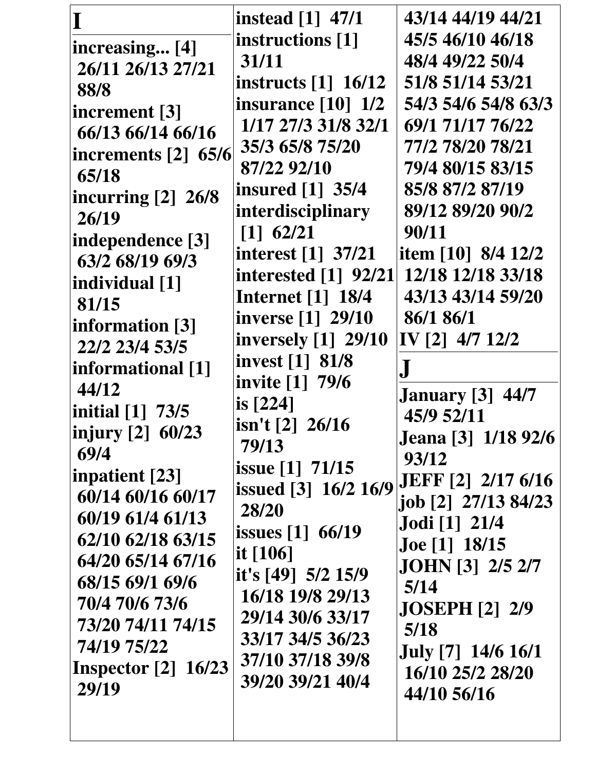|                       | <b>instead</b> [1] 47/1                           | 43/14 44/19 44/21                     |
|-----------------------|---------------------------------------------------|---------------------------------------|
| increasing [4]        | instructions [1]                                  | 45/5 46/10 46/18                      |
| 26/11 26/13 27/21     | 31/11                                             | 48/4 49/22 50/4                       |
| 88/8                  | instructs $\begin{bmatrix} 1 \end{bmatrix}$ 16/12 | 51/8 51/14 53/21                      |
| increment [3]         | insurance $\lceil 10 \rceil$ 1/2                  | 54/3 54/6 54/8 63/3                   |
| 66/13 66/14 66/16     | 1/17 27/3 31/8 32/1                               | 69/1 71/17 76/22                      |
| increments $[2]$ 65/6 | 35/3 65/8 75/20                                   | 77/2 78/20 78/21                      |
| 65/18                 | 87/22 92/10                                       | 79/4 80/15 83/15                      |
| incurring [2] 26/8    | insured [1] 35/4                                  | 85/8 87/2 87/19                       |
| 26/19                 | interdisciplinary                                 | 89/12 89/20 90/2                      |
| independence [3]      | $[1]$ 62/21                                       | 90/11                                 |
| 63/2 68/19 69/3       | <b>interest</b> [1] 37/21                         | item [10] 8/4 12/2                    |
| individual [1]        | <b>interested</b> [1] 92/21                       | 12/18 12/18 33/18                     |
| 81/15                 | <b>Internet</b> [1] 18/4                          | 43/13 43/14 59/20                     |
| information [3]       | inverse [1] 29/10                                 | 86/1 86/1                             |
| 22/2 23/4 53/5        | <b>inversely</b> [1] 29/10                        | IV [2] 4/7 12/2                       |
| informational [1]     | invest [1] 81/8                                   | ${\bf J}$                             |
| 44/12                 | invite [1] 79/6                                   |                                       |
| initial $[1]$ 73/5    | is $[224]$                                        | <b>January</b> [3] 44/7<br>45/9 52/11 |
| injury [2] 60/23      | $\sin'$ t [2] 26/16                               | <b>Jeana</b> [3] 1/18 92/6            |
| 69/4                  | 79/13                                             | 93/12                                 |
| inpatient [23]        | issue [1] 71/15                                   | <b>JEFF</b> [2] 2/17 6/16             |
| 60/14 60/16 60/17     | issued [3] 16/2 16/9                              | job [2] 27/13 84/23                   |
| 60/19 61/4 61/13      | 28/20                                             | <b>Jodi</b> [1] 21/4                  |
| 62/10 62/18 63/15     | <b>issues</b> [1] 66/19                           | <b>Joe</b> [1] 18/15                  |
| 64/20 65/14 67/16     | it $[106]$                                        | <b>JOHN</b> [3] 2/5 2/7               |
| 68/15 69/1 69/6       | it's [49] $5/2$ 15/9                              | 5/14                                  |
| 70/4 70/6 73/6        | 16/18 19/8 29/13                                  | <b>JOSEPH [2] 2/9</b>                 |
| 73/20 74/11 74/15     | 29/14 30/6 33/17                                  | 5/18                                  |
| 74/19 75/22           | 33/17 34/5 36/23                                  | July [7] 14/6 16/1                    |
| Inspector $[2]$ 16/23 | 37/10 37/18 39/8                                  | 16/10 25/2 28/20                      |
| 29/19                 | 39/20 39/21 40/4                                  | 44/10 56/16                           |
|                       |                                                   |                                       |
|                       |                                                   |                                       |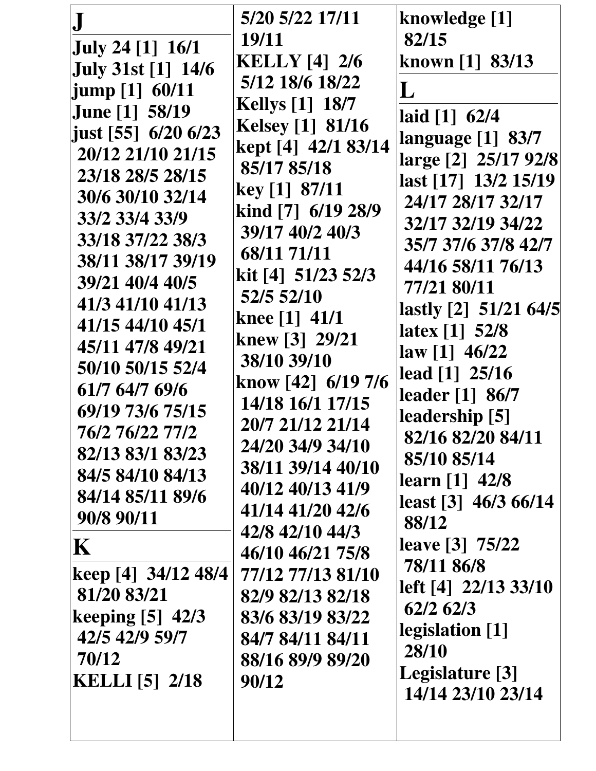| ${\bf J}$<br><b>July 24</b> [1] 16/1<br><b>July 31st [1] 14/6</b><br>jump [1] 60/11<br><b>June [1] 58/19</b><br>just [55] 6/20 6/23<br>20/12 21/10 21/15<br>23/18 28/5 28/15<br>30/6 30/10 32/14<br>33/2 33/4 33/9<br>33/18 37/22 38/3<br>38/11 38/17 39/19<br>39/21 40/4 40/5<br>41/3 41/10 41/13<br>41/15 44/10 45/1<br>45/11 47/8 49/21<br>50/10 50/15 52/4<br>61/7 64/7 69/6<br>69/19 73/6 75/15<br>76/2 76/22 77/2<br>82/13 83/1 83/23<br>84/5 84/10 84/13<br>84/14 85/11 89/6<br>90/8 90/11<br>$\mathbf K$<br>keep [4] 34/12 48/4<br>81/20 83/21<br>keeping $[5]$ 42/3<br>42/5 42/9 59/7<br>70/12<br><b>KELLI</b> [5] 2/18 | 5/20 5/22 17/11<br><b>19/11</b><br><b>KELLY</b> [4] 2/6<br>5/12 18/6 18/22<br><b>Kellys</b> [1] 18/7<br><b>Kelsey</b> [1] 81/16<br>kept [4] 42/1 83/14<br>85/17 85/18<br>key [1] 87/11<br>kind [7] 6/19 28/9<br>39/17 40/2 40/3<br>68/11 71/11<br>kit [4] 51/23 52/3<br>52/5 52/10<br>knee $[1]$ 41/1<br>knew [3] 29/21<br>38/10 39/10<br>know [42] 6/19 7/6<br>14/18 16/1 17/15<br>20/7 21/12 21/14<br>24/20 34/9 34/10<br>38/11 39/14 40/10<br>40/12 40/13 41/9<br>41/14 41/20 42/6<br>42/8 42/10 44/3<br>46/10 46/21 75/8<br>77/12 77/13 81/10<br>82/9 82/13 82/18<br>83/6 83/19 83/22<br>84/7 84/11 84/11<br>88/16 89/9 89/20<br>90/12 | knowledge [1]<br>82/15<br>known [1] 83/13<br>L<br>laid [1] 62/4<br>language [1] 83/7<br>large [2] 25/17 92/8<br>last [17] 13/2 15/19<br>24/17 28/17 32/17<br>32/17 32/19 34/22<br>35/7 37/6 37/8 42/7<br>44/16 58/11 76/13<br>77/21 80/11<br>lastly [2] 51/21 64/5<br>latex [1] 52/8<br>law [1] 46/22<br>lead [1] 25/16<br>leader [1] 86/7<br>leadership [5]<br>82/16 82/20 84/11<br>85/10 85/14<br>learn [1] 42/8<br>least [3] 46/3 66/14<br>88/12<br>leave [3] 75/22<br>78/11 86/8<br>left [4] 22/13 33/10<br>62/2 62/3<br>legislation [1]<br>28/10<br>Legislature [3]<br>14/14 23/10 23/14 |
|----------------------------------------------------------------------------------------------------------------------------------------------------------------------------------------------------------------------------------------------------------------------------------------------------------------------------------------------------------------------------------------------------------------------------------------------------------------------------------------------------------------------------------------------------------------------------------------------------------------------------------|--------------------------------------------------------------------------------------------------------------------------------------------------------------------------------------------------------------------------------------------------------------------------------------------------------------------------------------------------------------------------------------------------------------------------------------------------------------------------------------------------------------------------------------------------------------------------------------------------------------------------------------------|-----------------------------------------------------------------------------------------------------------------------------------------------------------------------------------------------------------------------------------------------------------------------------------------------------------------------------------------------------------------------------------------------------------------------------------------------------------------------------------------------------------------------------------------------------------------------------------------------|
|----------------------------------------------------------------------------------------------------------------------------------------------------------------------------------------------------------------------------------------------------------------------------------------------------------------------------------------------------------------------------------------------------------------------------------------------------------------------------------------------------------------------------------------------------------------------------------------------------------------------------------|--------------------------------------------------------------------------------------------------------------------------------------------------------------------------------------------------------------------------------------------------------------------------------------------------------------------------------------------------------------------------------------------------------------------------------------------------------------------------------------------------------------------------------------------------------------------------------------------------------------------------------------------|-----------------------------------------------------------------------------------------------------------------------------------------------------------------------------------------------------------------------------------------------------------------------------------------------------------------------------------------------------------------------------------------------------------------------------------------------------------------------------------------------------------------------------------------------------------------------------------------------|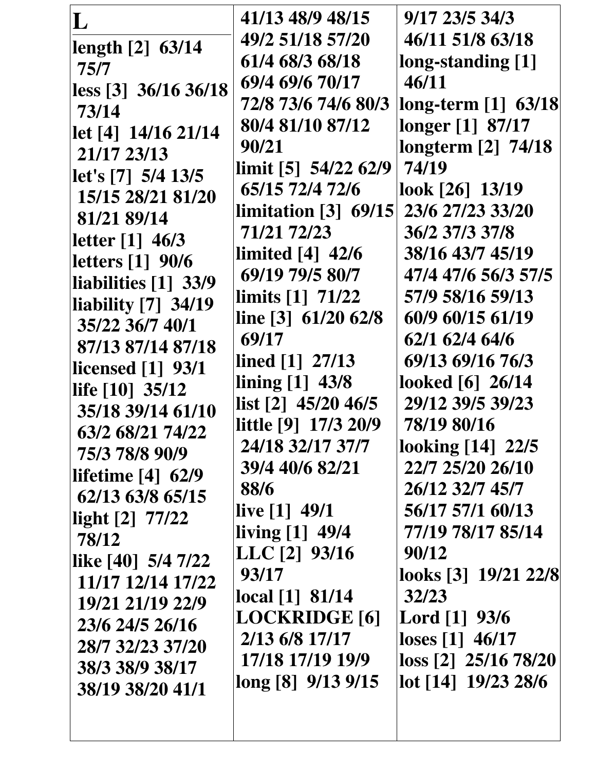| L                        | 41/13 48/9 48/15                         | 9/17 23/5 34/3              |
|--------------------------|------------------------------------------|-----------------------------|
| length [2] 63/14         | 49/2 51/18 57/20                         | 46/11 51/8 63/18            |
| 75/7                     | 61/4 68/3 68/18                          | long-standing [1]           |
| less [3] 36/16 36/18     | 69/4 69/6 70/17                          | 46/11                       |
| 73/14                    | 72/8 73/6 74/6 80/3                      | long-term [1] 63/18         |
| let [4] 14/16 21/14      | 80/4 81/10 87/12                         | longer [1] 87/17            |
| 21/17 23/13              | 90/21                                    | longterm [2] 74/18          |
| let's [7] 5/4 13/5       | $\lim$ it [5] 54/22 62/9                 | 74/19                       |
| 15/15 28/21 81/20        | 65/15 72/4 72/6                          | look [26] 13/19             |
| 81/21 89/14              | limitation $\lceil 3 \rceil$ 69/15       | 23/6 27/23 33/20            |
| letter [1] 46/3          | 71/21 72/23                              | 36/2 37/3 37/8              |
| letters [1] 90/6         | limited $[4]$ 42/6                       | 38/16 43/7 45/19            |
| liabilities [1] 33/9     | 69/19 79/5 80/7                          | 47/4 47/6 56/3 57/5         |
| liability [7] 34/19      | limits $[1]$ 71/22                       | 57/9 58/16 59/13            |
| 35/22 36/7 40/1          | line $[3]$ 61/20 62/8                    | 60/9 60/15 61/19            |
| 87/13 87/14 87/18        | 69/17                                    | 62/1 62/4 64/6              |
| <b>licensed</b> [1] 93/1 | lined [1] 27/13                          | 69/13 69/16 76/3            |
| life [10] 35/12          | lining [1] 43/8                          | looked [6] 26/14            |
| 35/18 39/14 61/10        | list [2] 45/20 46/5                      | 29/12 39/5 39/23            |
| 63/2 68/21 74/22         | little [9] 17/3 20/9                     | 78/19 80/16                 |
| 75/3 78/8 90/9           | 24/18 32/17 37/7                         | looking [14] 22/5           |
| lifetime $[4]$ 62/9      | 39/4 40/6 82/21                          | 22/7 25/20 26/10            |
| 62/13 63/8 65/15         | 88/6                                     | 26/12 32/7 45/7             |
| light $[2]$ 77/22        | live $[1]$ 49/1                          | 56/17 57/1 60/13            |
| 78/12                    | $\left  \text{ living [1]} \right $ 49/4 | 77/19 78/17 85/14           |
| like [40] 5/4 7/22       | $LLC$ [2] $93/16$                        | 90/12                       |
| 11/17 12/14 17/22        | 93/17                                    | looks [3] 19/21 22/8        |
| 19/21 21/19 22/9         | local [1] 81/14                          | 32/23                       |
| 23/6 24/5 26/16          | <b>LOCKRIDGE</b> [6]                     | Lord [1] 93/6               |
| 28/7 32/23 37/20         | 2/13 6/8 17/17                           | loses [1] 46/17             |
| 38/3 38/9 38/17          | 17/18 17/19 19/9                         | $\cos$ [2] $\,25/16\,78/20$ |
| 38/19 38/20 41/1         | long [8] 9/13 9/15                       | lot [14] 19/23 28/6         |
|                          |                                          |                             |
|                          |                                          |                             |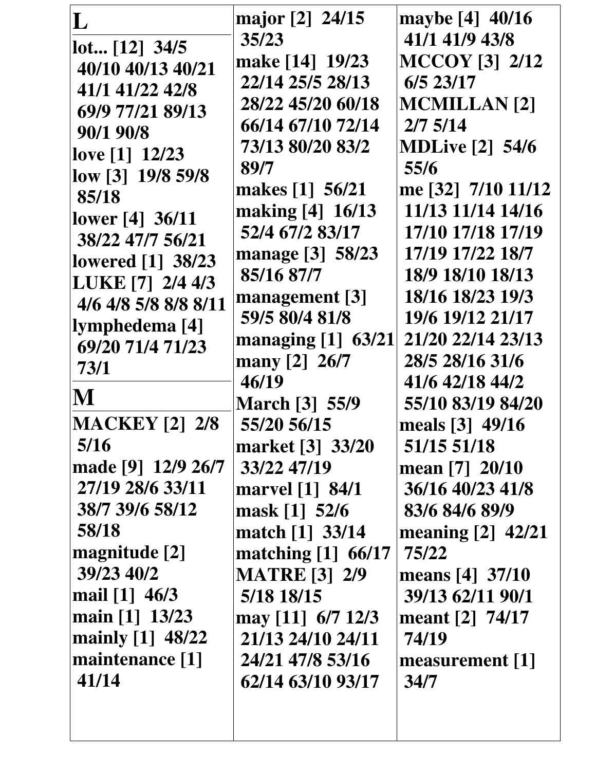| L                                        | major [2] 24/15       | maybe [4] 40/16        |
|------------------------------------------|-----------------------|------------------------|
| lot [12] 34/5                            | 35/23                 | 41/1 41/9 43/8         |
| 40/10 40/13 40/21                        | make [14] 19/23       | <b>MCCOY [3] 2/12</b>  |
| 41/1 41/22 42/8                          | 22/14 25/5 28/13      | 6/5 23/17              |
| 69/9 77/21 89/13                         | 28/22 45/20 60/18     | <b>MCMILLAN</b> [2]    |
| 90/1 90/8                                | 66/14 67/10 72/14     | $2/7$ 5/14             |
| love $[1]$ 12/23                         | 73/13 80/20 83/2      | <b>MDLive [2] 54/6</b> |
| low [3] 19/8 59/8                        | 89/7                  | 55/6                   |
| 85/18                                    | makes [1] 56/21       | me [32] 7/10 11/12     |
|                                          | making [4] 16/13      | 11/13 11/14 14/16      |
| lower [4] 36/11<br>38/22 47/7 56/21      | 52/4 67/2 83/17       | 17/10 17/18 17/19      |
|                                          | manage [3] 58/23      | 17/19 17/22 18/7       |
| <b>lowered</b> [1] 38/23                 | 85/16 87/7            | 18/9 18/10 18/13       |
| LUKE [7] 2/4 4/3<br>4/6 4/8 5/8 8/8 8/11 | management $[3]$      | 18/16 18/23 19/3       |
|                                          | 59/5 80/4 81/8        | 19/6 19/12 21/17       |
| lymphedema [4]<br>69/20 71/4 71/23       | managing $[1]$ 63/21  | 21/20 22/14 23/13      |
|                                          | many [2] 26/7         | 28/5 28/16 31/6        |
| 73/1                                     | 46/19                 | 41/6 42/18 44/2        |
| M                                        | <b>March [3] 55/9</b> | 55/10 83/19 84/20      |
| <b>MACKEY</b> [2] 2/8                    | 55/20 56/15           | meals [3] 49/16        |
| 5/16                                     | market [3] 33/20      | 51/15 51/18            |
| made [9] 12/9 26/7                       | 33/22 47/19           | mean [7] 20/10         |
| 27/19 28/6 33/11                         | marvel [1] 84/1       | 36/16 40/23 41/8       |
| 38/7 39/6 58/12                          | mask [1] 52/6         | 83/6 84/6 89/9         |
| 58/18                                    | match [1] 33/14       | meaning [2] 42/21      |
| magnitude [2]                            | matching $[1]$ 66/17  | 75/22                  |
| 39/23 40/2                               | <b>MATRE [3] 2/9</b>  | means [4] 37/10        |
| mail [1] 46/3                            | 5/18 18/15            | 39/13 62/11 90/1       |
| main [1] 13/23                           | may [11] 6/7 12/3     | meant $[2]$ 74/17      |
| mainly [1] 48/22                         | 21/13 24/10 24/11     | 74/19                  |
| maintenance [1]                          | 24/21 47/8 53/16      | measurement [1]        |
| 41/14                                    | 62/14 63/10 93/17     | 34/7                   |
|                                          |                       |                        |
|                                          |                       |                        |
|                                          |                       |                        |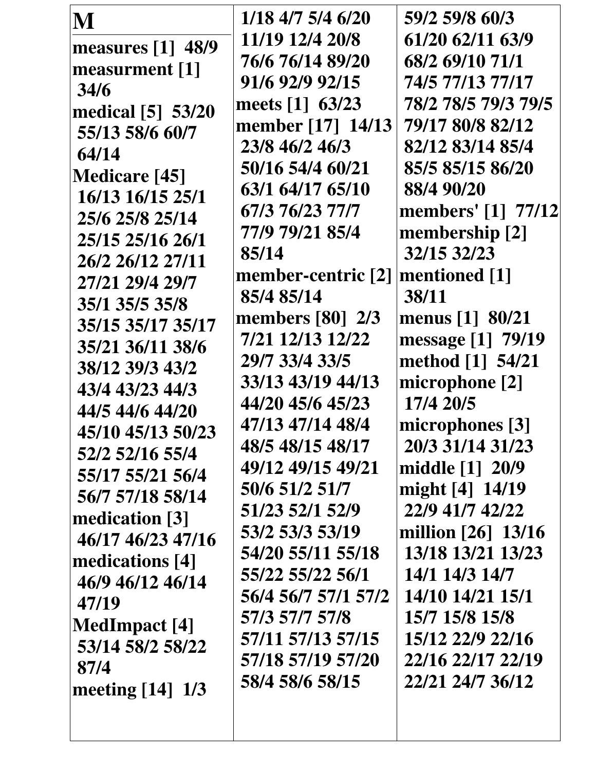| M                    | 1/18 4/7 5/4 6/20                    | 59/2 59/8 60/3      |
|----------------------|--------------------------------------|---------------------|
| measures [1] 48/9    | 11/19 12/4 20/8                      | 61/20 62/11 63/9    |
| measurment [1]       | 76/6 76/14 89/20                     | 68/2 69/10 71/1     |
| 34/6                 | 91/6 92/9 92/15                      | 74/5 77/13 77/17    |
| medical [5] 53/20    | meets [1] 63/23                      | 78/2 78/5 79/3 79/5 |
| 55/13 58/6 60/7      | member [17] 14/13                    | 79/17 80/8 82/12    |
| 64/14                | 23/8 46/2 46/3                       | 82/12 83/14 85/4    |
| <b>Medicare [45]</b> | 50/16 54/4 60/21                     | 85/5 85/15 86/20    |
| 16/13 16/15 25/1     | 63/1 64/17 65/10                     | 88/4 90/20          |
| 25/6 25/8 25/14      | 67/3 76/23 77/7                      | members' [1] 77/12  |
| 25/15 25/16 26/1     | 77/9 79/21 85/4                      | membership [2]      |
|                      | 85/14                                | 32/15 32/23         |
| 26/2 26/12 27/11     | member-centric $[2]$ mentioned $[1]$ |                     |
| 27/21 29/4 29/7      | 85/4 85/14                           | 38/11               |
| 35/1 35/5 35/8       | members $[80]$ 2/3                   | menus $[1] 80/21$   |
| 35/15 35/17 35/17    | 7/21 12/13 12/22                     | message [1] 79/19   |
| 35/21 36/11 38/6     | 29/7 33/4 33/5                       | method [1] 54/21    |
| 38/12 39/3 43/2      | 33/13 43/19 44/13                    | microphone [2]      |
| 43/4 43/23 44/3      | 44/20 45/6 45/23                     | 17/4 20/5           |
| 44/5 44/6 44/20      | 47/13 47/14 48/4                     | microphones [3]     |
| 45/10 45/13 50/23    | 48/5 48/15 48/17                     | 20/3 31/14 31/23    |
| 52/2 52/16 55/4      | 49/12 49/15 49/21                    | middle [1] 20/9     |
| 55/17 55/21 56/4     | 50/6 51/2 51/7                       | might [4] 14/19     |
| 56/7 57/18 58/14     | 51/23 52/1 52/9                      | 22/9 41/7 42/22     |
| medication [3]       | 53/2 53/3 53/19                      | million [26] 13/16  |
| 46/17 46/23 47/16    | 54/20 55/11 55/18                    | 13/18 13/21 13/23   |
| medications [4]      | 55/22 55/22 56/1                     | 14/1 14/3 14/7      |
| 46/9 46/12 46/14     |                                      |                     |
| 47/19                | 56/4 56/7 57/1 57/2                  | 14/10 14/21 15/1    |
| MedImpact [4]        | 57/3 57/7 57/8                       | 15/7 15/8 15/8      |
| 53/14 58/2 58/22     | 57/11 57/13 57/15                    | 15/12 22/9 22/16    |
| 87/4                 | 57/18 57/19 57/20                    | 22/16 22/17 22/19   |
| meeting $[14]$ 1/3   | 58/4 58/6 58/15                      | 22/21 24/7 36/12    |
|                      |                                      |                     |
|                      |                                      |                     |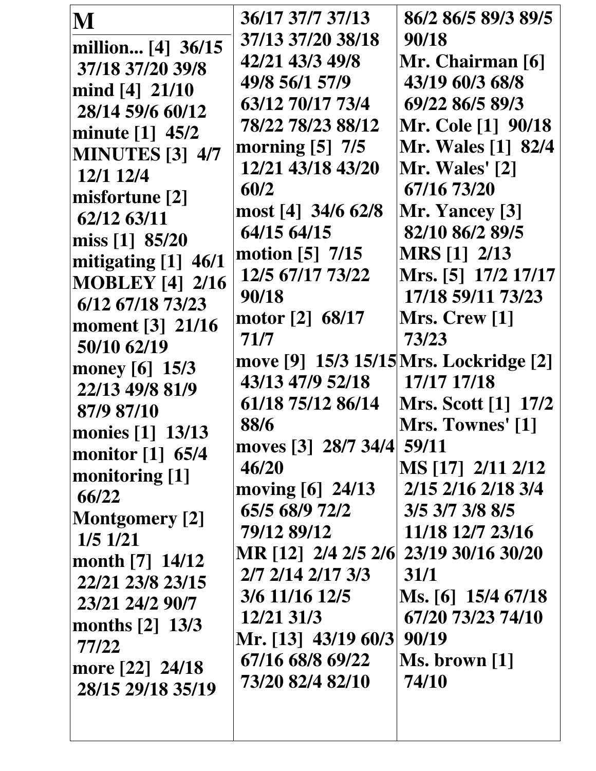| M                             | 36/17 37/7 37/13                       | 86/2 86/5 89/3 89/5        |
|-------------------------------|----------------------------------------|----------------------------|
| million [4] 36/15             | 37/13 37/20 38/18                      | 90/18                      |
| 37/18 37/20 39/8              | 42/21 43/3 49/8                        | Mr. Chairman [6]           |
| mind $[4]$ 21/10              | 49/8 56/1 57/9                         | 43/19 60/3 68/8            |
| 28/14 59/6 60/12              | 63/12 70/17 73/4                       | 69/22 86/5 89/3            |
| minute [1] 45/2               | 78/22 78/23 88/12                      | <b>Mr. Cole [1] 90/18</b>  |
| <b>MINUTES</b> [3] 4/7        | morning [5] 7/5                        | <b>Mr. Wales [1] 82/4</b>  |
| 12/1 12/4                     | 12/21 43/18 43/20                      | Mr. Wales' [2]             |
|                               | 60/2                                   | 67/16 73/20                |
| misfortune [2]                | most [4] 34/6 62/8                     | Mr. Yancey [3]             |
| 62/12 63/11                   | 64/15 64/15                            | 82/10 86/2 89/5            |
| miss [1] 85/20                | motion $[5]$ 7/15                      | <b>MRS</b> [1] 2/13        |
| mitigating [1] 46/1           | 12/5 67/17 73/22                       | Mrs. [5] 17/2 17/17        |
| <b>MOBLEY</b> [4] 2/16        | 90/18                                  | 17/18 59/11 73/23          |
| 6/12 67/18 73/23              | motor [2] 68/17                        | Mrs. Crew [1]              |
| moment [3] 21/16              | 71/7                                   | 73/23                      |
| 50/10 62/19                   | move [9] 15/3 15/15 Mrs. Lockridge [2] |                            |
| money $[6]$ 15/3              | 43/13 47/9 52/18                       | 17/17 17/18                |
| 22/13 49/8 81/9               | 61/18 75/12 86/14                      | <b>Mrs. Scott</b> [1] 17/2 |
| 87/9 87/10                    | 88/6                                   | Mrs. Townes' [1]           |
| monies [1] 13/13              | moves [3] 28/7 34/4 59/11              |                            |
| monitor [1] 65/4              | 46/20                                  | MS [17] 2/11 2/12          |
| monitoring $[1]$              | moving $[6]$ 24/13                     | 2/15 2/16 2/18 3/4         |
| 66/22                         | 65/5 68/9 72/2                         | 3/5 3/7 3/8 8/5            |
| <b>Montgomery</b> [2]         | 79/12 89/12                            | 11/18 12/7 23/16           |
| $1/5$ $1/21$                  | MR [12] 2/4 2/5 2/6 23/19 30/16 30/20  |                            |
| month $[7] 14/12$             | 2/7 2/14 2/17 3/3                      | 31/1                       |
| 22/21 23/8 23/15              | 3/6 11/16 12/5                         | Ms. [6] 15/4 67/18         |
| 23/21 24/2 90/7               | 12/21 31/3                             | 67/20 73/23 74/10          |
| months $\lceil 2 \rceil$ 13/3 | Mr. [13] 43/19 60/3                    | 90/19                      |
| 77/22                         | 67/16 68/8 69/22                       | Ms. brown [1]              |
| more [22] 24/18               | 73/20 82/4 82/10                       | 74/10                      |
| 28/15 29/18 35/19             |                                        |                            |
|                               |                                        |                            |
|                               |                                        |                            |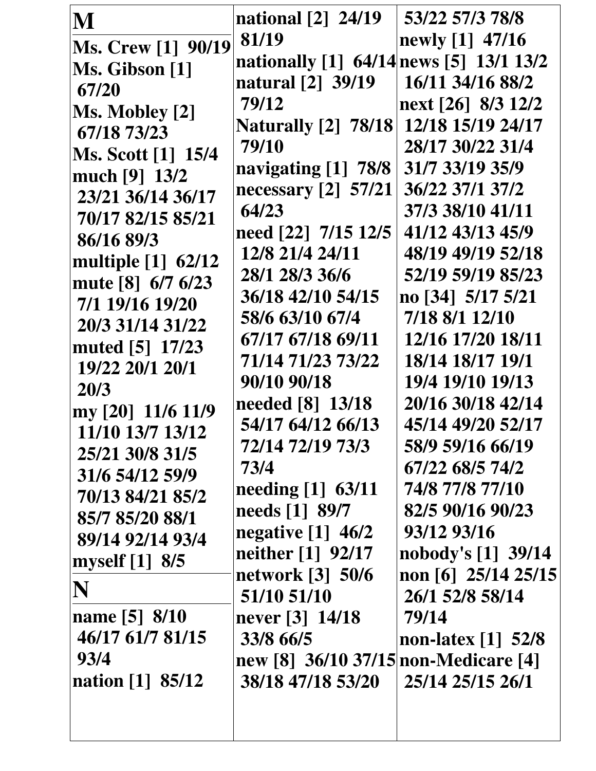| M                         | national [2] 24/19                      | 53/22 57/3 78/8                  |
|---------------------------|-----------------------------------------|----------------------------------|
| Ms. Crew [1] 90/19        | 81/19                                   | newly [1] 47/16                  |
| Ms. Gibson [1]            | nationally [1] 64/14 news [5] 13/1 13/2 |                                  |
| 67/20                     | natural [2] 39/19                       | 16/11 34/16 88/2                 |
| Ms. Mobley [2]            | 79/12                                   | next [26] 8/3 12/2               |
| 67/18 73/23               | <b>Naturally</b> [2] 78/18              | 12/18 15/19 24/17                |
| <b>Ms. Scott [1] 15/4</b> | 79/10                                   | 28/17 30/22 31/4                 |
| much [9] 13/2             | navigating [1] 78/8                     | 31/7 33/19 35/9                  |
| 23/21 36/14 36/17         | necessary $[2]$ 57/21                   | 36/22 37/1 37/2                  |
| 70/17 82/15 85/21         | 64/23                                   | 37/3 38/10 41/11                 |
| 86/16 89/3                | need [22] 7/15 12/5                     | 41/12 43/13 45/9                 |
| multiple [1] 62/12        | 12/8 21/4 24/11                         | 48/19 49/19 52/18                |
| mute [8] 6/7 6/23         | 28/1 28/3 36/6                          | 52/19 59/19 85/23                |
| 7/1 19/16 19/20           | 36/18 42/10 54/15                       | no [34] 5/17 5/21                |
| 20/3 31/14 31/22          | 58/6 63/10 67/4                         | 7/18 8/1 12/10                   |
| muted [5] 17/23           | 67/17 67/18 69/11                       | 12/16 17/20 18/11                |
| 19/22 20/1 20/1           | 71/14 71/23 73/22                       | 18/14 18/17 19/1                 |
| 20/3                      | 90/10 90/18                             | 19/4 19/10 19/13                 |
| my [20] 11/6 11/9         | needed [8] 13/18                        | 20/16 30/18 42/14                |
| 11/10 13/7 13/12          | 54/17 64/12 66/13                       | 45/14 49/20 52/17                |
| 25/21 30/8 31/5           | 72/14 72/19 73/3                        | 58/9 59/16 66/19                 |
| 31/6 54/12 59/9           | 73/4                                    | 67/22 68/5 74/2                  |
| 70/13 84/21 85/2          | needing $[1]$ 63/11                     | 74/8 77/8 77/10                  |
| 85/7 85/20 88/1           | needs [1] 89/7                          | 82/5 90/16 90/23                 |
| 89/14 92/14 93/4          | negative $[1]$ 46/2                     | 93/12 93/16                      |
| myself [1] 8/5            | neither [1] 92/17                       | nobody's [1] 39/14               |
|                           | network [3] 50/6                        | non [6] 25/14 25/15              |
| N                         | 51/10 51/10                             | 26/1 52/8 58/14                  |
| name [5] 8/10             | never [3] 14/18                         | 79/14                            |
| 46/17 61/7 81/15          | 33/8 66/5                               | non-latex $\lceil 1 \rceil$ 52/8 |
| 93/4                      | new [8] 36/10 37/15 non-Medicare [4]    |                                  |
| nation [1] 85/12          | 38/18 47/18 53/20                       | 25/14 25/15 26/1                 |
|                           |                                         |                                  |
|                           |                                         |                                  |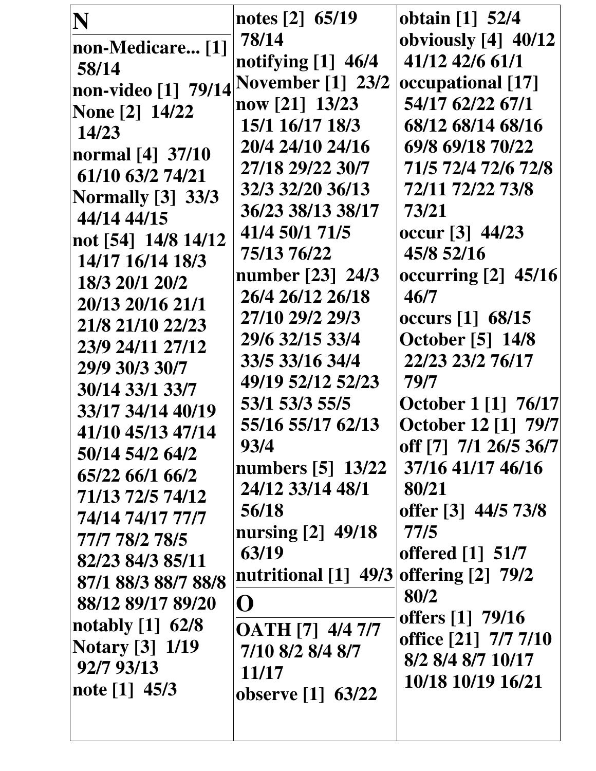| N                                          | notes [2] 65/19         | obtain [1] 52/4                |
|--------------------------------------------|-------------------------|--------------------------------|
| non-Medicare [1]                           | 78/14                   | obviously [4] 40/12            |
| 58/14                                      | notifying $[1]$ 46/4    | 41/12 42/6 61/1                |
| non-video [1] $\,$ 79/14 November [1] 23/2 |                         | occupational [17]              |
| <b>None</b> [2] 14/22                      | now [21] 13/23          | 54/17 62/22 67/1               |
| 14/23                                      | 15/1 16/17 18/3         | 68/12 68/14 68/16              |
| normal [4] 37/10                           | 20/4 24/10 24/16        | 69/8 69/18 70/22               |
| 61/10 63/2 74/21                           | 27/18 29/22 30/7        | 71/5 72/4 72/6 72/8            |
| <b>Normally</b> [3] 33/3                   | 32/3 32/20 36/13        | 72/11 72/22 73/8               |
| 44/14 44/15                                | 36/23 38/13 38/17       | 73/21                          |
| not [54] 14/8 14/12                        | 41/4 50/1 71/5          | occur <sup>[3]</sup> 44/23     |
| 14/17 16/14 18/3                           | 75/13 76/22             | 45/8 52/16                     |
| 18/3 20/1 20/2                             | number [23] 24/3        | occurring $[2]$ 45/16          |
| 20/13 20/16 21/1                           | 26/4 26/12 26/18        | 46/7                           |
| 21/8 21/10 22/23                           | 27/10 29/2 29/3         | occurs [1] 68/15               |
| 23/9 24/11 27/12                           | 29/6 32/15 33/4         | <b>October</b> [5] 14/8        |
| 29/9 30/3 30/7                             | 33/5 33/16 34/4         | 22/23 23/2 76/17               |
| 30/14 33/1 33/7                            | 49/19 52/12 52/23       | 79/7                           |
| 33/17 34/14 40/19                          | 53/1 53/3 55/5          | <b>October 1 [1] 76/17</b>     |
| 41/10 45/13 47/14                          | 55/16 55/17 62/13       | <b>October 12 [1] 79/7</b>     |
| 50/14 54/2 64/2                            | 93/4                    | off [7] 7/1 26/5 36/7          |
| 65/22 66/1 66/2                            | numbers [5] 13/22       | 37/16 41/17 46/16              |
| 71/13 72/5 74/12                           | 24/12 33/14 48/1        | 80/21                          |
| 74/14 74/17 77/7                           | 56/18                   | offer [3] 44/5 73/8            |
| 77/7 78/2 78/5                             | nursing $[2]$ 49/18     | 77/5                           |
| 82/23 84/3 85/11                           | 63/19                   | offered $\lceil 1 \rceil$ 51/7 |
| 87/1 88/3 88/7 88/8                        | nutritional [1] 49/3    | offering $[2]$ 79/2            |
| 88/12 89/17 89/20                          | $\mathbf{O}$            | 80/2                           |
| notably $[1]$ 62/8                         | <b>OATH</b> [7] 4/4 7/7 | offers [1] 79/16               |
| <b>Notary</b> [3] 1/19                     | 7/10 8/2 8/4 8/7        | office [21] 7/7 7/10           |
| 92/7 93/13                                 | 11/17                   | 8/2 8/4 8/7 10/17              |
| note [1] 45/3                              | observe [1] 63/22       | 10/18 10/19 16/21              |
|                                            |                         |                                |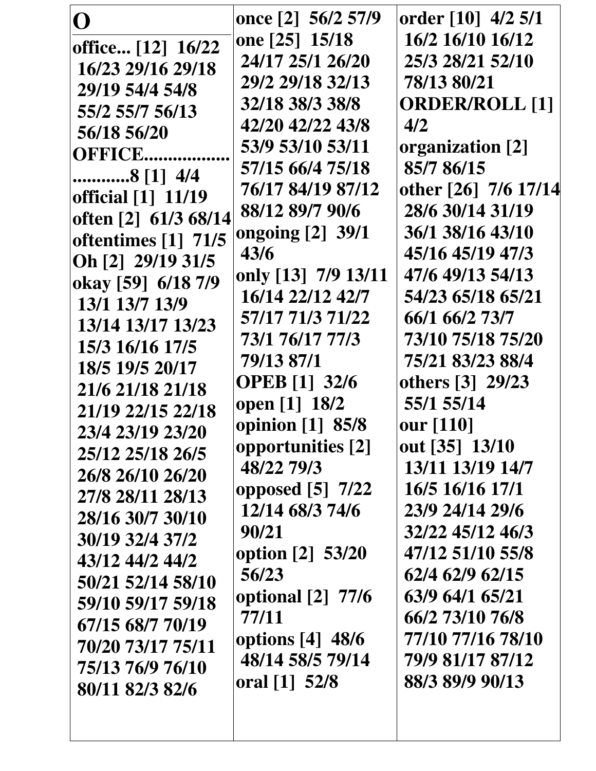| O                    | once [2] 56/2 57/9             | order [10] 4/2 5/1    |
|----------------------|--------------------------------|-----------------------|
| office [12] 16/22    | one [25] 15/18                 | 16/2 16/10 16/12      |
| 16/23 29/16 29/18    | 24/17 25/1 26/20               | 25/3 28/21 52/10      |
| 29/19 54/4 54/8      | 29/2 29/18 32/13               | 78/13 80/21           |
| 55/2 55/7 56/13      | 32/18 38/3 38/8                | <b>ORDER/ROLL [1]</b> |
| 56/18 56/20          | 42/20 42/22 43/8               | 4/2                   |
| <b>OFFICE</b>        | 53/9 53/10 53/11               | organization [2]      |
| 8 [1] 4/4            | 57/15 66/4 75/18               | 85/7 86/15            |
| official [1] 11/19   | 76/17 84/19 87/12              | other [26] 7/6 17/14  |
| often [2] 61/3 68/14 | 88/12 89/7 90/6                | 28/6 30/14 31/19      |
| oftentimes [1] 71/5  | ongoing [2] 39/1               | 36/1 38/16 43/10      |
| Oh [2] 29/19 31/5    | 43/6                           | 45/16 45/19 47/3      |
| okay [59] 6/18 7/9   | only [13] 7/9 13/11            | 47/6 49/13 54/13      |
| 13/1 13/7 13/9       | 16/14 22/12 42/7               | 54/23 65/18 65/21     |
| 13/14 13/17 13/23    | 57/17 71/3 71/22               | 66/1 66/2 73/7        |
| 15/3 16/16 17/5      | 73/1 76/17 77/3                | 73/10 75/18 75/20     |
| 18/5 19/5 20/17      | 79/13 87/1                     | 75/21 83/23 88/4      |
| 21/6 21/18 21/18     | <b>OPEB</b> [1] 32/6           | others [3] 29/23      |
| 21/19 22/15 22/18    | open [1] 18/2                  | 55/1 55/14            |
| 23/4 23/19 23/20     | opinion [1] 85/8               | <b>our</b> [110]      |
| 25/12 25/18 26/5     | opportunities [2]              | out [35] 13/10        |
| 26/8 26/10 26/20     | 48/22 79/3                     | 13/11 13/19 14/7      |
| 27/8 28/11 28/13     | opposed $\lceil 5 \rceil$ 7/22 | 16/5 16/16 17/1       |
| 28/16 30/7 30/10     | 12/14 68/3 74/6                | 23/9 24/14 29/6       |
| 30/19 32/4 37/2      | 90/21                          | 32/22 45/12 46/3      |
| 43/12 44/2 44/2      | option [2] 53/20               | 47/12 51/10 55/8      |
| 50/21 52/14 58/10    | 56/23                          | 62/4 62/9 62/15       |
| 59/10 59/17 59/18    | optional [2] 77/6              | 63/9 64/1 65/21       |
| 67/15 68/7 70/19     | 77/11                          | 66/2 73/10 76/8       |
| 70/20 73/17 75/11    | options $[4]$ 48/6             | 77/10 77/16 78/10     |
| 75/13 76/9 76/10     | 48/14 58/5 79/14               | 79/9 81/17 87/12      |
| 80/11 82/3 82/6      | oral [1] 52/8                  | 88/3 89/9 90/13       |
|                      |                                |                       |
|                      |                                |                       |
|                      |                                |                       |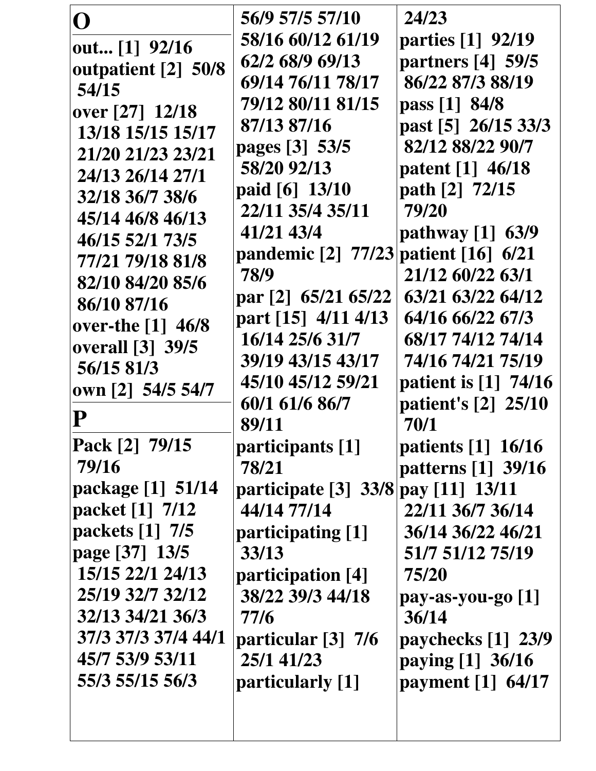| ( )                     | 56/9 57/5 57/10                      | 24/23                  |
|-------------------------|--------------------------------------|------------------------|
| out $[1]$ 92/16         | 58/16 60/12 61/19                    | parties [1] 92/19      |
| outpatient [2] 50/8     | 62/2 68/9 69/13                      | partners [4] 59/5      |
| 54/15                   | 69/14 76/11 78/17                    | 86/22 87/3 88/19       |
| over [27] 12/18         | 79/12 80/11 81/15                    | pass [1] 84/8          |
| 13/18 15/15 15/17       | 87/13 87/16                          | past [5] 26/15 33/3    |
| 21/20 21/23 23/21       | pages [3] 53/5                       | 82/12 88/22 90/7       |
| 24/13 26/14 27/1        | 58/20 92/13                          | patent [1] 46/18       |
| 32/18 36/7 38/6         | paid [6] 13/10                       | path [2] 72/15         |
| 45/14 46/8 46/13        | 22/11 35/4 35/11                     | 79/20                  |
| 46/15 52/1 73/5         | 41/21 43/4                           | pathway $[1]$ 63/9     |
| 77/21 79/18 81/8        | pandemic [2] 77/23 patient [16] 6/21 |                        |
| 82/10 84/20 85/6        | 78/9                                 | 21/12 60/22 63/1       |
| 86/10 87/16             | par [2] 65/21 65/22                  | 63/21 63/22 64/12      |
| over-the $[1]$ 46/8     | part [15] 4/11 4/13                  | 64/16 66/22 67/3       |
| <b>overall</b> [3] 39/5 | 16/14 25/6 31/7                      | 68/17 74/12 74/14      |
| 56/15 81/3              | 39/19 43/15 43/17                    | 74/16 74/21 75/19      |
| own [2] 54/5 54/7       | 45/10 45/12 59/21                    | patient is $[1]$ 74/16 |
|                         | 60/1 61/6 86/7                       | patient's [2] 25/10    |
|                         | 89/11                                | 70/1                   |
| Pack [2] 79/15          | participants [1]                     | patients [1] 16/16     |
| 79/16                   | 78/21                                | patterns [1] 39/16     |
| package [1] 51/14       | participate [3] 33/8 pay [11] 13/11  |                        |
| packet [1] 7/12         | 44/14 77/14                          | 22/11 36/7 36/14       |
| packets [1] 7/5         | participating [1]                    | 36/14 36/22 46/21      |
| page [37] 13/5          | 33/13                                | 51/7 51/12 75/19       |
| 15/15 22/1 24/13        | participation [4]                    | 75/20                  |
| 25/19 32/7 32/12        | 38/22 39/3 44/18                     | $pay-as-you-go [1]$    |
| 32/13 34/21 36/3        | 77/6                                 | 36/14                  |
| 37/3 37/3 37/4 44/1     | particular [3] 7/6                   | paychecks $[1]$ 23/9   |
| 45/7 53/9 53/11         | 25/1 41/23                           | paying $[1]$ 36/16     |
| 55/3 55/15 56/3         | particularly [1]                     | payment $[1]$ 64/17    |
|                         |                                      |                        |
|                         |                                      |                        |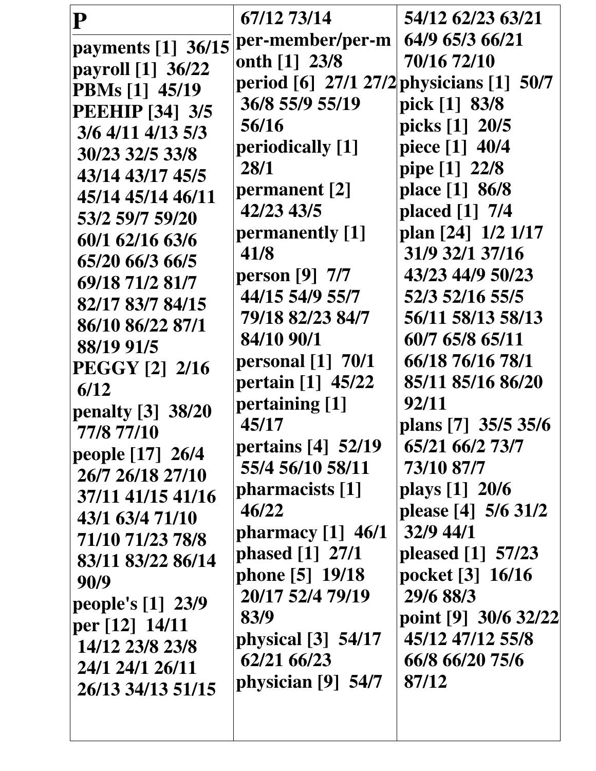| P                      | 67/12 73/14                              | 54/12 62/23 63/21    |
|------------------------|------------------------------------------|----------------------|
| payments [1] 36/15     | per-member/per-m                         | 64/9 65/3 66/21      |
| payroll [1] 36/22      | onth [1] 23/8                            | 70/16 72/10          |
| <b>PBMs</b> [1] 45/19  | period [6] 27/1 27/2 physicians [1] 50/7 |                      |
| <b>PEEHIP</b> [34] 3/5 | 36/8 55/9 55/19                          | pick [1] 83/8        |
| $3/6$ 4/11 4/13 5/3    | 56/16                                    | picks [1] 20/5       |
| 30/23 32/5 33/8        | periodically [1]                         | piece [1] 40/4       |
| 43/14 43/17 45/5       | 28/1                                     | pipe [1] 22/8        |
| 45/14 45/14 46/11      | permanent [2]                            | place [1] 86/8       |
| 53/2 59/7 59/20        | 42/23 43/5                               | placed [1] 7/4       |
| 60/1 62/16 63/6        | permanently [1]                          | plan [24] 1/2 1/17   |
| 65/20 66/3 66/5        | 41/8                                     | 31/9 32/1 37/16      |
| 69/18 71/2 81/7        | person [9] 7/7                           | 43/23 44/9 50/23     |
| 82/17 83/7 84/15       | 44/15 54/9 55/7                          | 52/3 52/16 55/5      |
| 86/10 86/22 87/1       | 79/18 82/23 84/7                         | 56/11 58/13 58/13    |
| 88/19 91/5             | 84/10 90/1                               | 60/7 65/8 65/11      |
| <b>PEGGY [2] 2/16</b>  | <b>personal</b> [1] 70/1                 | 66/18 76/16 78/1     |
| 6/12                   | pertain [1] 45/22                        | 85/11 85/16 86/20    |
| penalty $[3]$ 38/20    | pertaining [1]                           | 92/11                |
| 77/8 77/10             | 45/17                                    | plans [7] 35/5 35/6  |
| people [17] 26/4       | pertains [4] 52/19                       | 65/21 66/2 73/7      |
| 26/7 26/18 27/10       | 55/4 56/10 58/11                         | 73/10 87/7           |
| 37/11 41/15 41/16      | pharmacists [1]                          | plays [1] 20/6       |
| 43/1 63/4 71/10        | 46/22                                    | please [4] 5/6 31/2  |
| 71/10 71/23 78/8       | pharmacy $[1]$ 46/1                      | $32/9$ 44/1          |
| 83/11 83/22 86/14      | phased [1] 27/1                          | pleased $[1]$ 57/23  |
| 90/9                   | phone [5] 19/18                          | pocket [3] 16/16     |
| people's $[1]$ 23/9    | 20/17 52/4 79/19                         | 29/6 88/3            |
| per [12] 14/11         | 83/9                                     | point [9] 30/6 32/22 |
| 14/12 23/8 23/8        | physical [3] 54/17                       | 45/12 47/12 55/8     |
| 24/1 24/1 26/11        | 62/21 66/23                              | 66/8 66/20 75/6      |
| 26/13 34/13 51/15      | physician [9] 54/7                       | 87/12                |
|                        |                                          |                      |
|                        |                                          |                      |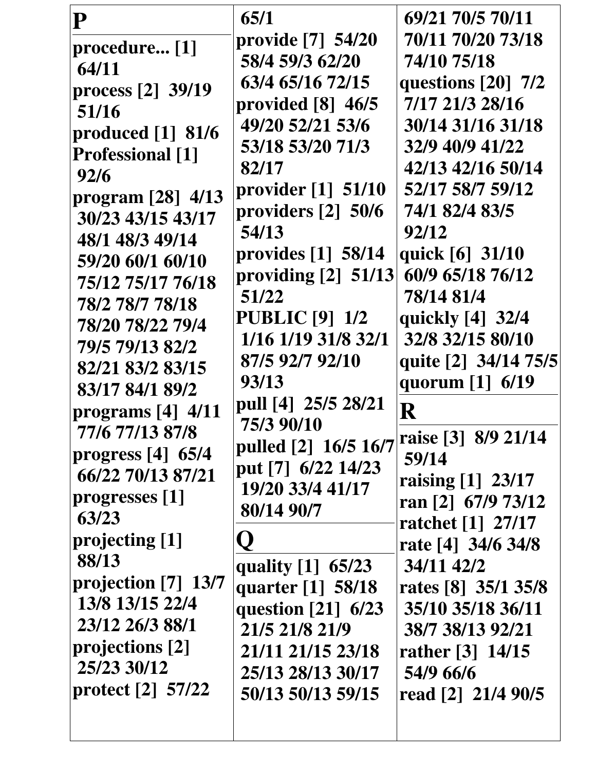| ${\bf P}$               | 65/1                             | 69/21 70/5 70/11     |
|-------------------------|----------------------------------|----------------------|
| procedure [1]           | provide [7] 54/20                | 70/11 70/20 73/18    |
| 64/11                   | 58/4 59/3 62/20                  | 74/10 75/18          |
| process [2] 39/19       | 63/4 65/16 72/15                 | questions [20] 7/2   |
| 51/16                   | provided $[8]$ 46/5              | 7/17 21/3 28/16      |
| produced $[1]$ 81/6     | 49/20 52/21 53/6                 | 30/14 31/16 31/18    |
| <b>Professional</b> [1] | 53/18 53/20 71/3                 | 32/9 40/9 41/22      |
| 92/6                    | 82/17                            | 42/13 42/16 50/14    |
| program $[28]$ 4/13     | provider $\lceil 1 \rceil$ 51/10 | 52/17 58/7 59/12     |
| 30/23 43/15 43/17       | providers $[2]$ 50/6             | 74/1 82/4 83/5       |
| 48/1 48/3 49/14         | 54/13                            | 92/12                |
| 59/20 60/1 60/10        | provides $[1]$ 58/14             | quick [6] 31/10      |
| 75/12 75/17 76/18       | providing $[2]$ 51/13            | 60/9 65/18 76/12     |
| 78/2 78/7 78/18         | 51/22                            | 78/14 81/4           |
| 78/20 78/22 79/4        | <b>PUBLIC</b> [9] 1/2            | quickly [4] 32/4     |
| 79/5 79/13 82/2         | 1/16 1/19 31/8 32/1              | 32/8 32/15 80/10     |
| 82/21 83/2 83/15        | 87/5 92/7 92/10                  | quite [2] 34/14 75/5 |
| 83/17 84/1 89/2         | 93/13                            | quorum [1] 6/19      |
| programs $[4]$ 4/11     | pull [4] 25/5 28/21              | ${\bf R}$            |
| 77/6 77/13 87/8         | 75/3 90/10                       | raise [3] 8/9 21/14  |
| progress $[4]$ 65/4     | pulled [2] 16/5 16/7             | 59/14                |
| 66/22 70/13 87/21       | put [7] 6/22 14/23               | raising $[1]$ 23/17  |
| progresses [1]          | 19/20 33/4 41/17                 | ran [2] $67/9$ 73/12 |
| 63/23                   | 80/14 90/7                       | ratchet [1] 27/17    |
| projecting [1]          |                                  | rate [4] 34/6 34/8   |
| 88/13                   | quality [1] 65/23                | 34/11 42/2           |
| projection $[7]$ 13/7   | quarter $[1]$ 58/18              | rates [8] 35/1 35/8  |
| 13/8 13/15 22/4         | question $[21]$ 6/23             | 35/10 35/18 36/11    |
| 23/12 26/3 88/1         | 21/5 21/8 21/9                   | 38/7 38/13 92/21     |
| projections [2]         | 21/11 21/15 23/18                | rather $[3] 14/15$   |
| 25/23 30/12             | 25/13 28/13 30/17                | 54/9 66/6            |
| protect $[2]$ 57/22     | 50/13 50/13 59/15                | read [2] 21/4 90/5   |
|                         |                                  |                      |
|                         |                                  |                      |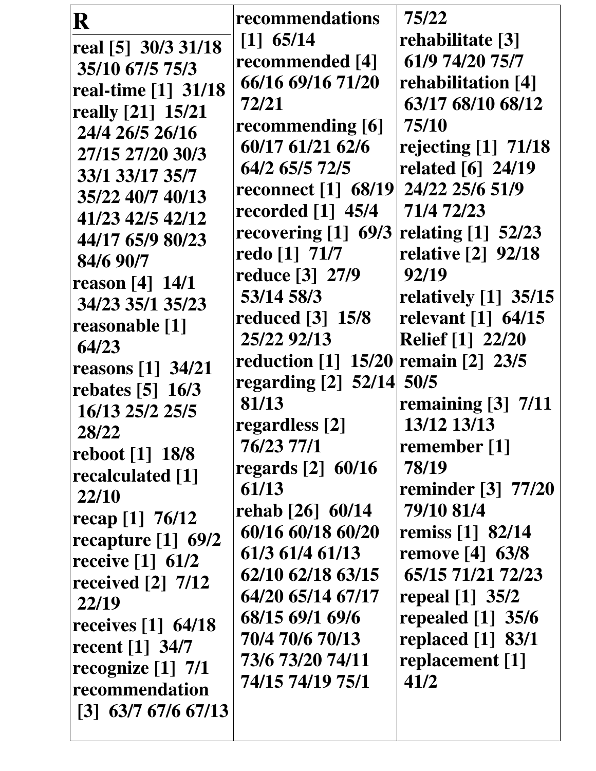| R                                | recommendations                     | 75/22                   |
|----------------------------------|-------------------------------------|-------------------------|
| real [5] 30/3 31/18              | $[1]$ 65/14                         | rehabilitate [3]        |
| 35/10 67/5 75/3                  | recommended [4]                     | 61/9 74/20 75/7         |
| real-time [1] 31/18              | 66/16 69/16 71/20                   | rehabilitation [4]      |
| really [21] 15/21                | 72/21                               | 63/17 68/10 68/12       |
| 24/4 26/5 26/16                  | recommending [6]                    | 75/10                   |
| 27/15 27/20 30/3                 | 60/17 61/21 62/6                    | rejecting $[1]$ 71/18   |
| 33/1 33/17 35/7                  | 64/2 65/5 72/5                      | related [6] 24/19       |
| 35/22 40/7 40/13                 | reconnect [1] 68/19 24/22 25/6 51/9 |                         |
| 41/23 42/5 42/12                 | recorded $[1]$ 45/4                 | 71/4 72/23              |
| 44/17 65/9 80/23                 | recovering $[1]$ 69/3               | relating $[1]$ 52/23    |
| 84/6 90/7                        | redo [1] 71/7                       | relative [2] 92/18      |
| reason $[4] 14/1$                | reduce [3] 27/9                     | 92/19                   |
| 34/23 35/1 35/23                 | 53/14 58/3                          | relatively $[1]$ 35/15  |
| reasonable [1]                   | reduced $\lceil 3 \rceil$ 15/8      | relevant [1] 64/15      |
| 64/23                            | 25/22 92/13                         | <b>Relief</b> [1] 22/20 |
| <b>reasons</b> [1] 34/21         | reduction [1] 15/20 remain [2] 23/5 |                         |
| rebates $[5]$ 16/3               | regarding $[2]$ 52/14               | 50/5                    |
| 16/13 25/2 25/5                  | 81/13                               | remaining [3] 7/11      |
| 28/22                            | regardless [2]                      | 13/12 13/13             |
| reboot [1] 18/8                  | 76/23 77/1                          | remember [1]            |
| recalculated [1]                 | regards [2] 60/16                   | 78/19                   |
| 22/10                            | 61/13                               | reminder [3] 77/20      |
| recap [1] $76/12$                | rehab [26] 60/14                    | 79/10 81/4              |
| recapture $[1]$ 69/2             | 60/16 60/18 60/20                   | remiss [1] 82/14        |
| receive [1] 61/2                 | 61/3 61/4 61/13                     | remove $[4]$ 63/8       |
| received $\lceil 2 \rceil$ 7/12  | 62/10 62/18 63/15                   | 65/15 71/21 72/23       |
| 22/19                            | 64/20 65/14 67/17                   | repeal [1] 35/2         |
| receives $\lceil 1 \rceil$ 64/18 | 68/15 69/1 69/6                     | repealed $[1]$ 35/6     |
| recent [1] 34/7                  | 70/4 70/6 70/13                     | replaced [1] 83/1       |
| recognize [1] 7/1                | 73/6 73/20 74/11                    | replacement [1]         |
| recommendation                   | 74/15 74/19 75/1                    | 41/2                    |
| $[3]$ 63/7 67/6 67/13            |                                     |                         |
|                                  |                                     |                         |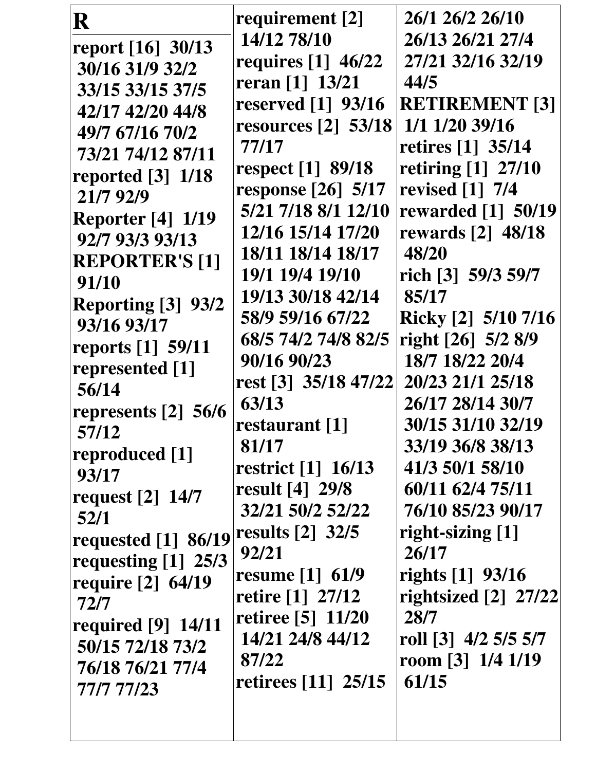| R                                           | requirement [2]                                  | 26/1 26/2 26/10           |
|---------------------------------------------|--------------------------------------------------|---------------------------|
| report [16] 30/13                           | 14/12 78/10                                      | 26/13 26/21 27/4          |
| 30/16 31/9 32/2                             | requires [1] 46/22                               | 27/21 32/16 32/19         |
| 33/15 33/15 37/5                            | reran [1] 13/21                                  | 44/5                      |
| 42/17 42/20 44/8                            | reserved [1] 93/16                               | <b>RETIREMENT [3]</b>     |
| 49/7 67/16 70/2                             | resources $[2]$ 53/18                            | 1/1 1/20 39/16            |
| 73/21 74/12 87/11                           | 77/17                                            | retires [1] 35/14         |
| reported $[3]$ 1/18                         | respect [1] 89/18                                | retiring [1] 27/10        |
| 21/7 92/9                                   | response $\lceil 26 \rceil \cdot 5/17$           | revised [1] 7/4           |
|                                             | 5/21 7/18 8/1 12/10                              | <b>rewarded</b> [1] 50/19 |
| <b>Reporter</b> [4] 1/19<br>92/7 93/3 93/13 | 12/16 15/14 17/20                                | <b>rewards</b> [2] 48/18  |
|                                             | 18/11 18/14 18/17                                | 48/20                     |
| <b>REPORTER'S [1]</b>                       | 19/1 19/4 19/10                                  | rich [3] 59/3 59/7        |
| 91/10                                       | 19/13 30/18 42/14                                | 85/17                     |
| Reporting [3] 93/2                          | 58/9 59/16 67/22                                 | Ricky [2] 5/10 7/16       |
| 93/16 93/17                                 | 68/5 74/2 74/8 82/5                              | right [26] 5/2 8/9        |
| reports [1] 59/11                           | 90/16 90/23                                      | 18/7 18/22 20/4           |
| represented [1]                             | rest [3] 35/18 47/22                             | 20/23 21/1 25/18          |
| 56/14                                       | 63/13                                            | 26/17 28/14 30/7          |
| represents [2] 56/6                         | restaurant [1]                                   | 30/15 31/10 32/19         |
| 57/12                                       | 81/17                                            | 33/19 36/8 38/13          |
| reproduced [1]                              | restrict $\begin{bmatrix} 1 \end{bmatrix}$ 16/13 | 41/3 50/1 58/10           |
| 93/17                                       | result [4] 29/8                                  | 60/11 62/4 75/11          |
| request $[2]$ 14/7                          | 32/21 50/2 52/22                                 | 76/10 85/23 90/17         |
| 52/1                                        | results $\lceil 2 \rceil$ 32/5                   | right-sizing [1]          |
| requested [1] 86/19                         | 92/21                                            | 26/17                     |
| requesting $[1]$ 25/3                       | resume $[1] 61/9$                                | rights [1] 93/16          |
| require $\lceil 2 \rceil$ 64/19             | retire [1] 27/12                                 | rightsized $[2]$ 27/22    |
| 72/7                                        | retiree [5] 11/20                                | 28/7                      |
| required $[9]$ 14/11                        | 14/21 24/8 44/12                                 | roll [3] 4/2 5/5 5/7      |
| 50/15 72/18 73/2                            | 87/22                                            | room $[3]$ 1/4 1/19       |
| 76/18 76/21 77/4                            | retirees [11] 25/15                              | 61/15                     |
| 77/7 77/23                                  |                                                  |                           |
|                                             |                                                  |                           |
|                                             |                                                  |                           |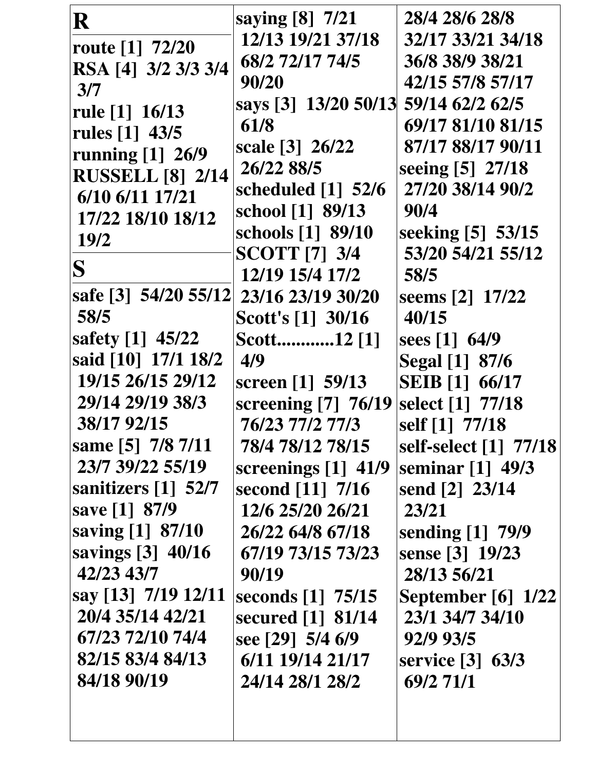| R                                 | saying [8] 7/21                      | 28/4 28/6 28/8            |
|-----------------------------------|--------------------------------------|---------------------------|
| route $[1]$ 72/20                 | 12/13 19/21 37/18                    | 32/17 33/21 34/18         |
| RSA [4] 3/2 3/3 3/4               | 68/2 72/17 74/5                      | 36/8 38/9 38/21           |
| 3/7                               | 90/20                                | 42/15 57/8 57/17          |
| rule $[1] 16/13$                  | says [3] 13/20 50/13 59/14 62/2 62/5 |                           |
| rules [1] 43/5                    | 61/8                                 | 69/17 81/10 81/15         |
| running [1] 26/9                  | scale [3] 26/22                      | 87/17 88/17 90/11         |
| <b>RUSSELL [8] 2/14</b>           | 26/22 88/5                           | seeing [5] 27/18          |
| 6/10 6/11 17/21                   | scheduled [1] 52/6                   | 27/20 38/14 90/2          |
| 17/22 18/10 18/12                 | school [1] 89/13                     | 90/4                      |
| 19/2                              | schools [1] 89/10                    | seeking [5] 53/15         |
|                                   | <b>SCOTT [7] 3/4</b>                 | 53/20 54/21 55/12         |
| S                                 | 12/19 15/4 17/2                      | 58/5                      |
| safe [3] 54/20 55/12              | 23/16 23/19 30/20                    | seems [2] 17/22           |
| 58/5                              | Scott's [1] 30/16                    | 40/15                     |
| safety [1] 45/22                  | Scott12 [1]                          | sees $[1]$ 64/9           |
| said [10] 17/1 18/2               | 4/9                                  | Segal [1] 87/6            |
| 19/15 26/15 29/12                 | screen [1] 59/13                     | <b>SEIB</b> [1] 66/17     |
| 29/14 29/19 38/3                  | screening $[7]$ 76/19                | select [1] 77/18          |
| 38/17 92/15                       | 76/23 77/2 77/3                      | self [1] 77/18            |
| same [5] 7/8 7/11                 | 78/4 78/12 78/15                     | self-select [1] 77/18     |
| 23/7 39/22 55/19                  | screenings [1] 41/9                  | seminar [1] 49/3          |
| sanitizers $\lceil 1 \rceil$ 52/7 | second [11] 7/16                     | send [2] 23/14            |
| save [1] 87/9                     | 12/6 25/20 26/21                     | 23/21                     |
| saving [1] 87/10                  | 26/22 64/8 67/18                     | sending [1] 79/9          |
| savings [3] 40/16                 | 67/19 73/15 73/23                    | sense [3] 19/23           |
| 42/23 43/7                        | 90/19                                | 28/13 56/21               |
| say [13] 7/19 12/11               | seconds [1] 75/15                    | <b>September</b> [6] 1/22 |
| 20/4 35/14 42/21                  | secured [1] 81/14                    | 23/1 34/7 34/10           |
| 67/23 72/10 74/4                  | see [29] 5/4 6/9                     | 92/9 93/5                 |
| 82/15 83/4 84/13                  | 6/11 19/14 21/17                     | service [3] 63/3          |
| 84/18 90/19                       | 24/14 28/1 28/2                      | 69/2 71/1                 |
|                                   |                                      |                           |
|                                   |                                      |                           |
|                                   |                                      |                           |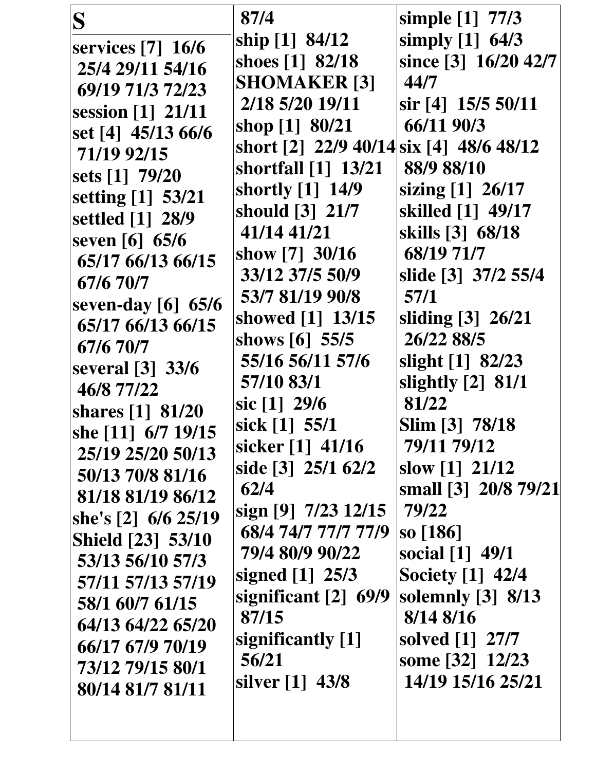| S<br>services $[7]$ 16/6<br>25/4 29/11 54/16<br>69/19 71/3 72/23<br>session [1] 21/11<br>set [4] 45/13 66/6<br>71/19 92/15<br>sets [1] 79/20<br>setting [1] 53/21<br>settled [1] 28/9<br>seven [6] 65/6<br>65/17 66/13 66/15<br>67/6 70/7<br>seven-day [6] 65/6<br>65/17 66/13 66/15<br>67/6 70/7<br>several [3] 33/6<br>46/8 77/22<br>shares [1] 81/20<br>she [11] 6/7 19/15<br>25/19 25/20 50/13<br>50/13 70/8 81/16<br>81/18 81/19 86/12<br>she's [2] 6/6 25/19<br><b>Shield [23] 53/10</b><br>53/13 56/10 57/3<br>57/11 57/13 57/19<br>58/1 60/7 61/15<br>64/13 64/22 65/20<br>66/17 67/9 70/19<br>73/12 79/15 80/1 | 87/4<br>ship [1] 84/12<br>shoes [1] 82/18<br><b>SHOMAKER [3]</b><br>2/18 5/20 19/11<br>shop [1] 80/21<br>short [2] 22/9 40/14 six [4] 48/6 48/12<br>shortfall [1] 13/21<br>shortly [1] 14/9<br>should [3] 21/7<br>41/14 41/21<br>show $[7]$ 30/16<br>33/12 37/5 50/9<br>53/7 81/19 90/8<br>showed [1] 13/15<br>shows $[6]$ 55/5<br>55/16 56/11 57/6<br>57/10 83/1<br>sic $[1]$ 29/6<br>sick [1] 55/1<br>sicker [1] 41/16<br>side [3] 25/1 62/2<br>62/4<br>sign [9] $7/23$ 12/15<br>68/4 74/7 77/7 77/9<br>79/4 80/9 90/22<br>signed $[1]$ 25/3<br>significant $[2]$ 69/9<br>87/15<br>significantly [1]<br>56/21 | simple [1] 77/3<br>simply $[1]$ 64/3<br>since [3] 16/20 42/7<br>44/7<br>sir [4] 15/5 50/11<br>66/11 90/3<br>88/9 88/10<br>sizing [1] 26/17<br>skilled [1] 49/17<br>skills [3] 68/18<br>68/19 71/7<br>slide [3] 37/2 55/4<br>57/1<br>sliding [3] 26/21<br>26/22 88/5<br>slight [1] 82/23<br>slightly [2] 81/1<br>81/22<br>Slim [3] 78/18<br>79/11 79/12<br>slow $[1]$ 21/12<br>small [3] 20/8 79/21<br>79/22<br>so [186]<br>social [1] 49/1<br><b>Society</b> [1] 42/4<br>solemnly [3] 8/13<br>8/14 8/16<br>solved [1] 27/7<br>some [32] 12/23 |
|-------------------------------------------------------------------------------------------------------------------------------------------------------------------------------------------------------------------------------------------------------------------------------------------------------------------------------------------------------------------------------------------------------------------------------------------------------------------------------------------------------------------------------------------------------------------------------------------------------------------------|-----------------------------------------------------------------------------------------------------------------------------------------------------------------------------------------------------------------------------------------------------------------------------------------------------------------------------------------------------------------------------------------------------------------------------------------------------------------------------------------------------------------------------------------------------------------------------------------------------------------|-----------------------------------------------------------------------------------------------------------------------------------------------------------------------------------------------------------------------------------------------------------------------------------------------------------------------------------------------------------------------------------------------------------------------------------------------------------------------------------------------------------------------------------------------|
| 80/14 81/7 81/11                                                                                                                                                                                                                                                                                                                                                                                                                                                                                                                                                                                                        | silver [1] 43/8                                                                                                                                                                                                                                                                                                                                                                                                                                                                                                                                                                                                 | 14/19 15/16 25/21                                                                                                                                                                                                                                                                                                                                                                                                                                                                                                                             |
|                                                                                                                                                                                                                                                                                                                                                                                                                                                                                                                                                                                                                         |                                                                                                                                                                                                                                                                                                                                                                                                                                                                                                                                                                                                                 |                                                                                                                                                                                                                                                                                                                                                                                                                                                                                                                                               |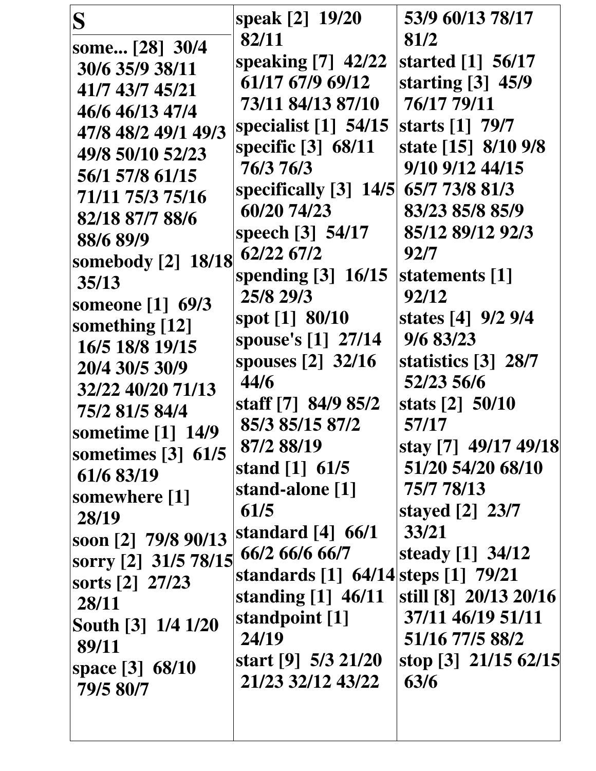| S                                   | speak [2] 19/20                     | 53/9 60/13 78/17      |
|-------------------------------------|-------------------------------------|-----------------------|
| some [28] 30/4                      | 82/11                               | 81/2                  |
| 30/6 35/9 38/11                     | speaking [7] 42/22                  | started [1] 56/17     |
| 41/7 43/7 45/21                     | 61/17 67/9 69/12                    | starting $[3]$ 45/9   |
| 46/6 46/13 47/4                     | 73/11 84/13 87/10                   | 76/17 79/11           |
| 47/8 48/2 49/1 49/3                 | specialist $[1]$ 54/15              | starts [1] 79/7       |
| 49/8 50/10 52/23                    | specific [3] 68/11                  | state [15] 8/10 9/8   |
| 56/1 57/8 61/15                     | 76/3 76/3                           | 9/10 9/12 44/15       |
| 71/11 75/3 75/16                    | specifically $[3]$ 14/5             | 65/7 73/8 81/3        |
| 82/18 87/7 88/6                     | 60/20 74/23                         | 83/23 85/8 85/9       |
| 88/6 89/9                           | speech [3] 54/17                    | 85/12 89/12 92/3      |
| somebody [2] 18/18                  | 62/22 67/2                          | 92/7                  |
| 35/13                               | spending $[3]$ 16/15                | statements [1]        |
| someone [1] 69/3                    | 25/8 29/3                           | 92/12                 |
| something $[12]$                    | spot [1] 80/10                      | states [4] 9/2 9/4    |
| 16/5 18/8 19/15                     | spouse's [1] 27/14                  | 9/6 83/23             |
| 20/4 30/5 30/9                      | spouses $\lceil 2 \rceil$ 32/16     | statistics [3] 28/7   |
| 32/22 40/20 71/13                   | 44/6                                | 52/23 56/6            |
| 75/2 81/5 84/4                      | staff [7] 84/9 85/2                 | stats [2] 50/10       |
| <b>Sometime [1] 14/9</b>            | 85/3 85/15 87/2                     | 57/17                 |
| sometimes $[3]$ 61/5                | 87/2 88/19                          | stay [7] 49/17 49/18  |
| 61/6 83/19                          | stand $[1]$ 61/5                    | 51/20 54/20 68/10     |
| somewhere [1]                       | stand-alone [1]                     | 75/7 78/13            |
| 28/19                               | 61/5                                | stayed [2] 23/7       |
| soon [2] 79/8 90/13                 | standard $[4]$ 66/1                 | 33/21                 |
| sorry [2] 31/5 78/15 66/2 66/6 66/7 |                                     | steady [1] 34/12      |
| sorts [2] 27/23                     | standards [1] 64/14 steps [1] 79/21 |                       |
| 28/11                               | standing $[1]$ 46/11                | still [8] 20/13 20/16 |
| South [3] 1/4 1/20                  | standpoint [1]                      | 37/11 46/19 51/11     |
| 89/11                               | 24/19                               | 51/16 77/5 88/2       |
| space [3] 68/10                     | start [9] $5/3$ 21/20               | stop [3] 21/15 62/15  |
| 79/5 80/7                           | 21/23 32/12 43/22                   | 63/6                  |
|                                     |                                     |                       |
|                                     |                                     |                       |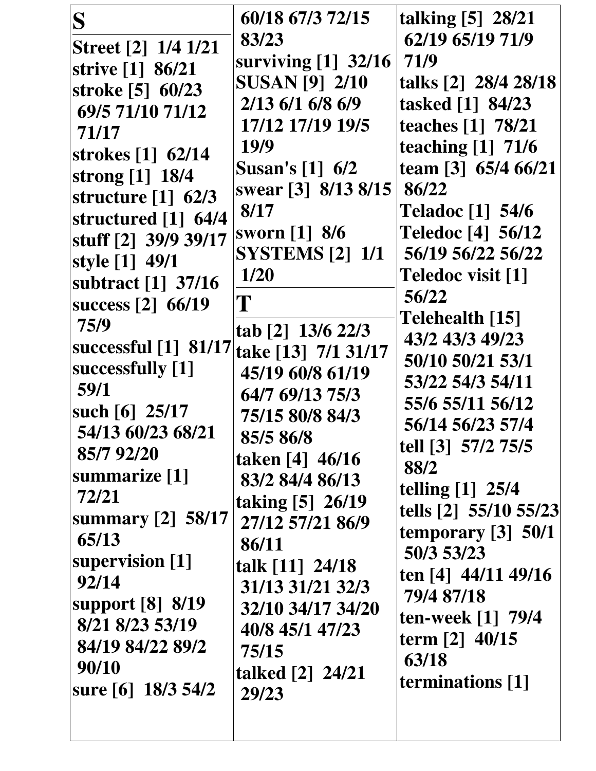| S<br>60/18 67/3 72/15<br>talking $\lceil 5 \rceil$ 28/21<br>62/19 65/19 71/9<br>83/23<br>Street [2] 1/4 1/21<br>surviving [1] 32/16<br>71/9<br>strive [1] 86/21<br><b>SUSAN [9] 2/10</b><br>talks [2] 28/4 28/18<br>stroke [5] 60/23<br>2/13 6/1 6/8 6/9<br>tasked [1] 84/23<br>69/5 71/10 71/12<br>17/12 17/19 19/5<br>teaches [1] 78/21<br>71/17<br>teaching $[1]$ 71/6<br>19/9<br>strokes [1] 62/14<br>team [3] 65/4 66/21<br><b>Susan's</b> [1] 6/2<br>strong [1] 18/4<br>swear [3] 8/13 8/15<br>86/22<br>structure $\begin{bmatrix} 1 \end{bmatrix}$ 62/3<br>8/17<br><b>Teladoc</b> [1] 54/6<br>structured [1] 64/4<br><b>Teledoc [4] 56/12</b><br>sworn [1] 8/6<br>stuff [2] 39/9 39/17<br><b>SYSTEMS</b> [2] 1/1<br>56/19 56/22 56/22<br>style [1] 49/1<br>1/20<br>Teledoc visit [1]<br>subtract [1] 37/16<br>56/22<br>T<br>success [2] 66/19<br>Telehealth [15]<br>75/9<br>tab [2] 13/6 22/3<br>43/2 43/3 49/23<br>successful [1] 81/17<br>take [13] 7/1 31/17<br>50/10 50/21 53/1<br>successfully [1]<br>45/19 60/8 61/19<br>53/22 54/3 54/11<br>59/1<br>64/7 69/13 75/3<br>55/6 55/11 56/12<br>such $[6]$ 25/17<br>75/15 80/8 84/3<br>56/14 56/23 57/4<br>54/13 60/23 68/21<br>85/5 86/8<br>tell [3] 57/2 75/5<br>85/7 92/20<br>taken [4] 46/16<br>88/2<br>summarize [1]<br>83/2 84/4 86/13<br>telling [1] 25/4<br>72/21<br>taking [5] 26/19<br>summary $[2]$ 58/17<br>27/12 57/21 86/9<br>temporary $[3]$ 50/1<br>65/13<br>86/11<br>50/3 53/23<br>supervision [1]<br>talk [11] 24/18<br>ten [4] 44/11 49/16<br>92/14<br>31/13 31/21 32/3<br>79/4 87/18<br>support [8] 8/19<br>32/10 34/17 34/20<br>ten-week [1] 79/4<br>8/21 8/23 53/19<br>40/8 45/1 47/23<br>term [2] 40/15 |                  |       |                       |
|-----------------------------------------------------------------------------------------------------------------------------------------------------------------------------------------------------------------------------------------------------------------------------------------------------------------------------------------------------------------------------------------------------------------------------------------------------------------------------------------------------------------------------------------------------------------------------------------------------------------------------------------------------------------------------------------------------------------------------------------------------------------------------------------------------------------------------------------------------------------------------------------------------------------------------------------------------------------------------------------------------------------------------------------------------------------------------------------------------------------------------------------------------------------------------------------------------------------------------------------------------------------------------------------------------------------------------------------------------------------------------------------------------------------------------------------------------------------------------------------------------------------------------------------------------------------------------------------------------------------------------------------------------------------------------------------|------------------|-------|-----------------------|
|                                                                                                                                                                                                                                                                                                                                                                                                                                                                                                                                                                                                                                                                                                                                                                                                                                                                                                                                                                                                                                                                                                                                                                                                                                                                                                                                                                                                                                                                                                                                                                                                                                                                                         |                  |       | tells [2] 55/10 55/23 |
| 63/18<br>90/10<br>talked [2] 24/21<br>terminations [1]<br>sure [6] 18/3 54/2<br>29/23                                                                                                                                                                                                                                                                                                                                                                                                                                                                                                                                                                                                                                                                                                                                                                                                                                                                                                                                                                                                                                                                                                                                                                                                                                                                                                                                                                                                                                                                                                                                                                                                   | 84/19 84/22 89/2 | 75/15 |                       |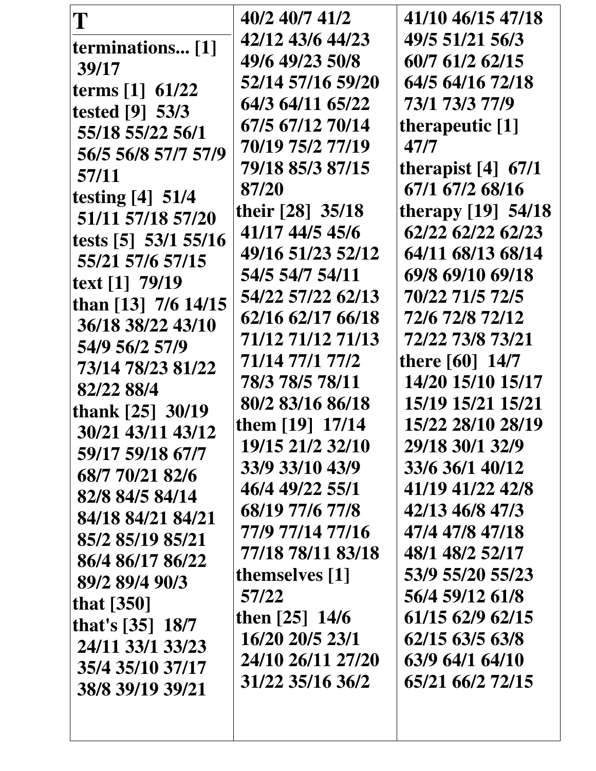| T                    | 40/2 40/7 41/2    | 41/10 46/15 47/18    |
|----------------------|-------------------|----------------------|
| terminations [1]     | 42/12 43/6 44/23  | 49/5 51/21 56/3      |
| 39/17                | 49/6 49/23 50/8   | 60/7 61/2 62/15      |
| terms [1] 61/22      | 52/14 57/16 59/20 | 64/5 64/16 72/18     |
| tested [9] 53/3      | 64/3 64/11 65/22  | 73/1 73/3 77/9       |
| 55/18 55/22 56/1     | 67/5 67/12 70/14  | therapeutic [1]      |
| 56/5 56/8 57/7 57/9  | 70/19 75/2 77/19  | 47/7                 |
| 57/11                | 79/18 85/3 87/15  | therapist $[4]$ 67/1 |
| testing $[4]$ 51/4   | 87/20             | 67/1 67/2 68/16      |
| 51/11 57/18 57/20    | their [28] 35/18  | therapy [19] 54/18   |
| tests [5] 53/1 55/16 | 41/17 44/5 45/6   | 62/22 62/22 62/23    |
| 55/21 57/6 57/15     | 49/16 51/23 52/12 | 64/11 68/13 68/14    |
| text [1] 79/19       | 54/5 54/7 54/11   | 69/8 69/10 69/18     |
| than [13] 7/6 14/15  | 54/22 57/22 62/13 | 70/22 71/5 72/5      |
| 36/18 38/22 43/10    | 62/16 62/17 66/18 | 72/6 72/8 72/12      |
| 54/9 56/2 57/9       | 71/12 71/12 71/13 | 72/22 73/8 73/21     |
| 73/14 78/23 81/22    | 71/14 77/1 77/2   | there $[60]$ 14/7    |
| 82/22 88/4           | 78/3 78/5 78/11   | 14/20 15/10 15/17    |
| thank $[25]$ 30/19   | 80/2 83/16 86/18  | 15/19 15/21 15/21    |
| 30/21 43/11 43/12    | them $[19]$ 17/14 | 15/22 28/10 28/19    |
| 59/17 59/18 67/7     | 19/15 21/2 32/10  | 29/18 30/1 32/9      |
| 68/7 70/21 82/6      | 33/9 33/10 43/9   | 33/6 36/1 40/12      |
| 82/8 84/5 84/14      | 46/4 49/22 55/1   | 41/19 41/22 42/8     |
| 84/18 84/21 84/21    | 68/19 77/6 77/8   | 42/13 46/8 47/3      |
| 85/2 85/19 85/21     | 77/9 77/14 77/16  | 47/4 47/8 47/18      |
| 86/4 86/17 86/22     | 77/18 78/11 83/18 | 48/1 48/2 52/17      |
| 89/2 89/4 90/3       | themselves [1]    | 53/9 55/20 55/23     |
| that $[350]$         | 57/22             | 56/4 59/12 61/8      |
| that's [35] 18/7     | then $[25]$ 14/6  | 61/15 62/9 62/15     |
| 24/11 33/1 33/23     | 16/20 20/5 23/1   | 62/15 63/5 63/8      |
| 35/4 35/10 37/17     | 24/10 26/11 27/20 | 63/9 64/1 64/10      |
| 38/8 39/19 39/21     | 31/22 35/16 36/2  | 65/21 66/2 72/15     |
|                      |                   |                      |
|                      |                   |                      |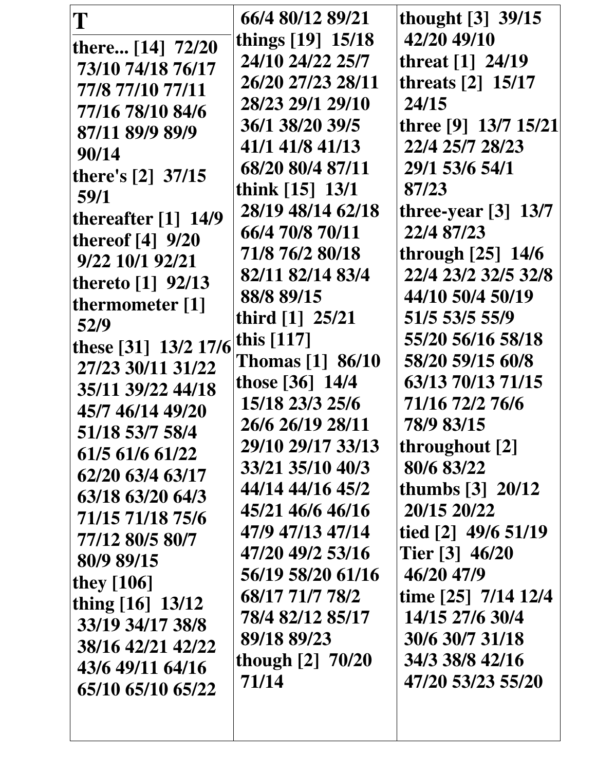| T                     | 66/4 80/12 89/21        | thought [3] 39/15     |
|-----------------------|-------------------------|-----------------------|
| there [14] 72/20      | things [19] 15/18       | 42/20 49/10           |
| 73/10 74/18 76/17     | 24/10 24/22 25/7        | threat [1] 24/19      |
| 77/8 77/10 77/11      | 26/20 27/23 28/11       | threats $[2]$ 15/17   |
| 77/16 78/10 84/6      | 28/23 29/1 29/10        | 24/15                 |
| 87/11 89/9 89/9       | 36/1 38/20 39/5         | three [9] 13/7 15/21  |
| 90/14                 | 41/1 41/8 41/13         | 22/4 25/7 28/23       |
| there's $[2]$ 37/15   | 68/20 80/4 87/11        | 29/1 53/6 54/1        |
| 59/1                  | think [15] 13/1         | 87/23                 |
| thereafter $[1]$ 14/9 | 28/19 48/14 62/18       | three-year $[3]$ 13/7 |
| thereof $[4]$ 9/20    | 66/4 70/8 70/11         | 22/4 87/23            |
| 9/22 10/1 92/21       | 71/8 76/2 80/18         | through [25] 14/6     |
| thereto $[1]$ 92/13   | 82/11 82/14 83/4        | 22/4 23/2 32/5 32/8   |
| thermometer [1]       | 88/8 89/15              | 44/10 50/4 50/19      |
| 52/9                  | third $[1]$ 25/21       | 51/5 53/5 55/9        |
| these [31] 13/2 17/6  | this $[117]$            | 55/20 56/16 58/18     |
| 27/23 30/11 31/22     | <b>Thomas</b> [1] 86/10 | 58/20 59/15 60/8      |
| 35/11 39/22 44/18     | those [36] 14/4         | 63/13 70/13 71/15     |
| 45/7 46/14 49/20      | 15/18 23/3 25/6         | 71/16 72/2 76/6       |
| 51/18 53/7 58/4       | 26/6 26/19 28/11        | 78/9 83/15            |
| 61/5 61/6 61/22       | 29/10 29/17 33/13       | throughout [2]        |
| 62/20 63/4 63/17      | 33/21 35/10 40/3        | 80/6 83/22            |
| 63/18 63/20 64/3      | 44/14 44/16 45/2        | thumbs $[3] 20/12$    |
| 71/15 71/18 75/6      | 45/21 46/6 46/16        | 20/15 20/22           |
| 77/12 80/5 80/7       | 47/9 47/13 47/14        | tied $[2]$ 49/6 51/19 |
| 80/9 89/15            | 47/20 49/2 53/16        | Tier [3] 46/20        |
| they $[106]$          | 56/19 58/20 61/16       | 46/20 47/9            |
| thing [16] 13/12      | 68/17 71/7 78/2         | time [25] 7/14 12/4   |
| 33/19 34/17 38/8      | 78/4 82/12 85/17        | 14/15 27/6 30/4       |
| 38/16 42/21 42/22     | 89/18 89/23             | 30/6 30/7 31/18       |
| 43/6 49/11 64/16      | though $[2]$ 70/20      | 34/3 38/8 42/16       |
| 65/10 65/10 65/22     | 71/14                   | 47/20 53/23 55/20     |
|                       |                         |                       |
|                       |                         |                       |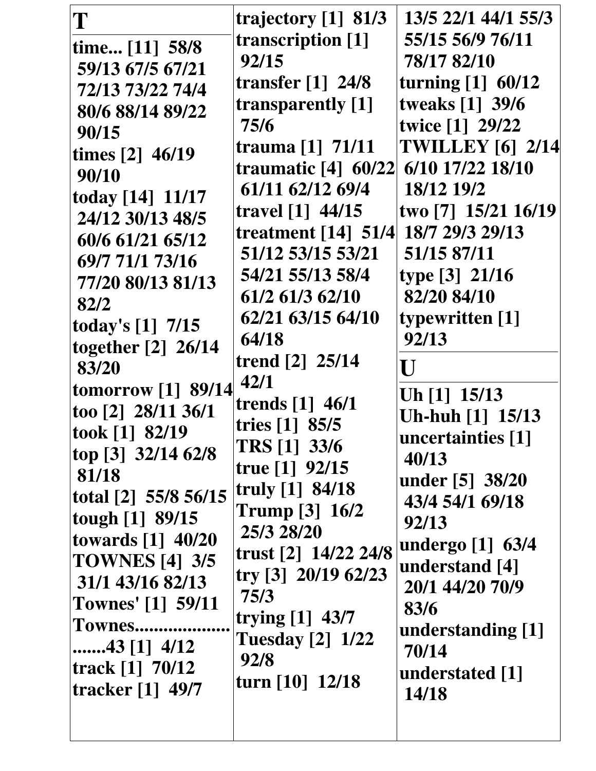| T                        | trajectory $[1]$ 81/3   | 13/5 22/1 44/1 55/3     |
|--------------------------|-------------------------|-------------------------|
| time [11] 58/8           | transcription [1]       | 55/15 56/9 76/11        |
| 59/13 67/5 67/21         | 92/15                   | 78/17 82/10             |
| 72/13 73/22 74/4         | transfer $[1]$ 24/8     | turning $[1]$ 60/12     |
| 80/6 88/14 89/22         | transparently [1]       | tweaks [1] 39/6         |
| 90/15                    | 75/6                    | twice [1] 29/22         |
| times $[2]$ 46/19        | trauma [1] 71/11        | <b>TWILLEY [6] 2/14</b> |
| 90/10                    | traumatic $[4]$ 60/22   | 6/10 17/22 18/10        |
| today [14] 11/17         | 61/11 62/12 69/4        | 18/12 19/2              |
| 24/12 30/13 48/5         | travel [1] 44/15        | two [7] 15/21 16/19     |
| 60/6 61/21 65/12         | treatment $[14]$ 51/4   | 18/7 29/3 29/13         |
| 69/7 71/1 73/16          | 51/12 53/15 53/21       | 51/15 87/11             |
| 77/20 80/13 81/13        | 54/21 55/13 58/4        | type $[3]$ 21/16        |
| 82/2                     | 61/2 61/3 62/10         | 82/20 84/10             |
| today's [1] 7/15         | 62/21 63/15 64/10       | typewritten [1]         |
| together [2] 26/14       | 64/18                   | 92/13                   |
| 83/20                    | trend [2] 25/14         | U                       |
| tomorrow [1] 89/14       | 42/1                    | Uh [1] 15/13            |
| too [2] 28/11 36/1       | trends $[1]$ 46/1       | Uh-huh [1] 15/13        |
| took [1] 82/19           | tries $[1]$ 85/5        | uncertainties [1]       |
| top [3] $32/14$ 62/8     | TRS [1] 33/6            | 40/13                   |
| 81/18                    | true $[1]$ 92/15        | under [5] 38/20         |
| total [2] 55/8 56/15     | truly $[1]$ 84/18       | 43/4 54/1 69/18         |
| tough [1] 89/15          | <b>Trump</b> [3] 16/2   | 92/13                   |
| towards $[1]$ 40/20      | 25/3 28/20              | undergo [1] 63/4        |
| <b>TOWNES</b> [4] 3/5    | trust [2] 14/22 24/8    | understand [4]          |
| 31/1 43/16 82/13         | try [3] $20/19$ 62/23   | 20/1 44/20 70/9         |
| <b>Townes'</b> [1] 59/11 | 75/3                    | 83/6                    |
| Townes                   | trying [1] 43/7         | understanding [1]       |
| $43$ [1] $4/12$          | <b>Tuesday</b> [2] 1/22 | 70/14                   |
| track $[1]$ 70/12        | 92/8                    | understated [1]         |
| <b>tracker</b> [1] 49/7  | turn $[10]$ 12/18       | 14/18                   |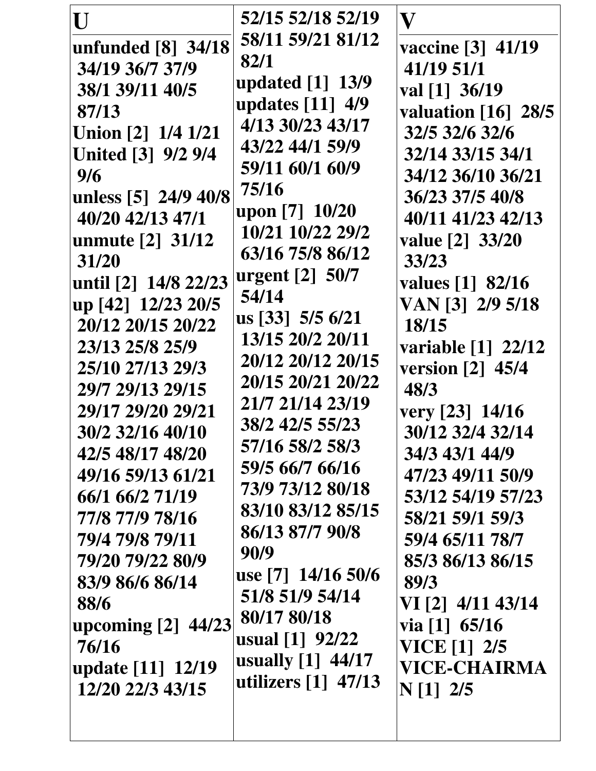| U                         | 52/15 52/18 52/19                 | $\mathbf{V}% _{M_{1},M_{2}}^{\alpha,\beta}$ |
|---------------------------|-----------------------------------|---------------------------------------------|
| unfunded [8] 34/18        | 58/11 59/21 81/12                 | vaccine [3] 41/19                           |
| 34/19 36/7 37/9           | 82/1                              | 41/19 51/1                                  |
| 38/1 39/11 40/5           | updated $[1]$ 13/9                | val [1] 36/19                               |
| 87/13                     | updates [11] 4/9                  | valuation [16] 28/5                         |
| Union [2] 1/4 1/21        | 4/13 30/23 43/17                  | 32/5 32/6 32/6                              |
| <b>United</b> [3] 9/2 9/4 | 43/22 44/1 59/9                   | 32/14 33/15 34/1                            |
| 9/6                       | 59/11 60/1 60/9                   | 34/12 36/10 36/21                           |
| unless [5] 24/9 40/8      | 75/16                             | 36/23 37/5 40/8                             |
| 31/20                     | 63/16 75/8 86/12                  | 33/23                                       |
| until [2] 14/8 22/23      | urgent [2] 50/7                   | values [1] 82/16                            |
| up [42] 12/23 20/5        | 54/14                             | VAN [3] 2/9 5/18                            |
| 20/12 20/15 20/22         | us [33] 5/5 6/21                  | 18/15                                       |
| 23/13 25/8 25/9           | 13/15 20/2 20/11                  | variable [1] 22/12                          |
| 25/10 27/13 29/3          | 20/12 20/12 20/15                 | version [2] 45/4                            |
| 29/7 29/13 29/15          | 20/15 20/21 20/22                 | 48/3                                        |
| 29/17 29/20 29/21         | 21/7 21/14 23/19                  | very [23] 14/16                             |
| 30/2 32/16 40/10          | 38/2 42/5 55/23                   | 30/12 32/4 32/14                            |
| 42/5 48/17 48/20          | 57/16 58/2 58/3                   | 34/3 43/1 44/9                              |
| 49/16 59/13 61/21         | 59/5 66/7 66/16                   | 47/23 49/11 50/9                            |
| 66/1 66/2 71/19           | 73/9 73/12 80/18                  | 53/12 54/19 57/23                           |
| 77/8 77/9 78/16           | 83/10 83/12 85/15                 | 58/21 59/1 59/3                             |
| 79/4 79/8 79/11           | 86/13 87/7 90/8                   | 59/4 65/11 78/7                             |
| 79/20 79/22 80/9          | 90/9                              | 85/3 86/13 86/15                            |
| 83/9 86/6 86/14           | use [7] 14/16 50/6                | 89/3                                        |
| 88/6                      | 51/8 51/9 54/14                   | VI [2] 4/11 43/14                           |
| upcoming $[2]$ 44/23      | 80/17 80/18                       | via $[1]$ 65/16                             |
| 76/16                     | usual $[1]$ 92/22                 | <b>VICE</b> [1] 2/5                         |
| update [11] 12/19         | usually $[1]$ 44/17               | <b>VICE-CHAIRMA</b>                         |
| 12/20 22/3 43/15          | utilizers $\lceil 1 \rceil$ 47/13 | $N[1]$ 2/5                                  |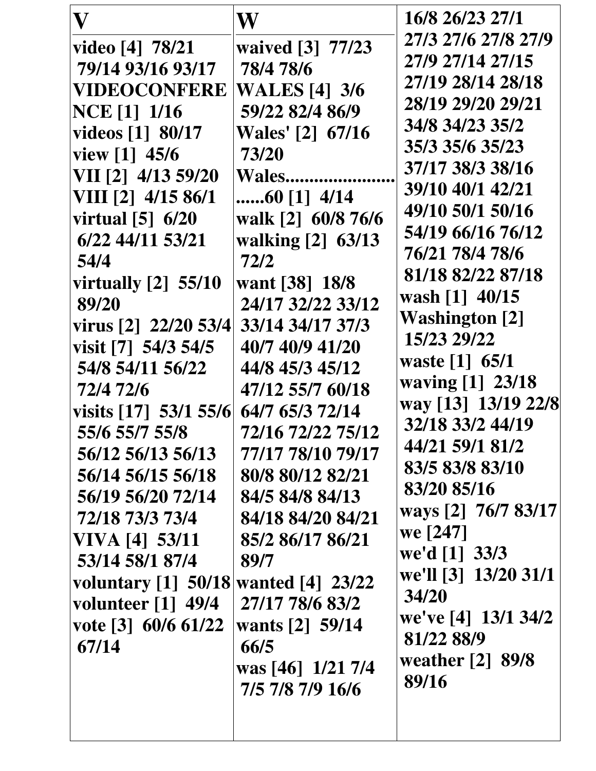| 27/17 78/6 83/2<br>volunteer $\lceil 1 \rceil$ 49/4<br>we've [4] 13/1 34/2<br>vote [3] $60/6$ 61/22<br>wants [2] 59/14<br>81/22 88/9<br>67/14<br>66/5<br>weather $[2]$ 89/8<br>was [46] $1/21$ 7/4<br>89/16<br>7/5 7/8 7/9 16/6 |
|---------------------------------------------------------------------------------------------------------------------------------------------------------------------------------------------------------------------------------|
|                                                                                                                                                                                                                                 |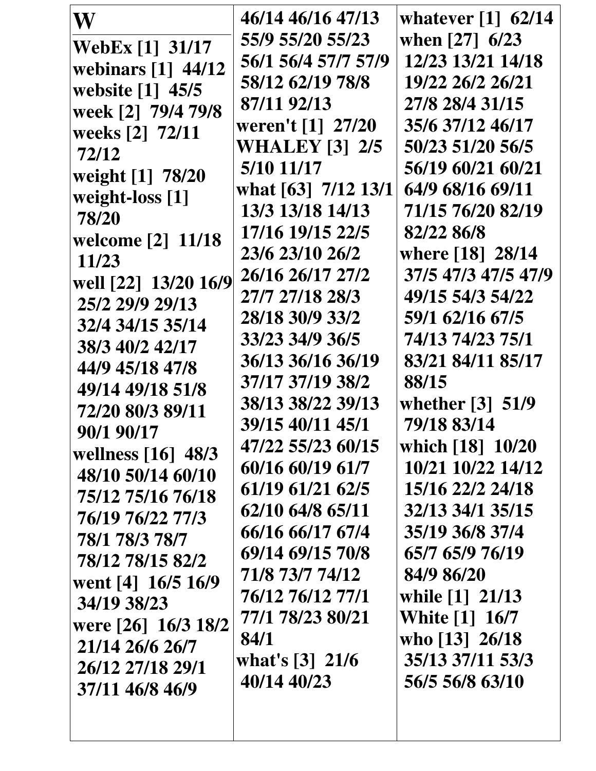| W                                | 46/14 46/16 47/13     | whatever $\lceil 1 \rceil$ 62/14 |
|----------------------------------|-----------------------|----------------------------------|
| <b>WebEx</b> [1] 31/17           | 55/9 55/20 55/23      | when $[27]$ 6/23                 |
| webinars $\lceil 1 \rceil$ 44/12 | 56/1 56/4 57/7 57/9   | 12/23 13/21 14/18                |
| website [1] 45/5                 | 58/12 62/19 78/8      | 19/22 26/2 26/21                 |
| week [2] 79/4 79/8               | 87/11 92/13           | 27/8 28/4 31/15                  |
| weeks [2] 72/11                  | weren't [1] 27/20     | 35/6 37/12 46/17                 |
| 72/12                            | <b>WHALEY [3] 2/5</b> | 50/23 51/20 56/5                 |
| weight [1] 78/20                 | 5/10 11/17            | 56/19 60/21 60/21                |
| weight-loss [1]                  | what [63] 7/12 13/1   | 64/9 68/16 69/11                 |
| 78/20                            | 13/3 13/18 14/13      | 71/15 76/20 82/19                |
| welcome [2] 11/18                | 17/16 19/15 22/5      | 82/22 86/8                       |
| 11/23                            | 23/6 23/10 26/2       | where [18] 28/14                 |
| well [22] 13/20 16/9             | 26/16 26/17 27/2      | 37/5 47/3 47/5 47/9              |
| 25/2 29/9 29/13                  | 27/7 27/18 28/3       | 49/15 54/3 54/22                 |
| 32/4 34/15 35/14                 | 28/18 30/9 33/2       | 59/1 62/16 67/5                  |
| 38/3 40/2 42/17                  | 33/23 34/9 36/5       | 74/13 74/23 75/1                 |
| 44/9 45/18 47/8                  | 36/13 36/16 36/19     | 83/21 84/11 85/17                |
| 49/14 49/18 51/8                 | 37/17 37/19 38/2      | 88/15                            |
| 72/20 80/3 89/11                 | 38/13 38/22 39/13     | whether $\lceil 3 \rceil$ 51/9   |
| 90/1 90/17                       | 39/15 40/11 45/1      | 79/18 83/14                      |
| wellness $[16]$ 48/3             | 47/22 55/23 60/15     | which [18] 10/20                 |
| 48/10 50/14 60/10                | 60/16 60/19 61/7      | 10/21 10/22 14/12                |
| 75/12 75/16 76/18                | 61/19 61/21 62/5      | 15/16 22/2 24/18                 |
| 76/19 76/22 77/3                 | 62/10 64/8 65/11      | 32/13 34/1 35/15                 |
| 78/1 78/3 78/7                   | 66/16 66/17 67/4      | 35/19 36/8 37/4                  |
| 78/12 78/15 82/2                 | 69/14 69/15 70/8      | 65/7 65/9 76/19                  |
| went [4] 16/5 16/9               | 71/8 73/7 74/12       | 84/9 86/20                       |
| 34/19 38/23                      | 76/12 76/12 77/1      | while [1] 21/13                  |
| were [26] 16/3 18/2              | 77/1 78/23 80/21      | <b>White</b> [1] 16/7            |
| 21/14 26/6 26/7                  | 84/1                  | who [13] 26/18                   |
| 26/12 27/18 29/1                 | what's $[3]$ 21/6     | 35/13 37/11 53/3                 |
| 37/11 46/8 46/9                  | 40/14 40/23           | 56/5 56/8 63/10                  |
|                                  |                       |                                  |
|                                  |                       |                                  |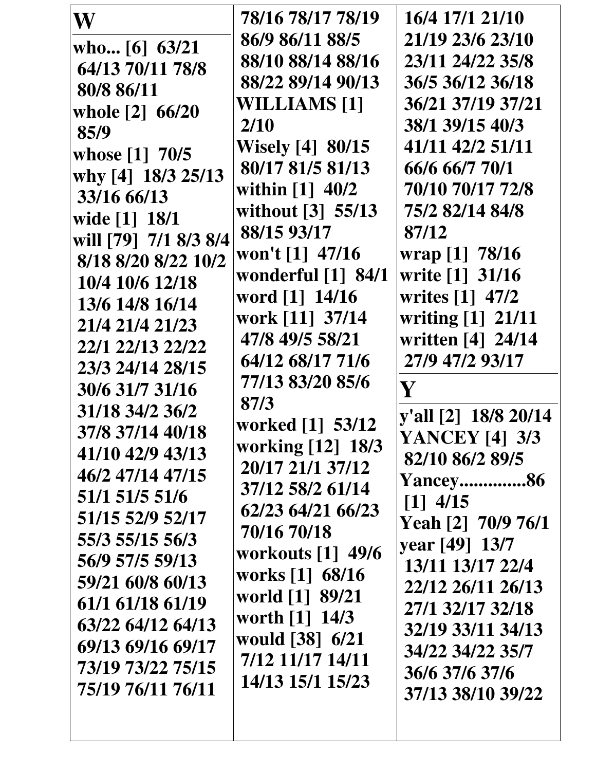| W                     | 78/16 78/17 78/19                   | 16/4 17/1 21/10        |
|-----------------------|-------------------------------------|------------------------|
| who [6] $63/21$       | 86/9 86/11 88/5                     | 21/19 23/6 23/10       |
| 64/13 70/11 78/8      | 88/10 88/14 88/16                   | 23/11 24/22 35/8       |
| 80/8 86/11            | 88/22 89/14 90/13                   | 36/5 36/12 36/18       |
| whole [2] 66/20       | <b>WILLIAMS [1]</b>                 | 36/21 37/19 37/21      |
| 85/9                  | 2/10                                | 38/1 39/15 40/3        |
| whose [1] 70/5        | <b>Wisely</b> [4] 80/15             | 41/11 42/2 51/11       |
| why [4] 18/3 25/13    | 80/17 81/5 81/13                    | 66/6 66/7 70/1         |
| 33/16 66/13           | within $[1]$ 40/2                   | 70/10 70/17 72/8       |
| wide [1] 18/1         | without [3] 55/13                   | 75/2 82/14 84/8        |
| will [79] 7/1 8/3 8/4 | 88/15 93/17                         | 87/12                  |
| 8/18 8/20 8/22 10/2   | won't $[1]$ 47/16                   | wrap [1] 78/16         |
| 10/4 10/6 12/18       | wonderful $\lceil 1 \rceil$ 84/1    | write [1] 31/16        |
| 13/6 14/8 16/14       | word [1] 14/16                      | writes [1] 47/2        |
| 21/4 21/4 21/23       | work [11] 37/14                     | writing [1] 21/11      |
| 22/1 22/13 22/22      | 47/8 49/5 58/21                     | written [4] 24/14      |
| 23/3 24/14 28/15      | 64/12 68/17 71/6                    | 27/9 47/2 93/17        |
| 30/6 31/7 31/16       | 77/13 83/20 85/6                    | $\mathbf V$            |
| 31/18 34/2 36/2       | 87/3                                | y'all [2] 18/8 20/14   |
| 37/8 37/14 40/18      | worked [1] 53/12                    | <b>YANCEY</b> [4] 3/3  |
| 41/10 42/9 43/13      | working [12] 18/3                   | 82/10 86/2 89/5        |
| 46/2 47/14 47/15      | 20/17 21/1 37/12                    | <b>Yancey86</b>        |
| 51/1 51/5 51/6        | 37/12 58/2 61/14                    | $\lceil 1 \rceil$ 4/15 |
| 51/15 52/9 52/17      | 62/23 64/21 66/23                   | Yeah [2] 70/9 76/1     |
| 55/3 55/15 56/3       | 70/16 70/18                         | vear [49] 13/7         |
| 56/9 57/5 59/13       | workouts [1] 49/6                   | 13/11 13/17 22/4       |
| 59/21 60/8 60/13      | works [1] 68/16                     | 22/12 26/11 26/13      |
| 61/1 61/18 61/19      | world [1] 89/21                     | 27/1 32/17 32/18       |
| 63/22 64/12 64/13     | worth [1] 14/3                      | 32/19 33/11 34/13      |
| 69/13 69/16 69/17     | would [38] 6/21<br>7/12 11/17 14/11 | 34/22 34/22 35/7       |
| 73/19 73/22 75/15     | 14/13 15/1 15/23                    | 36/6 37/6 37/6         |
| 75/19 76/11 76/11     |                                     | 37/13 38/10 39/22      |
|                       |                                     |                        |
|                       |                                     |                        |